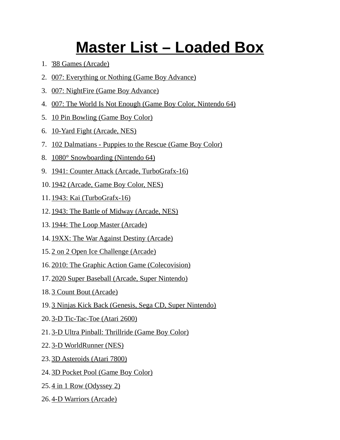## **Master List – Loaded Box**

- 1. '88 Games (Arcade)
- 2. 007: Everything or Nothing (Game Boy Advance)
- 3. 007: NightFire (Game Boy Advance)
- 4. 007: The World Is Not Enough (Game Boy Color, Nintendo 64)
- 5. 10 Pin Bowling (Game Boy Color)
- 6. 10-Yard Fight (Arcade, NES)
- 7. 102 Dalmatians Puppies to the Rescue (Game Boy Color)
- 8. 1080° Snowboarding (Nintendo 64)
- 9. 1941: Counter Attack (Arcade, TurboGrafx-16)
- 10. 1942 (Arcade, Game Boy Color, NES)
- 11. 1943: Kai (TurboGrafx-16)
- 12. 1943: The Battle of Midway (Arcade, NES)
- 13. 1944: The Loop Master (Arcade)
- 14. 19XX: The War Against Destiny (Arcade)
- 15. 2 on 2 Open Ice Challenge (Arcade)
- 16. 2010: The Graphic Action Game (Colecovision)
- 17. 2020 Super Baseball (Arcade, Super Nintendo)
- 18. 3 Count Bout (Arcade)
- 19. 3 Ninjas Kick Back (Genesis, Sega CD, Super Nintendo)
- 20. 3-D Tic-Tac-Toe (Atari 2600)
- 21. 3-D Ultra Pinball: Thrillride (Game Boy Color)
- 22. 3-D WorldRunner (NES)
- 23. 3D Asteroids (Atari 7800)
- 24. 3D Pocket Pool (Game Boy Color)
- 25. 4 in 1 Row (Odyssey 2)
- 26. 4-D Warriors (Arcade)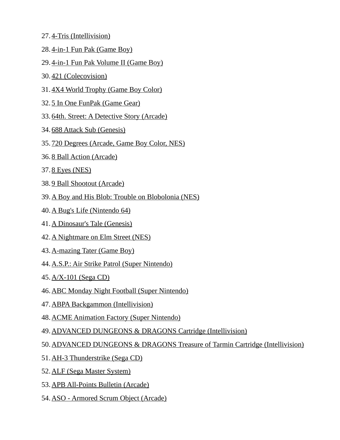- 27. 4-Tris (Intellivision)
- 28. 4-in-1 Fun Pak (Game Boy)
- 29. 4-in-1 Fun Pak Volume II (Game Boy)
- 30. 421 (Colecovision)
- 31. 4X4 World Trophy (Game Boy Color)
- 32. 5 In One FunPak (Game Gear)
- 33. 64th. Street: A Detective Story (Arcade)
- 34. 688 Attack Sub (Genesis)
- 35. 720 Degrees (Arcade, Game Boy Color, NES)
- 36. 8 Ball Action (Arcade)
- 37. 8 Eyes (NES)
- 38. 9 Ball Shootout (Arcade)
- 39.A Boy and His Blob: Trouble on Blobolonia (NES)
- 40. A Bug's Life (Nintendo 64)
- 41. A Dinosaur's Tale (Genesis)
- 42. A Nightmare on Elm Street (NES)
- 43. A-mazing Tater (Game Boy)
- 44.A.S.P.: Air Strike Patrol (Super Nintendo)
- 45. A/X-101 (Sega CD)
- 46.ABC Monday Night Football (Super Nintendo)
- 47. ABPA Backgammon (Intellivision)
- 48.ACME Animation Factory (Super Nintendo)
- 49.ADVANCED DUNGEONS & DRAGONS Cartridge (Intellivision)
- 50.ADVANCED DUNGEONS & DRAGONS Treasure of Tarmin Cartridge (Intellivision)
- 51. AH-3 Thunderstrike (Sega CD)
- 52. ALF (Sega Master System)
- 53. APB All-Points Bulletin (Arcade)
- 54.ASO Armored Scrum Object (Arcade)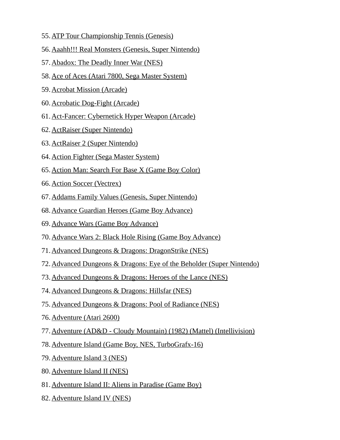- 55. ATP Tour Championship Tennis (Genesis)
- 56.Aaahh!!! Real Monsters (Genesis, Super Nintendo)
- 57.Abadox: The Deadly Inner War (NES)
- 58.Ace of Aces (Atari 7800, Sega Master System)
- 59. Acrobat Mission (Arcade)
- 60. Acrobatic Dog-Fight (Arcade)
- 61.Act-Fancer: Cybernetick Hyper Weapon (Arcade)
- 62. ActRaiser (Super Nintendo)
- 63. ActRaiser 2 (Super Nintendo)
- 64. Action Fighter (Sega Master System)
- 65.Action Man: Search For Base X (Game Boy Color)
- 66. Action Soccer (Vectrex)
- 67.Addams Family Values (Genesis, Super Nintendo)
- 68.Advance Guardian Heroes (Game Boy Advance)
- 69. Advance Wars (Game Boy Advance)
- 70.Advance Wars 2: Black Hole Rising (Game Boy Advance)
- 71.Advanced Dungeons & Dragons: DragonStrike (NES)
- 72.Advanced Dungeons & Dragons: Eye of the Beholder (Super Nintendo)
- 73.Advanced Dungeons & Dragons: Heroes of the Lance (NES)
- 74.Advanced Dungeons & Dragons: Hillsfar (NES)
- 75.Advanced Dungeons & Dragons: Pool of Radiance (NES)
- 76. Adventure (Atari 2600)
- 77.Adventure (AD&D Cloudy Mountain) (1982) (Mattel) (Intellivision)
- 78.Adventure Island (Game Boy, NES, TurboGrafx-16)
- 79. Adventure Island 3 (NES)
- 80. Adventure Island II (NES)
- 81.Adventure Island II: Aliens in Paradise (Game Boy)
- 82. Adventure Island IV (NES)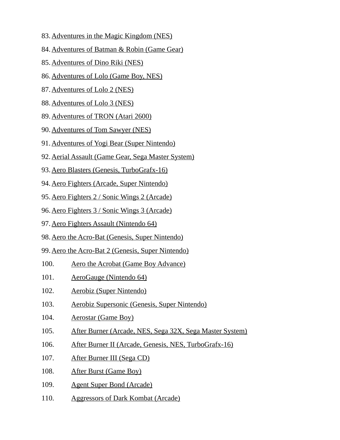- 83. Adventures in the Magic Kingdom (NES)
- 84.Adventures of Batman & Robin (Game Gear)
- 85. Adventures of Dino Riki (NES)
- 86.Adventures of Lolo (Game Boy, NES)
- 87. Adventures of Lolo 2 (NES)
- 88. Adventures of Lolo 3 (NES)
- 89. Adventures of TRON (Atari 2600)
- 90. Adventures of Tom Sawyer (NES)
- 91.Adventures of Yogi Bear (Super Nintendo)
- 92.Aerial Assault (Game Gear, Sega Master System)
- 93.Aero Blasters (Genesis, TurboGrafx-16)
- 94.Aero Fighters (Arcade, Super Nintendo)
- 95.Aero Fighters 2 / Sonic Wings 2 (Arcade)
- 96.Aero Fighters 3 / Sonic Wings 3 (Arcade)
- 97. Aero Fighters Assault (Nintendo 64)
- 98.Aero the Acro-Bat (Genesis, Super Nintendo)
- 99.Aero the Acro-Bat 2 (Genesis, Super Nintendo)
- 100. Aero the Acrobat (Game Boy Advance)
- 101. AeroGauge (Nintendo 64)
- 102. Aerobiz (Super Nintendo)
- 103. Aerobiz Supersonic (Genesis, Super Nintendo)
- 104. Aerostar (Game Boy)
- 105. After Burner (Arcade, NES, Sega 32X, Sega Master System)
- 106. After Burner II (Arcade, Genesis, NES, TurboGrafx-16)
- 107. After Burner III (Sega CD)
- 108. After Burst (Game Boy)
- 109. Agent Super Bond (Arcade)
- 110. Aggressors of Dark Kombat (Arcade)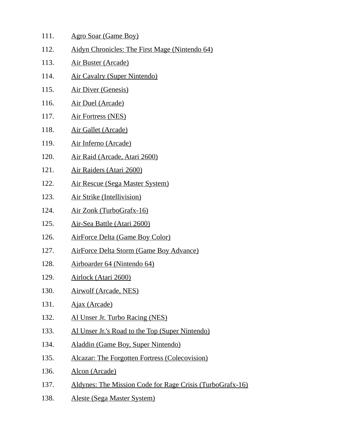| 111. | Agro Soar (Game Boy) |
|------|----------------------|
|      |                      |

- 112. Aidyn Chronicles: The First Mage (Nintendo 64)
- 113. Air Buster (Arcade)
- 114. Air Cavalry (Super Nintendo)
- 115. Air Diver (Genesis)
- 116. Air Duel (Arcade)
- 117. Air Fortress (NES)
- 118. Air Gallet (Arcade)
- 119. Air Inferno (Arcade)
- 120. Air Raid (Arcade, Atari 2600)
- 121. Air Raiders (Atari 2600)
- 122. Air Rescue (Sega Master System)
- 123. Air Strike (Intellivision)
- 124. Air Zonk (TurboGrafx-16)
- 125. Air-Sea Battle (Atari 2600)
- 126. AirForce Delta (Game Boy Color)
- 127. AirForce Delta Storm (Game Boy Advance)
- 128. Airboarder 64 (Nintendo 64)
- 129. Airlock (Atari 2600)
- 130. Airwolf (Arcade, NES)
- 131. Ajax (Arcade)
- 132. Al Unser Jr. Turbo Racing (NES)
- 133. Al Unser Jr.'s Road to the Top (Super Nintendo)
- 134. Aladdin (Game Boy, Super Nintendo)
- 135. Alcazar: The Forgotten Fortress (Colecovision)
- 136. **Alcon (Arcade)**
- 137. Aldynes: The Mission Code for Rage Crisis (TurboGrafx-16)
- 138. Aleste (Sega Master System)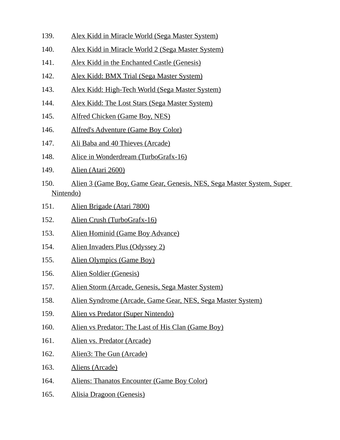- 139. Alex Kidd in Miracle World (Sega Master System)
- 140. Alex Kidd in Miracle World 2 (Sega Master System)
- 141. Alex Kidd in the Enchanted Castle (Genesis)
- 142. Alex Kidd: BMX Trial (Sega Master System)
- 143. Alex Kidd: High-Tech World (Sega Master System)
- 144. Alex Kidd: The Lost Stars (Sega Master System)
- 145. Alfred Chicken (Game Boy, NES)
- 146. Alfred's Adventure (Game Boy Color)
- 147. Ali Baba and 40 Thieves (Arcade)
- 148. Alice in Wonderdream (TurboGrafx-16)
- 149. Alien (Atari 2600)
- 150. Alien 3 (Game Boy, Game Gear, Genesis, NES, Sega Master System, Super Nintendo)
- 151. Alien Brigade (Atari 7800)
- 152. Alien Crush (TurboGrafx-16)
- 153. Alien Hominid (Game Boy Advance)
- 154. Alien Invaders Plus (Odyssey 2)
- 155. Alien Olympics (Game Boy)
- 156. Alien Soldier (Genesis)
- 157. Alien Storm (Arcade, Genesis, Sega Master System)
- 158. Alien Syndrome (Arcade, Game Gear, NES, Sega Master System)
- 159. Alien vs Predator (Super Nintendo)
- 160. Alien vs Predator: The Last of His Clan (Game Boy)
- 161. Alien vs. Predator (Arcade)
- 162. Alien3: The Gun (Arcade)
- 163. Aliens (Arcade)
- 164. Aliens: Thanatos Encounter (Game Boy Color)
- 165. Alisia Dragoon (Genesis)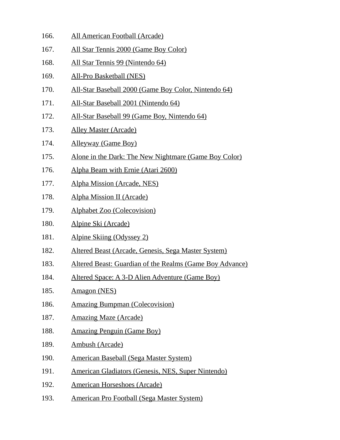- 166. All American Football (Arcade)
- 167. All Star Tennis 2000 (Game Boy Color)
- 168. All Star Tennis 99 (Nintendo 64)
- 169. All-Pro Basketball (NES)
- 170. All-Star Baseball 2000 (Game Boy Color, Nintendo 64)
- 171. All-Star Baseball 2001 (Nintendo 64)
- 172. All-Star Baseball 99 (Game Boy, Nintendo 64)
- 173. Alley Master (Arcade)
- 174. Alleyway (Game Boy)
- 175. Alone in the Dark: The New Nightmare (Game Boy Color)
- 176. Alpha Beam with Ernie (Atari 2600)
- 177. Alpha Mission (Arcade, NES)
- 178. Alpha Mission II (Arcade)
- 179. Alphabet Zoo (Colecovision)
- 180. Alpine Ski (Arcade)
- 181. Alpine Skiing (Odyssey 2)
- 182. Altered Beast (Arcade, Genesis, Sega Master System)
- 183. Altered Beast: Guardian of the Realms (Game Boy Advance)
- 184. Altered Space: A 3-D Alien Adventure (Game Boy)
- 185. Amagon (NES)
- 186. Amazing Bumpman (Colecovision)
- 187. Amazing Maze (Arcade)
- 188. Amazing Penguin (Game Boy)
- 189. Ambush (Arcade)
- 190. American Baseball (Sega Master System)
- 191. American Gladiators (Genesis, NES, Super Nintendo)
- 192. American Horseshoes (Arcade)
- 193. American Pro Football (Sega Master System)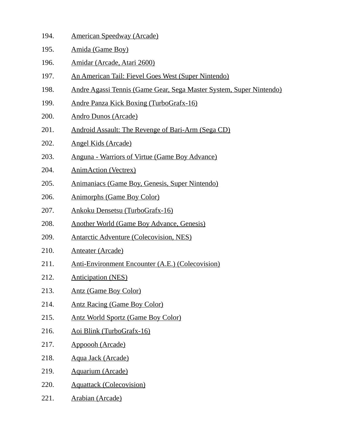- 194. American Speedway (Arcade)
- 195. Amida (Game Boy)
- 196. Amidar (Arcade, Atari 2600)
- 197. An American Tail: Fievel Goes West (Super Nintendo)
- 198. Andre Agassi Tennis (Game Gear, Sega Master System, Super Nintendo)
- 199. Andre Panza Kick Boxing (TurboGrafx-16)
- 200. Andro Dunos (Arcade)
- 201. Android Assault: The Revenge of Bari-Arm (Sega CD)
- 202. Angel Kids (Arcade)
- 203. Anguna Warriors of Virtue (Game Boy Advance)
- 204. AnimAction (Vectrex)
- 205. Animaniacs (Game Boy, Genesis, Super Nintendo)
- 206. Animorphs (Game Boy Color)
- 207. Ankoku Densetsu (TurboGrafx-16)
- 208. Another World (Game Boy Advance, Genesis)
- 209. Antarctic Adventure (Colecovision, NES)
- 210. Anteater (Arcade)
- 211. Anti-Environment Encounter (A.E.) (Colecovision)
- 212. Anticipation (NES)
- 213. Antz (Game Boy Color)
- 214. Antz Racing (Game Boy Color)
- 215. Antz World Sportz (Game Boy Color)
- 216. Aoi Blink (TurboGrafx-16)
- 217. Appoooh (Arcade)
- 218. Aqua Jack (Arcade)
- 219. Aquarium (Arcade)
- 220. Aquattack (Colecovision)
- 221. Arabian (Arcade)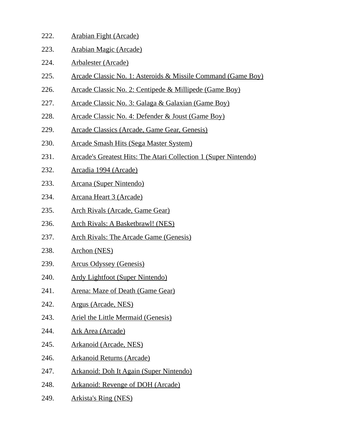- 222. Arabian Fight (Arcade)
- 223. Arabian Magic (Arcade)
- 224. Arbalester (Arcade)
- 225. Arcade Classic No. 1: Asteroids & Missile Command (Game Boy)
- 226. Arcade Classic No. 2: Centipede & Millipede (Game Boy)
- 227. Arcade Classic No. 3: Galaga & Galaxian (Game Boy)
- 228. Arcade Classic No. 4: Defender & Joust (Game Boy)
- 229. Arcade Classics (Arcade, Game Gear, Genesis)
- 230. Arcade Smash Hits (Sega Master System)
- 231. Arcade's Greatest Hits: The Atari Collection 1 (Super Nintendo)
- 232. Arcadia 1994 (Arcade)
- 233. Arcana (Super Nintendo)
- 234. Arcana Heart 3 (Arcade)
- 235. Arch Rivals (Arcade, Game Gear)
- 236. Arch Rivals: A Basketbrawl! (NES)
- 237. Arch Rivals: The Arcade Game (Genesis)
- 238. Archon (NES)
- 239. Arcus Odyssey (Genesis)
- 240. Ardy Lightfoot (Super Nintendo)
- 241. Arena: Maze of Death (Game Gear)
- 242. Argus (Arcade, NES)
- 243. Ariel the Little Mermaid (Genesis)
- 244. Ark Area (Arcade)
- 245. Arkanoid (Arcade, NES)
- 246. Arkanoid Returns (Arcade)
- 247. Arkanoid: Doh It Again (Super Nintendo)
- 248. Arkanoid: Revenge of DOH (Arcade)
- 249. Arkista's Ring (NES)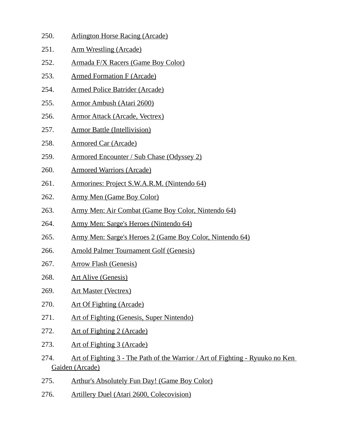- 250. Arlington Horse Racing (Arcade)
- 251. Arm Wrestling (Arcade)
- 252. Armada F/X Racers (Game Boy Color)
- 253. Armed Formation F (Arcade)
- 254. Armed Police Batrider (Arcade)
- 255. Armor Ambush (Atari 2600)
- 256. Armor Attack (Arcade, Vectrex)
- 257. Armor Battle (Intellivision)
- 258. Armored Car (Arcade)
- 259. Armored Encounter / Sub Chase (Odyssey 2)
- 260. Armored Warriors (Arcade)
- 261. Armorines: Project S.W.A.R.M. (Nintendo 64)
- 262. Army Men (Game Boy Color)
- 263. Army Men: Air Combat (Game Boy Color, Nintendo 64)
- 264. Army Men: Sarge's Heroes (Nintendo 64)
- 265. Army Men: Sarge's Heroes 2 (Game Boy Color, Nintendo 64)
- 266. Arnold Palmer Tournament Golf (Genesis)
- 267. Arrow Flash (Genesis)
- 268. Art Alive (Genesis)
- 269. Art Master (Vectrex)
- 270. Art Of Fighting (Arcade)
- 271. Art of Fighting (Genesis, Super Nintendo)
- 272. Art of Fighting 2 (Arcade)
- 273. Art of Fighting 3 (Arcade)
- 274. Art of Fighting 3 The Path of the Warrior / Art of Fighting Ryuuko no Ken Gaiden (Arcade)
- 275. Arthur's Absolutely Fun Day! (Game Boy Color)
- 276. Artillery Duel (Atari 2600, Colecovision)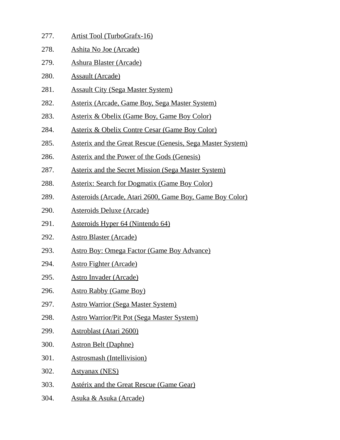- 277. Artist Tool (TurboGrafx-16)
- 278. Ashita No Joe (Arcade)
- 279. Ashura Blaster (Arcade)
- 280. Assault (Arcade)
- 281. Assault City (Sega Master System)
- 282. Asterix (Arcade, Game Boy, Sega Master System)
- 283. Asterix & Obelix (Game Boy, Game Boy Color)
- 284. Asterix & Obelix Contre Cesar (Game Boy Color)
- 285. Asterix and the Great Rescue (Genesis, Sega Master System)
- 286. Asterix and the Power of the Gods (Genesis)
- 287. Asterix and the Secret Mission (Sega Master System)
- 288. Asterix: Search for Dogmatix (Game Boy Color)
- 289. Asteroids (Arcade, Atari 2600, Game Boy, Game Boy Color)
- 290. Asteroids Deluxe (Arcade)
- 291. Asteroids Hyper 64 (Nintendo 64)
- 292. Astro Blaster (Arcade)
- 293. Astro Boy: Omega Factor (Game Boy Advance)
- 294. Astro Fighter (Arcade)
- 295. Astro Invader (Arcade)
- 296. Astro Rabby (Game Boy)
- 297. Astro Warrior (Sega Master System)
- 298. Astro Warrior/Pit Pot (Sega Master System)
- 299. Astroblast (Atari 2600)
- 300. Astron Belt (Daphne)
- 301. Astrosmash (Intellivision)
- 302. Astyanax (NES)
- 303. Astérix and the Great Rescue (Game Gear)
- 304. Asuka & Asuka (Arcade)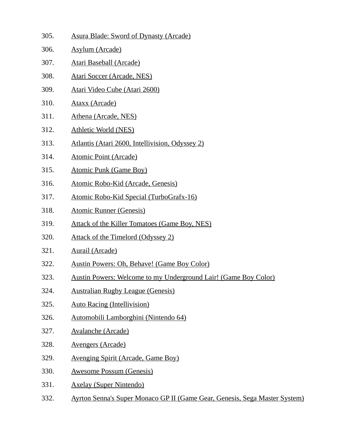| 305. | <b>Asura Blade: Sword of Dynasty (Arcade)</b>                              |
|------|----------------------------------------------------------------------------|
| 306. | <b>Asylum (Arcade)</b>                                                     |
| 307. | <b>Atari Baseball (Arcade)</b>                                             |
| 308. | <b>Atari Soccer (Arcade, NES)</b>                                          |
| 309. | Atari Video Cube (Atari 2600)                                              |
| 310. | <b>Ataxx (Arcade)</b>                                                      |
| 311. | Athena (Arcade, NES)                                                       |
| 312. | <b>Athletic World (NES)</b>                                                |
| 313. | Atlantis (Atari 2600, Intellivision, Odyssey 2)                            |
| 314. | <b>Atomic Point (Arcade)</b>                                               |
| 315. | <b>Atomic Punk (Game Boy)</b>                                              |
| 316. | Atomic Robo-Kid (Arcade, Genesis)                                          |
| 317. | Atomic Robo-Kid Special (TurboGrafx-16)                                    |
| 318. | <b>Atomic Runner (Genesis)</b>                                             |
| 319. | <b>Attack of the Killer Tomatoes (Game Boy, NES)</b>                       |
| 320. | Attack of the Timelord (Odyssey 2)                                         |
| 321. | <b>Aurail (Arcade)</b>                                                     |
| 322. | <b>Austin Powers: Oh, Behave! (Game Boy Color)</b>                         |
| 323. | Austin Powers: Welcome to my Underground Lair! (Game Boy Color)            |
| 324. | <b>Australian Rugby League (Genesis)</b>                                   |
| 325. | <b>Auto Racing (Intellivision)</b>                                         |
| 326. | Automobili Lamborghini (Nintendo 64)                                       |
| 327. | <b>Avalanche (Arcade)</b>                                                  |
| 328. | <b>Avengers (Arcade)</b>                                                   |
| 329. | <b>Avenging Spirit (Arcade, Game Boy)</b>                                  |
| 330. | <b>Awesome Possum (Genesis)</b>                                            |
| 331. | <b>Axelay (Super Nintendo)</b>                                             |
| 332. | Ayrton Senna's Super Monaco GP II (Game Gear, Genesis, Sega Master System) |
|      |                                                                            |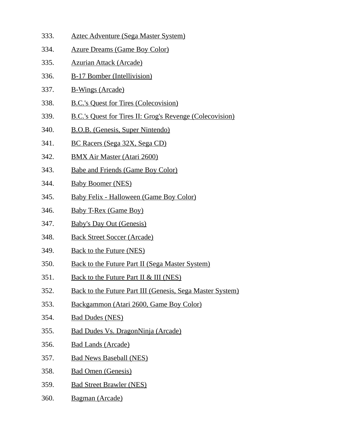- 333. Aztec Adventure (Sega Master System) 334. Azure Dreams (Game Boy Color) 335. Azurian Attack (Arcade) 336. B-17 Bomber (Intellivision) 337. B-Wings (Arcade) 338. B.C.'s Quest for Tires (Colecovision) 339. B.C.'s Quest for Tires II: Grog's Revenge (Colecovision) 340. B.O.B. (Genesis, Super Nintendo) 341. BC Racers (Sega 32X, Sega CD) 342. BMX Air Master (Atari 2600) 343. Babe and Friends (Game Boy Color) 344. Baby Boomer (NES) 345. Baby Felix - Halloween (Game Boy Color) 346. Baby T-Rex (Game Boy) 347. Baby's Day Out (Genesis) 348. Back Street Soccer (Arcade) 349. Back to the Future (NES) 350. Back to the Future Part II (Sega Master System)
- 351. Back to the Future Part II & III (NES)
- 352. Back to the Future Part III (Genesis, Sega Master System)
- 353. Backgammon (Atari 2600, Game Boy Color)
- 354. Bad Dudes (NES)
- 355. Bad Dudes Vs. DragonNinja (Arcade)
- 356. Bad Lands (Arcade)
- 357. Bad News Baseball (NES)
- 358. Bad Omen (Genesis)
- 359. Bad Street Brawler (NES)
- 360. Bagman (Arcade)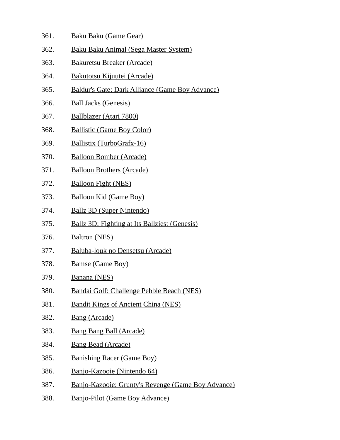- 361. Baku Baku (Game Gear)
- 362. Baku Baku Animal (Sega Master System)
- 363. Bakuretsu Breaker (Arcade)
- 364. Bakutotsu Kijuutei (Arcade)
- 365. Baldur's Gate: Dark Alliance (Game Boy Advance)
- 366. Ball Jacks (Genesis)
- 367. Ballblazer (Atari 7800)
- 368. Ballistic (Game Boy Color)
- 369. Ballistix (TurboGrafx-16)
- 370. Balloon Bomber (Arcade)
- 371. Balloon Brothers (Arcade)
- 372. Balloon Fight (NES)
- 373. Balloon Kid (Game Boy)
- 374. Ballz 3D (Super Nintendo)
- 375. Ballz 3D: Fighting at Its Ballziest (Genesis)
- 376. Baltron (NES)
- 377. Baluba-louk no Densetsu (Arcade)
- 378. Bamse (Game Boy)
- 379. Banana (NES)
- 380. Bandai Golf: Challenge Pebble Beach (NES)
- 381. Bandit Kings of Ancient China (NES)
- 382. Bang (Arcade)
- 383. Bang Bang Ball (Arcade)
- 384. Bang Bead (Arcade)
- 385. Banishing Racer (Game Boy)
- 386. Banjo-Kazooie (Nintendo 64)
- 387. Banjo-Kazooie: Grunty's Revenge (Game Boy Advance)
- 388. Banjo-Pilot (Game Boy Advance)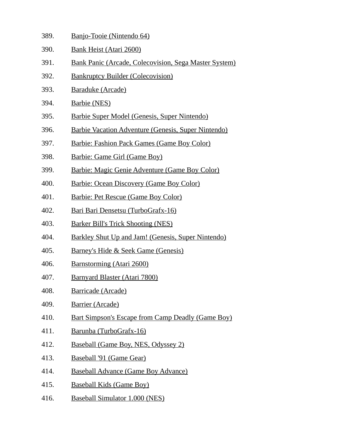| 389. | Banjo-Tooie (Nintendo 64)                                  |
|------|------------------------------------------------------------|
| 390. | <b>Bank Heist (Atari 2600)</b>                             |
| 391. | Bank Panic (Arcade, Colecovision, Sega Master System)      |
| 392. | <b>Bankruptcy Builder (Colecovision)</b>                   |
| 393. | Baraduke (Arcade)                                          |
| 394. | <b>Barbie (NES)</b>                                        |
| 395. | Barbie Super Model (Genesis, Super Nintendo)               |
| 396. | <b>Barbie Vacation Adventure (Genesis, Super Nintendo)</b> |
| 397. | <b>Barbie: Fashion Pack Games (Game Boy Color)</b>         |
| 398. | Barbie: Game Girl (Game Boy)                               |
| 399. | Barbie: Magic Genie Adventure (Game Boy Color)             |
| 400. | <b>Barbie: Ocean Discovery (Game Boy Color)</b>            |
| 401. | Barbie: Pet Rescue (Game Boy Color)                        |
| 402. | Bari Bari Densetsu (TurboGrafx-16)                         |
| 403. | <b>Barker Bill's Trick Shooting (NES)</b>                  |
| 404. | Barkley Shut Up and Jam! (Genesis, Super Nintendo)         |
| 405. | <u>Barney's Hide &amp; Seek Game (Genesis)</u>             |
| 406. | Barnstorming (Atari 2600)                                  |
| 407. | Barnyard Blaster (Atari 7800)                              |
| 408. | Barricade (Arcade)                                         |
| 409. | <b>Barrier (Arcade)</b>                                    |
| 410. | <b>Bart Simpson's Escape from Camp Deadly (Game Boy)</b>   |
| 411. | Barunba (TurboGrafx-16)                                    |

- 412. Baseball (Game Boy, NES, Odyssey 2)
- 413. Baseball '91 (Game Gear)
- 414. Baseball Advance (Game Boy Advance)
- 415. Baseball Kids (Game Boy)
- 416. Baseball Simulator 1.000 (NES)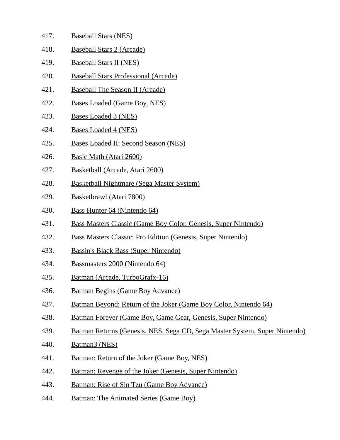- 417. Baseball Stars (NES)
- 418. Baseball Stars 2 (Arcade)
- 419. Baseball Stars II (NES)
- 420. Baseball Stars Professional (Arcade)
- 421. Baseball The Season II (Arcade)
- 422. Bases Loaded (Game Boy, NES)
- 423. Bases Loaded 3 (NES)
- 424. Bases Loaded 4 (NES)
- 425. Bases Loaded II: Second Season (NES)
- 426. Basic Math (Atari 2600)
- 427. Basketball (Arcade, Atari 2600)
- 428. Basketball Nightmare (Sega Master System)
- 429. Basketbrawl (Atari 7800)
- 430. Bass Hunter 64 (Nintendo 64)
- 431. Bass Masters Classic (Game Boy Color, Genesis, Super Nintendo)
- 432. Bass Masters Classic: Pro Edition (Genesis, Super Nintendo)
- 433. Bassin's Black Bass (Super Nintendo)
- 434. Bassmasters 2000 (Nintendo 64)
- 435. Batman (Arcade, TurboGrafx-16)
- 436. Batman Begins (Game Boy Advance)
- 437. Batman Beyond: Return of the Joker (Game Boy Color, Nintendo 64)
- 438. Batman Forever (Game Boy, Game Gear, Genesis, Super Nintendo)
- 439. Batman Returns (Genesis, NES, Sega CD, Sega Master System, Super Nintendo)
- 440. Batman3 (NES)
- 441. Batman: Return of the Joker (Game Boy, NES)
- 442. Batman: Revenge of the Joker (Genesis, Super Nintendo)
- 443. Batman: Rise of Sin Tzu (Game Boy Advance)
- 444. Batman: The Animated Series (Game Boy)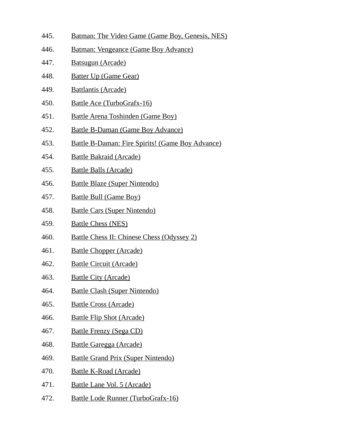- 445. Batman: The Video Game (Game Boy, Genesis, NES)
- 446. Batman: Vengeance (Game Boy Advance)
- 447. Batsugun (Arcade)
- 448. Batter Up (Game Gear)
- 449. Battlantis (Arcade)
- 450. Battle Ace (TurboGrafx-16)
- 451. Battle Arena Toshinden (Game Boy)
- 452. Battle B-Daman (Game Boy Advance)
- 453. Battle B-Daman: Fire Spirits! (Game Boy Advance)
- 454. Battle Bakraid (Arcade)
- 455. Battle Balls (Arcade)
- 456. Battle Blaze (Super Nintendo)
- 457. Battle Bull (Game Boy)
- 458. Battle Cars (Super Nintendo)
- 459. Battle Chess (NES)
- 460. Battle Chess II: Chinese Chess (Odyssey 2)
- 461. Battle Chopper (Arcade)
- 462. Battle Circuit (Arcade)
- 463. Battle City (Arcade)
- 464. Battle Clash (Super Nintendo)
- 465. Battle Cross (Arcade)
- 466. Battle Flip Shot (Arcade)
- 467. Battle Frenzy (Sega CD)
- 468. Battle Garegga (Arcade)
- 469. Battle Grand Prix (Super Nintendo)
- 470. Battle K-Road (Arcade)
- 471. Battle Lane Vol. 5 (Arcade)
- 472. Battle Lode Runner (TurboGrafx-16)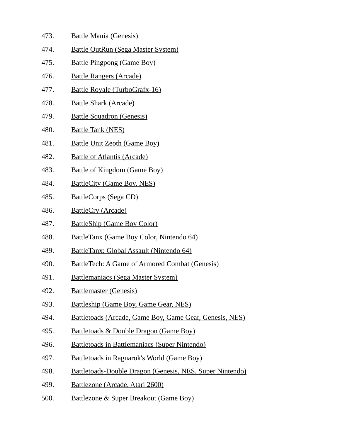| 473. | <b>Battle Mania (Genesis)</b> |  |
|------|-------------------------------|--|
|      |                               |  |

- 474. Battle OutRun (Sega Master System)
- 475. Battle Pingpong (Game Boy)
- 476. Battle Rangers (Arcade)
- 477. Battle Royale (TurboGrafx-16)
- 478. Battle Shark (Arcade)
- 479. Battle Squadron (Genesis)
- 480. Battle Tank (NES)
- 481. Battle Unit Zeoth (Game Boy)
- 482. Battle of Atlantis (Arcade)
- 483. Battle of Kingdom (Game Boy)
- 484. BattleCity (Game Boy, NES)
- 485. BattleCorps (Sega CD)
- 486. BattleCry (Arcade)
- 487. BattleShip (Game Boy Color)
- 488. BattleTanx (Game Boy Color, Nintendo 64)
- 489. BattleTanx: Global Assault (Nintendo 64)
- 490. BattleTech: A Game of Armored Combat (Genesis)
- 491. Battlemaniacs (Sega Master System)
- 492. Battlemaster (Genesis)
- 493. Battleship (Game Boy, Game Gear, NES)
- 494. Battletoads (Arcade, Game Boy, Game Gear, Genesis, NES)
- 495. Battletoads & Double Dragon (Game Boy)
- 496. Battletoads in Battlemaniacs (Super Nintendo)
- 497. Battletoads in Ragnarok's World (Game Boy)
- 498. Battletoads-Double Dragon (Genesis, NES, Super Nintendo)
- 499. Battlezone (Arcade, Atari 2600)
- 500. Battlezone & Super Breakout (Game Boy)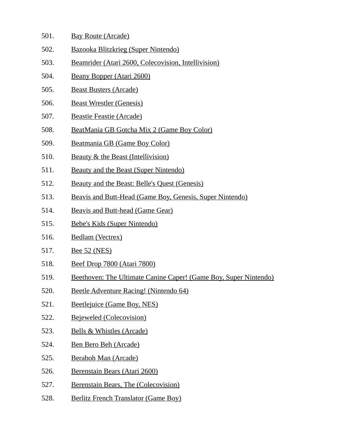- 501. Bay Route (Arcade)
- 502. Bazooka Blitzkrieg (Super Nintendo)
- 503. Beamrider (Atari 2600, Colecovision, Intellivision)
- 504. Beany Bopper (Atari 2600)
- 505. Beast Busters (Arcade)
- 506. Beast Wrestler (Genesis)
- 507. Beastie Feastie (Arcade)
- 508. BeatMania GB Gotcha Mix 2 (Game Boy Color)
- 509. Beatmania GB (Game Boy Color)
- 510. Beauty & the Beast (Intellivision)
- 511. Beauty and the Beast (Super Nintendo)
- 512. Beauty and the Beast: Belle's Quest (Genesis)
- 513. Beavis and Butt-Head (Game Boy, Genesis, Super Nintendo)
- 514. Beavis and Butt-head (Game Gear)
- 515. Bebe's Kids (Super Nintendo)
- 516. Bedlam (Vectrex)
- 517. Bee 52 (NES)
- 518. Beef Drop 7800 (Atari 7800)
- 519. Beethoven: The Ultimate Canine Caper! (Game Boy, Super Nintendo)
- 520. Beetle Adventure Racing! (Nintendo 64)
- 521. Beetlejuice (Game Boy, NES)
- 522. Bejeweled (Colecovision)
- 523. Bells & Whistles (Arcade)
- 524. Ben Bero Beh (Arcade)
- 525. Beraboh Man (Arcade)
- 526. Berenstain Bears (Atari 2600)
- 527. Berenstain Bears, The (Colecovision)
- 528. Berlitz French Translator (Game Boy)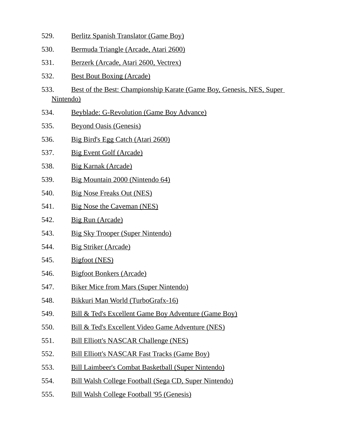- 529. Berlitz Spanish Translator (Game Boy)
- 530. Bermuda Triangle (Arcade, Atari 2600)
- 531. Berzerk (Arcade, Atari 2600, Vectrex)
- 532. Best Bout Boxing (Arcade)
- 533. Best of the Best: Championship Karate (Game Boy, Genesis, NES, Super Nintendo)
- 534. Beyblade: G-Revolution (Game Boy Advance)
- 535. Beyond Oasis (Genesis)
- 536. Big Bird's Egg Catch (Atari 2600)
- 537. Big Event Golf (Arcade)
- 538. Big Karnak (Arcade)
- 539. Big Mountain 2000 (Nintendo 64)
- 540. Big Nose Freaks Out (NES)
- 541. Big Nose the Caveman (NES)
- 542. Big Run (Arcade)
- 543. Big Sky Trooper (Super Nintendo)
- 544. Big Striker (Arcade)
- 545. Bigfoot (NES)
- 546. Bigfoot Bonkers (Arcade)
- 547. Biker Mice from Mars (Super Nintendo)
- 548. Bikkuri Man World (TurboGrafx-16)
- 549. Bill & Ted's Excellent Game Boy Adventure (Game Boy)
- 550. Bill & Ted's Excellent Video Game Adventure (NES)
- 551. Bill Elliott's NASCAR Challenge (NES)
- 552. Bill Elliott's NASCAR Fast Tracks (Game Boy)
- 553. Bill Laimbeer's Combat Basketball (Super Nintendo)
- 554. Bill Walsh College Football (Sega CD, Super Nintendo)
- 555. Bill Walsh College Football '95 (Genesis)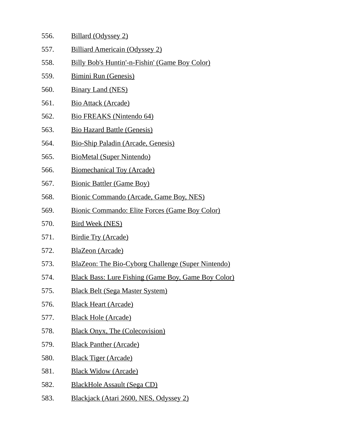- 556. Billard (Odyssey 2)
- 557. Billiard Americain (Odyssey 2)
- 558. Billy Bob's Huntin'-n-Fishin' (Game Boy Color)
- 559. Bimini Run (Genesis)
- 560. Binary Land (NES)
- 561. Bio Attack (Arcade)
- 562. Bio FREAKS (Nintendo 64)
- 563. Bio Hazard Battle (Genesis)
- 564. Bio-Ship Paladin (Arcade, Genesis)
- 565. BioMetal (Super Nintendo)
- 566. Biomechanical Toy (Arcade)
- 567. Bionic Battler (Game Boy)
- 568. Bionic Commando (Arcade, Game Boy, NES)
- 569. Bionic Commando: Elite Forces (Game Boy Color)
- 570. Bird Week (NES)
- 571. Birdie Try (Arcade)
- 572. BlaZeon (Arcade)
- 573. BlaZeon: The Bio-Cyborg Challenge (Super Nintendo)
- 574. Black Bass: Lure Fishing (Game Boy, Game Boy Color)
- 575. Black Belt (Sega Master System)
- 576. Black Heart (Arcade)
- 577. Black Hole (Arcade)
- 578. Black Onyx, The (Colecovision)
- 579. Black Panther (Arcade)
- 580. Black Tiger (Arcade)
- 581. Black Widow (Arcade)
- 582. BlackHole Assault (Sega CD)
- 583. Blackjack (Atari 2600, NES, Odyssey 2)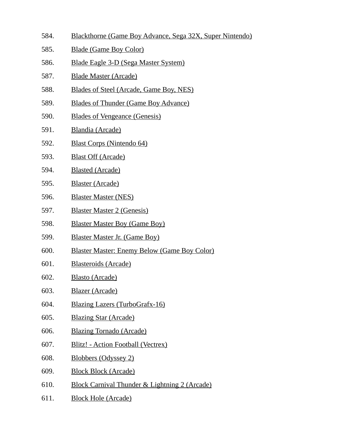- 584. Blackthorne (Game Boy Advance, Sega 32X, Super Nintendo)
- 585. Blade (Game Boy Color)
- 586. Blade Eagle 3-D (Sega Master System)
- 587. Blade Master (Arcade)
- 588. Blades of Steel (Arcade, Game Boy, NES)
- 589. Blades of Thunder (Game Boy Advance)
- 590. Blades of Vengeance (Genesis)
- 591. Blandia (Arcade)
- 592. Blast Corps (Nintendo 64)
- 593. Blast Off (Arcade)
- 594. Blasted (Arcade)
- 595. Blaster (Arcade)
- 596. Blaster Master (NES)
- 597. Blaster Master 2 (Genesis)
- 598. Blaster Master Boy (Game Boy)
- 599. Blaster Master Jr. (Game Boy)
- 600. Blaster Master: Enemy Below (Game Boy Color)
- 601. Blasteroids (Arcade)
- 602. Blasto (Arcade)
- 603. Blazer (Arcade)
- 604. Blazing Lazers (TurboGrafx-16)
- 605. Blazing Star (Arcade)
- 606. Blazing Tornado (Arcade)
- 607. Blitz! Action Football (Vectrex)
- 608. Blobbers (Odyssey 2)
- 609. Block Block (Arcade)
- 610. Block Carnival Thunder & Lightning 2 (Arcade)
- 611. Block Hole (Arcade)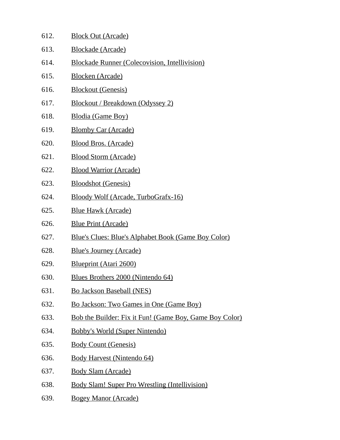| 612. | <b>Block Out (Arcade)</b>                                  |
|------|------------------------------------------------------------|
| 613. | <b>Blockade</b> (Arcade)                                   |
| 614. | <b>Blockade Runner (Colecovision, Intellivision)</b>       |
| 615. | <b>Blocken (Arcade)</b>                                    |
| 616. | <b>Blockout (Genesis)</b>                                  |
| 617. | Blockout / Breakdown (Odyssey 2)                           |
| 618. | Blodia (Game Boy)                                          |
| 619. | <b>Blomby Car (Arcade)</b>                                 |
| 620. | <b>Blood Bros. (Arcade)</b>                                |
| 621. | <b>Blood Storm (Arcade)</b>                                |
| 622. | <b>Blood Warrior (Arcade)</b>                              |
| 623. | <b>Bloodshot (Genesis)</b>                                 |
| 624. | <b>Bloody Wolf (Arcade, TurboGrafx-16)</b>                 |
| 625. | <b>Blue Hawk (Arcade)</b>                                  |
| 626. | <b>Blue Print (Arcade)</b>                                 |
| 627. | <b>Blue's Clues: Blue's Alphabet Book (Game Boy Color)</b> |
| 628. | <b>Blue's Journey (Arcade)</b>                             |
| 629. | <b>Blueprint (Atari 2600)</b>                              |
| 630. | Blues Brothers 2000 (Nintendo 64)                          |
| 631. | <b>Bo Jackson Baseball (NES)</b>                           |
| 632. | Bo Jackson: Two Games in One (Game Boy)                    |
| 633. | Bob the Builder: Fix it Fun! (Game Boy, Game Boy Color)    |
| 634. | <b>Bobby's World (Super Nintendo)</b>                      |
| 635. | <b>Body Count (Genesis)</b>                                |
| 636. | <b>Body Harvest (Nintendo 64)</b>                          |
| 637. | <b>Body Slam (Arcade)</b>                                  |
| 638. | <b>Body Slam! Super Pro Wrestling (Intellivision)</b>      |
| 639. | <b>Bogey Manor (Arcade)</b>                                |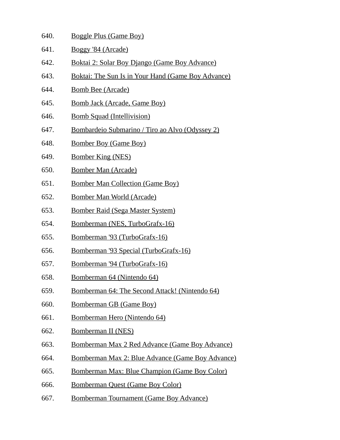| 640. | <b>Boggle Plus (Game Boy)</b>                             |
|------|-----------------------------------------------------------|
| 641. | Boggy '84 (Arcade)                                        |
| 642. | Boktai 2: Solar Boy Django (Game Boy Advance)             |
| 643. | <b>Boktai: The Sun Is in Your Hand (Game Boy Advance)</b> |
| 644. | <b>Bomb Bee (Arcade)</b>                                  |
| 645. | <b>Bomb Jack (Arcade, Game Boy)</b>                       |
| 646. | <b>Bomb Squad (Intellivision)</b>                         |
| 647. | Bombardeio Submarino / Tiro ao Alvo (Odyssey 2)           |
| 648. | <b>Bomber Boy (Game Boy)</b>                              |
| 649. | <b>Bomber King (NES)</b>                                  |
| 650. | <b>Bomber Man (Arcade)</b>                                |
| 651. | <b>Bomber Man Collection (Game Boy)</b>                   |
| 652. | <b>Bomber Man World (Arcade)</b>                          |
| 653. | <u>Bomber Raid (Sega Master System)</u>                   |
| 654. | Bomberman (NES, TurboGrafx-16)                            |
| 655. | <u>Bomberman '93 (TurboGrafx-16)</u>                      |
| 656. | Bomberman '93 Special (TurboGrafx-16)                     |
| 657. | Bomberman '94 (TurboGrafx-16)                             |
| 658. | <u>Bomberman 64 (Nintendo 64)</u>                         |
| 659. | Bomberman 64: The Second Attack! (Nintendo 64)            |
| 660. | <b>Bomberman GB (Game Boy)</b>                            |
| 661. | Bomberman Hero (Nintendo 64)                              |

- 662. Bomberman II (NES)
- 663. Bomberman Max 2 Red Advance (Game Boy Advance)
- 664. Bomberman Max 2: Blue Advance (Game Boy Advance)
- 665. Bomberman Max: Blue Champion (Game Boy Color)
- 666. Bomberman Quest (Game Boy Color)
- 667. Bomberman Tournament (Game Boy Advance)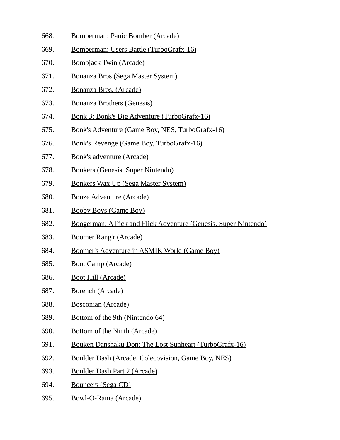- 668. Bomberman: Panic Bomber (Arcade)
- 669. Bomberman: Users Battle (TurboGrafx-16)
- 670. Bombjack Twin (Arcade)
- 671. Bonanza Bros (Sega Master System)
- 672. Bonanza Bros. (Arcade)
- 673. Bonanza Brothers (Genesis)
- 674. Bonk 3: Bonk's Big Adventure (TurboGrafx-16)
- 675. Bonk's Adventure (Game Boy, NES, TurboGrafx-16)
- 676. Bonk's Revenge (Game Boy, TurboGrafx-16)
- 677. Bonk's adventure (Arcade)
- 678. Bonkers (Genesis, Super Nintendo)
- 679. Bonkers Wax Up (Sega Master System)
- 680. Bonze Adventure (Arcade)
- 681. Booby Boys (Game Boy)
- 682. Boogerman: A Pick and Flick Adventure (Genesis, Super Nintendo)
- 683. Boomer Rang'r (Arcade)
- 684. Boomer's Adventure in ASMIK World (Game Boy)
- 685. Boot Camp (Arcade)
- 686. Boot Hill (Arcade)
- 687. Borench (Arcade)
- 688. Bosconian (Arcade)
- 689. Bottom of the 9th (Nintendo 64)
- 690. Bottom of the Ninth (Arcade)
- 691. Bouken Danshaku Don: The Lost Sunheart (TurboGrafx-16)
- 692. Boulder Dash (Arcade, Colecovision, Game Boy, NES)
- 693. Boulder Dash Part 2 (Arcade)
- 694. Bouncers (Sega CD)
- 695. Bowl-O-Rama (Arcade)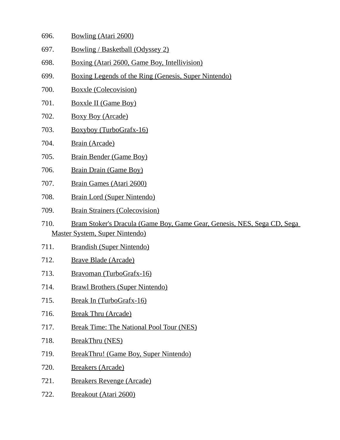- 696. Bowling (Atari 2600)
- 697. Bowling / Basketball (Odyssey 2)
- 698. Boxing (Atari 2600, Game Boy, Intellivision)
- 699. Boxing Legends of the Ring (Genesis, Super Nintendo)
- 700. Boxxle (Colecovision)
- 701. Boxxle II (Game Boy)
- 702. Boxy Boy (Arcade)
- 703. Boxyboy (TurboGrafx-16)
- 704. Brain (Arcade)
- 705. Brain Bender (Game Boy)
- 706. Brain Drain (Game Boy)
- 707. Brain Games (Atari 2600)
- 708. Brain Lord (Super Nintendo)
- 709. Brain Strainers (Colecovision)
- 710. Bram Stoker's Dracula (Game Boy, Game Gear, Genesis, NES, Sega CD, Sega Master System, Super Nintendo)
- 711. Brandish (Super Nintendo)
- 712. Brave Blade (Arcade)
- 713. Bravoman (TurboGrafx-16)
- 714. Brawl Brothers (Super Nintendo)
- 715. Break In (TurboGrafx-16)
- 716. Break Thru (Arcade)
- 717. Break Time: The National Pool Tour (NES)
- 718. BreakThru (NES)
- 719. BreakThru! (Game Boy, Super Nintendo)
- 720. Breakers (Arcade)
- 721. Breakers Revenge (Arcade)
- 722. Breakout (Atari 2600)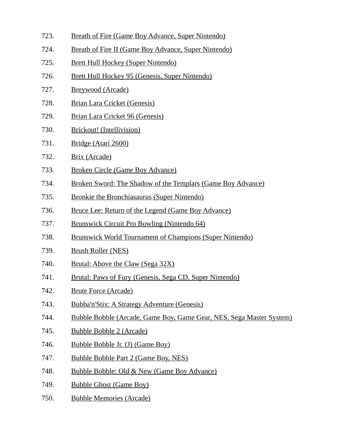- 723. Breath of Fire (Game Boy Advance, Super Nintendo) 724. Breath of Fire II (Game Boy Advance, Super Nintendo) 725. Brett Hull Hockey (Super Nintendo) 726. Brett Hull Hockey 95 (Genesis, Super Nintendo) 727. Breywood (Arcade) 728. Brian Lara Cricket (Genesis) 729. Brian Lara Cricket 96 (Genesis) 730. Brickout! (Intellivision) 731. Bridge (Atari 2600) 732. Brix (Arcade) 733. Broken Circle (Game Boy Advance) 734. Broken Sword: The Shadow of the Templars (Game Boy Advance) 735. Bronkie the Bronchiasaurus (Super Nintendo) 736. Bruce Lee: Return of the Legend (Game Boy Advance) 737. Brunswick Circuit Pro Bowling (Nintendo 64) 738. Brunswick World Tournament of Champions (Super Nintendo) 739. Brush Roller (NES) 740. Brutal: Above the Claw (Sega 32X) 741. Brutal: Paws of Fury (Genesis, Sega CD, Super Nintendo) 742. Brute Force (Arcade) 743. Bubba'n'Stix: A Strategy Adventure (Genesis) 744. Bubble Bobble (Arcade, Game Boy, Game Gear, NES, Sega Master System) 745. Bubble Bobble 2 (Arcade) 746. Bubble Bobble Jr. (J) (Game Boy) 747. Bubble Bobble Part 2 (Game Boy, NES) 748. Bubble Bobble: Old & New (Game Boy Advance) 749. Bubble Ghost (Game Boy)
	- 750. Bubble Memories (Arcade)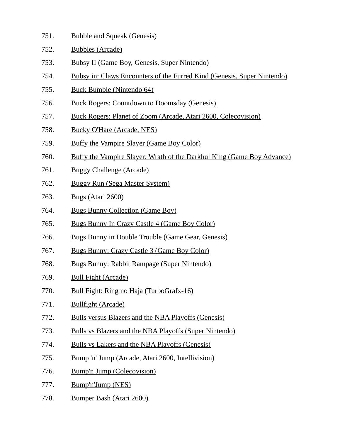- 751. Bubble and Squeak (Genesis)
- 752. Bubbles (Arcade)
- 753. Bubsy II (Game Boy, Genesis, Super Nintendo)
- 754. Bubsy in: Claws Encounters of the Furred Kind (Genesis, Super Nintendo)
- 755. Buck Bumble (Nintendo 64)
- 756. Buck Rogers: Countdown to Doomsday (Genesis)
- 757. Buck Rogers: Planet of Zoom (Arcade, Atari 2600, Colecovision)
- 758. Bucky O'Hare (Arcade, NES)
- 759. Buffy the Vampire Slayer (Game Boy Color)
- 760. Buffy the Vampire Slayer: Wrath of the Darkhul King (Game Boy Advance)
- 761. Buggy Challenge (Arcade)
- 762. Buggy Run (Sega Master System)
- 763. Bugs (Atari 2600)
- 764. Bugs Bunny Collection (Game Boy)
- 765. Bugs Bunny In Crazy Castle 4 (Game Boy Color)
- 766. Bugs Bunny in Double Trouble (Game Gear, Genesis)
- 767. Bugs Bunny: Crazy Castle 3 (Game Boy Color)
- 768. Bugs Bunny: Rabbit Rampage (Super Nintendo)
- 769. Bull Fight (Arcade)
- 770. Bull Fight: Ring no Haja (TurboGrafx-16)
- 771. Bullfight (Arcade)
- 772. Bulls versus Blazers and the NBA Playoffs (Genesis)
- 773. Bulls vs Blazers and the NBA Playoffs (Super Nintendo)
- 774. Bulls vs Lakers and the NBA Playoffs (Genesis)
- 775. Bump 'n' Jump (Arcade, Atari 2600, Intellivision)
- 776. Bump'n Jump (Colecovision)
- 777. Bump'n'Jump (NES)
- 778. Bumper Bash (Atari 2600)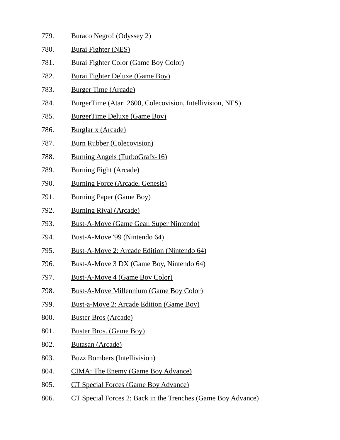- 779. Buraco Negro! (Odyssey 2)
- 780. Burai Fighter (NES)
- 781. Burai Fighter Color (Game Boy Color)
- 782. Burai Fighter Deluxe (Game Boy)
- 783. Burger Time (Arcade)
- 784. BurgerTime (Atari 2600, Colecovision, Intellivision, NES)
- 785. BurgerTime Deluxe (Game Boy)
- 786. Burglar x (Arcade)
- 787. Burn Rubber (Colecovision)
- 788. Burning Angels (TurboGrafx-16)
- 789. Burning Fight (Arcade)
- 790. Burning Force (Arcade, Genesis)
- 791. Burning Paper (Game Boy)
- 792. Burning Rival (Arcade)
- 793. Bust-A-Move (Game Gear, Super Nintendo)
- 794. Bust-A-Move '99 (Nintendo 64)
- 795. Bust-A-Move 2: Arcade Edition (Nintendo 64)
- 796. Bust-A-Move 3 DX (Game Boy, Nintendo 64)
- 797. Bust-A-Move 4 (Game Boy Color)
- 798. Bust-A-Move Millennium (Game Boy Color)
- 799. Bust-a-Move 2: Arcade Edition (Game Boy)
- 800. Buster Bros (Arcade)
- 801. Buster Bros. (Game Boy)
- 802. Butasan (Arcade)
- 803. Buzz Bombers (Intellivision)
- 804. CIMA: The Enemy (Game Boy Advance)
- 805. CT Special Forces (Game Boy Advance)
- 806. CT Special Forces 2: Back in the Trenches (Game Boy Advance)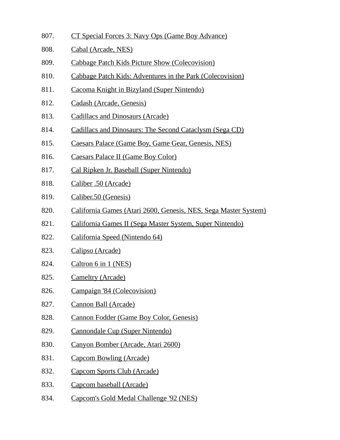- 807. CT Special Forces 3: Navy Ops (Game Boy Advance)
- 808. Cabal (Arcade, NES)
- 809. Cabbage Patch Kids Picture Show (Colecovision)
- 810. Cabbage Patch Kids: Adventures in the Park (Colecovision)
- 811. Cacoma Knight in Bizyland (Super Nintendo)
- 812. Cadash (Arcade, Genesis)
- 813. Cadillacs and Dinosaurs (Arcade)
- 814. Cadillacs and Dinosaurs: The Second Cataclysm (Sega CD)
- 815. Caesars Palace (Game Boy, Game Gear, Genesis, NES)
- 816. Caesars Palace II (Game Boy Color)
- 817. Cal Ripken Jr. Baseball (Super Nintendo)
- 818. Caliber .50 (Arcade)
- 819. Caliber.50 (Genesis)
- 820. California Games (Atari 2600, Genesis, NES, Sega Master System)
- 821. California Games II (Sega Master System, Super Nintendo)
- 822. California Speed (Nintendo 64)
- 823. Calipso (Arcade)
- 824. Caltron 6 in 1 (NES)
- 825. Cameltry (Arcade)
- 826. Campaign '84 (Colecovision)
- 827. Cannon Ball (Arcade)
- 828. Cannon Fodder (Game Boy Color, Genesis)
- 829. Cannondale Cup (Super Nintendo)
- 830. Canyon Bomber (Arcade, Atari 2600)
- 831. Capcom Bowling (Arcade)
- 832. Capcom Sports Club (Arcade)
- 833. Capcom baseball (Arcade)
- 834. Capcom's Gold Medal Challenge '92 (NES)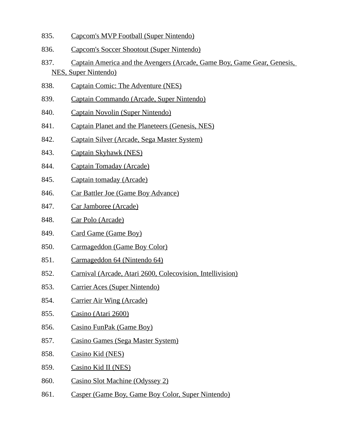- 835. Capcom's MVP Football (Super Nintendo)
- 836. Capcom's Soccer Shootout (Super Nintendo)
- 837. Captain America and the Avengers (Arcade, Game Boy, Game Gear, Genesis, NES, Super Nintendo)
- 838. Captain Comic: The Adventure (NES)
- 839. Captain Commando (Arcade, Super Nintendo)
- 840. Captain Novolin (Super Nintendo)
- 841. Captain Planet and the Planeteers (Genesis, NES)
- 842. Captain Silver (Arcade, Sega Master System)
- 843. Captain Skyhawk (NES)
- 844. Captain Tomaday (Arcade)
- 845. Captain tomaday (Arcade)
- 846. Car Battler Joe (Game Boy Advance)
- 847. Car Jamboree (Arcade)
- 848. Car Polo (Arcade)
- 849. Card Game (Game Boy)
- 850. Carmageddon (Game Boy Color)
- 851. Carmageddon 64 (Nintendo 64)
- 852. Carnival (Arcade, Atari 2600, Colecovision, Intellivision)
- 853. Carrier Aces (Super Nintendo)
- 854. Carrier Air Wing (Arcade)
- 855. Casino (Atari 2600)
- 856. Casino FunPak (Game Boy)
- 857. Casino Games (Sega Master System)
- 858. Casino Kid (NES)
- 859. Casino Kid II (NES)
- 860. Casino Slot Machine (Odyssey 2)
- 861. Casper (Game Boy, Game Boy Color, Super Nintendo)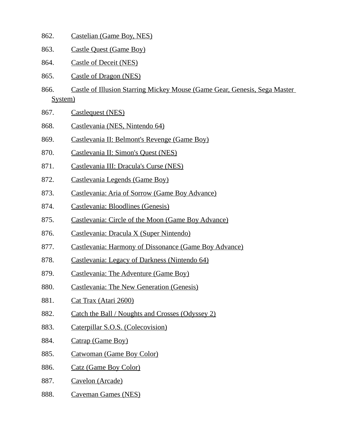- 862. Castelian (Game Boy, NES)
- 863. Castle Quest (Game Boy)
- 864. Castle of Deceit (NES)
- 865. Castle of Dragon (NES)
- 866. Castle of Illusion Starring Mickey Mouse (Game Gear, Genesis, Sega Master System)
- 867. Castlequest (NES)
- 868. Castlevania (NES, Nintendo 64)
- 869. Castlevania II: Belmont's Revenge (Game Boy)
- 870. Castlevania II: Simon's Quest (NES)
- 871. Castlevania III: Dracula's Curse (NES)
- 872. Castlevania Legends (Game Boy)
- 873. Castlevania: Aria of Sorrow (Game Boy Advance)
- 874. Castlevania: Bloodlines (Genesis)
- 875. Castlevania: Circle of the Moon (Game Boy Advance)
- 876. Castlevania: Dracula X (Super Nintendo)
- 877. Castlevania: Harmony of Dissonance (Game Boy Advance)
- 878. Castlevania: Legacy of Darkness (Nintendo 64)
- 879. Castlevania: The Adventure (Game Boy)
- 880. Castlevania: The New Generation (Genesis)
- 881. Cat Trax (Atari 2600)
- 882. Catch the Ball / Noughts and Crosses (Odyssey 2)
- 883. Caterpillar S.O.S. (Colecovision)
- 884. Catrap (Game Boy)
- 885. Catwoman (Game Boy Color)
- 886. Catz (Game Boy Color)
- 887. Cavelon (Arcade)
- 888. Caveman Games (NES)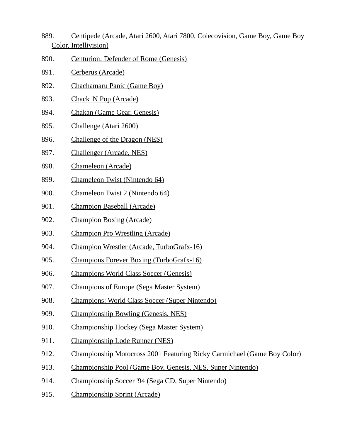- 889. Centipede (Arcade, Atari 2600, Atari 7800, Colecovision, Game Boy, Game Boy Color, Intellivision)
- 890. Centurion: Defender of Rome (Genesis)
- 891. Cerberus (Arcade)
- 892. Chachamaru Panic (Game Boy)
- 893. Chack 'N Pop (Arcade)
- 894. Chakan (Game Gear, Genesis)
- 895. Challenge (Atari 2600)
- 896. Challenge of the Dragon (NES)
- 897. Challenger (Arcade, NES)
- 898. Chameleon (Arcade)
- 899. Chameleon Twist (Nintendo 64)
- 900. Chameleon Twist 2 (Nintendo 64)
- 901. Champion Baseball (Arcade)
- 902. Champion Boxing (Arcade)
- 903. Champion Pro Wrestling (Arcade)
- 904. Champion Wrestler (Arcade, TurboGrafx-16)
- 905. Champions Forever Boxing (TurboGrafx-16)
- 906. Champions World Class Soccer (Genesis)
- 907. Champions of Europe (Sega Master System)
- 908. Champions: World Class Soccer (Super Nintendo)
- 909. Championship Bowling (Genesis, NES)
- 910. Championship Hockey (Sega Master System)
- 911. Championship Lode Runner (NES)
- 912. Championship Motocross 2001 Featuring Ricky Carmichael (Game Boy Color)
- 913. Championship Pool (Game Boy, Genesis, NES, Super Nintendo)
- 914. Championship Soccer '94 (Sega CD, Super Nintendo)
- 915. Championship Sprint (Arcade)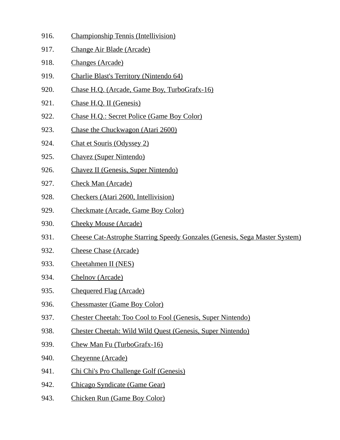- 916. Championship Tennis (Intellivision)
- 917. Change Air Blade (Arcade)
- 918. Changes (Arcade)
- 919. Charlie Blast's Territory (Nintendo 64)
- 920. Chase H.Q. (Arcade, Game Boy, TurboGrafx-16)
- 921. Chase H.Q. II (Genesis)
- 922. Chase H.Q.: Secret Police (Game Boy Color)
- 923. Chase the Chuckwagon (Atari 2600)
- 924. Chat et Souris (Odyssey 2)
- 925. Chavez (Super Nintendo)
- 926. Chavez II (Genesis, Super Nintendo)
- 927. Check Man (Arcade)
- 928. Checkers (Atari 2600, Intellivision)
- 929. Checkmate (Arcade, Game Boy Color)
- 930. Cheeky Mouse (Arcade)
- 931. Cheese Cat-Astrophe Starring Speedy Gonzales (Genesis, Sega Master System)
- 932. Cheese Chase (Arcade)
- 933. Cheetahmen II (NES)
- 934. Chelnov (Arcade)
- 935. Chequered Flag (Arcade)
- 936. Chessmaster (Game Boy Color)
- 937. Chester Cheetah: Too Cool to Fool (Genesis, Super Nintendo)
- 938. Chester Cheetah: Wild Wild Quest (Genesis, Super Nintendo)
- 939. Chew Man Fu (TurboGrafx-16)
- 940. Cheyenne (Arcade)
- 941. Chi Chi's Pro Challenge Golf (Genesis)
- 942. Chicago Syndicate (Game Gear)
- 943. Chicken Run (Game Boy Color)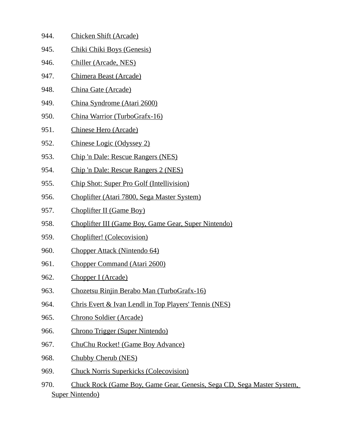- 944. Chicken Shift (Arcade)
- 945. Chiki Chiki Boys (Genesis)
- 946. Chiller (Arcade, NES)
- 947. Chimera Beast (Arcade)
- 948. China Gate (Arcade)
- 949. China Syndrome (Atari 2600)
- 950. China Warrior (TurboGrafx-16)
- 951. Chinese Hero (Arcade)
- 952. Chinese Logic (Odyssey 2)
- 953. Chip 'n Dale: Rescue Rangers (NES)
- 954. Chip 'n Dale: Rescue Rangers 2 (NES)
- 955. Chip Shot: Super Pro Golf (Intellivision)
- 956. Choplifter (Atari 7800, Sega Master System)
- 957. Choplifter II (Game Boy)
- 958. Choplifter III (Game Boy, Game Gear, Super Nintendo)
- 959. Choplifter! (Colecovision)
- 960. Chopper Attack (Nintendo 64)
- 961. Chopper Command (Atari 2600)
- 962. Chopper I (Arcade)
- 963. Chozetsu Rinjin Berabo Man (TurboGrafx-16)
- 964. Chris Evert & Ivan Lendl in Top Players' Tennis (NES)
- 965. Chrono Soldier (Arcade)
- 966. Chrono Trigger (Super Nintendo)
- 967. ChuChu Rocket! (Game Boy Advance)
- 968. Chubby Cherub (NES)
- 969. Chuck Norris Superkicks (Colecovision)
- 970. Chuck Rock (Game Boy, Game Gear, Genesis, Sega CD, Sega Master System, Super Nintendo)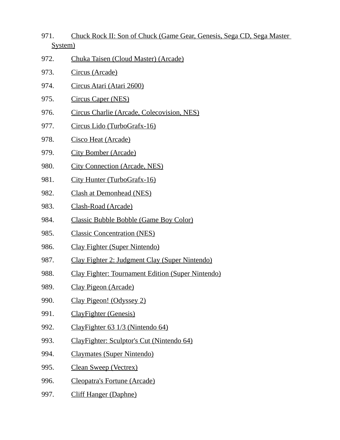- 971. Chuck Rock II: Son of Chuck (Game Gear, Genesis, Sega CD, Sega Master System)
- 972. Chuka Taisen (Cloud Master) (Arcade)
- 973. Circus (Arcade)
- 974. Circus Atari (Atari 2600)
- 975. Circus Caper (NES)
- 976. Circus Charlie (Arcade, Colecovision, NES)
- 977. Circus Lido (TurboGrafx-16)
- 978. Cisco Heat (Arcade)
- 979. City Bomber (Arcade)
- 980. City Connection (Arcade, NES)
- 981. City Hunter (TurboGrafx-16)
- 982. Clash at Demonhead (NES)
- 983. Clash-Road (Arcade)
- 984. Classic Bubble Bobble (Game Boy Color)
- 985. Classic Concentration (NES)
- 986. Clay Fighter (Super Nintendo)
- 987. Clay Fighter 2: Judgment Clay (Super Nintendo)
- 988. Clay Fighter: Tournament Edition (Super Nintendo)
- 989. Clay Pigeon (Arcade)
- 990. Clay Pigeon! (Odyssey 2)
- 991. ClayFighter (Genesis)
- 992. ClayFighter 63 1/3 (Nintendo 64)
- 993. ClayFighter: Sculptor's Cut (Nintendo 64)
- 994. Claymates (Super Nintendo)
- 995. Clean Sweep (Vectrex)
- 996. Cleopatra's Fortune (Arcade)
- 997. Cliff Hanger (Daphne)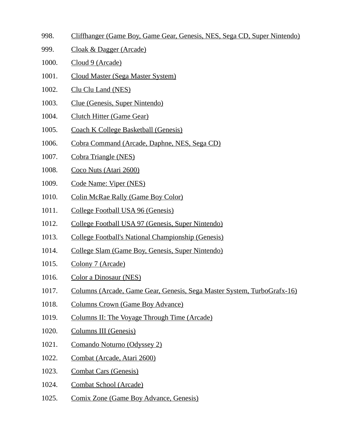- 998. Cliffhanger (Game Boy, Game Gear, Genesis, NES, Sega CD, Super Nintendo)
- 999. Cloak & Dagger (Arcade)
- 1000. Cloud 9 (Arcade)
- 1001. Cloud Master (Sega Master System)
- 1002. Clu Clu Land (NES)
- 1003. Clue (Genesis, Super Nintendo)
- 1004. Clutch Hitter (Game Gear)
- 1005. Coach K College Basketball (Genesis)
- 1006. Cobra Command (Arcade, Daphne, NES, Sega CD)
- 1007. Cobra Triangle (NES)
- 1008. Coco Nuts (Atari 2600)
- 1009. Code Name: Viper (NES)
- 1010. Colin McRae Rally (Game Boy Color)
- 1011. College Football USA 96 (Genesis)
- 1012. College Football USA 97 (Genesis, Super Nintendo)
- 1013. College Football's National Championship (Genesis)
- 1014. College Slam (Game Boy, Genesis, Super Nintendo)
- 1015. Colony 7 (Arcade)
- 1016. Color a Dinosaur (NES)
- 1017. Columns (Arcade, Game Gear, Genesis, Sega Master System, TurboGrafx-16)
- 1018. Columns Crown (Game Boy Advance)
- 1019. Columns II: The Voyage Through Time (Arcade)
- 1020. Columns III (Genesis)
- 1021. Comando Noturno (Odyssey 2)
- 1022. Combat (Arcade, Atari 2600)
- 1023. Combat Cars (Genesis)
- 1024. Combat School (Arcade)
- 1025. Comix Zone (Game Boy Advance, Genesis)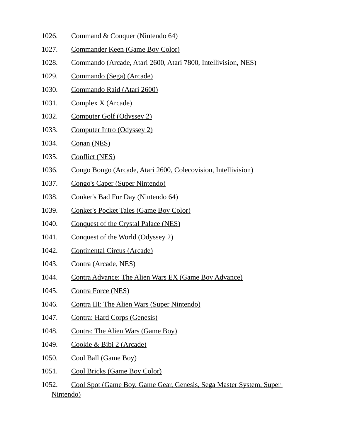- 1026. Command & Conquer (Nintendo 64)
- 1027. Commander Keen (Game Boy Color)
- 1028. Commando (Arcade, Atari 2600, Atari 7800, Intellivision, NES)
- 1029. Commando (Sega) (Arcade)
- 1030. Commando Raid (Atari 2600)
- 1031. Complex X (Arcade)
- 1032. Computer Golf (Odyssey 2)
- 1033. Computer Intro (Odyssey 2)
- 1034. Conan (NES)
- 1035. Conflict (NES)
- 1036. Congo Bongo (Arcade, Atari 2600, Colecovision, Intellivision)
- 1037. Congo's Caper (Super Nintendo)
- 1038. Conker's Bad Fur Day (Nintendo 64)
- 1039. Conker's Pocket Tales (Game Boy Color)
- 1040. Conquest of the Crystal Palace (NES)
- 1041. Conquest of the World (Odyssey 2)
- 1042. Continental Circus (Arcade)
- 1043. Contra (Arcade, NES)
- 1044. Contra Advance: The Alien Wars EX (Game Boy Advance)
- 1045. Contra Force (NES)
- 1046. Contra III: The Alien Wars (Super Nintendo)
- 1047. Contra: Hard Corps (Genesis)
- 1048. Contra: The Alien Wars (Game Boy)
- 1049. Cookie & Bibi 2 (Arcade)
- 1050. Cool Ball (Game Boy)
- 1051. Cool Bricks (Game Boy Color)
- 1052. Cool Spot (Game Boy, Game Gear, Genesis, Sega Master System, Super Nintendo)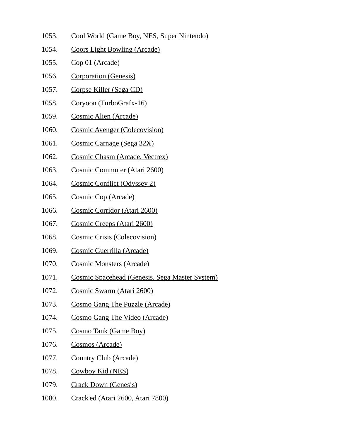- 1053. Cool World (Game Boy, NES, Super Nintendo)
- 1054. Coors Light Bowling (Arcade)
- 1055. Cop 01 (Arcade)
- 1056. Corporation (Genesis)
- 1057. Corpse Killer (Sega CD)
- 1058. Coryoon (TurboGrafx-16)
- 1059. Cosmic Alien (Arcade)
- 1060. Cosmic Avenger (Colecovision)
- 1061. Cosmic Carnage (Sega 32X)
- 1062. Cosmic Chasm (Arcade, Vectrex)
- 1063. Cosmic Commuter (Atari 2600)
- 1064. Cosmic Conflict (Odyssey 2)
- 1065. Cosmic Cop (Arcade)
- 1066. Cosmic Corridor (Atari 2600)
- 1067. Cosmic Creeps (Atari 2600)
- 1068. Cosmic Crisis (Colecovision)
- 1069. Cosmic Guerrilla (Arcade)
- 1070. Cosmic Monsters (Arcade)
- 1071. Cosmic Spacehead (Genesis, Sega Master System)
- 1072. Cosmic Swarm (Atari 2600)
- 1073. Cosmo Gang The Puzzle (Arcade)
- 1074. Cosmo Gang The Video (Arcade)
- 1075. Cosmo Tank (Game Boy)
- 1076. Cosmos (Arcade)
- 1077. Country Club (Arcade)
- 1078. Cowboy Kid (NES)
- 1079. Crack Down (Genesis)
- 1080. Crack'ed (Atari 2600, Atari 7800)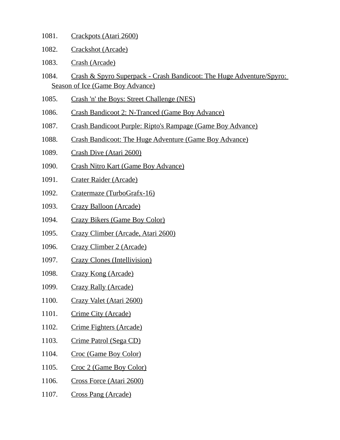- 1081. Crackpots (Atari 2600)
- 1082. Crackshot (Arcade)
- 1083. Crash (Arcade)
- 1084. Crash & Spyro Superpack Crash Bandicoot: The Huge Adventure/Spyro: Season of Ice (Game Boy Advance)
- 1085. Crash 'n' the Boys: Street Challenge (NES)
- 1086. Crash Bandicoot 2: N-Tranced (Game Boy Advance)
- 1087. Crash Bandicoot Purple: Ripto's Rampage (Game Boy Advance)
- 1088. Crash Bandicoot: The Huge Adventure (Game Boy Advance)
- 1089. Crash Dive (Atari 2600)
- 1090. Crash Nitro Kart (Game Boy Advance)
- 1091. Crater Raider (Arcade)
- 1092. Cratermaze (TurboGrafx-16)
- 1093. Crazy Balloon (Arcade)
- 1094. Crazy Bikers (Game Boy Color)
- 1095. Crazy Climber (Arcade, Atari 2600)
- 1096. Crazy Climber 2 (Arcade)
- 1097. Crazy Clones (Intellivision)
- 1098. Crazy Kong (Arcade)
- 1099. Crazy Rally (Arcade)
- 1100. Crazy Valet (Atari 2600)
- 1101. Crime City (Arcade)
- 1102. Crime Fighters (Arcade)
- 1103. Crime Patrol (Sega CD)
- 1104. Croc (Game Boy Color)
- 1105. Croc 2 (Game Boy Color)
- 1106. Cross Force (Atari 2600)
- 1107. Cross Pang (Arcade)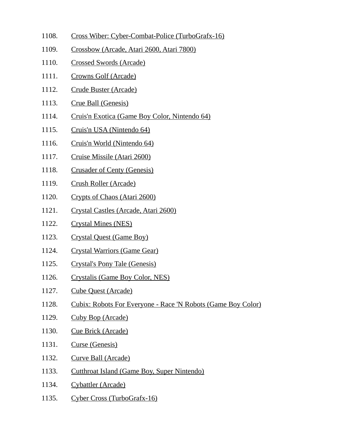- 1108. Cross Wiber: Cyber-Combat-Police (TurboGrafx-16)
- 1109. Crossbow (Arcade, Atari 2600, Atari 7800)
- 1110. Crossed Swords (Arcade)
- 1111. Crowns Golf (Arcade)
- 1112. Crude Buster (Arcade)
- 1113. Crue Ball (Genesis)
- 1114. Cruis'n Exotica (Game Boy Color, Nintendo 64)
- 1115. Cruis'n USA (Nintendo 64)
- 1116. Cruis'n World (Nintendo 64)
- 1117. Cruise Missile (Atari 2600)
- 1118. Crusader of Centy (Genesis)
- 1119. Crush Roller (Arcade)
- 1120. Crypts of Chaos (Atari 2600)
- 1121. Crystal Castles (Arcade, Atari 2600)
- 1122. Crystal Mines (NES)
- 1123. Crystal Quest (Game Boy)
- 1124. Crystal Warriors (Game Gear)
- 1125. Crystal's Pony Tale (Genesis)
- 1126. Crystalis (Game Boy Color, NES)
- 1127. Cube Quest (Arcade)
- 1128. Cubix: Robots For Everyone Race 'N Robots (Game Boy Color)
- 1129. Cuby Bop (Arcade)
- 1130. Cue Brick (Arcade)
- 1131. Curse (Genesis)
- 1132. Curve Ball (Arcade)
- 1133. Cutthroat Island (Game Boy, Super Nintendo)
- 1134. Cybattler (Arcade)
- 1135. Cyber Cross (TurboGrafx-16)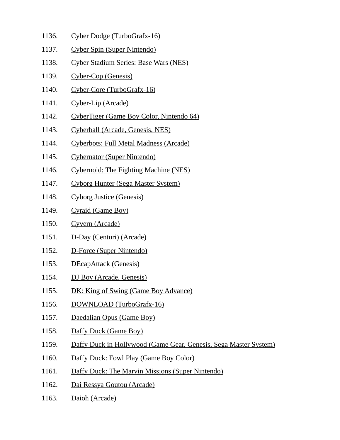- 1136. Cyber Dodge (TurboGrafx-16)
- 1137. Cyber Spin (Super Nintendo)
- 1138. Cyber Stadium Series: Base Wars (NES)
- 1139. Cyber-Cop (Genesis)
- 1140. Cyber-Core (TurboGrafx-16)
- 1141. Cyber-Lip (Arcade)
- 1142. CyberTiger (Game Boy Color, Nintendo 64)
- 1143. Cyberball (Arcade, Genesis, NES)
- 1144. Cyberbots: Full Metal Madness (Arcade)
- 1145. Cybernator (Super Nintendo)
- 1146. Cybernoid: The Fighting Machine (NES)
- 1147. Cyborg Hunter (Sega Master System)
- 1148. Cyborg Justice (Genesis)
- 1149. Cyraid (Game Boy)
- 1150. Cyvern (Arcade)
- 1151. D-Day (Centuri) (Arcade)
- 1152. D-Force (Super Nintendo)
- 1153. DEcapAttack (Genesis)
- 1154. DJ Boy (Arcade, Genesis)
- 1155. DK: King of Swing (Game Boy Advance)
- 1156. DOWNLOAD (TurboGrafx-16)
- 1157. Daedalian Opus (Game Boy)
- 1158. Daffy Duck (Game Boy)
- 1159. Daffy Duck in Hollywood (Game Gear, Genesis, Sega Master System)
- 1160. Daffy Duck: Fowl Play (Game Boy Color)
- 1161. Daffy Duck: The Marvin Missions (Super Nintendo)
- 1162. Dai Ressya Goutou (Arcade)
- 1163. Daioh (Arcade)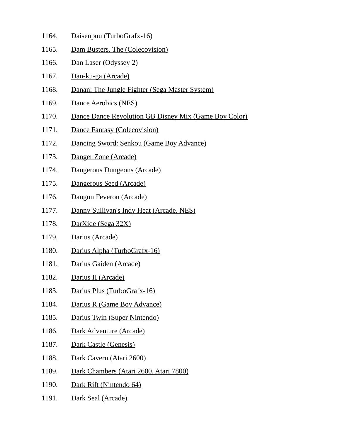- 1164. Daisenpuu (TurboGrafx-16)
- 1165. Dam Busters, The (Colecovision)
- 1166. Dan Laser (Odyssey 2)
- 1167. Dan-ku-ga (Arcade)
- 1168. Danan: The Jungle Fighter (Sega Master System)
- 1169. Dance Aerobics (NES)
- 1170. Dance Dance Revolution GB Disney Mix (Game Boy Color)
- 1171. Dance Fantasy (Colecovision)
- 1172. Dancing Sword: Senkou (Game Boy Advance)
- 1173. Danger Zone (Arcade)
- 1174. Dangerous Dungeons (Arcade)
- 1175. Dangerous Seed (Arcade)
- 1176. Dangun Feveron (Arcade)
- 1177. Danny Sullivan's Indy Heat (Arcade, NES)
- 1178. DarXide (Sega 32X)
- 1179. Darius (Arcade)
- 1180. Darius Alpha (TurboGrafx-16)
- 1181. Darius Gaiden (Arcade)
- 1182. Darius II (Arcade)
- 1183. Darius Plus (TurboGrafx-16)
- 1184. Darius R (Game Boy Advance)
- 1185. Darius Twin (Super Nintendo)
- 1186. Dark Adventure (Arcade)
- 1187. Dark Castle (Genesis)
- 1188. Dark Cavern (Atari 2600)
- 1189. Dark Chambers (Atari 2600, Atari 7800)
- 1190. Dark Rift (Nintendo 64)
- 1191. Dark Seal (Arcade)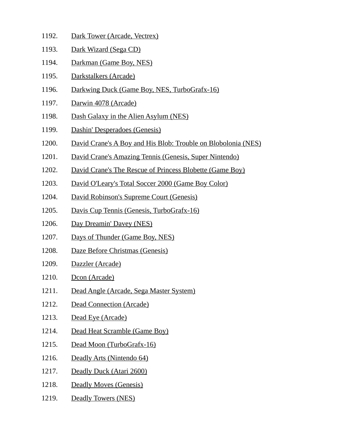- 1192. Dark Tower (Arcade, Vectrex)
- 1193. Dark Wizard (Sega CD)
- 1194. Darkman (Game Boy, NES)
- 1195. Darkstalkers (Arcade)
- 1196. Darkwing Duck (Game Boy, NES, TurboGrafx-16)
- 1197. Darwin 4078 (Arcade)
- 1198. Dash Galaxy in the Alien Asylum (NES)
- 1199. Dashin' Desperadoes (Genesis)
- 1200. David Crane's A Boy and His Blob: Trouble on Blobolonia (NES)
- 1201. David Crane's Amazing Tennis (Genesis, Super Nintendo)
- 1202. David Crane's The Rescue of Princess Blobette (Game Boy)
- 1203. David O'Leary's Total Soccer 2000 (Game Boy Color)
- 1204. David Robinson's Supreme Court (Genesis)
- 1205. Davis Cup Tennis (Genesis, TurboGrafx-16)
- 1206. Day Dreamin' Davey (NES)
- 1207. Days of Thunder (Game Boy, NES)
- 1208. Daze Before Christmas (Genesis)
- 1209. Dazzler (Arcade)
- 1210. Dcon (Arcade)
- 1211. Dead Angle (Arcade, Sega Master System)
- 1212. Dead Connection (Arcade)
- 1213. Dead Eye (Arcade)
- 1214. Dead Heat Scramble (Game Boy)
- 1215. Dead Moon (TurboGrafx-16)
- 1216. Deadly Arts (Nintendo 64)
- 1217. Deadly Duck (Atari 2600)
- 1218. Deadly Moves (Genesis)
- 1219. Deadly Towers (NES)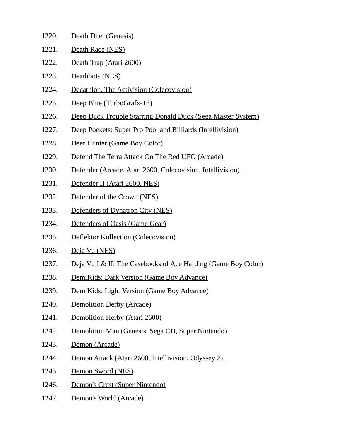| 1220. | Death Duel (Genesis)                                                     |
|-------|--------------------------------------------------------------------------|
| 1221. | Death Race (NES)                                                         |
| 1222. | Death Trap (Atari 2600)                                                  |
| 1223. | Deathbots (NES)                                                          |
| 1224. | Decathlon, The Activision (Colecovision)                                 |
| 1225. | Deep Blue (TurboGrafx-16)                                                |
| 1226. | Deep Duck Trouble Starring Donald Duck (Sega Master System)              |
| 1227. | Deep Pockets: Super Pro Pool and Billiards (Intellivision)               |
| 1228. | Deer Hunter (Game Boy Color)                                             |
| 1229. | Defend The Terra Attack On The Red UFO (Arcade)                          |
| 1230. | Defender (Arcade, Atari 2600, Colecovision, Intellivision)               |
| 1231. | Defender II (Atari 2600, NES)                                            |
| 1232. | Defender of the Crown (NES)                                              |
| 1233. | Defenders of Dynatron City (NES)                                         |
| 1234. | Defenders of Oasis (Game Gear)                                           |
| 1235. | Deflektor Kollection (Colecovision)                                      |
| 1236. | Deja Vu (NES)                                                            |
| 1237. | <u>Deja Vu I &amp; II: The Casebooks of Ace Harding (Game Boy Color)</u> |
| 1238. | <b>DemiKids: Dark Version (Game Boy Advance)</b>                         |
| 1239. | DemiKids: Light Version (Game Boy Advance)                               |
| 1240. | Demolition Derby (Arcade)                                                |
| 1241. | Demolition Herby (Atari 2600)                                            |
| 1242. | Demolition Man (Genesis, Sega CD, Super Nintendo)                        |
| 1243. | Demon (Arcade)                                                           |
| 1244. | Demon Attack (Atari 2600, Intellivision, Odyssey 2)                      |
| 1245. | Demon Sword (NES)                                                        |
| 1246. | Demon's Crest (Super Nintendo)                                           |
| 1247. | Demon's World (Arcade)                                                   |
|       |                                                                          |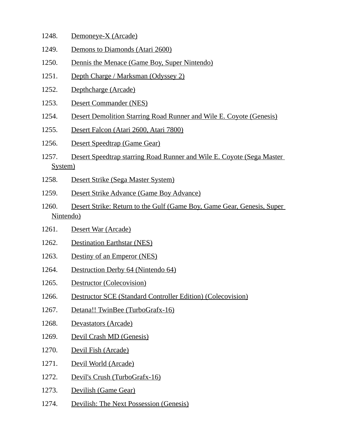- 1248. Demoneye-X (Arcade)
- 1249. Demons to Diamonds (Atari 2600)
- 1250. Dennis the Menace (Game Boy, Super Nintendo)
- 1251. Depth Charge / Marksman (Odyssey 2)
- 1252. Depthcharge (Arcade)
- 1253. Desert Commander (NES)
- 1254. Desert Demolition Starring Road Runner and Wile E. Coyote (Genesis)
- 1255. Desert Falcon (Atari 2600, Atari 7800)
- 1256. Desert Speedtrap (Game Gear)
- 1257. Desert Speedtrap starring Road Runner and Wile E. Coyote (Sega Master System)
- 1258. Desert Strike (Sega Master System)
- 1259. Desert Strike Advance (Game Boy Advance)
- 1260. Desert Strike: Return to the Gulf (Game Boy, Game Gear, Genesis, Super Nintendo)
- 1261. Desert War (Arcade)
- 1262. Destination Earthstar (NES)
- 1263. Destiny of an Emperor (NES)
- 1264. Destruction Derby 64 (Nintendo 64)
- 1265. Destructor (Colecovision)
- 1266. Destructor SCE (Standard Controller Edition) (Colecovision)
- 1267. Detana!! TwinBee (TurboGrafx-16)
- 1268. Devastators (Arcade)
- 1269. Devil Crash MD (Genesis)
- 1270. Devil Fish (Arcade)
- 1271. Devil World (Arcade)
- 1272. Devil's Crush (TurboGrafx-16)
- 1273. Devilish (Game Gear)
- 1274. Devilish: The Next Possession (Genesis)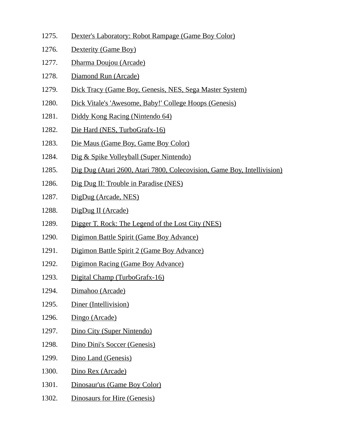- 1275. Dexter's Laboratory: Robot Rampage (Game Boy Color)
- 1276. Dexterity (Game Boy)
- 1277. Dharma Doujou (Arcade)
- 1278. Diamond Run (Arcade)
- 1279. Dick Tracy (Game Boy, Genesis, NES, Sega Master System)
- 1280. Dick Vitale's 'Awesome, Baby!' College Hoops (Genesis)
- 1281. Diddy Kong Racing (Nintendo 64)
- 1282. Die Hard (NES, TurboGrafx-16)
- 1283. Die Maus (Game Boy, Game Boy Color)
- 1284. Dig & Spike Volleyball (Super Nintendo)
- 1285. Dig Dug (Atari 2600, Atari 7800, Colecovision, Game Boy, Intellivision)
- 1286. Dig Dug II: Trouble in Paradise (NES)
- 1287. DigDug (Arcade, NES)
- 1288. DigDug II (Arcade)
- 1289. Digger T. Rock: The Legend of the Lost City (NES)
- 1290. Digimon Battle Spirit (Game Boy Advance)
- 1291. Digimon Battle Spirit 2 (Game Boy Advance)
- 1292. Digimon Racing (Game Boy Advance)
- 1293. Digital Champ (TurboGrafx-16)
- 1294. Dimahoo (Arcade)
- 1295. Diner (Intellivision)
- 1296. Dingo (Arcade)
- 1297. Dino City (Super Nintendo)
- 1298. Dino Dini's Soccer (Genesis)
- 1299. Dino Land (Genesis)
- 1300. Dino Rex (Arcade)
- 1301. Dinosaur'us (Game Boy Color)
- 1302. Dinosaurs for Hire (Genesis)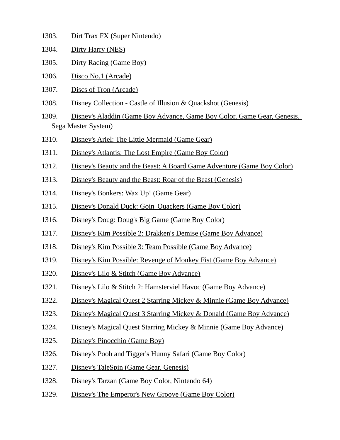- 1303. Dirt Trax FX (Super Nintendo)
- 1304. Dirty Harry (NES)
- 1305. Dirty Racing (Game Boy)
- 1306. Disco No.1 (Arcade)
- 1307. Discs of Tron (Arcade)
- 1308. Disney Collection Castle of Illusion & Quackshot (Genesis)
- 1309. Disney's Aladdin (Game Boy Advance, Game Boy Color, Game Gear, Genesis, Sega Master System)
- 1310. Disney's Ariel: The Little Mermaid (Game Gear)
- 1311. Disney's Atlantis: The Lost Empire (Game Boy Color)
- 1312. Disney's Beauty and the Beast: A Board Game Adventure (Game Boy Color)
- 1313. Disney's Beauty and the Beast: Roar of the Beast (Genesis)
- 1314. Disney's Bonkers: Wax Up! (Game Gear)
- 1315. Disney's Donald Duck: Goin' Quackers (Game Boy Color)
- 1316. Disney's Doug: Doug's Big Game (Game Boy Color)
- 1317. Disney's Kim Possible 2: Drakken's Demise (Game Boy Advance)
- 1318. Disney's Kim Possible 3: Team Possible (Game Boy Advance)
- 1319. Disney's Kim Possible: Revenge of Monkey Fist (Game Boy Advance)
- 1320. Disney's Lilo & Stitch (Game Boy Advance)
- 1321. Disney's Lilo & Stitch 2: Hamsterviel Havoc (Game Boy Advance)
- 1322. Disney's Magical Quest 2 Starring Mickey & Minnie (Game Boy Advance)
- 1323. Disney's Magical Quest 3 Starring Mickey & Donald (Game Boy Advance)
- 1324. Disney's Magical Quest Starring Mickey & Minnie (Game Boy Advance)
- 1325. Disney's Pinocchio (Game Boy)
- 1326. Disney's Pooh and Tigger's Hunny Safari (Game Boy Color)
- 1327. Disney's TaleSpin (Game Gear, Genesis)
- 1328. Disney's Tarzan (Game Boy Color, Nintendo 64)
- 1329. Disney's The Emperor's New Groove (Game Boy Color)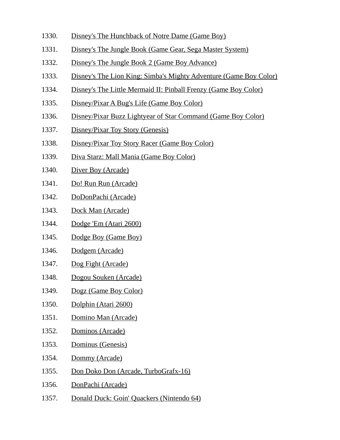- 1330. Disney's The Hunchback of Notre Dame (Game Boy)
- 1331. Disney's The Jungle Book (Game Gear, Sega Master System)
- 1332. Disney's The Jungle Book 2 (Game Boy Advance)
- 1333. Disney's The Lion King: Simba's Mighty Adventure (Game Boy Color)
- 1334. Disney's The Little Mermaid II: Pinball Frenzy (Game Boy Color)
- 1335. Disney/Pixar A Bug's Life (Game Boy Color)
- 1336. Disney/Pixar Buzz Lightyear of Star Command (Game Boy Color)
- 1337. Disney/Pixar Toy Story (Genesis)
- 1338. Disney/Pixar Toy Story Racer (Game Boy Color)
- 1339. Diva Starz: Mall Mania (Game Boy Color)
- 1340. Diver Boy (Arcade)
- 1341. Do! Run Run (Arcade)
- 1342. DoDonPachi (Arcade)
- 1343. Dock Man (Arcade)
- 1344. Dodge 'Em (Atari 2600)
- 1345. Dodge Boy (Game Boy)
- 1346. Dodgem (Arcade)
- 1347. Dog Fight (Arcade)
- 1348. Dogou Souken (Arcade)
- 1349. Dogz (Game Boy Color)
- 1350. Dolphin (Atari 2600)
- 1351. Domino Man (Arcade)
- 1352. Dominos (Arcade)
- 1353. Dominus (Genesis)
- 1354. Dommy (Arcade)
- 1355. Don Doko Don (Arcade, TurboGrafx-16)
- 1356. DonPachi (Arcade)
- 1357. Donald Duck: Goin' Quackers (Nintendo 64)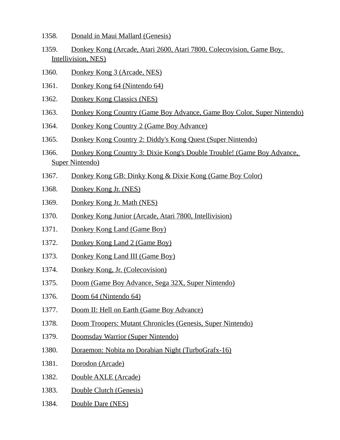- 1358. Donald in Maui Mallard (Genesis)
- 1359. Donkey Kong (Arcade, Atari 2600, Atari 7800, Colecovision, Game Boy, Intellivision, NES)
- 1360. Donkey Kong 3 (Arcade, NES)
- 1361. Donkey Kong 64 (Nintendo 64)
- 1362. Donkey Kong Classics (NES)
- 1363. Donkey Kong Country (Game Boy Advance, Game Boy Color, Super Nintendo)
- 1364. Donkey Kong Country 2 (Game Boy Advance)
- 1365. Donkey Kong Country 2: Diddy's Kong Quest (Super Nintendo)
- 1366. Donkey Kong Country 3: Dixie Kong's Double Trouble! (Game Boy Advance, Super Nintendo)
- 1367. Donkey Kong GB: Dinky Kong & Dixie Kong (Game Boy Color)
- 1368. Donkey Kong Jr. (NES)
- 1369. Donkey Kong Jr. Math (NES)
- 1370. Donkey Kong Junior (Arcade, Atari 7800, Intellivision)
- 1371. Donkey Kong Land (Game Boy)
- 1372. Donkey Kong Land 2 (Game Boy)
- 1373. Donkey Kong Land III (Game Boy)
- 1374. Donkey Kong, Jr. (Colecovision)
- 1375. Doom (Game Boy Advance, Sega 32X, Super Nintendo)
- 1376. Doom 64 (Nintendo 64)
- 1377. Doom II: Hell on Earth (Game Boy Advance)
- 1378. Doom Troopers: Mutant Chronicles (Genesis, Super Nintendo)
- 1379. Doomsday Warrior (Super Nintendo)
- 1380. Doraemon: Nobita no Dorabian Night (TurboGrafx-16)
- 1381. Dorodon (Arcade)
- 1382. Double AXLE (Arcade)
- 1383. Double Clutch (Genesis)
- 1384. Double Dare (NES)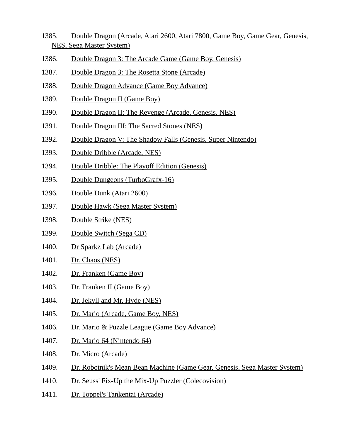- 1385. Double Dragon (Arcade, Atari 2600, Atari 7800, Game Boy, Game Gear, Genesis, NES, Sega Master System)
- 1386. Double Dragon 3: The Arcade Game (Game Boy, Genesis)
- 1387. Double Dragon 3: The Rosetta Stone (Arcade)
- 1388. Double Dragon Advance (Game Boy Advance)
- 1389. Double Dragon II (Game Boy)
- 1390. Double Dragon II: The Revenge (Arcade, Genesis, NES)
- 1391. Double Dragon III: The Sacred Stones (NES)
- 1392. Double Dragon V: The Shadow Falls (Genesis, Super Nintendo)
- 1393. Double Dribble (Arcade, NES)
- 1394. Double Dribble: The Playoff Edition (Genesis)
- 1395. Double Dungeons (TurboGrafx-16)
- 1396. Double Dunk (Atari 2600)
- 1397. Double Hawk (Sega Master System)
- 1398. Double Strike (NES)
- 1399. Double Switch (Sega CD)
- 1400. Dr Sparkz Lab (Arcade)
- 1401. Dr. Chaos (NES)
- 1402. Dr. Franken (Game Boy)
- 1403. Dr. Franken II (Game Boy)
- 1404. Dr. Jekyll and Mr. Hyde (NES)
- 1405. Dr. Mario (Arcade, Game Boy, NES)
- 1406. Dr. Mario & Puzzle League (Game Boy Advance)
- 1407. Dr. Mario 64 (Nintendo 64)
- 1408. Dr. Micro (Arcade)
- 1409. Dr. Robotnik's Mean Bean Machine (Game Gear, Genesis, Sega Master System)
- 1410. Dr. Seuss' Fix-Up the Mix-Up Puzzler (Colecovision)
- 1411. Dr. Toppel's Tankentai (Arcade)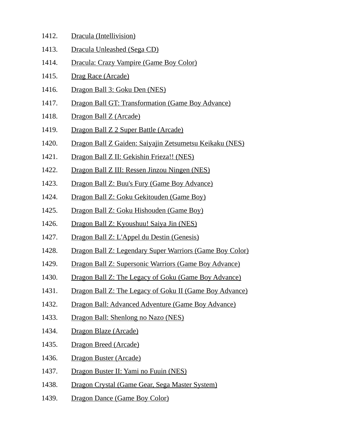| 1412. | Dracula (Intellivision) |
|-------|-------------------------|
|       |                         |

- 1413. Dracula Unleashed (Sega CD)
- 1414. Dracula: Crazy Vampire (Game Boy Color)
- 1415. Drag Race (Arcade)
- 1416. Dragon Ball 3: Goku Den (NES)
- 1417. Dragon Ball GT: Transformation (Game Boy Advance)
- 1418. Dragon Ball Z (Arcade)
- 1419. Dragon Ball Z 2 Super Battle (Arcade)
- 1420. Dragon Ball Z Gaiden: Saiyajin Zetsumetsu Keikaku (NES)
- 1421. Dragon Ball Z II: Gekishin Frieza!! (NES)
- 1422. Dragon Ball Z III: Ressen Jinzou Ningen (NES)
- 1423. Dragon Ball Z: Buu's Fury (Game Boy Advance)
- 1424. Dragon Ball Z: Goku Gekitouden (Game Boy)
- 1425. Dragon Ball Z: Goku Hishouden (Game Boy)
- 1426. Dragon Ball Z: Kyoushuu! Saiya Jin (NES)
- 1427. Dragon Ball Z: L'Appel du Destin (Genesis)
- 1428. Dragon Ball Z: Legendary Super Warriors (Game Boy Color)
- 1429. Dragon Ball Z: Supersonic Warriors (Game Boy Advance)
- 1430. Dragon Ball Z: The Legacy of Goku (Game Boy Advance)
- 1431. Dragon Ball Z: The Legacy of Goku II (Game Boy Advance)
- 1432. Dragon Ball: Advanced Adventure (Game Boy Advance)
- 1433. Dragon Ball: Shenlong no Nazo (NES)
- 1434. Dragon Blaze (Arcade)
- 1435. Dragon Breed (Arcade)
- 1436. Dragon Buster (Arcade)
- 1437. Dragon Buster II: Yami no Fuuin (NES)
- 1438. Dragon Crystal (Game Gear, Sega Master System)
- 1439. Dragon Dance (Game Boy Color)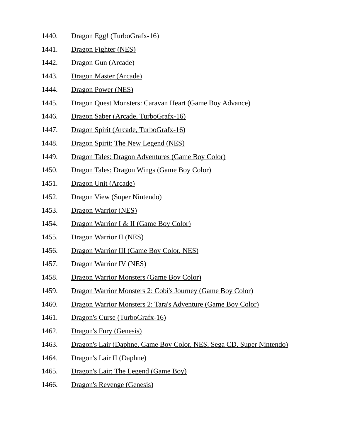- 1440. Dragon Egg! (TurboGrafx-16)
- 1441. Dragon Fighter (NES)
- 1442. Dragon Gun (Arcade)
- 1443. Dragon Master (Arcade)
- 1444. Dragon Power (NES)
- 1445. Dragon Quest Monsters: Caravan Heart (Game Boy Advance)
- 1446. Dragon Saber (Arcade, TurboGrafx-16)
- 1447. Dragon Spirit (Arcade, TurboGrafx-16)
- 1448. Dragon Spirit: The New Legend (NES)
- 1449. Dragon Tales: Dragon Adventures (Game Boy Color)
- 1450. Dragon Tales: Dragon Wings (Game Boy Color)
- 1451. Dragon Unit (Arcade)
- 1452. Dragon View (Super Nintendo)
- 1453. Dragon Warrior (NES)
- 1454. Dragon Warrior I & II (Game Boy Color)
- 1455. Dragon Warrior II (NES)
- 1456. Dragon Warrior III (Game Boy Color, NES)
- 1457. Dragon Warrior IV (NES)
- 1458. Dragon Warrior Monsters (Game Boy Color)
- 1459. Dragon Warrior Monsters 2: Cobi's Journey (Game Boy Color)
- 1460. Dragon Warrior Monsters 2: Tara's Adventure (Game Boy Color)
- 1461. Dragon's Curse (TurboGrafx-16)
- 1462. Dragon's Fury (Genesis)
- 1463. Dragon's Lair (Daphne, Game Boy Color, NES, Sega CD, Super Nintendo)
- 1464. Dragon's Lair II (Daphne)
- 1465. Dragon's Lair: The Legend (Game Boy)
- 1466. Dragon's Revenge (Genesis)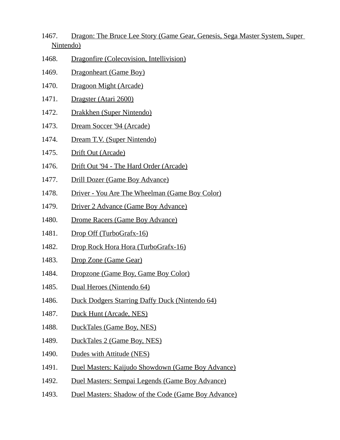- 1467. Dragon: The Bruce Lee Story (Game Gear, Genesis, Sega Master System, Super Nintendo)
- 1468. Dragonfire (Colecovision, Intellivision)
- 1469. Dragonheart (Game Boy)
- 1470. Dragoon Might (Arcade)
- 1471. Dragster (Atari 2600)
- 1472. Drakkhen (Super Nintendo)
- 1473. Dream Soccer '94 (Arcade)
- 1474. Dream T.V. (Super Nintendo)
- 1475. Drift Out (Arcade)
- 1476. Drift Out '94 The Hard Order (Arcade)
- 1477. Drill Dozer (Game Boy Advance)
- 1478. Driver You Are The Wheelman (Game Boy Color)
- 1479. Driver 2 Advance (Game Boy Advance)
- 1480. Drome Racers (Game Boy Advance)
- 1481. Drop Off (TurboGrafx-16)
- 1482. Drop Rock Hora Hora (TurboGrafx-16)
- 1483. Drop Zone (Game Gear)
- 1484. Dropzone (Game Boy, Game Boy Color)
- 1485. Dual Heroes (Nintendo 64)
- 1486. Duck Dodgers Starring Daffy Duck (Nintendo 64)
- 1487. Duck Hunt (Arcade, NES)
- 1488. DuckTales (Game Boy, NES)
- 1489. DuckTales 2 (Game Boy, NES)
- 1490. Dudes with Attitude (NES)
- 1491. Duel Masters: Kaijudo Showdown (Game Boy Advance)
- 1492. Duel Masters: Sempai Legends (Game Boy Advance)
- 1493. Duel Masters: Shadow of the Code (Game Boy Advance)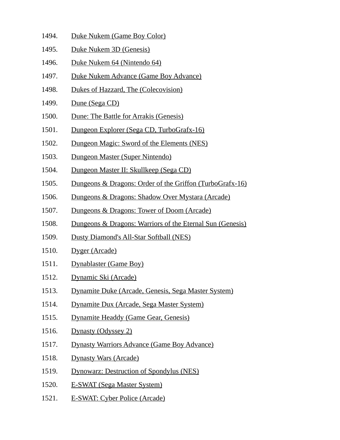- 1494. Duke Nukem (Game Boy Color)
- 1495. Duke Nukem 3D (Genesis)
- 1496. Duke Nukem 64 (Nintendo 64)
- 1497. Duke Nukem Advance (Game Boy Advance)
- 1498. Dukes of Hazzard, The (Colecovision)
- 1499. Dune (Sega CD)
- 1500. Dune: The Battle for Arrakis (Genesis)
- 1501. Dungeon Explorer (Sega CD, TurboGrafx-16)
- 1502. Dungeon Magic: Sword of the Elements (NES)
- 1503. Dungeon Master (Super Nintendo)
- 1504. Dungeon Master II: Skullkeep (Sega CD)
- 1505. Dungeons & Dragons: Order of the Griffon (TurboGrafx-16)
- 1506. Dungeons & Dragons: Shadow Over Mystara (Arcade)
- 1507. Dungeons & Dragons: Tower of Doom (Arcade)
- 1508. Dungeons & Dragons: Warriors of the Eternal Sun (Genesis)
- 1509. Dusty Diamond's All-Star Softball (NES)
- 1510. Dyger (Arcade)
- 1511. Dynablaster (Game Boy)
- 1512. Dynamic Ski (Arcade)
- 1513. Dynamite Duke (Arcade, Genesis, Sega Master System)
- 1514. Dynamite Dux (Arcade, Sega Master System)
- 1515. Dynamite Headdy (Game Gear, Genesis)
- 1516. Dynasty (Odyssey 2)
- 1517. Dynasty Warriors Advance (Game Boy Advance)
- 1518. Dynasty Wars (Arcade)
- 1519. Dynowarz: Destruction of Spondylus (NES)
- 1520. E-SWAT (Sega Master System)
- 1521. E-SWAT: Cyber Police (Arcade)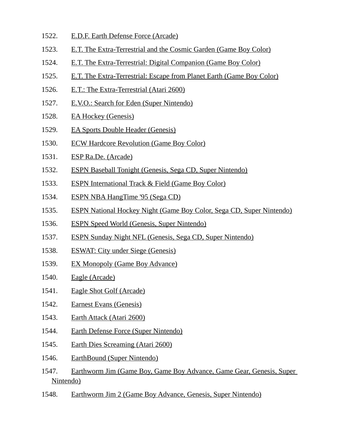- 1522. E.D.F. Earth Defense Force (Arcade)
- 1523. E.T. The Extra-Terrestrial and the Cosmic Garden (Game Boy Color)
- 1524. E.T. The Extra-Terrestrial: Digital Companion (Game Boy Color)
- 1525. E.T. The Extra-Terrestrial: Escape from Planet Earth (Game Boy Color)
- 1526. E.T.: The Extra-Terrestrial (Atari 2600)
- 1527. E.V.O.: Search for Eden (Super Nintendo)
- 1528. EA Hockey (Genesis)
- 1529. EA Sports Double Header (Genesis)
- 1530. ECW Hardcore Revolution (Game Boy Color)
- 1531. ESP Ra.De. (Arcade)
- 1532. ESPN Baseball Tonight (Genesis, Sega CD, Super Nintendo)
- 1533. ESPN International Track & Field (Game Boy Color)
- 1534. ESPN NBA HangTime '95 (Sega CD)
- 1535. ESPN National Hockey Night (Game Boy Color, Sega CD, Super Nintendo)
- 1536. ESPN Speed World (Genesis, Super Nintendo)
- 1537. ESPN Sunday Night NFL (Genesis, Sega CD, Super Nintendo)
- 1538. ESWAT: City under Siege (Genesis)
- 1539. EX Monopoly (Game Boy Advance)
- 1540. Eagle (Arcade)
- 1541. Eagle Shot Golf (Arcade)
- 1542. Earnest Evans (Genesis)
- 1543. Earth Attack (Atari 2600)
- 1544. Earth Defense Force (Super Nintendo)
- 1545. Earth Dies Screaming (Atari 2600)
- 1546. EarthBound (Super Nintendo)
- 1547. Earthworm Jim (Game Boy, Game Boy Advance, Game Gear, Genesis, Super Nintendo)
- 1548. Earthworm Jim 2 (Game Boy Advance, Genesis, Super Nintendo)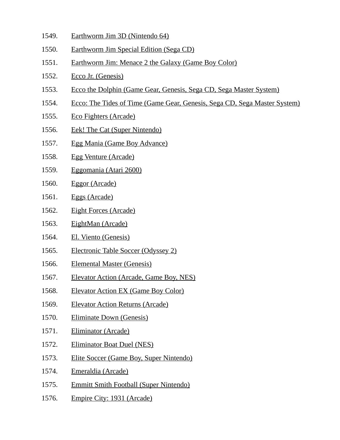- 1549. Earthworm Jim 3D (Nintendo 64)
- 1550. Earthworm Jim Special Edition (Sega CD)
- 1551. Earthworm Jim: Menace 2 the Galaxy (Game Boy Color)
- 1552. Ecco Jr. (Genesis)
- 1553. Ecco the Dolphin (Game Gear, Genesis, Sega CD, Sega Master System)
- 1554. Ecco: The Tides of Time (Game Gear, Genesis, Sega CD, Sega Master System)
- 1555. Eco Fighters (Arcade)
- 1556. Eek! The Cat (Super Nintendo)
- 1557. Egg Mania (Game Boy Advance)
- 1558. Egg Venture (Arcade)
- 1559. Eggomania (Atari 2600)
- 1560. Eggor (Arcade)
- 1561. Eggs (Arcade)
- 1562. Eight Forces (Arcade)
- 1563. EightMan (Arcade)
- 1564. El. Viento (Genesis)
- 1565. Electronic Table Soccer (Odyssey 2)
- 1566. Elemental Master (Genesis)
- 1567. Elevator Action (Arcade, Game Boy, NES)
- 1568. Elevator Action EX (Game Boy Color)
- 1569. Elevator Action Returns (Arcade)
- 1570. Eliminate Down (Genesis)
- 1571. Eliminator (Arcade)
- 1572. Eliminator Boat Duel (NES)
- 1573. Elite Soccer (Game Boy, Super Nintendo)
- 1574. Emeraldia (Arcade)
- 1575. Emmitt Smith Football (Super Nintendo)
- 1576. Empire City: 1931 (Arcade)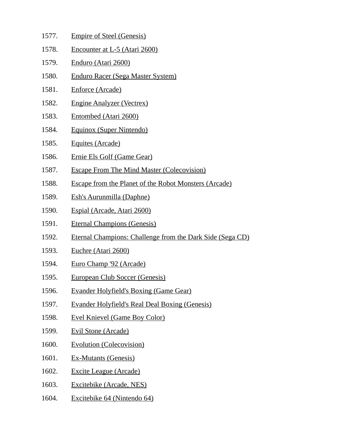- 1577. Empire of Steel (Genesis) 1578. Encounter at L-5 (Atari 2600) 1579. Enduro (Atari 2600) 1580. Enduro Racer (Sega Master System) 1581. Enforce (Arcade) 1582. Engine Analyzer (Vectrex) 1583. Entombed (Atari 2600)
- 1584. Equinox (Super Nintendo)
- 1585. Equites (Arcade)
- 1586. Ernie Els Golf (Game Gear)
- 1587. Escape From The Mind Master (Colecovision)
- 1588. Escape from the Planet of the Robot Monsters (Arcade)
- 1589. Esh's Aurunmilla (Daphne)
- 1590. Espial (Arcade, Atari 2600)
- 1591. Eternal Champions (Genesis)
- 1592. Eternal Champions: Challenge from the Dark Side (Sega CD)
- 1593. Euchre (Atari 2600)
- 1594. Euro Champ '92 (Arcade)
- 1595. European Club Soccer (Genesis)
- 1596. Evander Holyfield's Boxing (Game Gear)
- 1597. Evander Holyfield's Real Deal Boxing (Genesis)
- 1598. Evel Knievel (Game Boy Color)
- 1599. Evil Stone (Arcade)
- 1600. Evolution (Colecovision)
- 1601. Ex-Mutants (Genesis)
- 1602. Excite League (Arcade)
- 1603. Excitebike (Arcade, NES)
- 1604. Excitebike 64 (Nintendo 64)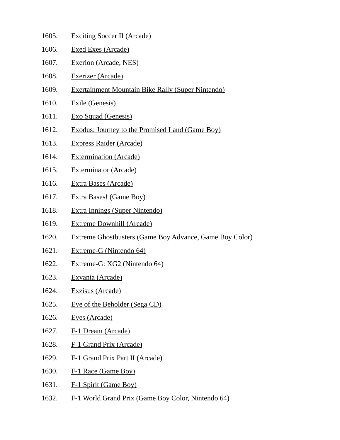| 1605. | <b>Exciting Soccer II (Arcade)</b>                       |
|-------|----------------------------------------------------------|
| 1606. | <b>Exed Exes (Arcade)</b>                                |
| 1607. | <b>Exerion (Arcade, NES)</b>                             |
| 1608. | <b>Exerizer (Arcade)</b>                                 |
| 1609. | <b>Exertainment Mountain Bike Rally (Super Nintendo)</b> |
| 1610. | <b>Exile (Genesis)</b>                                   |
| 1611. | <b>Exo Squad (Genesis)</b>                               |
| 1612. | <b>Exodus: Journey to the Promised Land (Game Boy)</b>   |
| 1613. | <b>Express Raider (Arcade)</b>                           |
| 1614. | <b>Extermination (Arcade)</b>                            |
| 1615. | <b>Exterminator (Arcade)</b>                             |
| 1616. | <b>Extra Bases (Arcade)</b>                              |
| 1617. | Extra Bases! (Game Boy)                                  |
| 1618. | <b>Extra Innings (Super Nintendo)</b>                    |
| 1619. | <b>Extreme Downhill (Arcade)</b>                         |
| 1620. | Extreme Ghostbusters (Game Boy Advance, Game Boy Color)  |
| 1621. | Extreme-G (Nintendo 64)                                  |
| 1622. | Extreme-G: XG2 (Nintendo 64)                             |
| 1623. | <u> Exvania (Arcade)</u>                                 |
| 1624. | <b>Exzisus (Arcade)</b>                                  |
| 1625. | Eye of the Beholder (Sega CD)                            |
| 1626. | Eyes (Arcade)                                            |
| 1627. | F-1 Dream (Arcade)                                       |
| 1628. | F-1 Grand Prix (Arcade)                                  |
| 1629. | F-1 Grand Prix Part II (Arcade)                          |
| 1630. | F-1 Race (Game Boy)                                      |
| 1631. | F-1 Spirit (Game Boy)                                    |
| 1632. | F-1 World Grand Prix (Game Boy Color, Nintendo 64)       |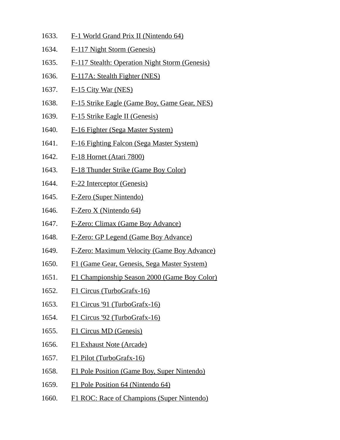- 1633. F-1 World Grand Prix II (Nintendo 64)
- 1634. F-117 Night Storm (Genesis)
- 1635. F-117 Stealth: Operation Night Storm (Genesis)
- 1636. F-117A: Stealth Fighter (NES)
- 1637. F-15 City War (NES)
- 1638. F-15 Strike Eagle (Game Boy, Game Gear, NES)
- 1639. F-15 Strike Eagle II (Genesis)
- 1640. F-16 Fighter (Sega Master System)
- 1641. F-16 Fighting Falcon (Sega Master System)
- 1642. F-18 Hornet (Atari 7800)
- 1643. F-18 Thunder Strike (Game Boy Color)
- 1644. F-22 Interceptor (Genesis)
- 1645. F-Zero (Super Nintendo)
- 1646. F-Zero X (Nintendo 64)
- 1647. F-Zero: Climax (Game Boy Advance)
- 1648. F-Zero: GP Legend (Game Boy Advance)
- 1649. F-Zero: Maximum Velocity (Game Boy Advance)
- 1650. F1 (Game Gear, Genesis, Sega Master System)
- 1651. F1 Championship Season 2000 (Game Boy Color)
- 1652. F1 Circus (TurboGrafx-16)
- 1653. F1 Circus '91 (TurboGrafx-16)
- 1654. F1 Circus '92 (TurboGrafx-16)
- 1655. F1 Circus MD (Genesis)
- 1656. F1 Exhaust Note (Arcade)
- 1657. F1 Pilot (TurboGrafx-16)
- 1658. F1 Pole Position (Game Boy, Super Nintendo)
- 1659. F1 Pole Position 64 (Nintendo 64)
- 1660. F1 ROC: Race of Champions (Super Nintendo)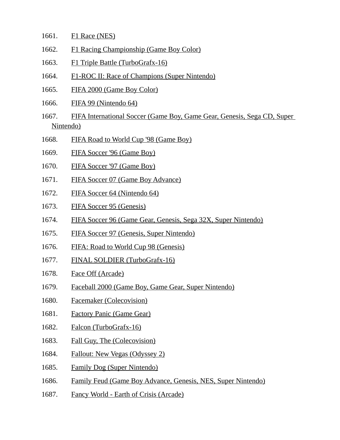- 1661. F1 Race (NES)
- 1662. F1 Racing Championship (Game Boy Color)
- 1663. F1 Triple Battle (TurboGrafx-16)
- 1664. F1-ROC II: Race of Champions (Super Nintendo)
- 1665. FIFA 2000 (Game Boy Color)
- 1666. FIFA 99 (Nintendo 64)
- 1667. FIFA International Soccer (Game Boy, Game Gear, Genesis, Sega CD, Super Nintendo)
- 1668. FIFA Road to World Cup '98 (Game Boy)
- 1669. FIFA Soccer '96 (Game Boy)
- 1670. FIFA Soccer '97 (Game Boy)
- 1671. FIFA Soccer 07 (Game Boy Advance)
- 1672. FIFA Soccer 64 (Nintendo 64)
- 1673. FIFA Soccer 95 (Genesis)
- 1674. FIFA Soccer 96 (Game Gear, Genesis, Sega 32X, Super Nintendo)
- 1675. FIFA Soccer 97 (Genesis, Super Nintendo)
- 1676. FIFA: Road to World Cup 98 (Genesis)
- 1677. FINAL SOLDIER (TurboGrafx-16)
- 1678. Face Off (Arcade)
- 1679. Faceball 2000 (Game Boy, Game Gear, Super Nintendo)
- 1680. Facemaker (Colecovision)
- 1681. Factory Panic (Game Gear)
- 1682. Falcon (TurboGrafx-16)
- 1683. Fall Guy, The (Colecovision)
- 1684. Fallout: New Vegas (Odyssey 2)
- 1685. Family Dog (Super Nintendo)
- 1686. Family Feud (Game Boy Advance, Genesis, NES, Super Nintendo)
- 1687. Fancy World Earth of Crisis (Arcade)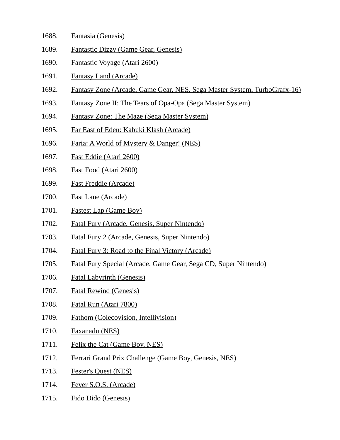- 1688. Fantasia (Genesis)
- 1689. Fantastic Dizzy (Game Gear, Genesis)
- 1690. Fantastic Voyage (Atari 2600)
- 1691. Fantasy Land (Arcade)
- 1692. Fantasy Zone (Arcade, Game Gear, NES, Sega Master System, TurboGrafx-16)
- 1693. Fantasy Zone II: The Tears of Opa-Opa (Sega Master System)
- 1694. Fantasy Zone: The Maze (Sega Master System)
- 1695. Far East of Eden: Kabuki Klash (Arcade)
- 1696. Faria: A World of Mystery & Danger! (NES)
- 1697. Fast Eddie (Atari 2600)
- 1698. Fast Food (Atari 2600)
- 1699. Fast Freddie (Arcade)
- 1700. Fast Lane (Arcade)
- 1701. Fastest Lap (Game Boy)
- 1702. Fatal Fury (Arcade, Genesis, Super Nintendo)
- 1703. Fatal Fury 2 (Arcade, Genesis, Super Nintendo)
- 1704. Fatal Fury 3: Road to the Final Victory (Arcade)
- 1705. Fatal Fury Special (Arcade, Game Gear, Sega CD, Super Nintendo)
- 1706. Fatal Labyrinth (Genesis)
- 1707. Fatal Rewind (Genesis)
- 1708. Fatal Run (Atari 7800)
- 1709. Fathom (Colecovision, Intellivision)
- 1710. Faxanadu (NES)
- 1711. Felix the Cat (Game Boy, NES)
- 1712. Ferrari Grand Prix Challenge (Game Boy, Genesis, NES)
- 1713. Fester's Quest (NES)
- 1714. Fever S.O.S. (Arcade)
- 1715. Fido Dido (Genesis)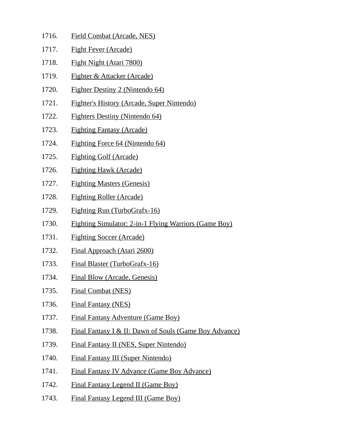- 1716. Field Combat (Arcade, NES)
- 1717. Fight Fever (Arcade)
- 1718. Fight Night (Atari 7800)
- 1719. Fighter & Attacker (Arcade)
- 1720. Fighter Destiny 2 (Nintendo 64)
- 1721. Fighter's History (Arcade, Super Nintendo)
- 1722. Fighters Destiny (Nintendo 64)
- 1723. Fighting Fantasy (Arcade)
- 1724. Fighting Force 64 (Nintendo 64)
- 1725. Fighting Golf (Arcade)
- 1726. Fighting Hawk (Arcade)
- 1727. Fighting Masters (Genesis)
- 1728. Fighting Roller (Arcade)
- 1729. Fighting Run (TurboGrafx-16)
- 1730. Fighting Simulator: 2-in-1 Flying Warriors (Game Boy)
- 1731. Fighting Soccer (Arcade)
- 1732. Final Approach (Atari 2600)
- 1733. Final Blaster (TurboGrafx-16)
- 1734. Final Blow (Arcade, Genesis)
- 1735. Final Combat (NES)
- 1736. Final Fantasy (NES)
- 1737. Final Fantasy Adventure (Game Boy)
- 1738. Final Fantasy I & II: Dawn of Souls (Game Boy Advance)
- 1739. Final Fantasy II (NES, Super Nintendo)
- 1740. Final Fantasy III (Super Nintendo)
- 1741. Final Fantasy IV Advance (Game Boy Advance)
- 1742. Final Fantasy Legend II (Game Boy)
- 1743. Final Fantasy Legend III (Game Boy)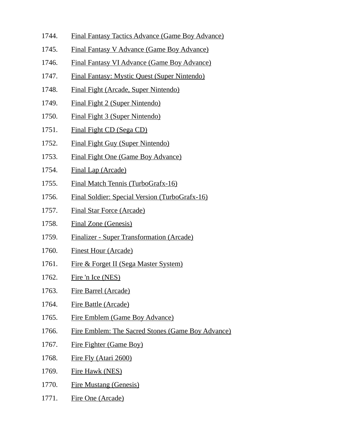- 1744. Final Fantasy Tactics Advance (Game Boy Advance)
- 1745. Final Fantasy V Advance (Game Boy Advance)
- 1746. Final Fantasy VI Advance (Game Boy Advance)
- 1747. Final Fantasy: Mystic Quest (Super Nintendo)
- 1748. Final Fight (Arcade, Super Nintendo)
- 1749. Final Fight 2 (Super Nintendo)
- 1750. Final Fight 3 (Super Nintendo)
- 1751. Final Fight CD (Sega CD)
- 1752. Final Fight Guy (Super Nintendo)
- 1753. Final Fight One (Game Boy Advance)
- 1754. Final Lap (Arcade)
- 1755. Final Match Tennis (TurboGrafx-16)
- 1756. Final Soldier: Special Version (TurboGrafx-16)
- 1757. Final Star Force (Arcade)
- 1758. Final Zone (Genesis)
- 1759. Finalizer Super Transformation (Arcade)
- 1760. Finest Hour (Arcade)
- 1761. Fire & Forget II (Sega Master System)
- 1762. Fire 'n Ice (NES)
- 1763. Fire Barrel (Arcade)
- 1764. Fire Battle (Arcade)
- 1765. Fire Emblem (Game Boy Advance)
- 1766. Fire Emblem: The Sacred Stones (Game Boy Advance)
- 1767. Fire Fighter (Game Boy)
- 1768. Fire Fly (Atari 2600)
- 1769. Fire Hawk (NES)
- 1770. Fire Mustang (Genesis)
- 1771. Fire One (Arcade)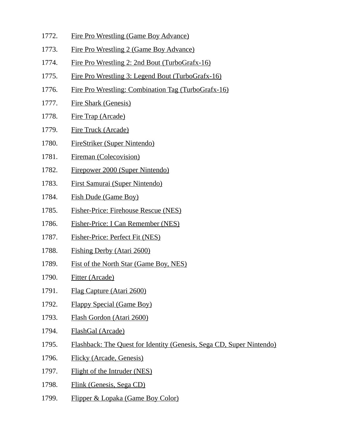- 1772. Fire Pro Wrestling (Game Boy Advance)
- 1773. Fire Pro Wrestling 2 (Game Boy Advance)
- 1774. Fire Pro Wrestling 2: 2nd Bout (TurboGrafx-16)
- 1775. Fire Pro Wrestling 3: Legend Bout (TurboGrafx-16)
- 1776. Fire Pro Wrestling: Combination Tag (TurboGrafx-16)
- 1777. Fire Shark (Genesis)
- 1778. Fire Trap (Arcade)
- 1779. Fire Truck (Arcade)
- 1780. FireStriker (Super Nintendo)
- 1781. Fireman (Colecovision)
- 1782. Firepower 2000 (Super Nintendo)
- 1783. First Samurai (Super Nintendo)
- 1784. Fish Dude (Game Boy)
- 1785. Fisher-Price: Firehouse Rescue (NES)
- 1786. Fisher-Price: I Can Remember (NES)
- 1787. Fisher-Price: Perfect Fit (NES)
- 1788. Fishing Derby (Atari 2600)
- 1789. Fist of the North Star (Game Boy, NES)
- 1790. Fitter (Arcade)
- 1791. Flag Capture (Atari 2600)
- 1792. Flappy Special (Game Boy)
- 1793. Flash Gordon (Atari 2600)
- 1794. FlashGal (Arcade)
- 1795. Flashback: The Quest for Identity (Genesis, Sega CD, Super Nintendo)
- 1796. Flicky (Arcade, Genesis)
- 1797. Flight of the Intruder (NES)
- 1798. Flink (Genesis, Sega CD)
- 1799. Flipper & Lopaka (Game Boy Color)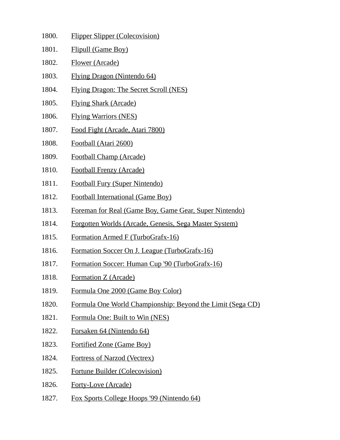| 1800. | <b>Flipper Slipper (Colecovision)</b>                      |
|-------|------------------------------------------------------------|
| 1801. | <b>Flipull (Game Boy)</b>                                  |
| 1802. | Flower (Arcade)                                            |
| 1803. | <b>Flying Dragon (Nintendo 64)</b>                         |
| 1804. | <b>Flying Dragon: The Secret Scroll (NES)</b>              |
| 1805. | <b>Flying Shark (Arcade)</b>                               |
| 1806. | <b>Flying Warriors (NES)</b>                               |
| 1807. | Food Fight (Arcade, Atari 7800)                            |
| 1808. | Football (Atari 2600)                                      |
| 1809. | <b>Football Champ (Arcade)</b>                             |
| 1810. | <b>Football Frenzy (Arcade)</b>                            |
| 1811. | <b>Football Fury (Super Nintendo)</b>                      |
| 1812. | <b>Football International (Game Boy)</b>                   |
| 1813. | Foreman for Real (Game Boy, Game Gear, Super Nintendo)     |
| 1814. | Forgotten Worlds (Arcade, Genesis, Sega Master System)     |
| 1815. | Formation Armed F (TurboGrafx-16)                          |
| 1816. | Formation Soccer On J. League (TurboGrafx-16)              |
| 1817. | Formation Soccer: Human Cup '90 (TurboGrafx-16)            |
| 1818. | Formation Z (Arcade)                                       |
| 1819. | Formula One 2000 (Game Boy Color)                          |
| 1820. | Formula One World Championship: Beyond the Limit (Sega CD) |
| 1821. | Formula One: Built to Win (NES)                            |
| 1822. | Forsaken 64 (Nintendo 64)                                  |
| 1823. | <b>Fortified Zone (Game Boy)</b>                           |
| 1824. | <b>Fortress of Narzod (Vectrex)</b>                        |

- 1825. Fortune Builder (Colecovision)
- 1826. Forty-Love (Arcade)
- 1827. Fox Sports College Hoops '99 (Nintendo 64)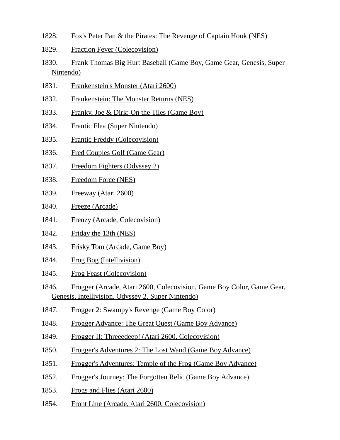- 1828. Fox's Peter Pan & the Pirates: The Revenge of Captain Hook (NES)
- 1829. Fraction Fever (Colecovision)
- 1830. Frank Thomas Big Hurt Baseball (Game Boy, Game Gear, Genesis, Super Nintendo)
- 1831. Frankenstein's Monster (Atari 2600)
- 1832. Frankenstein: The Monster Returns (NES)
- 1833. Franky, Joe & Dirk: On the Tiles (Game Boy)
- 1834. Frantic Flea (Super Nintendo)
- 1835. Frantic Freddy (Colecovision)
- 1836. Fred Couples Golf (Game Gear)
- 1837. Freedom Fighters (Odyssey 2)
- 1838. Freedom Force (NES)
- 1839. Freeway (Atari 2600)
- 1840. Freeze (Arcade)
- 1841. Frenzy (Arcade, Colecovision)
- 1842. Friday the 13th (NES)
- 1843. Frisky Tom (Arcade, Game Boy)
- 1844. Frog Bog (Intellivision)
- 1845. Frog Feast (Colecovision)
- 1846. Frogger (Arcade, Atari 2600, Colecovision, Game Boy Color, Game Gear, Genesis, Intellivision, Odyssey 2, Super Nintendo)
- 1847. Frogger 2: Swampy's Revenge (Game Boy Color)
- 1848. Frogger Advance: The Great Quest (Game Boy Advance)
- 1849. Frogger II: Threeedeep! (Atari 2600, Colecovision)
- 1850. Frogger's Adventures 2: The Lost Wand (Game Boy Advance)
- 1851. Frogger's Adventures: Temple of the Frog (Game Boy Advance)
- 1852. Frogger's Journey: The Forgotten Relic (Game Boy Advance)
- 1853. Frogs and Flies (Atari 2600)
- 1854. Front Line (Arcade, Atari 2600, Colecovision)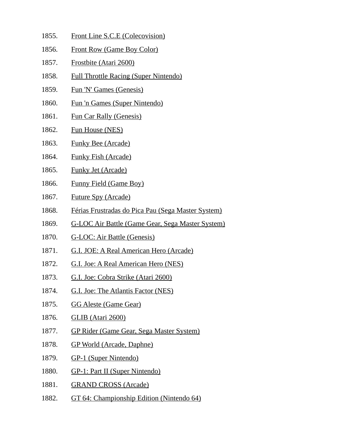- 1855. Front Line S.C.E (Colecovision)
- 1856. Front Row (Game Boy Color)
- 1857. Frostbite (Atari 2600)
- 1858. Full Throttle Racing (Super Nintendo)
- 1859. Fun 'N' Games (Genesis)
- 1860. Fun 'n Games (Super Nintendo)
- 1861. Fun Car Rally (Genesis)
- 1862. Fun House (NES)
- 1863. Funky Bee (Arcade)
- 1864. Funky Fish (Arcade)
- 1865. Funky Jet (Arcade)
- 1866. Funny Field (Game Boy)
- 1867. Future Spy (Arcade)
- 1868. Férias Frustradas do Pica Pau (Sega Master System)
- 1869. G-LOC Air Battle (Game Gear, Sega Master System)
- 1870. G-LOC: Air Battle (Genesis)
- 1871. G.I. JOE: A Real American Hero (Arcade)
- 1872. G.I. Joe: A Real American Hero (NES)
- 1873. G.I. Joe: Cobra Strike (Atari 2600)
- 1874. G.I. Joe: The Atlantis Factor (NES)
- 1875. GG Aleste (Game Gear)
- 1876. GLIB (Atari 2600)
- 1877. GP Rider (Game Gear, Sega Master System)
- 1878. GP World (Arcade, Daphne)
- 1879. GP-1 (Super Nintendo)
- 1880. GP-1: Part II (Super Nintendo)
- 1881. GRAND CROSS (Arcade)
- 1882. GT 64: Championship Edition (Nintendo 64)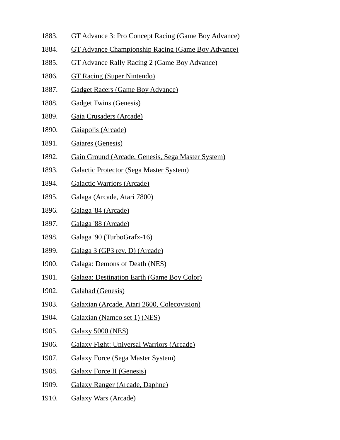- 1883. GT Advance 3: Pro Concept Racing (Game Boy Advance)
- 1884. GT Advance Championship Racing (Game Boy Advance)
- 1885. GT Advance Rally Racing 2 (Game Boy Advance)
- 1886. GT Racing (Super Nintendo)
- 1887. Gadget Racers (Game Boy Advance)
- 1888. Gadget Twins (Genesis)
- 1889. Gaia Crusaders (Arcade)
- 1890. Gaiapolis (Arcade)
- 1891. Gaiares (Genesis)
- 1892. Gain Ground (Arcade, Genesis, Sega Master System)
- 1893. Galactic Protector (Sega Master System)
- 1894. Galactic Warriors (Arcade)
- 1895. Galaga (Arcade, Atari 7800)
- 1896. Galaga '84 (Arcade)
- 1897. Galaga '88 (Arcade)
- 1898. Galaga '90 (TurboGrafx-16)
- 1899. Galaga 3 (GP3 rev. D) (Arcade)
- 1900. Galaga: Demons of Death (NES)
- 1901. Galaga: Destination Earth (Game Boy Color)
- 1902. Galahad (Genesis)
- 1903. Galaxian (Arcade, Atari 2600, Colecovision)
- 1904. Galaxian (Namco set 1) (NES)
- 1905. Galaxy 5000 (NES)
- 1906. Galaxy Fight: Universal Warriors (Arcade)
- 1907. Galaxy Force (Sega Master System)
- 1908. Galaxy Force II (Genesis)
- 1909. Galaxy Ranger (Arcade, Daphne)
- 1910. Galaxy Wars (Arcade)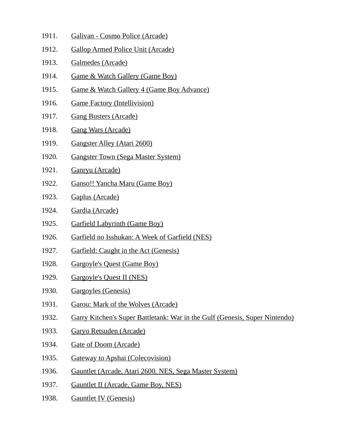- 1911. Galivan Cosmo Police (Arcade)
- 1912. Gallop Armed Police Unit (Arcade)
- 1913. Galmedes (Arcade)
- 1914. Game & Watch Gallery (Game Boy)
- 1915. Game & Watch Gallery 4 (Game Boy Advance)
- 1916. Game Factory (Intellivision)
- 1917. Gang Busters (Arcade)
- 1918. Gang Wars (Arcade)
- 1919. Gangster Alley (Atari 2600)
- 1920. Gangster Town (Sega Master System)
- 1921. Ganryu (Arcade)
- 1922. Ganso!! Yancha Maru (Game Boy)
- 1923. Gaplus (Arcade)
- 1924. Gardia (Arcade)
- 1925. Garfield Labyrinth (Game Boy)
- 1926. Garfield no Isshukan: A Week of Garfield (NES)
- 1927. Garfield: Caught in the Act (Genesis)
- 1928. Gargoyle's Quest (Game Boy)
- 1929. Gargoyle's Quest II (NES)
- 1930. Gargoyles (Genesis)
- 1931. Garou: Mark of the Wolves (Arcade)
- 1932. Garry Kitchen's Super Battletank: War in the Gulf (Genesis, Super Nintendo)
- 1933. Garyo Retsuden (Arcade)
- 1934. Gate of Doom (Arcade)
- 1935. Gateway to Apshai (Colecovision)
- 1936. Gauntlet (Arcade, Atari 2600, NES, Sega Master System)
- 1937. Gauntlet II (Arcade, Game Boy, NES)
- 1938. Gauntlet IV (Genesis)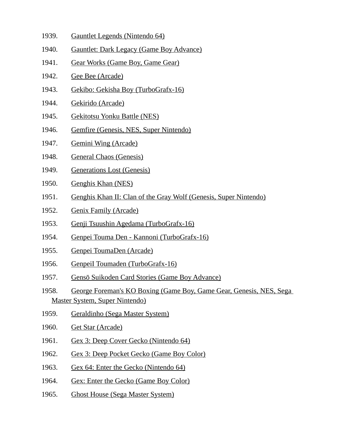- 1939. Gauntlet Legends (Nintendo 64)
- 1940. Gauntlet: Dark Legacy (Game Boy Advance)
- 1941. Gear Works (Game Boy, Game Gear)
- 1942. Gee Bee (Arcade)
- 1943. Gekibo: Gekisha Boy (TurboGrafx-16)
- 1944. Gekirido (Arcade)
- 1945. Gekitotsu Yonku Battle (NES)
- 1946. Gemfire (Genesis, NES, Super Nintendo)
- 1947. Gemini Wing (Arcade)
- 1948. General Chaos (Genesis)
- 1949. Generations Lost (Genesis)
- 1950. Genghis Khan (NES)
- 1951. Genghis Khan II: Clan of the Gray Wolf (Genesis, Super Nintendo)
- 1952. Genix Family (Arcade)
- 1953. Genji Tsuushin Agedama (TurboGrafx-16)
- 1954. Genpei Touma Den Kannoni (TurboGrafx-16)
- 1955. Genpei ToumaDen (Arcade)
- 1956. GenpeiI Toumaden (TurboGrafx-16)
- 1957. Gensō Suikoden Card Stories (Game Boy Advance)
- 1958. George Foreman's KO Boxing (Game Boy, Game Gear, Genesis, NES, Sega Master System, Super Nintendo)
- 1959. Geraldinho (Sega Master System)
- 1960. Get Star (Arcade)
- 1961. Gex 3: Deep Cover Gecko (Nintendo 64)
- 1962. Gex 3: Deep Pocket Gecko (Game Boy Color)
- 1963. Gex 64: Enter the Gecko (Nintendo 64)
- 1964. Gex: Enter the Gecko (Game Boy Color)
- 1965. Ghost House (Sega Master System)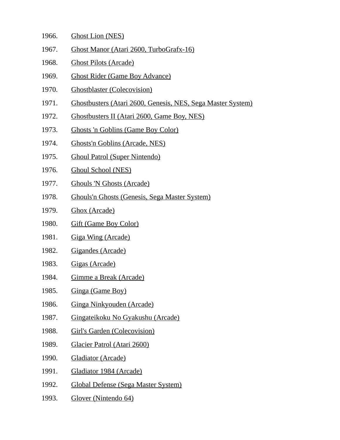- 1966. Ghost Lion (NES)
- 1967. Ghost Manor (Atari 2600, TurboGrafx-16)
- 1968. Ghost Pilots (Arcade)
- 1969. Ghost Rider (Game Boy Advance)
- 1970. Ghostblaster (Colecovision)
- 1971. Ghostbusters (Atari 2600, Genesis, NES, Sega Master System)
- 1972. Ghostbusters II (Atari 2600, Game Boy, NES)
- 1973. Ghosts 'n Goblins (Game Boy Color)
- 1974. Ghosts'n Goblins (Arcade, NES)
- 1975. Ghoul Patrol (Super Nintendo)
- 1976. Ghoul School (NES)
- 1977. Ghouls 'N Ghosts (Arcade)
- 1978. Ghouls'n Ghosts (Genesis, Sega Master System)
- 1979. Ghox (Arcade)
- 1980. Gift (Game Boy Color)
- 1981. Giga Wing (Arcade)
- 1982. Gigandes (Arcade)
- 1983. Gigas (Arcade)
- 1984. Gimme a Break (Arcade)
- 1985. Ginga (Game Boy)
- 1986. Ginga Ninkyouden (Arcade)
- 1987. Gingateikoku No Gyakushu (Arcade)
- 1988. Girl's Garden (Colecovision)
- 1989. Glacier Patrol (Atari 2600)
- 1990. Gladiator (Arcade)
- 1991. Gladiator 1984 (Arcade)
- 1992. Global Defense (Sega Master System)
- 1993. Glover (Nintendo 64)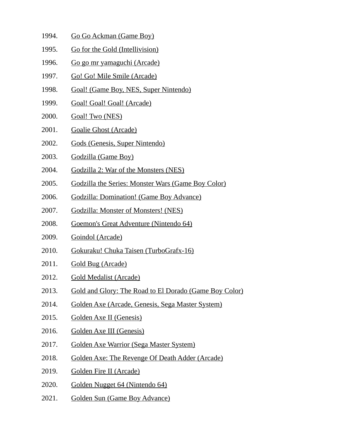- 1994. Go Go Ackman (Game Boy)
- 1995. Go for the Gold (Intellivision)
- 1996. Go go mr yamaguchi (Arcade)
- 1997. Go! Go! Mile Smile (Arcade)
- 1998. Goal! (Game Boy, NES, Super Nintendo)
- 1999. Goal! Goal! Goal! (Arcade)
- 2000. Goal! Two (NES)
- 2001. Goalie Ghost (Arcade)
- 2002. Gods (Genesis, Super Nintendo)
- 2003. Godzilla (Game Boy)
- 2004. Godzilla 2: War of the Monsters (NES)
- 2005. Godzilla the Series: Monster Wars (Game Boy Color)
- 2006. Godzilla: Domination! (Game Boy Advance)
- 2007. Godzilla: Monster of Monsters! (NES)
- 2008. Goemon's Great Adventure (Nintendo 64)
- 2009. Goindol (Arcade)
- 2010. Gokuraku! Chuka Taisen (TurboGrafx-16)
- 2011. Gold Bug (Arcade)
- 2012. Gold Medalist (Arcade)
- 2013. Gold and Glory: The Road to El Dorado (Game Boy Color)
- 2014. Golden Axe (Arcade, Genesis, Sega Master System)
- 2015. Golden Axe II (Genesis)
- 2016. Golden Axe III (Genesis)
- 2017. Golden Axe Warrior (Sega Master System)
- 2018. Golden Axe: The Revenge Of Death Adder (Arcade)
- 2019. Golden Fire II (Arcade)
- 2020. Golden Nugget 64 (Nintendo 64)
- 2021. Golden Sun (Game Boy Advance)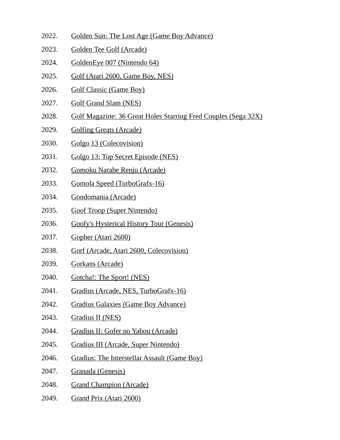- 2022. Golden Sun: The Lost Age (Game Boy Advance)
- 2023. Golden Tee Golf (Arcade)
- 2024. GoldenEye 007 (Nintendo 64)
- 2025. Golf (Atari 2600, Game Boy, NES)
- 2026. Golf Classic (Game Boy)
- 2027. Golf Grand Slam (NES)
- 2028. Golf Magazine: 36 Great Holes Starring Fred Couples (Sega 32X)
- 2029. Golfing Greats (Arcade)
- 2030. Golgo 13 (Colecovision)
- 2031. Golgo 13: Top Secret Episode (NES)
- 2032. Gomoku Narabe Renju (Arcade)
- 2033. Gomola Speed (TurboGrafx-16)
- 2034. Gondomania (Arcade)
- 2035. Goof Troop (Super Nintendo)
- 2036. Goofy's Hysterical History Tour (Genesis)
- 2037. Gopher (Atari 2600)
- 2038. Gorf (Arcade, Atari 2600, Colecovision)
- 2039. Gorkans (Arcade)
- 2040. Gotcha!: The Sport! (NES)
- 2041. Gradius (Arcade, NES, TurboGrafx-16)
- 2042. Gradius Galaxies (Game Boy Advance)
- 2043. Gradius II (NES)
- 2044. Gradius II: Gofer no Yabou (Arcade)
- 2045. Gradius III (Arcade, Super Nintendo)
- 2046. Gradius: The Interstellar Assault (Game Boy)
- 2047. Granada (Genesis)
- 2048. Grand Champion (Arcade)
- 2049. Grand Prix (Atari 2600)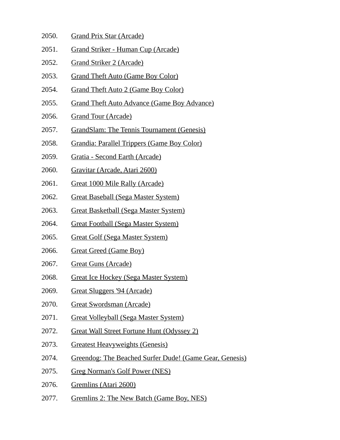- 2050. Grand Prix Star (Arcade)
- 2051. Grand Striker Human Cup (Arcade)
- 2052. Grand Striker 2 (Arcade)
- 2053. Grand Theft Auto (Game Boy Color)
- 2054. Grand Theft Auto 2 (Game Boy Color)
- 2055. Grand Theft Auto Advance (Game Boy Advance)
- 2056. Grand Tour (Arcade)
- 2057. GrandSlam: The Tennis Tournament (Genesis)
- 2058. Grandia: Parallel Trippers (Game Boy Color)
- 2059. Gratia Second Earth (Arcade)
- 2060. Gravitar (Arcade, Atari 2600)
- 2061. Great 1000 Mile Rally (Arcade)
- 2062. Great Baseball (Sega Master System)
- 2063. Great Basketball (Sega Master System)
- 2064. Great Football (Sega Master System)
- 2065. Great Golf (Sega Master System)
- 2066. Great Greed (Game Boy)
- 2067. Great Guns (Arcade)
- 2068. Great Ice Hockey (Sega Master System)
- 2069. Great Sluggers '94 (Arcade)
- 2070. Great Swordsman (Arcade)
- 2071. Great Volleyball (Sega Master System)
- 2072. Great Wall Street Fortune Hunt (Odyssey 2)
- 2073. Greatest Heavyweights (Genesis)
- 2074. Greendog: The Beached Surfer Dude! (Game Gear, Genesis)
- 2075. Greg Norman's Golf Power (NES)
- 2076. Gremlins (Atari 2600)
- 2077. Gremlins 2: The New Batch (Game Boy, NES)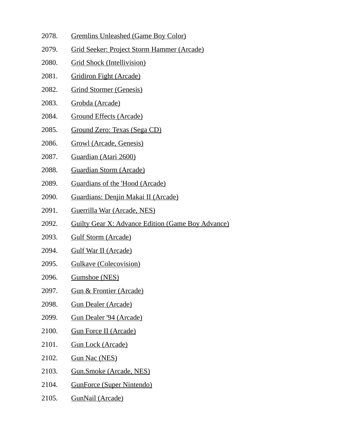- 2078. Gremlins Unleashed (Game Boy Color)
- 2079. Grid Seeker: Project Storm Hammer (Arcade)
- 2080. Grid Shock (Intellivision)
- 2081. Gridiron Fight (Arcade)
- 2082. Grind Stormer (Genesis)
- 2083. Grobda (Arcade)
- 2084. Ground Effects (Arcade)
- 2085. Ground Zero: Texas (Sega CD)
- 2086. Growl (Arcade, Genesis)
- 2087. Guardian (Atari 2600)
- 2088. Guardian Storm (Arcade)
- 2089. Guardians of the 'Hood (Arcade)
- 2090. Guardians: Denjin Makai II (Arcade)
- 2091. Guerrilla War (Arcade, NES)
- 2092. Guilty Gear X: Advance Edition (Game Boy Advance)
- 2093. Gulf Storm (Arcade)
- 2094. Gulf War II (Arcade)
- 2095. Gulkave (Colecovision)
- 2096. Gumshoe (NES)
- 2097. Gun & Frontier (Arcade)
- 2098. Gun Dealer (Arcade)
- 2099. Gun Dealer '94 (Arcade)
- 2100. Gun Force II (Arcade)
- 2101. Gun Lock (Arcade)
- 2102. Gun Nac (NES)
- 2103. Gun.Smoke (Arcade, NES)
- 2104. GunForce (Super Nintendo)
- 2105. GunNail (Arcade)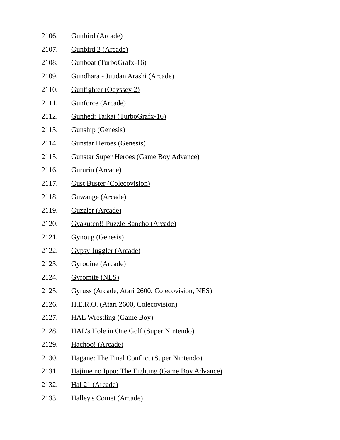| 2106. | <b>Gunbird (Arcade)</b>                         |
|-------|-------------------------------------------------|
| 2107. | <b>Gunbird 2 (Arcade)</b>                       |
| 2108. | Gunboat (TurboGrafx-16)                         |
| 2109. | <u> Gundhara - Juudan Arashi (Arcade)</u>       |
| 2110. | <b>Gunfighter (Odyssey 2)</b>                   |
| 2111. | <b>Gunforce (Arcade)</b>                        |
| 2112. | Gunhed: Taikai (TurboGrafx-16)                  |
| 2113. | <b>Gunship (Genesis)</b>                        |
| 2114. | <b>Gunstar Heroes (Genesis)</b>                 |
| 2115. | <b>Gunstar Super Heroes (Game Boy Advance)</b>  |
| 2116. | Gururin (Arcade)                                |
| 2117. | <b>Gust Buster (Colecovision)</b>               |
| 2118. | Guwange (Arcade)                                |
| 2119. | Guzzler (Arcade)                                |
| 2120. | Gyakuten!! Puzzle Bancho (Arcade)               |
| 2121. | <b>Gynoug (Genesis)</b>                         |
| 2122. | <b>Gypsy Juggler (Arcade)</b>                   |
| 2123. | Gyrodine (Arcade)                               |
| 2124. | <b>Gyromite (NES)</b>                           |
| 2125. | Gyruss (Arcade, Atari 2600, Colecovision, NES)  |
| 2126. | H.E.R.O. (Atari 2600, Colecovision)             |
| 2127. | <b>HAL Wrestling (Game Boy)</b>                 |
| 2128. | <b>HAL's Hole in One Golf (Super Nintendo)</b>  |
| 2129. | Hachoo! (Arcade)                                |
| 2130. | Hagane: The Final Conflict (Super Nintendo)     |
| 2131. | Hajime no Ippo: The Fighting (Game Boy Advance) |
| 2132. | Hal 21 (Arcade)                                 |
| 2133. | <b>Halley's Comet (Arcade)</b>                  |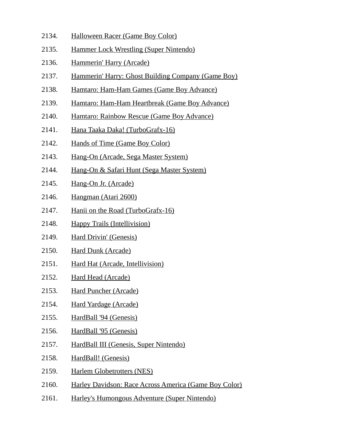- 2134. Halloween Racer (Game Boy Color)
- 2135. Hammer Lock Wrestling (Super Nintendo)
- 2136. Hammerin' Harry (Arcade)
- 2137. Hammerin' Harry: Ghost Building Company (Game Boy)
- 2138. Hamtaro: Ham-Ham Games (Game Boy Advance)
- 2139. Hamtaro: Ham-Ham Heartbreak (Game Boy Advance)
- 2140. Hamtaro: Rainbow Rescue (Game Boy Advance)
- 2141. Hana Taaka Daka! (TurboGrafx-16)
- 2142. Hands of Time (Game Boy Color)
- 2143. Hang-On (Arcade, Sega Master System)
- 2144. Hang-On & Safari Hunt (Sega Master System)
- 2145. Hang-On Jr. (Arcade)
- 2146. Hangman (Atari 2600)
- 2147. Hanii on the Road (TurboGrafx-16)
- 2148. Happy Trails (Intellivision)
- 2149. Hard Drivin' (Genesis)
- 2150. Hard Dunk (Arcade)
- 2151. Hard Hat (Arcade, Intellivision)
- 2152. Hard Head (Arcade)
- 2153. Hard Puncher (Arcade)
- 2154. Hard Yardage (Arcade)
- 2155. HardBall '94 (Genesis)
- 2156. HardBall '95 (Genesis)
- 2157. HardBall III (Genesis, Super Nintendo)
- 2158. HardBall! (Genesis)
- 2159. Harlem Globetrotters (NES)
- 2160. Harley Davidson: Race Across America (Game Boy Color)
- 2161. Harley's Humongous Adventure (Super Nintendo)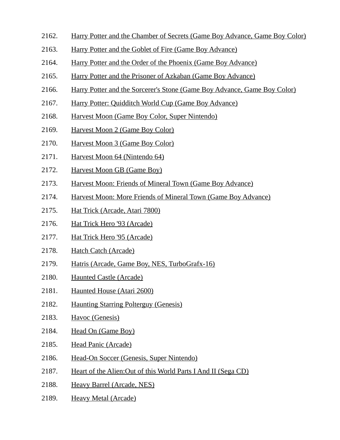- 2162. Harry Potter and the Chamber of Secrets (Game Boy Advance, Game Boy Color)
- 2163. Harry Potter and the Goblet of Fire (Game Boy Advance)
- 2164. Harry Potter and the Order of the Phoenix (Game Boy Advance)
- 2165. Harry Potter and the Prisoner of Azkaban (Game Boy Advance)
- 2166. Harry Potter and the Sorcerer's Stone (Game Boy Advance, Game Boy Color)
- 2167. Harry Potter: Quidditch World Cup (Game Boy Advance)
- 2168. Harvest Moon (Game Boy Color, Super Nintendo)
- 2169. Harvest Moon 2 (Game Boy Color)
- 2170. Harvest Moon 3 (Game Boy Color)
- 2171. Harvest Moon 64 (Nintendo 64)
- 2172. Harvest Moon GB (Game Boy)
- 2173. Harvest Moon: Friends of Mineral Town (Game Boy Advance)
- 2174. Harvest Moon: More Friends of Mineral Town (Game Boy Advance)
- 2175. Hat Trick (Arcade, Atari 7800)
- 2176. Hat Trick Hero '93 (Arcade)
- 2177. Hat Trick Hero '95 (Arcade)
- 2178. Hatch Catch (Arcade)
- 2179. Hatris (Arcade, Game Boy, NES, TurboGrafx-16)
- 2180. Haunted Castle (Arcade)
- 2181. Haunted House (Atari 2600)
- 2182. Haunting Starring Polterguy (Genesis)
- 2183. Havoc (Genesis)
- 2184. Head On (Game Boy)
- 2185. Head Panic (Arcade)
- 2186. Head-On Soccer (Genesis, Super Nintendo)
- 2187. Heart of the Alien:Out of this World Parts I And II (Sega CD)
- 2188. Heavy Barrel (Arcade, NES)
- 2189. Heavy Metal (Arcade)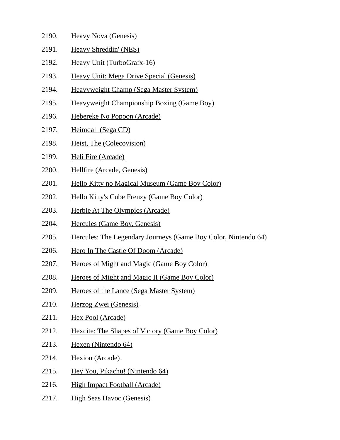| 2190. | <b>Heavy Nova (Genesis)</b>                                    |
|-------|----------------------------------------------------------------|
| 2191. | <b>Heavy Shreddin' (NES)</b>                                   |
| 2192. | Heavy Unit (TurboGrafx-16)                                     |
| 2193. | Heavy Unit: Mega Drive Special (Genesis)                       |
| 2194. | Heavyweight Champ (Sega Master System)                         |
| 2195. | Heavyweight Championship Boxing (Game Boy)                     |
| 2196. | Hebereke No Popoon (Arcade)                                    |
| 2197. | Heimdall (Sega CD)                                             |
| 2198. | Heist, The (Colecovision)                                      |
| 2199. | Heli Fire (Arcade)                                             |
| 2200. | Hellfire (Arcade, Genesis)                                     |
| 2201. | <b>Hello Kitty no Magical Museum (Game Boy Color)</b>          |
| 2202. | <b>Hello Kitty's Cube Frenzy (Game Boy Color)</b>              |
| 2203. | <b>Herbie At The Olympics (Arcade)</b>                         |
| 2204. | Hercules (Game Boy, Genesis)                                   |
| 2205. | Hercules: The Legendary Journeys (Game Boy Color, Nintendo 64) |
| 2206. | Hero In The Castle Of Doom (Arcade)                            |
| 2207. | <b>Heroes of Might and Magic (Game Boy Color)</b>              |
| 2208. | <b>Heroes of Might and Magic II (Game Boy Color)</b>           |
| 2209. | <b>Heroes of the Lance (Sega Master System)</b>                |
| 2210. | Herzog Zwei (Genesis)                                          |

- 2211. Hex Pool (Arcade)
- 2212. Hexcite: The Shapes of Victory (Game Boy Color)
- 2213. Hexen (Nintendo 64)
- 2214. Hexion (Arcade)
- 2215. Hey You, Pikachu! (Nintendo 64)
- 2216. High Impact Football (Arcade)
- 2217. High Seas Havoc (Genesis)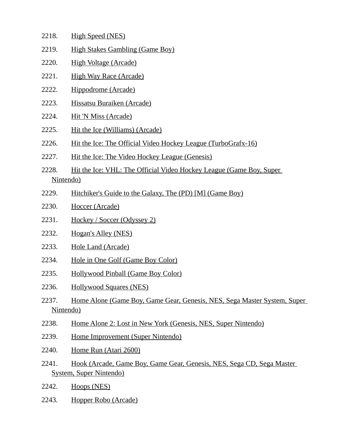- 2218. High Speed (NES)
- 2219. High Stakes Gambling (Game Boy)
- 2220. High Voltage (Arcade)
- 2221. High Way Race (Arcade)
- 2222. Hippodrome (Arcade)
- 2223. Hissatsu Buraiken (Arcade)
- 2224. Hit 'N Miss (Arcade)
- 2225. Hit the Ice (Williams) (Arcade)
- 2226. Hit the Ice: The Official Video Hockey League (TurboGrafx-16)
- 2227. Hit the Ice: The Video Hockey League (Genesis)
- 2228. Hit the Ice: VHL: The Official Video Hockey League (Game Boy, Super Nintendo)
- 2229. Hitchiker's Guide to the Galaxy, The (PD) [M] (Game Boy)
- 2230. Hoccer (Arcade)
- 2231. Hockey / Soccer (Odyssey 2)
- 2232. Hogan's Alley (NES)
- 2233. Hole Land (Arcade)
- 2234. Hole in One Golf (Game Boy Color)
- 2235. Hollywood Pinball (Game Boy Color)
- 2236. Hollywood Squares (NES)
- 2237. Home Alone (Game Boy, Game Gear, Genesis, NES, Sega Master System, Super Nintendo)
- 2238. Home Alone 2: Lost in New York (Genesis, NES, Super Nintendo)
- 2239. Home Improvement (Super Nintendo)
- 2240. Home Run (Atari 2600)
- 2241. Hook (Arcade, Game Boy, Game Gear, Genesis, NES, Sega CD, Sega Master System, Super Nintendo)
- 2242. Hoops (NES)
- 2243. Hopper Robo (Arcade)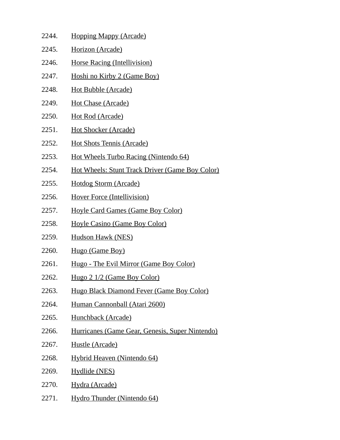| 2244. | <b>Hopping Mappy (Arcade)</b>                   |
|-------|-------------------------------------------------|
| 2245. | Horizon (Arcade)                                |
| 2246. | <b>Horse Racing (Intellivision)</b>             |
| 2247. | Hoshi no Kirby 2 (Game Boy)                     |
| 2248. | <u>Hot Bubble (Arcade)</u>                      |
| 2249. | <u>Hot Chase (Arcade)</u>                       |
| 2250. | <u>Hot Rod (Arcade)</u>                         |
| 2251. | <b>Hot Shocker (Arcade)</b>                     |
| 2252. | <b>Hot Shots Tennis (Arcade)</b>                |
| 2253. | Hot Wheels Turbo Racing (Nintendo 64)           |
| 2254. | Hot Wheels: Stunt Track Driver (Game Boy Color) |
| 2255. | <u>Hotdog Storm (Arcade)</u>                    |
| 2256. | <b>Hover Force (Intellivision)</b>              |
| 2257. | <b>Hoyle Card Games (Game Boy Color)</b>        |
| 2258. | <b>Hoyle Casino (Game Boy Color)</b>            |
| 2259. | Hudson Hawk (NES)                               |
| 2260. | Hugo (Game Boy)                                 |
| 2261. | Hugo - The Evil Mirror (Game Boy Color)         |
| 2262. | Hugo 2 1/2 (Game Boy Color)                     |
| 2263. | Hugo Black Diamond Fever (Game Boy Color)       |
| 2264. | Human Cannonball (Atari 2600)                   |
| 2265. | Hunchback (Arcade)                              |
| 2266. | Hurricanes (Game Gear, Genesis, Super Nintendo) |
| 2267. | Hustle (Arcade)                                 |
| 2268. | Hybrid Heaven (Nintendo 64)                     |
| 2269. | <b>Hydlide (NES)</b>                            |
| 2270. | Hydra (Arcade)                                  |
| 2271. | Hydro Thunder (Nintendo 64)                     |
|       |                                                 |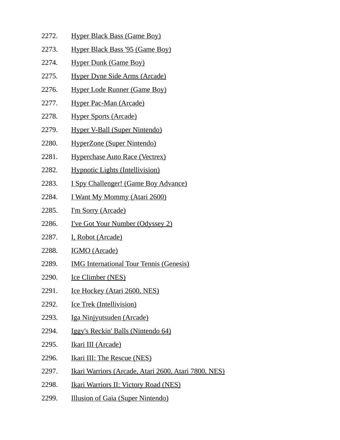- 2272. Hyper Black Bass (Game Boy)
- 2273. Hyper Black Bass '95 (Game Boy)
- 2274. Hyper Dunk (Game Boy)
- 2275. Hyper Dyne Side Arms (Arcade)
- 2276. Hyper Lode Runner (Game Boy)
- 2277. Hyper Pac-Man (Arcade)
- 2278. Hyper Sports (Arcade)
- 2279. Hyper V-Ball (Super Nintendo)
- 2280. HyperZone (Super Nintendo)
- 2281. Hyperchase Auto Race (Vectrex)
- 2282. Hypnotic Lights (Intellivision)
- 2283. I Spy Challenger! (Game Boy Advance)
- 2284. I Want My Mommy (Atari 2600)
- 2285. I'm Sorry (Arcade)
- 2286. I've Got Your Number (Odyssey 2)
- 2287. I, Robot (Arcade)
- 2288. IGMO (Arcade)
- 2289. IMG International Tour Tennis (Genesis)
- 2290. Ice Climber (NES)
- 2291. Ice Hockey (Atari 2600, NES)
- 2292. Ice Trek (Intellivision)
- 2293. Iga Ninjyutsuden (Arcade)
- 2294. Iggy's Reckin' Balls (Nintendo 64)
- 2295. Ikari III (Arcade)
- 2296. Ikari III: The Rescue (NES)
- 2297. Ikari Warriors (Arcade, Atari 2600, Atari 7800, NES)
- 2298. **Ikari Warriors II: Victory Road (NES)**
- 2299. Illusion of Gaia (Super Nintendo)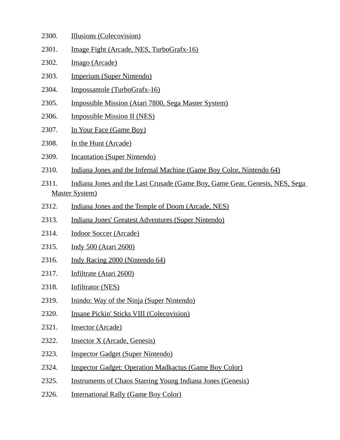- 2300. Illusions (Colecovision)
- 2301. Image Fight (Arcade, NES, TurboGrafx-16)
- 2302. Imago (Arcade)
- 2303. Imperium (Super Nintendo)
- 2304. Impossamole (TurboGrafx-16)
- 2305. Impossible Mission (Atari 7800, Sega Master System)
- 2306. Impossible Mission II (NES)
- 2307. In Your Face (Game Boy)
- 2308. In the Hunt (Arcade)
- 2309. Incantation (Super Nintendo)
- 2310. Indiana Jones and the Infernal Machine (Game Boy Color, Nintendo 64)
- 2311. Indiana Jones and the Last Crusade (Game Boy, Game Gear, Genesis, NES, Sega Master System)
- 2312. Indiana Jones and the Temple of Doom (Arcade, NES)
- 2313. Indiana Jones' Greatest Adventures (Super Nintendo)
- 2314. Indoor Soccer (Arcade)
- 2315. Indy 500 (Atari 2600)
- 2316. Indy Racing 2000 (Nintendo 64)
- 2317. Infiltrate (Atari 2600)
- 2318. Infiltrator (NES)
- 2319. Inindo: Way of the Ninja (Super Nintendo)
- 2320. Insane Pickin' Sticks VIII (Colecovision)
- 2321. Insector (Arcade)
- 2322. **Insector X (Arcade, Genesis)**
- 2323. Inspector Gadget (Super Nintendo)
- 2324. Inspector Gadget: Operation Madkactus (Game Boy Color)
- 2325. Instruments of Chaos Starring Young Indiana Jones (Genesis)
- 2326. **International Rally (Game Boy Color)**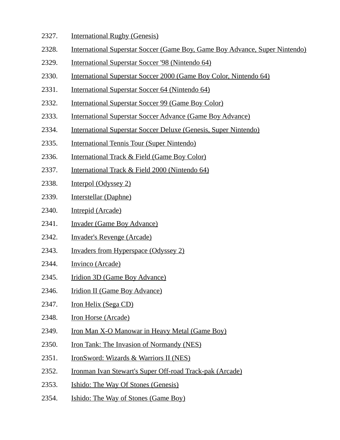- 2327. International Rugby (Genesis)
- 2328. International Superstar Soccer (Game Boy, Game Boy Advance, Super Nintendo)
- 2329. International Superstar Soccer '98 (Nintendo 64)
- 2330. International Superstar Soccer 2000 (Game Boy Color, Nintendo 64)
- 2331. International Superstar Soccer 64 (Nintendo 64)
- 2332. International Superstar Soccer 99 (Game Boy Color)
- 2333. International Superstar Soccer Advance (Game Boy Advance)
- 2334. International Superstar Soccer Deluxe (Genesis, Super Nintendo)
- 2335. International Tennis Tour (Super Nintendo)
- 2336. International Track & Field (Game Boy Color)
- 2337. International Track & Field 2000 (Nintendo 64)
- 2338. Interpol (Odyssey 2)
- 2339. Interstellar (Daphne)
- 2340. Intrepid (Arcade)
- 2341. Invader (Game Boy Advance)
- 2342. Invader's Revenge (Arcade)
- 2343. Invaders from Hyperspace (Odyssey 2)
- 2344. Invinco (Arcade)
- 2345. Iridion 3D (Game Boy Advance)
- 2346. Iridion II (Game Boy Advance)
- 2347. Iron Helix (Sega CD)
- 2348. Iron Horse (Arcade)
- 2349. Iron Man X-O Manowar in Heavy Metal (Game Boy)
- 2350. Iron Tank: The Invasion of Normandy (NES)
- 2351. IronSword: Wizards & Warriors II (NES)
- 2352. Ironman Ivan Stewart's Super Off-road Track-pak (Arcade)
- 2353. Ishido: The Way Of Stones (Genesis)
- 2354. Ishido: The Way of Stones (Game Boy)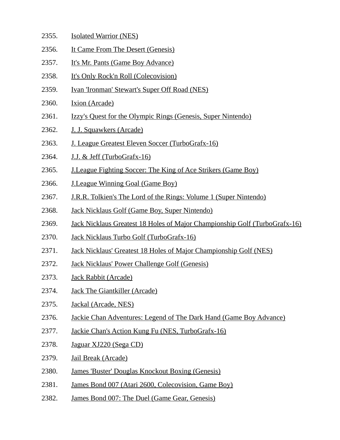- 2355. Isolated Warrior (NES) 2356. It Came From The Desert (Genesis) 2357. It's Mr. Pants (Game Boy Advance) 2358. It's Only Rock'n Roll (Colecovision) 2359. Ivan 'Ironman' Stewart's Super Off Road (NES) 2360. Ixion (Arcade) 2361. Izzy's Quest for the Olympic Rings (Genesis, Super Nintendo) 2362. J. J. Squawkers (Arcade) 2363. J. League Greatest Eleven Soccer (TurboGrafx-16) 2364. J.J. & Jeff (TurboGrafx-16) 2365. J.League Fighting Soccer: The King of Ace Strikers (Game Boy) 2366. J.League Winning Goal (Game Boy) 2367. J.R.R. Tolkien's The Lord of the Rings: Volume 1 (Super Nintendo) 2368. Jack Nicklaus Golf (Game Boy, Super Nintendo) 2369. Jack Nicklaus Greatest 18 Holes of Major Championship Golf (TurboGrafx-16) 2370. Jack Nicklaus Turbo Golf (TurboGrafx-16) 2371. Jack Nicklaus' Greatest 18 Holes of Major Championship Golf (NES) 2372. Jack Nicklaus' Power Challenge Golf (Genesis) 2373. Jack Rabbit (Arcade) 2374. Jack The Giantkiller (Arcade) 2375. Jackal (Arcade, NES)
- 2376. Jackie Chan Adventures: Legend of The Dark Hand (Game Boy Advance)
- 2377. Jackie Chan's Action Kung Fu (NES, TurboGrafx-16)
- 2378. Jaguar XJ220 (Sega CD)
- 2379. Jail Break (Arcade)
- 2380. James 'Buster' Douglas Knockout Boxing (Genesis)
- 2381. James Bond 007 (Atari 2600, Colecovision, Game Boy)
- 2382. James Bond 007: The Duel (Game Gear, Genesis)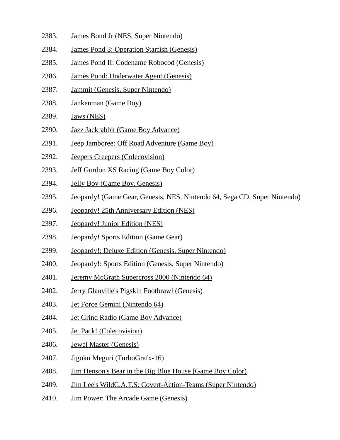- 2383. James Bond Jr (NES, Super Nintendo)
- 2384. James Pond 3: Operation Starfish (Genesis)
- 2385. James Pond II: Codename Robocod (Genesis)
- 2386. James Pond: Underwater Agent (Genesis)
- 2387. Jammit (Genesis, Super Nintendo)
- 2388. Jankenman (Game Boy)
- 2389. Jaws (NES)
- 2390. Jazz Jackrabbit (Game Boy Advance)
- 2391. Jeep Jamboree: Off Road Adventure (Game Boy)
- 2392. Jeepers Creepers (Colecovision)
- 2393. Jeff Gordon XS Racing (Game Boy Color)
- 2394. Jelly Boy (Game Boy, Genesis)
- 2395. Jeopardy! (Game Gear, Genesis, NES, Nintendo 64, Sega CD, Super Nintendo)
- 2396. Jeopardy! 25th Anniversary Edition (NES)
- 2397. Jeopardy! Junior Edition (NES)
- 2398. Jeopardy! Sports Edition (Game Gear)
- 2399. Jeopardy!: Deluxe Edition (Genesis, Super Nintendo)
- 2400. Jeopardy!: Sports Edition (Genesis, Super Nintendo)
- 2401. Jeremy McGrath Supercross 2000 (Nintendo 64)
- 2402. Jerry Glanville's Pigskin Footbrawl (Genesis)
- 2403. Jet Force Gemini (Nintendo 64)
- 2404. Jet Grind Radio (Game Boy Advance)
- 2405. Jet Pack! (Colecovision)
- 2406. Jewel Master (Genesis)
- 2407. Jigoku Meguri (TurboGrafx-16)
- 2408. Jim Henson's Bear in the Big Blue House (Game Boy Color)
- 2409. Jim Lee's WildC.A.T.S: Covert-Action-Teams (Super Nintendo)
- 2410. Jim Power: The Arcade Game (Genesis)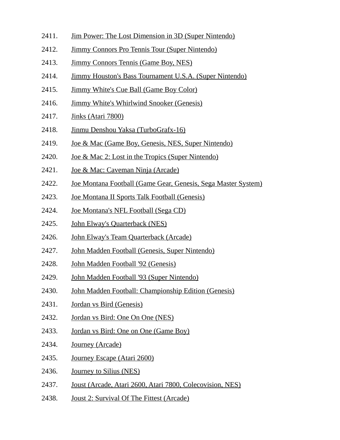- 2411. Jim Power: The Lost Dimension in 3D (Super Nintendo)
- 2412. Jimmy Connors Pro Tennis Tour (Super Nintendo)
- 2413. Jimmy Connors Tennis (Game Boy, NES)
- 2414. Jimmy Houston's Bass Tournament U.S.A. (Super Nintendo)
- 2415. Jimmy White's Cue Ball (Game Boy Color)
- 2416. Jimmy White's Whirlwind Snooker (Genesis)
- 2417. Jinks (Atari 7800)
- 2418. Jinmu Denshou Yaksa (TurboGrafx-16)
- 2419. Joe & Mac (Game Boy, Genesis, NES, Super Nintendo)
- 2420. Joe & Mac 2: Lost in the Tropics (Super Nintendo)
- 2421. Joe & Mac: Caveman Ninja (Arcade)
- 2422. Joe Montana Football (Game Gear, Genesis, Sega Master System)
- 2423. Joe Montana II Sports Talk Football (Genesis)
- 2424. Joe Montana's NFL Football (Sega CD)
- 2425. John Elway's Quarterback (NES)
- 2426. John Elway's Team Quarterback (Arcade)
- 2427. John Madden Football (Genesis, Super Nintendo)
- 2428. John Madden Football '92 (Genesis)
- 2429. John Madden Football '93 (Super Nintendo)
- 2430. John Madden Football: Championship Edition (Genesis)
- 2431. Jordan vs Bird (Genesis)
- 2432. Jordan vs Bird: One On One (NES)
- 2433. Jordan vs Bird: One on One (Game Boy)
- 2434. Journey (Arcade)
- 2435. Journey Escape (Atari 2600)
- 2436. Journey to Silius (NES)
- 2437. Joust (Arcade, Atari 2600, Atari 7800, Colecovision, NES)
- 2438. Joust 2: Survival Of The Fittest (Arcade)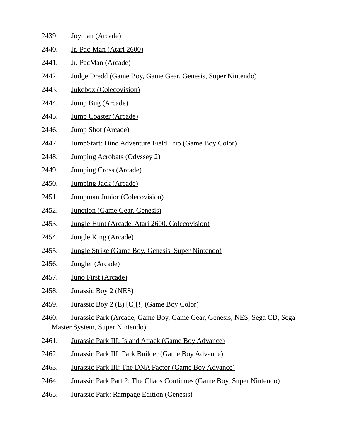| 2439. | Joyman (Arcade)                                                         |
|-------|-------------------------------------------------------------------------|
| 2440. | Jr. Pac-Man (Atari 2600)                                                |
| 2441. | Jr. PacMan (Arcade)                                                     |
| 2442. | Judge Dredd (Game Boy, Game Gear, Genesis, Super Nintendo)              |
| 2443. | Jukebox (Colecovision)                                                  |
| 2444. | Jump Bug (Arcade)                                                       |
| 2445. | <b>Jump Coaster (Arcade)</b>                                            |
| 2446. | Jump Shot (Arcade)                                                      |
| 2447. | <b>JumpStart: Dino Adventure Field Trip (Game Boy Color)</b>            |
| 2448. | <b>Jumping Acrobats (Odyssey 2)</b>                                     |
| 2449. | <b>Jumping Cross (Arcade)</b>                                           |
| 2450. | <b>Jumping Jack (Arcade)</b>                                            |
| 2451. | <b>Jumpman Junior (Colecovision)</b>                                    |
| 2452. | <b>Junction (Game Gear, Genesis)</b>                                    |
| 2453. | Jungle Hunt (Arcade, Atari 2600, Colecovision)                          |
| 2454. | <b>Jungle King (Arcade)</b>                                             |
| 2455. | <b>Jungle Strike (Game Boy, Genesis, Super Nintendo)</b>                |
| 2456. | Jungler (Arcade)                                                        |
| 2457. | Juno First (Arcade)                                                     |
| 2458. | Jurassic Boy 2 (NES)                                                    |
| 2459. | Jurassic Boy 2 (E) [C][!] (Game Boy Color)                              |
| 2460. | Jurassic Park (Arcade, Game Boy, Game Gear, Genesis, NES, Sega CD, Sega |
|       | <b>Master System, Super Nintendo)</b>                                   |
| 2461. | <b>Jurassic Park III: Island Attack (Game Boy Advance)</b>              |
| 2462. | <b>Jurassic Park III: Park Builder (Game Boy Advance)</b>               |
| 2463. | <b>Jurassic Park III: The DNA Factor (Game Boy Advance)</b>             |
| 2464. | Jurassic Park Part 2: The Chaos Continues (Game Boy, Super Nintendo)    |

2465. Jurassic Park: Rampage Edition (Genesis)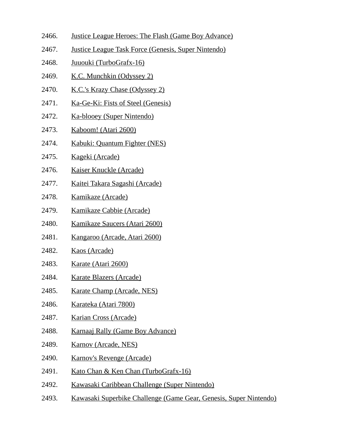- 2466. Justice League Heroes: The Flash (Game Boy Advance)
- 2467. Justice League Task Force (Genesis, Super Nintendo)
- 2468. Juuouki (TurboGrafx-16)
- 2469. K.C. Munchkin (Odyssey 2)
- 2470. K.C.'s Krazy Chase (Odyssey 2)
- 2471. Ka-Ge-Ki: Fists of Steel (Genesis)
- 2472. Ka-blooey (Super Nintendo)
- 2473. Kaboom! (Atari 2600)
- 2474. Kabuki: Quantum Fighter (NES)
- 2475. Kageki (Arcade)
- 2476. Kaiser Knuckle (Arcade)
- 2477. Kaitei Takara Sagashi (Arcade)
- 2478. Kamikaze (Arcade)
- 2479. Kamikaze Cabbie (Arcade)
- 2480. Kamikaze Saucers (Atari 2600)
- 2481. Kangaroo (Arcade, Atari 2600)
- 2482. Kaos (Arcade)
- 2483. Karate (Atari 2600)
- 2484. Karate Blazers (Arcade)
- 2485. Karate Champ (Arcade, NES)
- 2486. Karateka (Atari 7800)
- 2487. Karian Cross (Arcade)
- 2488. Karnaaj Rally (Game Boy Advance)
- 2489. Karnov (Arcade, NES)
- 2490. Karnov's Revenge (Arcade)
- 2491. Kato Chan & Ken Chan (TurboGrafx-16)
- 2492. Kawasaki Caribbean Challenge (Super Nintendo)
- 2493. Kawasaki Superbike Challenge (Game Gear, Genesis, Super Nintendo)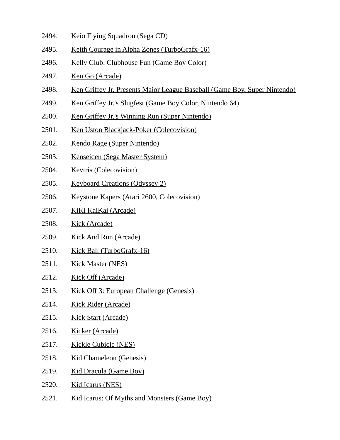- 2494. Keio Flying Squadron (Sega CD)
- 2495. Keith Courage in Alpha Zones (TurboGrafx-16)
- 2496. Kelly Club: Clubhouse Fun (Game Boy Color)
- 2497. Ken Go (Arcade)
- 2498. Ken Griffey Jr. Presents Major League Baseball (Game Boy, Super Nintendo)
- 2499. Ken Griffey Jr.'s Slugfest (Game Boy Color, Nintendo 64)
- 2500. Ken Griffey Jr.'s Winning Run (Super Nintendo)
- 2501. Ken Uston Blackjack-Poker (Colecovision)
- 2502. Kendo Rage (Super Nintendo)
- 2503. Kenseiden (Sega Master System)
- 2504. Kevtris (Colecovision)
- 2505. Keyboard Creations (Odyssey 2)
- 2506. Keystone Kapers (Atari 2600, Colecovision)
- 2507. KiKi KaiKai (Arcade)
- 2508. Kick (Arcade)
- 2509. Kick And Run (Arcade)
- 2510. Kick Ball (TurboGrafx-16)
- 2511. Kick Master (NES)
- 2512. Kick Off (Arcade)
- 2513. Kick Off 3: European Challenge (Genesis)
- 2514. Kick Rider (Arcade)
- 2515. Kick Start (Arcade)
- 2516. Kicker (Arcade)
- 2517. Kickle Cubicle (NES)
- 2518. Kid Chameleon (Genesis)
- 2519. Kid Dracula (Game Boy)
- 2520. Kid Icarus (NES)
- 2521. Kid Icarus: Of Myths and Monsters (Game Boy)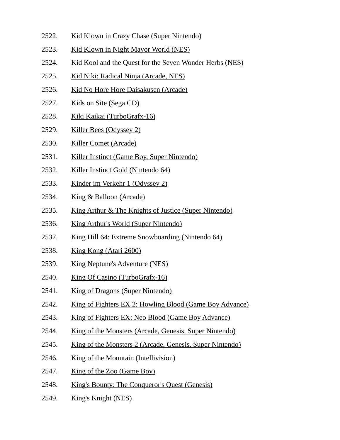- 2522. Kid Klown in Crazy Chase (Super Nintendo)
- 2523. Kid Klown in Night Mayor World (NES)
- 2524. Kid Kool and the Quest for the Seven Wonder Herbs (NES)
- 2525. Kid Niki: Radical Ninja (Arcade, NES)
- 2526. Kid No Hore Hore Daisakusen (Arcade)
- 2527. Kids on Site (Sega CD)
- 2528. Kiki Kaikai (TurboGrafx-16)
- 2529. Killer Bees (Odyssey 2)
- 2530. Killer Comet (Arcade)
- 2531. Killer Instinct (Game Boy, Super Nintendo)
- 2532. Killer Instinct Gold (Nintendo 64)
- 2533. Kinder im Verkehr 1 (Odyssey 2)
- 2534. King & Balloon (Arcade)
- 2535. King Arthur & The Knights of Justice (Super Nintendo)
- 2536. King Arthur's World (Super Nintendo)
- 2537. King Hill 64: Extreme Snowboarding (Nintendo 64)
- 2538. King Kong (Atari 2600)
- 2539. King Neptune's Adventure (NES)
- 2540. King Of Casino (TurboGrafx-16)
- 2541. King of Dragons (Super Nintendo)
- 2542. King of Fighters EX 2: Howling Blood (Game Boy Advance)
- 2543. King of Fighters EX: Neo Blood (Game Boy Advance)
- 2544. King of the Monsters (Arcade, Genesis, Super Nintendo)
- 2545. King of the Monsters 2 (Arcade, Genesis, Super Nintendo)
- 2546. King of the Mountain (Intellivision)
- 2547. King of the Zoo (Game Boy)
- 2548. King's Bounty: The Conqueror's Quest (Genesis)
- 2549. King's Knight (NES)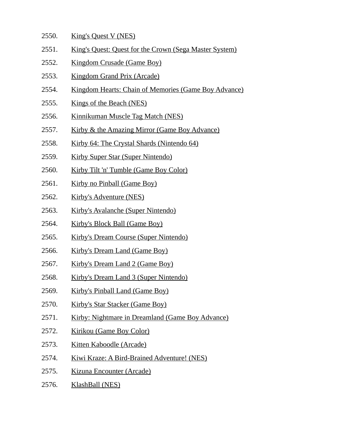- 2550. King's Quest V (NES)
- 2551. King's Quest: Quest for the Crown (Sega Master System)
- 2552. Kingdom Crusade (Game Boy)
- 2553. Kingdom Grand Prix (Arcade)
- 2554. Kingdom Hearts: Chain of Memories (Game Boy Advance)
- 2555. Kings of the Beach (NES)
- 2556. Kinnikuman Muscle Tag Match (NES)
- 2557. Kirby & the Amazing Mirror (Game Boy Advance)
- 2558. Kirby 64: The Crystal Shards (Nintendo 64)
- 2559. Kirby Super Star (Super Nintendo)
- 2560. Kirby Tilt 'n' Tumble (Game Boy Color)
- 2561. Kirby no Pinball (Game Boy)
- 2562. Kirby's Adventure (NES)
- 2563. Kirby's Avalanche (Super Nintendo)
- 2564. Kirby's Block Ball (Game Boy)
- 2565. Kirby's Dream Course (Super Nintendo)
- 2566. Kirby's Dream Land (Game Boy)
- 2567. Kirby's Dream Land 2 (Game Boy)
- 2568. Kirby's Dream Land 3 (Super Nintendo)
- 2569. Kirby's Pinball Land (Game Boy)
- 2570. Kirby's Star Stacker (Game Boy)
- 2571. Kirby: Nightmare in Dreamland (Game Boy Advance)
- 2572. Kirikou (Game Boy Color)
- 2573. Kitten Kaboodle (Arcade)
- 2574. Kiwi Kraze: A Bird-Brained Adventure! (NES)
- 2575. Kizuna Encounter (Arcade)
- 2576. KlashBall (NES)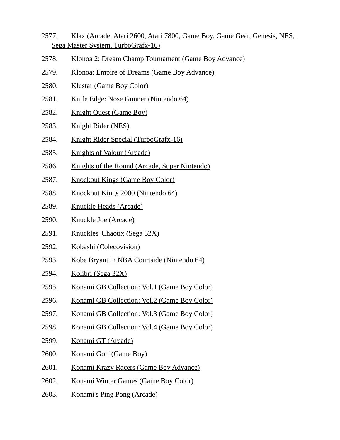- 2577. Klax (Arcade, Atari 2600, Atari 7800, Game Boy, Game Gear, Genesis, NES, Sega Master System, TurboGrafx-16)
- 2578. Klonoa 2: Dream Champ Tournament (Game Boy Advance)
- 2579. Klonoa: Empire of Dreams (Game Boy Advance)
- 2580. Klustar (Game Boy Color)
- 2581. Knife Edge: Nose Gunner (Nintendo 64)
- 2582. Knight Quest (Game Boy)
- 2583. Knight Rider (NES)
- 2584. Knight Rider Special (TurboGrafx-16)
- 2585. Knights of Valour (Arcade)
- 2586. Knights of the Round (Arcade, Super Nintendo)
- 2587. Knockout Kings (Game Boy Color)
- 2588. Knockout Kings 2000 (Nintendo 64)
- 2589. Knuckle Heads (Arcade)
- 2590. Knuckle Joe (Arcade)
- 2591. Knuckles' Chaotix (Sega 32X)
- 2592. Kobashi (Colecovision)
- 2593. Kobe Bryant in NBA Courtside (Nintendo 64)
- 2594. Kolibri (Sega 32X)
- 2595. Konami GB Collection: Vol.1 (Game Boy Color)
- 2596. Konami GB Collection: Vol.2 (Game Boy Color)
- 2597. Konami GB Collection: Vol.3 (Game Boy Color)
- 2598. Konami GB Collection: Vol.4 (Game Boy Color)
- 2599. Konami GT (Arcade)
- 2600. Konami Golf (Game Boy)
- 2601. Konami Krazy Racers (Game Boy Advance)
- 2602. Konami Winter Games (Game Boy Color)
- 2603. Konami's Ping Pong (Arcade)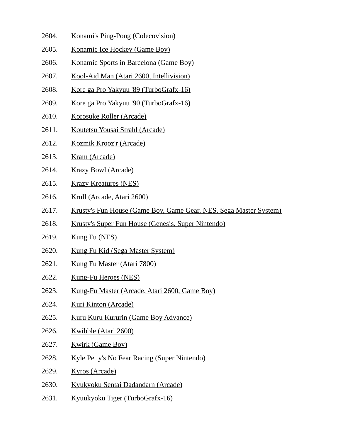- 2604. Konami's Ping-Pong (Colecovision)
- 2605. Konamic Ice Hockey (Game Boy)
- 2606. Konamic Sports in Barcelona (Game Boy)
- 2607. Kool-Aid Man (Atari 2600, Intellivision)
- 2608. Kore ga Pro Yakyuu '89 (TurboGrafx-16)
- 2609. Kore ga Pro Yakyuu '90 (TurboGrafx-16)
- 2610. Korosuke Roller (Arcade)
- 2611. Koutetsu Yousai Strahl (Arcade)
- 2612. Kozmik Krooz'r (Arcade)
- 2613. Kram (Arcade)
- 2614. Krazy Bowl (Arcade)
- 2615. Krazy Kreatures (NES)
- 2616. Krull (Arcade, Atari 2600)
- 2617. Krusty's Fun House (Game Boy, Game Gear, NES, Sega Master System)
- 2618. Krusty's Super Fun House (Genesis, Super Nintendo)
- 2619. Kung Fu (NES)
- 2620. Kung Fu Kid (Sega Master System)
- 2621. Kung Fu Master (Atari 7800)
- 2622. Kung-Fu Heroes (NES)
- 2623. Kung-Fu Master (Arcade, Atari 2600, Game Boy)
- 2624. Kuri Kinton (Arcade)
- 2625. Kuru Kuru Kururin (Game Boy Advance)
- 2626. Kwibble (Atari 2600)
- 2627. Kwirk (Game Boy)
- 2628. Kyle Petty's No Fear Racing (Super Nintendo)
- 2629. Kyros (Arcade)
- 2630. Kyukyoku Sentai Dadandarn (Arcade)
- 2631. Kyuukyoku Tiger (TurboGrafx-16)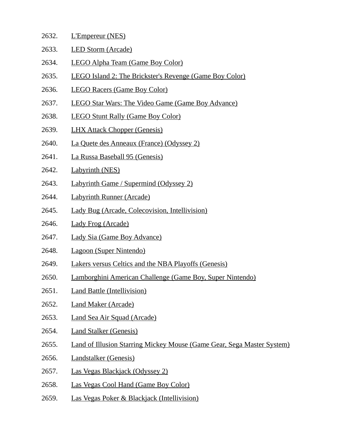- 2632. L'Empereur (NES)
- 2633. LED Storm (Arcade)
- 2634. LEGO Alpha Team (Game Boy Color)
- 2635. LEGO Island 2: The Brickster's Revenge (Game Boy Color)
- 2636. LEGO Racers (Game Boy Color)
- 2637. LEGO Star Wars: The Video Game (Game Boy Advance)
- 2638. LEGO Stunt Rally (Game Boy Color)
- 2639. LHX Attack Chopper (Genesis)
- 2640. La Quete des Anneaux (France) (Odyssey 2)
- 2641. La Russa Baseball 95 (Genesis)
- 2642. Labyrinth (NES)
- 2643. Labyrinth Game / Supermind (Odyssey 2)
- 2644. Labyrinth Runner (Arcade)
- 2645. Lady Bug (Arcade, Colecovision, Intellivision)
- 2646. Lady Frog (Arcade)
- 2647. Lady Sia (Game Boy Advance)
- 2648. Lagoon (Super Nintendo)
- 2649. Lakers versus Celtics and the NBA Playoffs (Genesis)
- 2650. Lamborghini American Challenge (Game Boy, Super Nintendo)
- 2651. Land Battle (Intellivision)
- 2652. Land Maker (Arcade)
- 2653. Land Sea Air Squad (Arcade)
- 2654. Land Stalker (Genesis)
- 2655. Land of Illusion Starring Mickey Mouse (Game Gear, Sega Master System)
- 2656. Landstalker (Genesis)
- 2657. Las Vegas Blackjack (Odyssey 2)
- 2658. Las Vegas Cool Hand (Game Boy Color)
- 2659. Las Vegas Poker & Blackjack (Intellivision)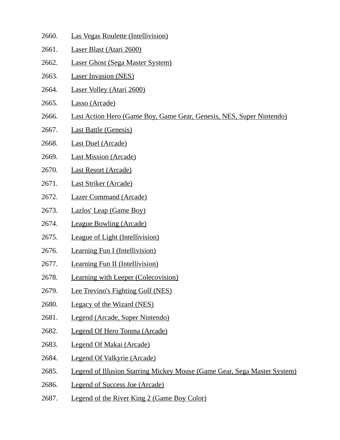- 2660. Las Vegas Roulette (Intellivision)
- 2661. Laser Blast (Atari 2600)
- 2662. Laser Ghost (Sega Master System)
- 2663. Laser Invasion (NES)
- 2664. Laser Volley (Atari 2600)
- 2665. Lasso (Arcade)
- 2666. Last Action Hero (Game Boy, Game Gear, Genesis, NES, Super Nintendo)
- 2667. Last Battle (Genesis)
- 2668. Last Duel (Arcade)
- 2669. Last Mission (Arcade)
- 2670. Last Resort (Arcade)
- 2671. Last Striker (Arcade)
- 2672. Lazer Command (Arcade)
- 2673. Lazlos' Leap (Game Boy)
- 2674. League Bowling (Arcade)
- 2675. League of Light (Intellivision)
- 2676. Learning Fun I (Intellivision)
- 2677. Learning Fun II (Intellivision)
- 2678. Learning with Leeper (Colecovision)
- 2679. Lee Trevino's Fighting Golf (NES)
- 2680. Legacy of the Wizard (NES)
- 2681. Legend (Arcade, Super Nintendo)
- 2682. Legend Of Hero Tonma (Arcade)
- 2683. Legend Of Makai (Arcade)
- 2684. Legend Of Valkyrie (Arcade)
- 2685. Legend of Illusion Starring Mickey Mouse (Game Gear, Sega Master System)
- 2686. Legend of Success Joe (Arcade)
- 2687. Legend of the River King 2 (Game Boy Color)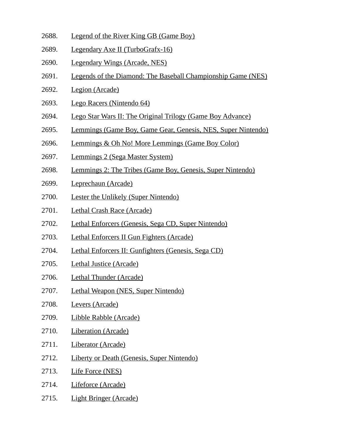- 2688. Legend of the River King GB (Game Boy)
- 2689. Legendary Axe II (TurboGrafx-16)
- 2690. Legendary Wings (Arcade, NES)
- 2691. Legends of the Diamond: The Baseball Championship Game (NES)
- 2692. Legion (Arcade)
- 2693. Lego Racers (Nintendo 64)
- 2694. Lego Star Wars II: The Original Trilogy (Game Boy Advance)
- 2695. Lemmings (Game Boy, Game Gear, Genesis, NES, Super Nintendo)
- 2696. Lemmings & Oh No! More Lemmings (Game Boy Color)
- 2697. Lemmings 2 (Sega Master System)
- 2698. Lemmings 2: The Tribes (Game Boy, Genesis, Super Nintendo)
- 2699. Leprechaun (Arcade)
- 2700. Lester the Unlikely (Super Nintendo)
- 2701. Lethal Crash Race (Arcade)
- 2702. Lethal Enforcers (Genesis, Sega CD, Super Nintendo)
- 2703. Lethal Enforcers II Gun Fighters (Arcade)
- 2704. Lethal Enforcers II: Gunfighters (Genesis, Sega CD)
- 2705. Lethal Justice (Arcade)
- 2706. Lethal Thunder (Arcade)
- 2707. Lethal Weapon (NES, Super Nintendo)
- 2708. Levers (Arcade)
- 2709. Libble Rabble (Arcade)
- 2710. Liberation (Arcade)
- 2711. Liberator (Arcade)
- 2712. Liberty or Death (Genesis, Super Nintendo)
- 2713. Life Force (NES)
- 2714. Lifeforce (Arcade)
- 2715. Light Bringer (Arcade)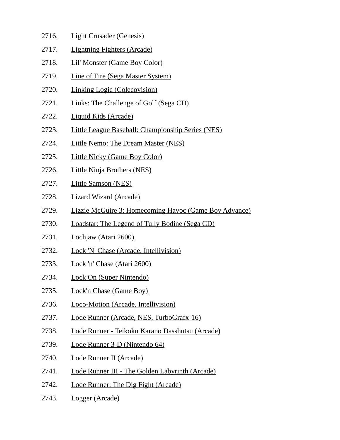- 2716. Light Crusader (Genesis)
- 2717. Lightning Fighters (Arcade)
- 2718. Lil' Monster (Game Boy Color)
- 2719. Line of Fire (Sega Master System)
- 2720. Linking Logic (Colecovision)
- 2721. Links: The Challenge of Golf (Sega CD)
- 2722. Liquid Kids (Arcade)
- 2723. Little League Baseball: Championship Series (NES)
- 2724. Little Nemo: The Dream Master (NES)
- 2725. Little Nicky (Game Boy Color)
- 2726. Little Ninja Brothers (NES)
- 2727. Little Samson (NES)
- 2728. Lizard Wizard (Arcade)
- 2729. Lizzie McGuire 3: Homecoming Havoc (Game Boy Advance)
- 2730. Loadstar: The Legend of Tully Bodine (Sega CD)
- 2731. Lochjaw (Atari 2600)
- 2732. Lock 'N' Chase (Arcade, Intellivision)
- 2733. Lock 'n' Chase (Atari 2600)
- 2734. Lock On (Super Nintendo)
- 2735. Lock'n Chase (Game Boy)
- 2736. Loco-Motion (Arcade, Intellivision)
- 2737. Lode Runner (Arcade, NES, TurboGrafx-16)
- 2738. Lode Runner Teikoku Karano Dasshutsu (Arcade)
- 2739. Lode Runner 3-D (Nintendo 64)
- 2740. Lode Runner II (Arcade)
- 2741. Lode Runner III The Golden Labyrinth (Arcade)
- 2742. Lode Runner: The Dig Fight (Arcade)
- 2743. Logger (Arcade)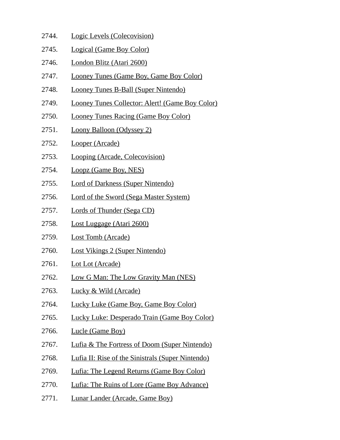- 2744. Logic Levels (Colecovision)
- 2745. Logical (Game Boy Color)
- 2746. London Blitz (Atari 2600)
- 2747. Looney Tunes (Game Boy, Game Boy Color)
- 2748. Looney Tunes B-Ball (Super Nintendo)
- 2749. Looney Tunes Collector: Alert! (Game Boy Color)
- 2750. Looney Tunes Racing (Game Boy Color)
- 2751. Loony Balloon (Odyssey 2)
- 2752. Looper (Arcade)
- 2753. Looping (Arcade, Colecovision)
- 2754. Loopz (Game Boy, NES)
- 2755. Lord of Darkness (Super Nintendo)
- 2756. Lord of the Sword (Sega Master System)
- 2757. Lords of Thunder (Sega CD)
- 2758. Lost Luggage (Atari 2600)
- 2759. Lost Tomb (Arcade)
- 2760. Lost Vikings 2 (Super Nintendo)
- 2761. Lot Lot (Arcade)
- 2762. Low G Man: The Low Gravity Man (NES)
- 2763. Lucky & Wild (Arcade)
- 2764. Lucky Luke (Game Boy, Game Boy Color)
- 2765. Lucky Luke: Desperado Train (Game Boy Color)
- 2766. Lucle (Game Boy)
- 2767. Lufia & The Fortress of Doom (Super Nintendo)
- 2768. Lufia II: Rise of the Sinistrals (Super Nintendo)
- 2769. Lufia: The Legend Returns (Game Boy Color)
- 2770. Lufia: The Ruins of Lore (Game Boy Advance)
- 2771. Lunar Lander (Arcade, Game Boy)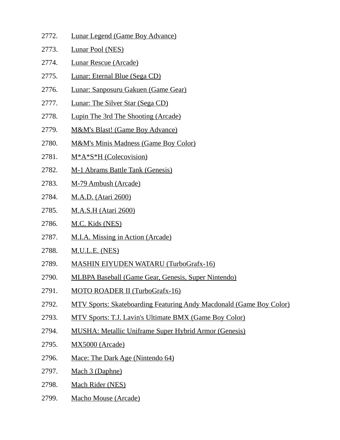- 2772. Lunar Legend (Game Boy Advance)
- 2773. Lunar Pool (NES)
- 2774. Lunar Rescue (Arcade)
- 2775. Lunar: Eternal Blue (Sega CD)
- 2776. Lunar: Sanposuru Gakuen (Game Gear)
- 2777. Lunar: The Silver Star (Sega CD)
- 2778. Lupin The 3rd The Shooting (Arcade)
- 2779. M&M's Blast! (Game Boy Advance)
- 2780. M&M's Minis Madness (Game Boy Color)
- 2781. M\*A\*S\*H (Colecovision)
- 2782. M-1 Abrams Battle Tank (Genesis)
- 2783. M-79 Ambush (Arcade)
- 2784. M.A.D. (Atari 2600)
- 2785. M.A.S.H (Atari 2600)
- 2786. M.C. Kids (NES)
- 2787. M.I.A. Missing in Action (Arcade)
- 2788. M.U.L.E. (NES)
- 2789. MASHIN EIYUDEN WATARU (TurboGrafx-16)
- 2790. MLBPA Baseball (Game Gear, Genesis, Super Nintendo)
- 2791. MOTO ROADER II (TurboGrafx-16)
- 2792. MTV Sports: Skateboarding Featuring Andy Macdonald (Game Boy Color)
- 2793. MTV Sports: T.J. Lavin's Ultimate BMX (Game Boy Color)
- 2794. MUSHA: Metallic Uniframe Super Hybrid Armor (Genesis)
- 2795. MX5000 (Arcade)
- 2796. Mace: The Dark Age (Nintendo 64)
- 2797. Mach 3 (Daphne)
- 2798. Mach Rider (NES)
- 2799. Macho Mouse (Arcade)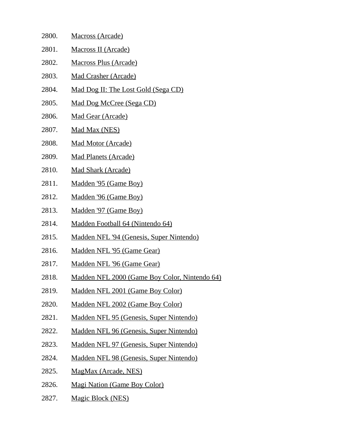| 2800. | <b>Macross (Arcade)</b>                       |
|-------|-----------------------------------------------|
| 2801. | Macross II (Arcade)                           |
| 2802. | <b>Macross Plus (Arcade)</b>                  |
| 2803. | <b>Mad Crasher (Arcade)</b>                   |
| 2804. | <u>Mad Dog II: The Lost Gold (Sega CD)</u>    |
| 2805. | Mad Dog McCree (Sega CD)                      |
| 2806. | <b>Mad Gear (Arcade)</b>                      |
| 2807. | Mad Max (NES)                                 |
| 2808. | <b>Mad Motor (Arcade)</b>                     |
| 2809. | <b>Mad Planets (Arcade)</b>                   |
| 2810. | <b>Mad Shark (Arcade)</b>                     |
| 2811. | Madden '95 (Game Boy)                         |
| 2812. | Madden '96 (Game Boy)                         |
| 2813. | Madden '97 (Game Boy)                         |
| 2814. | Madden Football 64 (Nintendo 64)              |
| 2815. | Madden NFL '94 (Genesis, Super Nintendo)      |
| 2816. | Madden NFL '95 (Game Gear)                    |
| 2817. | Madden NFL '96 (Game Gear)                    |
| 2818. | Madden NFL 2000 (Game Boy Color, Nintendo 64) |
| 2819. | Madden NFL 2001 (Game Boy Color)              |
| 2820. | Madden NFL 2002 (Game Boy Color)              |
| 2821. | Madden NFL 95 (Genesis, Super Nintendo)       |
| 2822. | Madden NFL 96 (Genesis, Super Nintendo)       |
| 2823. | Madden NFL 97 (Genesis, Super Nintendo)       |
| 2824. | Madden NFL 98 (Genesis, Super Nintendo)       |
| 2825. | MagMax (Arcade, NES)                          |
| 2826. | <b>Magi Nation (Game Boy Color)</b>           |

2827. Magic Block (NES)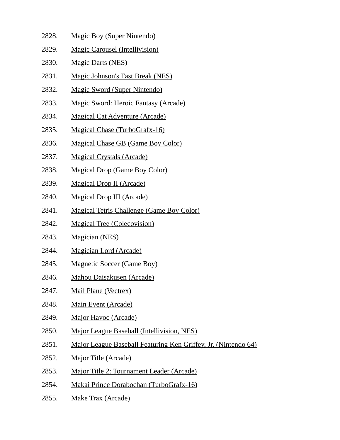- 2828. Magic Boy (Super Nintendo)
- 2829. Magic Carousel (Intellivision)
- 2830. Magic Darts (NES)
- 2831. Magic Johnson's Fast Break (NES)
- 2832. Magic Sword (Super Nintendo)
- 2833. Magic Sword: Heroic Fantasy (Arcade)
- 2834. Magical Cat Adventure (Arcade)
- 2835. Magical Chase (TurboGrafx-16)
- 2836. Magical Chase GB (Game Boy Color)
- 2837. Magical Crystals (Arcade)
- 2838. Magical Drop (Game Boy Color)
- 2839. Magical Drop II (Arcade)
- 2840. Magical Drop III (Arcade)
- 2841. Magical Tetris Challenge (Game Boy Color)
- 2842. Magical Tree (Colecovision)
- 2843. Magician (NES)
- 2844. Magician Lord (Arcade)
- 2845. Magnetic Soccer (Game Boy)
- 2846. Mahou Daisakusen (Arcade)
- 2847. Mail Plane (Vectrex)
- 2848. Main Event (Arcade)
- 2849. Major Havoc (Arcade)
- 2850. Major League Baseball (Intellivision, NES)
- 2851. Major League Baseball Featuring Ken Griffey, Jr. (Nintendo 64)
- 2852. Major Title (Arcade)
- 2853. Major Title 2: Tournament Leader (Arcade)
- 2854. Makai Prince Dorabochan (TurboGrafx-16)
- 2855. Make Trax (Arcade)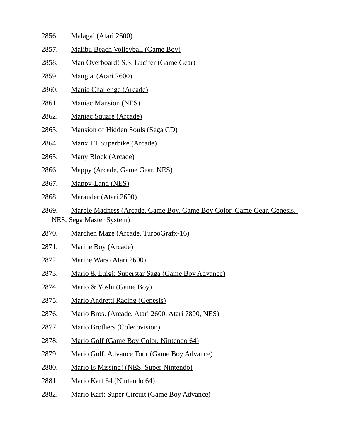- 2856. Malagai (Atari 2600)
- 2857. Malibu Beach Volleyball (Game Boy)
- 2858. Man Overboard! S.S. Lucifer (Game Gear)
- 2859. Mangia' (Atari 2600)
- 2860. Mania Challenge (Arcade)
- 2861. Maniac Mansion (NES)
- 2862. Maniac Square (Arcade)
- 2863. Mansion of Hidden Souls (Sega CD)
- 2864. Manx TT Superbike (Arcade)
- 2865. Many Block (Arcade)
- 2866. Mappy (Arcade, Game Gear, NES)
- 2867. Mappy-Land (NES)
- 2868. Marauder (Atari 2600)
- 2869. Marble Madness (Arcade, Game Boy, Game Boy Color, Game Gear, Genesis, NES, Sega Master System)
- 2870. Marchen Maze (Arcade, TurboGrafx-16)
- 2871. Marine Boy (Arcade)
- 2872. Marine Wars (Atari 2600)
- 2873. Mario & Luigi: Superstar Saga (Game Boy Advance)
- 2874. Mario & Yoshi (Game Boy)
- 2875. Mario Andretti Racing (Genesis)
- 2876. Mario Bros. (Arcade, Atari 2600, Atari 7800, NES)
- 2877. Mario Brothers (Colecovision)
- 2878. Mario Golf (Game Boy Color, Nintendo 64)
- 2879. Mario Golf: Advance Tour (Game Boy Advance)
- 2880. Mario Is Missing! (NES, Super Nintendo)
- 2881. Mario Kart 64 (Nintendo 64)
- 2882. Mario Kart: Super Circuit (Game Boy Advance)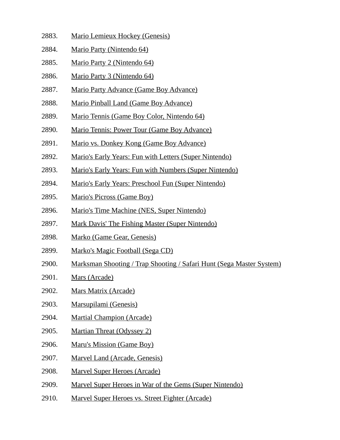- 2883. Mario Lemieux Hockey (Genesis)
- 2884. Mario Party (Nintendo 64)
- 2885. Mario Party 2 (Nintendo 64)
- 2886. Mario Party 3 (Nintendo 64)
- 2887. Mario Party Advance (Game Boy Advance)
- 2888. Mario Pinball Land (Game Boy Advance)
- 2889. Mario Tennis (Game Boy Color, Nintendo 64)
- 2890. Mario Tennis: Power Tour (Game Boy Advance)
- 2891. Mario vs. Donkey Kong (Game Boy Advance)
- 2892. Mario's Early Years: Fun with Letters (Super Nintendo)
- 2893. Mario's Early Years: Fun with Numbers (Super Nintendo)
- 2894. Mario's Early Years: Preschool Fun (Super Nintendo)
- 2895. Mario's Picross (Game Boy)
- 2896. Mario's Time Machine (NES, Super Nintendo)
- 2897. Mark Davis' The Fishing Master (Super Nintendo)
- 2898. Marko (Game Gear, Genesis)
- 2899. Marko's Magic Football (Sega CD)
- 2900. Marksman Shooting / Trap Shooting / Safari Hunt (Sega Master System)
- 2901. Mars (Arcade)
- 2902. Mars Matrix (Arcade)
- 2903. Marsupilami (Genesis)
- 2904. Martial Champion (Arcade)
- 2905. Martian Threat (Odyssey 2)
- 2906. Maru's Mission (Game Boy)
- 2907. Marvel Land (Arcade, Genesis)
- 2908. Marvel Super Heroes (Arcade)
- 2909. Marvel Super Heroes in War of the Gems (Super Nintendo)
- 2910. Marvel Super Heroes vs. Street Fighter (Arcade)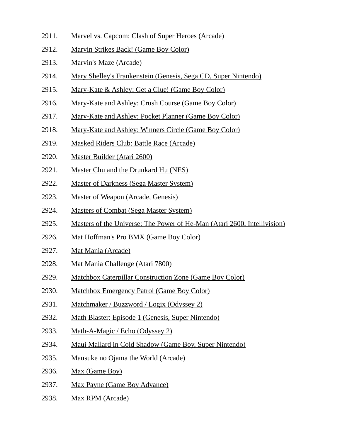- 2911. Marvel vs. Capcom: Clash of Super Heroes (Arcade)
- 2912. Marvin Strikes Back! (Game Boy Color)
- 2913. Marvin's Maze (Arcade)
- 2914. Mary Shelley's Frankenstein (Genesis, Sega CD, Super Nintendo)
- 2915. Mary-Kate & Ashley: Get a Clue! (Game Boy Color)
- 2916. Mary-Kate and Ashley: Crush Course (Game Boy Color)
- 2917. Mary-Kate and Ashley: Pocket Planner (Game Boy Color)
- 2918. Mary-Kate and Ashley: Winners Circle (Game Boy Color)
- 2919. Masked Riders Club: Battle Race (Arcade)
- 2920. Master Builder (Atari 2600)
- 2921. Master Chu and the Drunkard Hu (NES)
- 2922. Master of Darkness (Sega Master System)
- 2923. Master of Weapon (Arcade, Genesis)
- 2924. Masters of Combat (Sega Master System)
- 2925. Masters of the Universe: The Power of He-Man (Atari 2600, Intellivision)
- 2926. Mat Hoffman's Pro BMX (Game Boy Color)
- 2927. Mat Mania (Arcade)
- 2928. Mat Mania Challenge (Atari 7800)
- 2929. Matchbox Caterpillar Construction Zone (Game Boy Color)
- 2930. Matchbox Emergency Patrol (Game Boy Color)
- 2931. Matchmaker / Buzzword / Logix (Odyssey 2)
- 2932. Math Blaster: Episode 1 (Genesis, Super Nintendo)
- 2933. Math-A-Magic / Echo (Odyssey 2)
- 2934. Maui Mallard in Cold Shadow (Game Boy, Super Nintendo)
- 2935. Mausuke no Ojama the World (Arcade)
- 2936. Max (Game Boy)
- 2937. Max Payne (Game Boy Advance)
- 2938. Max RPM (Arcade)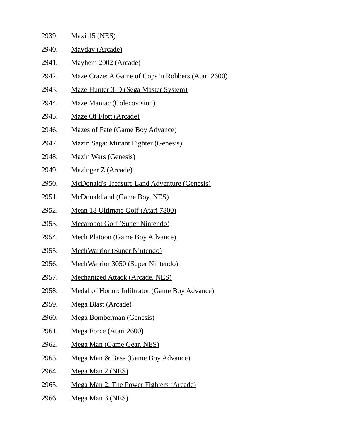| 2939. | <u> Maxi 15 (NES)</u>                                      |
|-------|------------------------------------------------------------|
| 2940. | <b>Mayday (Arcade)</b>                                     |
| 2941. | Mayhem 2002 (Arcade)                                       |
| 2942. | <u> Maze Craze: A Game of Cops 'n Robbers (Atari 2600)</u> |
| 2943. | <b>Maze Hunter 3-D (Sega Master System)</b>                |
| 2944. | <b>Maze Maniac (Colecovision)</b>                          |
| 2945. | <b>Maze Of Flott (Arcade)</b>                              |
| 2946. | <b>Mazes of Fate (Game Boy Advance)</b>                    |
| 2947. | <b>Mazin Saga: Mutant Fighter (Genesis)</b>                |
| 2948. | <b>Mazin Wars (Genesis)</b>                                |
| 2949. | Mazinger Z (Arcade)                                        |
| 2950. | <b>McDonald's Treasure Land Adventure (Genesis)</b>        |
| 2951. | <b>McDonaldland (Game Boy, NES)</b>                        |
| 2952. | <u>Mean 18 Ultimate Golf (Atari 7800)</u>                  |
| 2953. | <b>Mecarobot Golf (Super Nintendo)</b>                     |
| 2954. | <b>Mech Platoon (Game Boy Advance)</b>                     |
| 2955. | <b>MechWarrior (Super Nintendo)</b>                        |
| 2956. | <b>MechWarrior 3050 (Super Nintendo)</b>                   |
| 2957. | <b>Mechanized Attack (Arcade, NES)</b>                     |
| 2958. | <b>Medal of Honor: Infiltrator (Game Boy Advance)</b>      |
| 2959. | <b>Mega Blast (Arcade)</b>                                 |
| 2960. | <b>Mega Bomberman (Genesis)</b>                            |
| 2961. | Mega Force (Atari 2600)                                    |
| 2962. | <b>Mega Man (Game Gear, NES)</b>                           |
| 2963. | <u> Mega Man &amp; Bass (Game Boy Advance)</u>             |
| 2964. | Mega Man 2 (NES)                                           |
| 2965. | Mega Man 2: The Power Fighters (Arcade)                    |

- 
- 2966. Mega Man 3 (NES)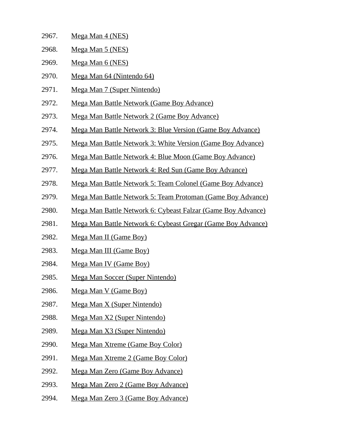| <u>_</u> __. | $\frac{1}{11}$              |
|--------------|-----------------------------|
| 2968.        | <u>Mega Man 5 (NES)</u>     |
| 2969.        | <u>Mega Man 6 (NES)</u>     |
| 2970.        | Mega Man 64 (Nintendo 64)   |
| 2971.        | Mega Man 7 (Super Nintendo) |

2967. Mega Man 4 (NES)

- 2972. Mega Man Battle Network (Game Boy Advance)
- 2973. Mega Man Battle Network 2 (Game Boy Advance)
- 2974. Mega Man Battle Network 3: Blue Version (Game Boy Advance)
- 2975. Mega Man Battle Network 3: White Version (Game Boy Advance)
- 2976. Mega Man Battle Network 4: Blue Moon (Game Boy Advance)
- 2977. Mega Man Battle Network 4: Red Sun (Game Boy Advance)
- 2978. Mega Man Battle Network 5: Team Colonel (Game Boy Advance)
- 2979. Mega Man Battle Network 5: Team Protoman (Game Boy Advance)
- 2980. Mega Man Battle Network 6: Cybeast Falzar (Game Boy Advance)
- 2981. Mega Man Battle Network 6: Cybeast Gregar (Game Boy Advance)
- 2982. Mega Man II (Game Boy)
- 2983. Mega Man III (Game Boy)
- 2984. Mega Man IV (Game Boy)
- 2985. Mega Man Soccer (Super Nintendo)
- 2986. Mega Man V (Game Boy)
- 2987. Mega Man X (Super Nintendo)
- 2988. Mega Man X2 (Super Nintendo)
- 2989. Mega Man X3 (Super Nintendo)
- 2990. Mega Man Xtreme (Game Boy Color)
- 2991. Mega Man Xtreme 2 (Game Boy Color)
- 2992. Mega Man Zero (Game Boy Advance)
- 2993. Mega Man Zero 2 (Game Boy Advance)
- 2994. Mega Man Zero 3 (Game Boy Advance)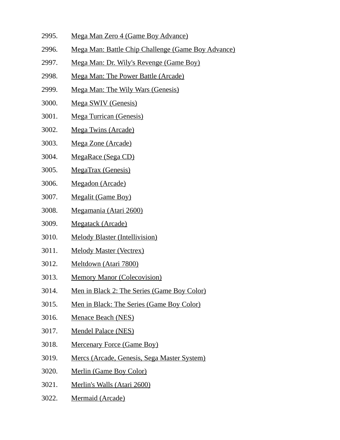- 2995. Mega Man Zero 4 (Game Boy Advance)
- 2996. Mega Man: Battle Chip Challenge (Game Boy Advance)
- 2997. Mega Man: Dr. Wily's Revenge (Game Boy)
- 2998. Mega Man: The Power Battle (Arcade)
- 2999. Mega Man: The Wily Wars (Genesis)
- 3000. Mega SWIV (Genesis)
- 3001. Mega Turrican (Genesis)
- 3002. Mega Twins (Arcade)
- 3003. Mega Zone (Arcade)
- 3004. MegaRace (Sega CD)
- 3005. MegaTrax (Genesis)
- 3006. Megadon (Arcade)
- 3007. Megalit (Game Boy)
- 3008. Megamania (Atari 2600)
- 3009. Megatack (Arcade)
- 3010. Melody Blaster (Intellivision)
- 3011. Melody Master (Vectrex)
- 3012. Meltdown (Atari 7800)
- 3013. Memory Manor (Colecovision)
- 3014. Men in Black 2: The Series (Game Boy Color)
- 3015. Men in Black: The Series (Game Boy Color)
- 3016. Menace Beach (NES)
- 3017. Mendel Palace (NES)
- 3018. Mercenary Force (Game Boy)
- 3019. Mercs (Arcade, Genesis, Sega Master System)
- 3020. Merlin (Game Boy Color)
- 3021. Merlin's Walls (Atari 2600)
- 3022. Mermaid (Arcade)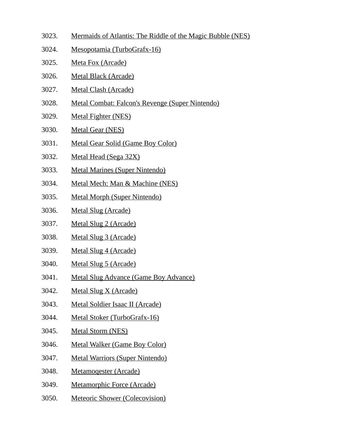- 3023. Mermaids of Atlantis: The Riddle of the Magic Bubble (NES)
- 3024. Mesopotamia (TurboGrafx-16)
- 3025. Meta Fox (Arcade)
- 3026. Metal Black (Arcade)
- 3027. Metal Clash (Arcade)
- 3028. Metal Combat: Falcon's Revenge (Super Nintendo)
- 3029. Metal Fighter (NES)
- 3030. Metal Gear (NES)
- 3031. Metal Gear Solid (Game Boy Color)
- 3032. Metal Head (Sega 32X)
- 3033. Metal Marines (Super Nintendo)
- 3034. Metal Mech: Man & Machine (NES)
- 3035. Metal Morph (Super Nintendo)
- 3036. Metal Slug (Arcade)
- 3037. Metal Slug 2 (Arcade)
- 3038. Metal Slug 3 (Arcade)
- 3039. Metal Slug 4 (Arcade)
- 3040. Metal Slug 5 (Arcade)
- 3041. Metal Slug Advance (Game Boy Advance)
- 3042. Metal Slug X (Arcade)
- 3043. Metal Soldier Isaac II (Arcade)
- 3044. Metal Stoker (TurboGrafx-16)
- 3045. Metal Storm (NES)
- 3046. Metal Walker (Game Boy Color)
- 3047. Metal Warriors (Super Nintendo)
- 3048. Metamoqester (Arcade)
- 3049. Metamorphic Force (Arcade)
- 3050. Meteoric Shower (Colecovision)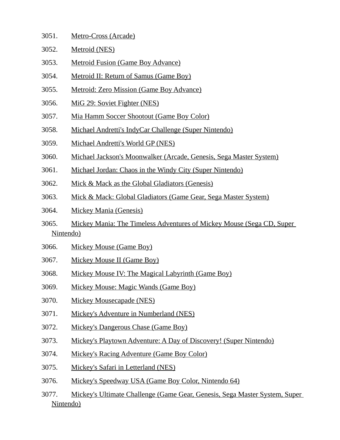| 3051. | Metro-Cross (Arcade) |  |
|-------|----------------------|--|
|       |                      |  |

- 3052. Metroid (NES)
- 3053. Metroid Fusion (Game Boy Advance)
- 3054. Metroid II: Return of Samus (Game Boy)
- 3055. Metroid: Zero Mission (Game Boy Advance)
- 3056. MiG 29: Soviet Fighter (NES)
- 3057. Mia Hamm Soccer Shootout (Game Boy Color)
- 3058. Michael Andretti's IndyCar Challenge (Super Nintendo)
- 3059. Michael Andretti's World GP (NES)
- 3060. Michael Jackson's Moonwalker (Arcade, Genesis, Sega Master System)
- 3061. Michael Jordan: Chaos in the Windy City (Super Nintendo)
- 3062. Mick & Mack as the Global Gladiators (Genesis)
- 3063. Mick & Mack: Global Gladiators (Game Gear, Sega Master System)
- 3064. Mickey Mania (Genesis)
- 3065. Mickey Mania: The Timeless Adventures of Mickey Mouse (Sega CD, Super Nintendo)
- 3066. Mickey Mouse (Game Boy)
- 3067. Mickey Mouse II (Game Boy)
- 3068. Mickey Mouse IV: The Magical Labyrinth (Game Boy)
- 3069. Mickey Mouse: Magic Wands (Game Boy)
- 3070. Mickey Mousecapade (NES)
- 3071. Mickey's Adventure in Numberland (NES)
- 3072. Mickey's Dangerous Chase (Game Boy)
- 3073. Mickey's Playtown Adventure: A Day of Discovery! (Super Nintendo)
- 3074. Mickey's Racing Adventure (Game Boy Color)
- 3075. Mickey's Safari in Letterland (NES)
- 3076. Mickey's Speedway USA (Game Boy Color, Nintendo 64)
- 3077. Mickey's Ultimate Challenge (Game Gear, Genesis, Sega Master System, Super Nintendo)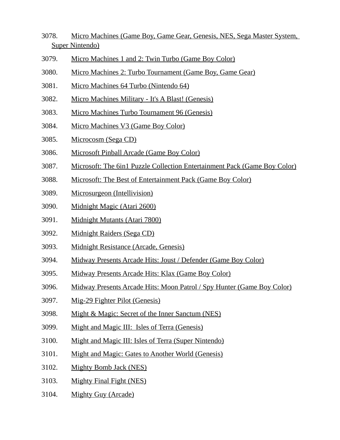- 3078. Micro Machines (Game Boy, Game Gear, Genesis, NES, Sega Master System, Super Nintendo)
- 3079. Micro Machines 1 and 2: Twin Turbo (Game Boy Color)
- 3080. Micro Machines 2: Turbo Tournament (Game Boy, Game Gear)
- 3081. Micro Machines 64 Turbo (Nintendo 64)
- 3082. Micro Machines Military It's A Blast! (Genesis)
- 3083. Micro Machines Turbo Tournament 96 (Genesis)
- 3084. Micro Machines V3 (Game Boy Color)
- 3085. Microcosm (Sega CD)
- 3086. Microsoft Pinball Arcade (Game Boy Color)
- 3087. Microsoft: The 6in1 Puzzle Collection Entertainment Pack (Game Boy Color)
- 3088. Microsoft: The Best of Entertainment Pack (Game Boy Color)
- 3089. Microsurgeon (Intellivision)
- 3090. Midnight Magic (Atari 2600)
- 3091. Midnight Mutants (Atari 7800)
- 3092. Midnight Raiders (Sega CD)
- 3093. Midnight Resistance (Arcade, Genesis)
- 3094. Midway Presents Arcade Hits: Joust / Defender (Game Boy Color)
- 3095. Midway Presents Arcade Hits: Klax (Game Boy Color)
- 3096. Midway Presents Arcade Hits: Moon Patrol / Spy Hunter (Game Boy Color)
- 3097. Mig-29 Fighter Pilot (Genesis)
- 3098. Might & Magic: Secret of the Inner Sanctum (NES)
- 3099. Might and Magic III: Isles of Terra (Genesis)
- 3100. Might and Magic III: Isles of Terra (Super Nintendo)
- 3101. Might and Magic: Gates to Another World (Genesis)
- 3102. Mighty Bomb Jack (NES)
- 3103. Mighty Final Fight (NES)
- 3104. Mighty Guy (Arcade)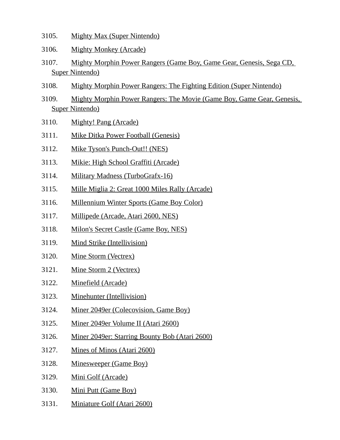- 3105. Mighty Max (Super Nintendo)
- 3106. Mighty Monkey (Arcade)
- 3107. Mighty Morphin Power Rangers (Game Boy, Game Gear, Genesis, Sega CD, Super Nintendo)
- 3108. Mighty Morphin Power Rangers: The Fighting Edition (Super Nintendo)
- 3109. Mighty Morphin Power Rangers: The Movie (Game Boy, Game Gear, Genesis, Super Nintendo)
- 3110. Mighty! Pang (Arcade)
- 3111. Mike Ditka Power Football (Genesis)
- 3112. Mike Tyson's Punch-Out!! (NES)
- 3113. Mikie: High School Graffiti (Arcade)
- 3114. Military Madness (TurboGrafx-16)
- 3115. Mille Miglia 2: Great 1000 Miles Rally (Arcade)
- 3116. Millennium Winter Sports (Game Boy Color)
- 3117. Millipede (Arcade, Atari 2600, NES)
- 3118. Milon's Secret Castle (Game Boy, NES)
- 3119. Mind Strike (Intellivision)
- 3120. Mine Storm (Vectrex)
- 3121. Mine Storm 2 (Vectrex)
- 3122. Minefield (Arcade)
- 3123. Minehunter (Intellivision)
- 3124. Miner 2049er (Colecovision, Game Boy)
- 3125. Miner 2049er Volume II (Atari 2600)
- 3126. Miner 2049er: Starring Bounty Bob (Atari 2600)
- 3127. Mines of Minos (Atari 2600)
- 3128. Minesweeper (Game Boy)
- 3129. Mini Golf (Arcade)
- 3130. Mini Putt (Game Boy)
- 3131. Miniature Golf (Atari 2600)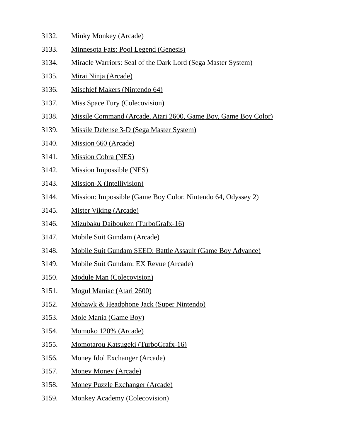- 3132. Minky Monkey (Arcade)
- 3133. Minnesota Fats: Pool Legend (Genesis)
- 3134. Miracle Warriors: Seal of the Dark Lord (Sega Master System)
- 3135. Mirai Ninja (Arcade)
- 3136. Mischief Makers (Nintendo 64)
- 3137. Miss Space Fury (Colecovision)
- 3138. Missile Command (Arcade, Atari 2600, Game Boy, Game Boy Color)
- 3139. Missile Defense 3-D (Sega Master System)
- 3140. Mission 660 (Arcade)
- 3141. Mission Cobra (NES)
- 3142. Mission Impossible (NES)
- 3143. Mission-X (Intellivision)
- 3144. Mission: Impossible (Game Boy Color, Nintendo 64, Odyssey 2)
- 3145. Mister Viking (Arcade)
- 3146. Mizubaku Daibouken (TurboGrafx-16)
- 3147. Mobile Suit Gundam (Arcade)
- 3148. Mobile Suit Gundam SEED: Battle Assault (Game Boy Advance)
- 3149. Mobile Suit Gundam: EX Revue (Arcade)
- 3150. Module Man (Colecovision)
- 3151. Mogul Maniac (Atari 2600)
- 3152. Mohawk & Headphone Jack (Super Nintendo)
- 3153. Mole Mania (Game Boy)
- 3154. Momoko 120% (Arcade)
- 3155. Momotarou Katsugeki (TurboGrafx-16)
- 3156. Money Idol Exchanger (Arcade)
- 3157. Money Money (Arcade)
- 3158. Money Puzzle Exchanger (Arcade)
- 3159. Monkey Academy (Colecovision)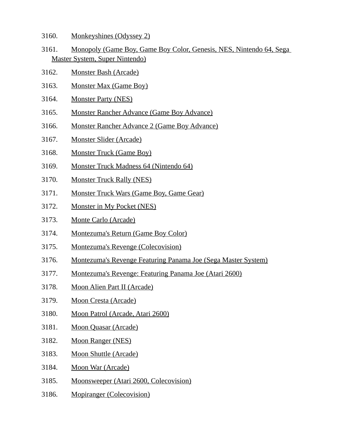- 3160. Monkeyshines (Odyssey 2)
- 3161. Monopoly (Game Boy, Game Boy Color, Genesis, NES, Nintendo 64, Sega Master System, Super Nintendo)
- 3162. Monster Bash (Arcade)
- 3163. Monster Max (Game Boy)
- 3164. Monster Party (NES)
- 3165. Monster Rancher Advance (Game Boy Advance)
- 3166. Monster Rancher Advance 2 (Game Boy Advance)
- 3167. Monster Slider (Arcade)
- 3168. Monster Truck (Game Boy)
- 3169. Monster Truck Madness 64 (Nintendo 64)
- 3170. Monster Truck Rally (NES)
- 3171. Monster Truck Wars (Game Boy, Game Gear)
- 3172. Monster in My Pocket (NES)
- 3173. Monte Carlo (Arcade)
- 3174. Montezuma's Return (Game Boy Color)
- 3175. Montezuma's Revenge (Colecovision)
- 3176. Montezuma's Revenge Featuring Panama Joe (Sega Master System)
- 3177. Montezuma's Revenge: Featuring Panama Joe (Atari 2600)
- 3178. Moon Alien Part II (Arcade)
- 3179. Moon Cresta (Arcade)
- 3180. Moon Patrol (Arcade, Atari 2600)
- 3181. Moon Quasar (Arcade)
- 3182. Moon Ranger (NES)
- 3183. Moon Shuttle (Arcade)
- 3184. Moon War (Arcade)
- 3185. Moonsweeper (Atari 2600, Colecovision)
- 3186. Mopiranger (Colecovision)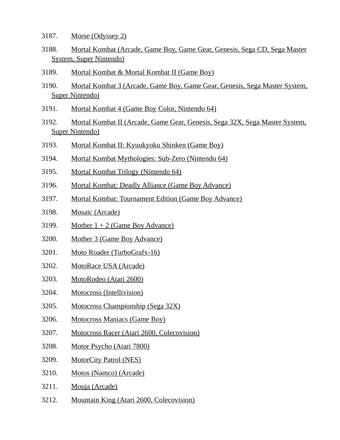- 3187. Morse (Odyssey 2)
- 3188. Mortal Kombat (Arcade, Game Boy, Game Gear, Genesis, Sega CD, Sega Master System, Super Nintendo)
- 3189. Mortal Kombat & Mortal Kombat II (Game Boy)
- 3190. Mortal Kombat 3 (Arcade, Game Boy, Game Gear, Genesis, Sega Master System, Super Nintendo)
- 3191. Mortal Kombat 4 (Game Boy Color, Nintendo 64)
- 3192. Mortal Kombat II (Arcade, Game Gear, Genesis, Sega 32X, Sega Master System, Super Nintendo)
- 3193. Mortal Kombat II: Kyuukyoku Shinken (Game Boy)
- 3194. Mortal Kombat Mythologies: Sub-Zero (Nintendo 64)
- 3195. Mortal Kombat Trilogy (Nintendo 64)
- 3196. Mortal Kombat: Deadly Alliance (Game Boy Advance)
- 3197. Mortal Kombat: Tournament Edition (Game Boy Advance)
- 3198. Mosaic (Arcade)
- 3199. Mother  $1 + 2$  (Game Boy Advance)
- 3200. Mother 3 (Game Boy Advance)
- 3201. Moto Roader (TurboGrafx-16)
- 3202. MotoRace USA (Arcade)
- 3203. MotoRodeo (Atari 2600)
- 3204. Motocross (Intellivision)
- 3205. Motocross Championship (Sega 32X)
- 3206. Motocross Maniacs (Game Boy)
- 3207. Motocross Racer (Atari 2600, Colecovision)
- 3208. Motor Psycho (Atari 7800)
- 3209. MotorCity Patrol (NES)
- 3210. Motos (Namco) (Arcade)
- 3211. Mouja (Arcade)
- 3212. Mountain King (Atari 2600, Colecovision)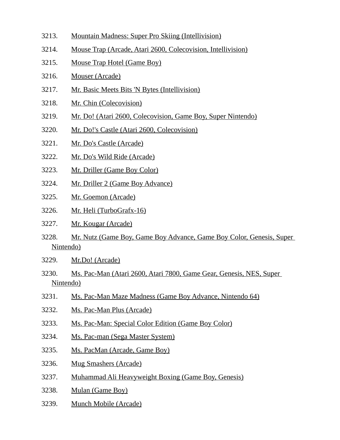- 3213. Mountain Madness: Super Pro Skiing (Intellivision) 3214. Mouse Trap (Arcade, Atari 2600, Colecovision, Intellivision) 3215. Mouse Trap Hotel (Game Boy) 3216. Mouser (Arcade)
- 3217. Mr. Basic Meets Bits 'N Bytes (Intellivision)
- 3218. Mr. Chin (Colecovision)
- 3219. Mr. Do! (Atari 2600, Colecovision, Game Boy, Super Nintendo)
- 3220. Mr. Do!'s Castle (Atari 2600, Colecovision)
- 3221. Mr. Do's Castle (Arcade)
- 3222. Mr. Do's Wild Ride (Arcade)
- 3223. Mr. Driller (Game Boy Color)
- 3224. Mr. Driller 2 (Game Boy Advance)
- 3225. Mr. Goemon (Arcade)
- 3226. Mr. Heli (TurboGrafx-16)
- 3227. Mr. Kougar (Arcade)
- 3228. Mr. Nutz (Game Boy, Game Boy Advance, Game Boy Color, Genesis, Super Nintendo)
- 3229. Mr.Do! (Arcade)
- 3230. Ms. Pac-Man (Atari 2600, Atari 7800, Game Gear, Genesis, NES, Super Nintendo)
- 3231. Ms. Pac-Man Maze Madness (Game Boy Advance, Nintendo 64)
- 3232. Ms. Pac-Man Plus (Arcade)
- 3233. Ms. Pac-Man: Special Color Edition (Game Boy Color)
- 3234. Ms. Pac-man (Sega Master System)
- 3235. Ms. PacMan (Arcade, Game Boy)
- 3236. Mug Smashers (Arcade)
- 3237. Muhammad Ali Heavyweight Boxing (Game Boy, Genesis)
- 3238. Mulan (Game Boy)
- 3239. Munch Mobile (Arcade)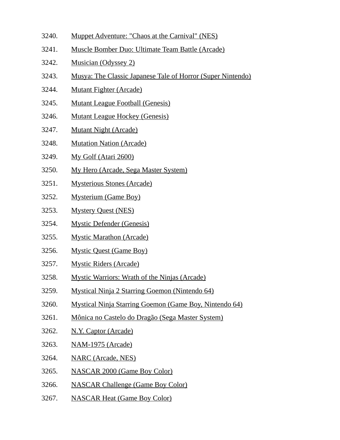- 3240. Muppet Adventure: "Chaos at the Carnival" (NES)
- 3241. Muscle Bomber Duo: Ultimate Team Battle (Arcade)
- 3242. Musician (Odyssey 2)
- 3243. Musya: The Classic Japanese Tale of Horror (Super Nintendo)
- 3244. Mutant Fighter (Arcade)
- 3245. Mutant League Football (Genesis)
- 3246. Mutant League Hockey (Genesis)
- 3247. Mutant Night (Arcade)
- 3248. Mutation Nation (Arcade)
- 3249. My Golf (Atari 2600)
- 3250. My Hero (Arcade, Sega Master System)
- 3251. Mysterious Stones (Arcade)
- 3252. Mysterium (Game Boy)
- 3253. Mystery Quest (NES)
- 3254. Mystic Defender (Genesis)
- 3255. Mystic Marathon (Arcade)
- 3256. Mystic Quest (Game Boy)
- 3257. Mystic Riders (Arcade)
- 3258. Mystic Warriors: Wrath of the Ninjas (Arcade)
- 3259. Mystical Ninja 2 Starring Goemon (Nintendo 64)
- 3260. Mystical Ninja Starring Goemon (Game Boy, Nintendo 64)
- 3261. Mônica no Castelo do Dragão (Sega Master System)
- 3262. N.Y. Captor (Arcade)
- 3263. NAM-1975 (Arcade)
- 3264. NARC (Arcade, NES)
- 3265. NASCAR 2000 (Game Boy Color)
- 3266. NASCAR Challenge (Game Boy Color)
- 3267. NASCAR Heat (Game Boy Color)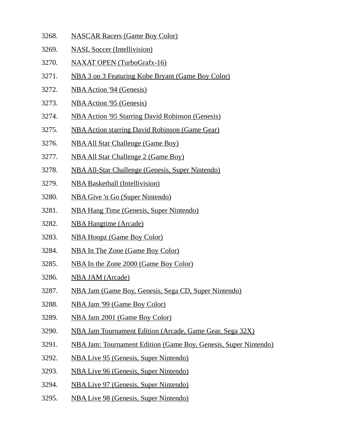- 3268. NASCAR Racers (Game Boy Color)
- 3269. NASL Soccer (Intellivision)
- 3270. NAXAT OPEN (TurboGrafx-16)
- 3271. NBA 3 on 3 Featuring Kobe Bryant (Game Boy Color)
- 3272. NBA Action '94 (Genesis)
- 3273. NBA Action '95 (Genesis)
- 3274. NBA Action '95 Starring David Robinson (Genesis)
- 3275. NBA Action starring David Robinson (Game Gear)
- 3276. NBA All Star Challenge (Game Boy)
- 3277. NBA All Star Challenge 2 (Game Boy)
- 3278. NBA All-Star Challenge (Genesis, Super Nintendo)
- 3279. NBA Basketball (Intellivision)
- 3280. NBA Give 'n Go (Super Nintendo)
- 3281. NBA Hang Time (Genesis, Super Nintendo)
- 3282. NBA Hangtime (Arcade)
- 3283. NBA Hoopz (Game Boy Color)
- 3284. NBA In The Zone (Game Boy Color)
- 3285. NBA In the Zone 2000 (Game Boy Color)
- 3286. NBA JAM (Arcade)
- 3287. NBA Jam (Game Boy, Genesis, Sega CD, Super Nintendo)
- 3288. NBA Jam '99 (Game Boy Color)
- 3289. NBA Jam 2001 (Game Boy Color)
- 3290. NBA Jam Tournament Edition (Arcade, Game Gear, Sega 32X)
- 3291. NBA Jam: Tournament Edition (Game Boy, Genesis, Super Nintendo)
- 3292. NBA Live 95 (Genesis, Super Nintendo)
- 3293. NBA Live 96 (Genesis, Super Nintendo)
- 3294. NBA Live 97 (Genesis, Super Nintendo)
- 3295. NBA Live 98 (Genesis, Super Nintendo)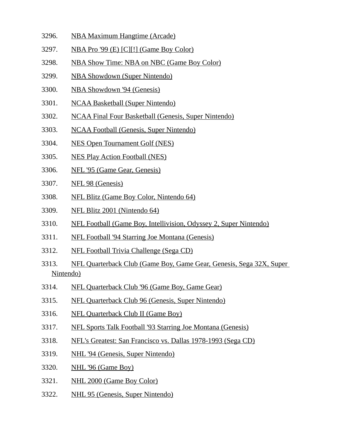- 3296. NBA Maximum Hangtime (Arcade)
- 3297. NBA Pro '99 (E) [C][!] (Game Boy Color)
- 3298. NBA Show Time: NBA on NBC (Game Boy Color)
- 3299. NBA Showdown (Super Nintendo)
- 3300. NBA Showdown '94 (Genesis)
- 3301. NCAA Basketball (Super Nintendo)
- 3302. NCAA Final Four Basketball (Genesis, Super Nintendo)
- 3303. NCAA Football (Genesis, Super Nintendo)
- 3304. NES Open Tournament Golf (NES)
- 3305. NES Play Action Football (NES)
- 3306. NFL '95 (Game Gear, Genesis)
- 3307. NFL 98 (Genesis)
- 3308. NFL Blitz (Game Boy Color, Nintendo 64)
- 3309. NFL Blitz 2001 (Nintendo 64)
- 3310. NFL Football (Game Boy, Intellivision, Odyssey 2, Super Nintendo)
- 3311. NFL Football '94 Starring Joe Montana (Genesis)
- 3312. NFL Football Trivia Challenge (Sega CD)
- 3313. NFL Quarterback Club (Game Boy, Game Gear, Genesis, Sega 32X, Super Nintendo)
- 3314. NFL Quarterback Club '96 (Game Boy, Game Gear)
- 3315. NFL Quarterback Club 96 (Genesis, Super Nintendo)
- 3316. NFL Quarterback Club II (Game Boy)
- 3317. NFL Sports Talk Football '93 Starring Joe Montana (Genesis)
- 3318. NFL's Greatest: San Francisco vs. Dallas 1978-1993 (Sega CD)
- 3319. NHL '94 (Genesis, Super Nintendo)
- 3320. NHL '96 (Game Boy)
- 3321. NHL 2000 (Game Boy Color)
- 3322. NHL 95 (Genesis, Super Nintendo)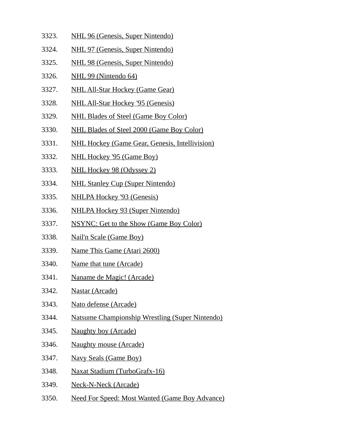- 3323. NHL 96 (Genesis, Super Nintendo)
- 3324. NHL 97 (Genesis, Super Nintendo)
- 3325. NHL 98 (Genesis, Super Nintendo)
- 3326. NHL 99 (Nintendo 64)
- 3327. NHL All-Star Hockey (Game Gear)
- 3328. NHL All-Star Hockey '95 (Genesis)
- 3329. NHL Blades of Steel (Game Boy Color)
- 3330. NHL Blades of Steel 2000 (Game Boy Color)
- 3331. NHL Hockey (Game Gear, Genesis, Intellivision)
- 3332. NHL Hockey '95 (Game Boy)
- 3333. NHL Hockey 98 (Odyssey 2)
- 3334. NHL Stanley Cup (Super Nintendo)
- 3335. NHLPA Hockey '93 (Genesis)
- 3336. NHLPA Hockey 93 (Super Nintendo)
- 3337. NSYNC: Get to the Show (Game Boy Color)
- 3338. Nail'n Scale (Game Boy)
- 3339. Name This Game (Atari 2600)
- 3340. Name that tune (Arcade)
- 3341. Naname de Magic! (Arcade)
- 3342. Nastar (Arcade)
- 3343. Nato defense (Arcade)
- 3344. Natsume Championship Wrestling (Super Nintendo)
- 3345. Naughty boy (Arcade)
- 3346. Naughty mouse (Arcade)
- 3347. Navy Seals (Game Boy)
- 3348. Naxat Stadium (TurboGrafx-16)
- 3349. Neck-N-Neck (Arcade)
- 3350. Need For Speed: Most Wanted (Game Boy Advance)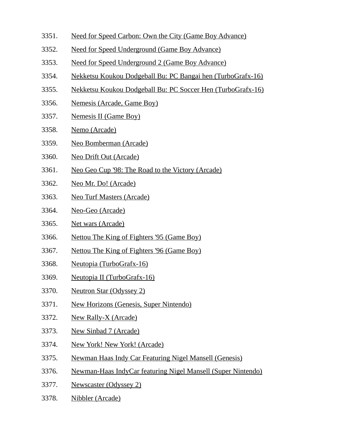- 3351. Need for Speed Carbon: Own the City (Game Boy Advance)
- 3352. Need for Speed Underground (Game Boy Advance)
- 3353. Need for Speed Underground 2 (Game Boy Advance)
- 3354. Nekketsu Koukou Dodgeball Bu: PC Bangai hen (TurboGrafx-16)
- 3355. Nekketsu Koukou Dodgeball Bu: PC Soccer Hen (TurboGrafx-16)
- 3356. Nemesis (Arcade, Game Boy)
- 3357. Nemesis II (Game Boy)
- 3358. Nemo (Arcade)
- 3359. Neo Bomberman (Arcade)
- 3360. Neo Drift Out (Arcade)
- 3361. Neo Geo Cup '98: The Road to the Victory (Arcade)
- 3362. Neo Mr. Do! (Arcade)
- 3363. Neo Turf Masters (Arcade)
- 3364. Neo-Geo (Arcade)
- 3365. Net wars (Arcade)
- 3366. Nettou The King of Fighters '95 (Game Boy)
- 3367. Nettou The King of Fighters '96 (Game Boy)
- 3368. Neutopia (TurboGrafx-16)
- 3369. Neutopia II (TurboGrafx-16)
- 3370. Neutron Star (Odyssey 2)
- 3371. New Horizons (Genesis, Super Nintendo)
- 3372. New Rally-X (Arcade)
- 3373. New Sinbad 7 (Arcade)
- 3374. New York! New York! (Arcade)
- 3375. Newman Haas Indy Car Featuring Nigel Mansell (Genesis)
- 3376. Newman-Haas IndyCar featuring Nigel Mansell (Super Nintendo)
- 3377. Newscaster (Odyssey 2)
- 3378. Nibbler (Arcade)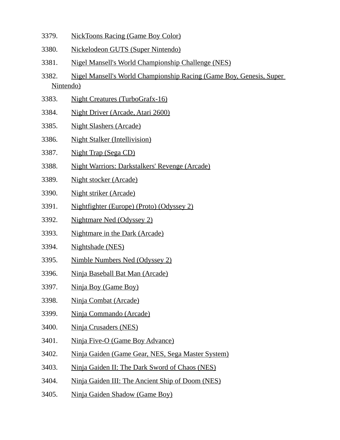- 3379. NickToons Racing (Game Boy Color)
- 3380. Nickelodeon GUTS (Super Nintendo)
- 3381. Nigel Mansell's World Championship Challenge (NES)
- 3382. Nigel Mansell's World Championship Racing (Game Boy, Genesis, Super Nintendo)
- 3383. Night Creatures (TurboGrafx-16)
- 3384. Night Driver (Arcade, Atari 2600)
- 3385. Night Slashers (Arcade)
- 3386. Night Stalker (Intellivision)
- 3387. Night Trap (Sega CD)
- 3388. Night Warriors: Darkstalkers' Revenge (Arcade)
- 3389. Night stocker (Arcade)
- 3390. Night striker (Arcade)
- 3391. Nightfighter (Europe) (Proto) (Odyssey 2)
- 3392. Nightmare Ned (Odyssey 2)
- 3393. Nightmare in the Dark (Arcade)
- 3394. Nightshade (NES)
- 3395. Nimble Numbers Ned (Odyssey 2)
- 3396. Ninja Baseball Bat Man (Arcade)
- 3397. Ninja Boy (Game Boy)
- 3398. Ninja Combat (Arcade)
- 3399. Ninja Commando (Arcade)
- 3400. Ninja Crusaders (NES)
- 3401. Ninja Five-O (Game Boy Advance)
- 3402. Ninja Gaiden (Game Gear, NES, Sega Master System)
- 3403. Ninja Gaiden II: The Dark Sword of Chaos (NES)
- 3404. Ninja Gaiden III: The Ancient Ship of Doom (NES)
- 3405. Ninja Gaiden Shadow (Game Boy)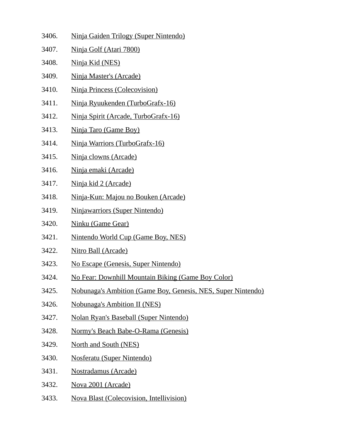- 3406. Ninja Gaiden Trilogy (Super Nintendo)
- 3407. Ninja Golf (Atari 7800)
- 3408. Ninja Kid (NES)
- 3409. Ninja Master's (Arcade)
- 3410. Ninja Princess (Colecovision)
- 3411. Ninja Ryuukenden (TurboGrafx-16)
- 3412. Ninja Spirit (Arcade, TurboGrafx-16)
- 3413. Ninja Taro (Game Boy)
- 3414. Ninja Warriors (TurboGrafx-16)
- 3415. Ninja clowns (Arcade)
- 3416. Ninja emaki (Arcade)
- 3417. Ninja kid 2 (Arcade)
- 3418. Ninja-Kun: Majou no Bouken (Arcade)
- 3419. Ninjawarriors (Super Nintendo)
- 3420. Ninku (Game Gear)
- 3421. Nintendo World Cup (Game Boy, NES)
- 3422. Nitro Ball (Arcade)
- 3423. No Escape (Genesis, Super Nintendo)
- 3424. No Fear: Downhill Mountain Biking (Game Boy Color)
- 3425. Nobunaga's Ambition (Game Boy, Genesis, NES, Super Nintendo)
- 3426. Nobunaga's Ambition II (NES)
- 3427. Nolan Ryan's Baseball (Super Nintendo)
- 3428. Normy's Beach Babe-O-Rama (Genesis)
- 3429. North and South (NES)
- 3430. Nosferatu (Super Nintendo)
- 3431. Nostradamus (Arcade)
- 3432. Nova 2001 (Arcade)
- 3433. Nova Blast (Colecovision, Intellivision)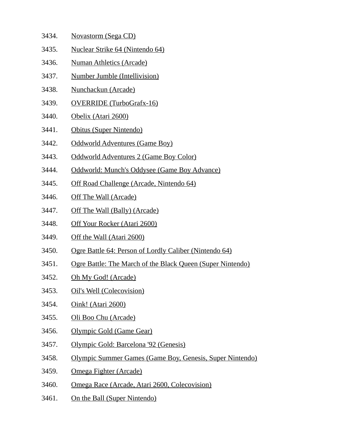- 3434. Novastorm (Sega CD) 3435. Nuclear Strike 64 (Nintendo 64) 3436. Numan Athletics (Arcade) 3437. Number Jumble (Intellivision) 3438. Nunchackun (Arcade) 3439. OVERRIDE (TurboGrafx-16) 3440. Obelix (Atari 2600) 3441. Obitus (Super Nintendo) 3442. Oddworld Adventures (Game Boy) 3443. Oddworld Adventures 2 (Game Boy Color) 3444. Oddworld: Munch's Oddysee (Game Boy Advance) 3445. Off Road Challenge (Arcade, Nintendo 64) 3446. Off The Wall (Arcade) 3447. Off The Wall (Bally) (Arcade)
- 3448. Off Your Rocker (Atari 2600)
- 3449. Off the Wall (Atari 2600)
- 3450. Ogre Battle 64: Person of Lordly Caliber (Nintendo 64)
- 3451. Ogre Battle: The March of the Black Queen (Super Nintendo)
- 3452. Oh My God! (Arcade)
- 3453. Oil's Well (Colecovision)
- 3454. Oink! (Atari 2600)
- 3455. Oli Boo Chu (Arcade)
- 3456. Olympic Gold (Game Gear)
- 3457. Olympic Gold: Barcelona '92 (Genesis)
- 3458. Olympic Summer Games (Game Boy, Genesis, Super Nintendo)
- 3459. Omega Fighter (Arcade)
- 3460. Omega Race (Arcade, Atari 2600, Colecovision)
- 3461. On the Ball (Super Nintendo)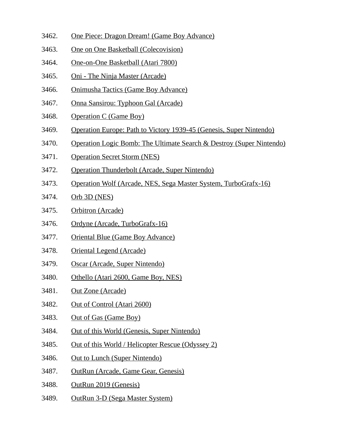- 3462. One Piece: Dragon Dream! (Game Boy Advance)
- 3463. One on One Basketball (Colecovision)
- 3464. One-on-One Basketball (Atari 7800)
- 3465. Oni The Ninja Master (Arcade)
- 3466. Onimusha Tactics (Game Boy Advance)
- 3467. Onna Sansirou: Typhoon Gal (Arcade)
- 3468. Operation C (Game Boy)
- 3469. Operation Europe: Path to Victory 1939-45 (Genesis, Super Nintendo)
- 3470. Operation Logic Bomb: The Ultimate Search & Destroy (Super Nintendo)
- 3471. Operation Secret Storm (NES)
- 3472. Operation Thunderbolt (Arcade, Super Nintendo)
- 3473. Operation Wolf (Arcade, NES, Sega Master System, TurboGrafx-16)
- 3474. Orb 3D (NES)
- 3475. Orbitron (Arcade)
- 3476. Ordyne (Arcade, TurboGrafx-16)
- 3477. Oriental Blue (Game Boy Advance)
- 3478. Oriental Legend (Arcade)
- 3479. Oscar (Arcade, Super Nintendo)
- 3480. Othello (Atari 2600, Game Boy, NES)
- 3481. Out Zone (Arcade)
- 3482. Out of Control (Atari 2600)
- 3483. Out of Gas (Game Boy)
- 3484. Out of this World (Genesis, Super Nintendo)
- 3485. Out of this World / Helicopter Rescue (Odyssey 2)
- 3486. Out to Lunch (Super Nintendo)
- 3487. OutRun (Arcade, Game Gear, Genesis)
- 3488. OutRun 2019 (Genesis)
- 3489. OutRun 3-D (Sega Master System)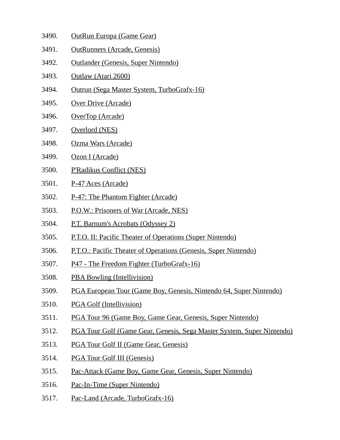- 3490. OutRun Europa (Game Gear)
- 3491. OutRunners (Arcade, Genesis)
- 3492. Outlander (Genesis, Super Nintendo)
- 3493. Outlaw (Atari 2600)
- 3494. Outrun (Sega Master System, TurboGrafx-16)
- 3495. Over Drive (Arcade)
- 3496. OverTop (Arcade)
- 3497. Overlord (NES)
- 3498. Ozma Wars (Arcade)
- 3499. Ozon I (Arcade)
- 3500. P'Radikus Conflict (NES)
- 3501. P-47 Aces (Arcade)
- 3502. P-47: The Phantom Fighter (Arcade)
- 3503. P.O.W.: Prisoners of War (Arcade, NES)
- 3504. P.T. Barnum's Acrobats (Odyssey 2)
- 3505. P.T.O. II: Pacific Theater of Operations (Super Nintendo)
- 3506. P.T.O.: Pacific Theater of Operations (Genesis, Super Nintendo)
- 3507. P47 The Freedom Fighter (TurboGrafx-16)
- 3508. PBA Bowling (Intellivision)
- 3509. PGA European Tour (Game Boy, Genesis, Nintendo 64, Super Nintendo)
- 3510. PGA Golf (Intellivision)
- 3511. PGA Tour 96 (Game Boy, Game Gear, Genesis, Super Nintendo)
- 3512. PGA Tour Golf (Game Gear, Genesis, Sega Master System, Super Nintendo)
- 3513. PGA Tour Golf II (Game Gear, Genesis)
- 3514. PGA Tour Golf III (Genesis)
- 3515. Pac-Attack (Game Boy, Game Gear, Genesis, Super Nintendo)
- 3516. Pac-In-Time (Super Nintendo)
- 3517. Pac-Land (Arcade, TurboGrafx-16)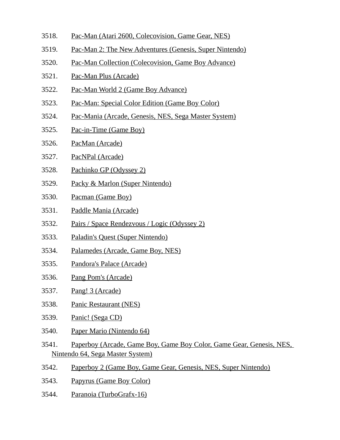- 3518. Pac-Man (Atari 2600, Colecovision, Game Gear, NES)
- 3519. Pac-Man 2: The New Adventures (Genesis, Super Nintendo)
- 3520. Pac-Man Collection (Colecovision, Game Boy Advance)
- 3521. Pac-Man Plus (Arcade)
- 3522. Pac-Man World 2 (Game Boy Advance)
- 3523. Pac-Man: Special Color Edition (Game Boy Color)
- 3524. Pac-Mania (Arcade, Genesis, NES, Sega Master System)
- 3525. Pac-in-Time (Game Boy)
- 3526. PacMan (Arcade)
- 3527. PacNPal (Arcade)
- 3528. Pachinko GP (Odyssey 2)
- 3529. Packy & Marlon (Super Nintendo)
- 3530. Pacman (Game Boy)
- 3531. Paddle Mania (Arcade)
- 3532. Pairs / Space Rendezvous / Logic (Odyssey 2)
- 3533. Paladin's Quest (Super Nintendo)
- 3534. Palamedes (Arcade, Game Boy, NES)
- 3535. Pandora's Palace (Arcade)
- 3536. Pang Pom's (Arcade)
- 3537. Pang! 3 (Arcade)
- 3538. Panic Restaurant (NES)
- 3539. Panic! (Sega CD)
- 3540. Paper Mario (Nintendo 64)
- 3541. Paperboy (Arcade, Game Boy, Game Boy Color, Game Gear, Genesis, NES, Nintendo 64, Sega Master System)
- 3542. Paperboy 2 (Game Boy, Game Gear, Genesis, NES, Super Nintendo)
- 3543. Papyrus (Game Boy Color)
- 3544. Paranoia (TurboGrafx-16)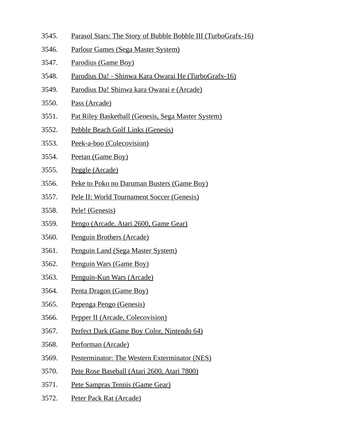- 3545. Parasol Stars: The Story of Bubble Bobble III (TurboGrafx-16)
- 3546. Parlour Games (Sega Master System)
- 3547. Parodius (Game Boy)
- 3548. Parodius Da! Shinwa Kara Owarai He (TurboGrafx-16)
- 3549. Parodius Da! Shinwa kara Owarai e (Arcade)
- 3550. Pass (Arcade)
- 3551. Pat Riley Basketball (Genesis, Sega Master System)
- 3552. Pebble Beach Golf Links (Genesis)
- 3553. Peek-a-boo (Colecovision)
- 3554. Peetan (Game Boy)
- 3555. Peggle (Arcade)
- 3556. Peke to Poko no Daruman Busters (Game Boy)
- 3557. Pele II: World Tournament Soccer (Genesis)
- 3558. Pele! (Genesis)
- 3559. Pengo (Arcade, Atari 2600, Game Gear)
- 3560. Penguin Brothers (Arcade)
- 3561. Penguin Land (Sega Master System)
- 3562. Penguin Wars (Game Boy)
- 3563. Penguin-Kun Wars (Arcade)
- 3564. Penta Dragon (Game Boy)
- 3565. Pepenga Pengo (Genesis)
- 3566. Pepper II (Arcade, Colecovision)
- 3567. Perfect Dark (Game Boy Color, Nintendo 64)
- 3568. Performan (Arcade)
- 3569. Pesterminator: The Western Exterminator (NES)
- 3570. Pete Rose Baseball (Atari 2600, Atari 7800)
- 3571. Pete Sampras Tennis (Game Gear)
- 3572. Peter Pack Rat (Arcade)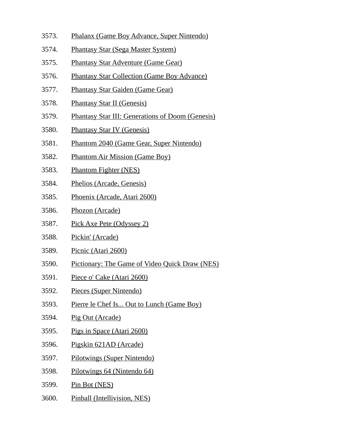- 3573. Phalanx (Game Boy Advance, Super Nintendo)
- 3574. Phantasy Star (Sega Master System)
- 3575. Phantasy Star Adventure (Game Gear)
- 3576. Phantasy Star Collection (Game Boy Advance)
- 3577. Phantasy Star Gaiden (Game Gear)
- 3578. Phantasy Star II (Genesis)
- 3579. Phantasy Star III: Generations of Doom (Genesis)
- 3580. Phantasy Star IV (Genesis)
- 3581. Phantom 2040 (Game Gear, Super Nintendo)
- 3582. Phantom Air Mission (Game Boy)
- 3583. Phantom Fighter (NES)
- 3584. Phelios (Arcade, Genesis)
- 3585. Phoenix (Arcade, Atari 2600)
- 3586. Phozon (Arcade)
- 3587. Pick Axe Pete (Odyssey 2)
- 3588. Pickin' (Arcade)
- 3589. Picnic (Atari 2600)
- 3590. Pictionary: The Game of Video Quick Draw (NES)
- 3591. Piece o' Cake (Atari 2600)
- 3592. Pieces (Super Nintendo)
- 3593. Pierre le Chef Is... Out to Lunch (Game Boy)
- 3594. Pig Out (Arcade)
- 3595. Pigs in Space (Atari 2600)
- 3596. Pigskin 621AD (Arcade)
- 3597. Pilotwings (Super Nintendo)
- 3598. Pilotwings 64 (Nintendo 64)
- 3599. Pin Bot (NES)
- 3600. Pinball (Intellivision, NES)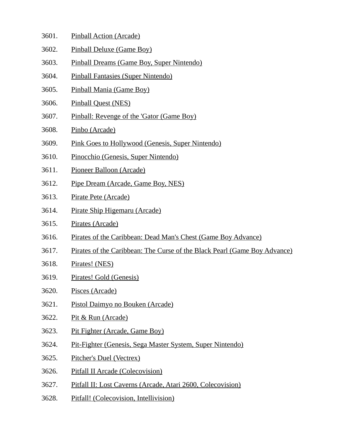- 3601. Pinball Action (Arcade)
- 3602. Pinball Deluxe (Game Boy)
- 3603. Pinball Dreams (Game Boy, Super Nintendo)
- 3604. Pinball Fantasies (Super Nintendo)
- 3605. Pinball Mania (Game Boy)
- 3606. Pinball Quest (NES)
- 3607. Pinball: Revenge of the 'Gator (Game Boy)
- 3608. Pinbo (Arcade)
- 3609. Pink Goes to Hollywood (Genesis, Super Nintendo)
- 3610. Pinocchio (Genesis, Super Nintendo)
- 3611. Pioneer Balloon (Arcade)
- 3612. Pipe Dream (Arcade, Game Boy, NES)
- 3613. Pirate Pete (Arcade)
- 3614. Pirate Ship Higemaru (Arcade)
- 3615. Pirates (Arcade)
- 3616. Pirates of the Caribbean: Dead Man's Chest (Game Boy Advance)
- 3617. Pirates of the Caribbean: The Curse of the Black Pearl (Game Boy Advance)
- 3618. Pirates! (NES)
- 3619. Pirates! Gold (Genesis)
- 3620. Pisces (Arcade)
- 3621. Pistol Daimyo no Bouken (Arcade)
- 3622. Pit & Run (Arcade)
- 3623. Pit Fighter (Arcade, Game Boy)
- 3624. Pit-Fighter (Genesis, Sega Master System, Super Nintendo)
- 3625. Pitcher's Duel (Vectrex)
- 3626. Pitfall II Arcade (Colecovision)
- 3627. Pitfall II: Lost Caverns (Arcade, Atari 2600, Colecovision)
- 3628. Pitfall! (Colecovision, Intellivision)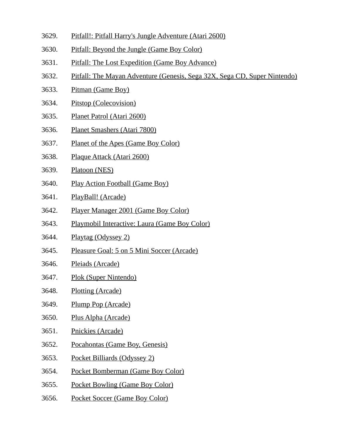- 3629. Pitfall!: Pitfall Harry's Jungle Adventure (Atari 2600)
- 3630. Pitfall: Beyond the Jungle (Game Boy Color)
- 3631. Pitfall: The Lost Expedition (Game Boy Advance)
- 3632. Pitfall: The Mayan Adventure (Genesis, Sega 32X, Sega CD, Super Nintendo)
- 3633. Pitman (Game Boy)
- 3634. Pitstop (Colecovision)
- 3635. Planet Patrol (Atari 2600)
- 3636. Planet Smashers (Atari 7800)
- 3637. Planet of the Apes (Game Boy Color)
- 3638. Plaque Attack (Atari 2600)
- 3639. Platoon (NES)
- 3640. Play Action Football (Game Boy)
- 3641. PlayBall! (Arcade)
- 3642. Player Manager 2001 (Game Boy Color)
- 3643. Playmobil Interactive: Laura (Game Boy Color)
- 3644. Playtag (Odyssey 2)
- 3645. Pleasure Goal: 5 on 5 Mini Soccer (Arcade)
- 3646. Pleiads (Arcade)
- 3647. Plok (Super Nintendo)
- 3648. Plotting (Arcade)
- 3649. Plump Pop (Arcade)
- 3650. Plus Alpha (Arcade)
- 3651. Pnickies (Arcade)
- 3652. Pocahontas (Game Boy, Genesis)
- 3653. Pocket Billiards (Odyssey 2)
- 3654. Pocket Bomberman (Game Boy Color)
- 3655. Pocket Bowling (Game Boy Color)
- 3656. Pocket Soccer (Game Boy Color)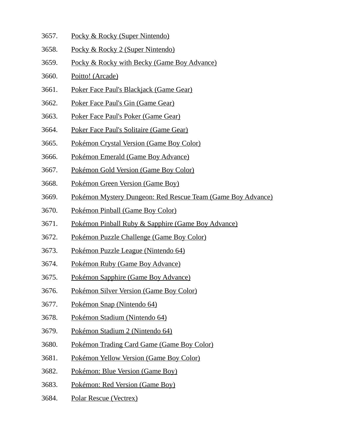- 3657. Pocky & Rocky (Super Nintendo)
- 3658. Pocky & Rocky 2 (Super Nintendo)
- 3659. Pocky & Rocky with Becky (Game Boy Advance)
- 3660. Poitto! (Arcade)
- 3661. Poker Face Paul's Blackjack (Game Gear)
- 3662. Poker Face Paul's Gin (Game Gear)
- 3663. Poker Face Paul's Poker (Game Gear)
- 3664. Poker Face Paul's Solitaire (Game Gear)
- 3665. Pokémon Crystal Version (Game Boy Color)
- 3666. Pokémon Emerald (Game Boy Advance)
- 3667. Pokémon Gold Version (Game Boy Color)
- 3668. Pokémon Green Version (Game Boy)
- 3669. Pokémon Mystery Dungeon: Red Rescue Team (Game Boy Advance)
- 3670. Pokémon Pinball (Game Boy Color)
- 3671. Pokémon Pinball Ruby & Sapphire (Game Boy Advance)
- 3672. Pokémon Puzzle Challenge (Game Boy Color)
- 3673. Pokémon Puzzle League (Nintendo 64)
- 3674. Pokémon Ruby (Game Boy Advance)
- 3675. Pokémon Sapphire (Game Boy Advance)
- 3676. Pokémon Silver Version (Game Boy Color)
- 3677. Pokémon Snap (Nintendo 64)
- 3678. Pokémon Stadium (Nintendo 64)
- 3679. Pokémon Stadium 2 (Nintendo 64)
- 3680. Pokémon Trading Card Game (Game Boy Color)
- 3681. Pokémon Yellow Version (Game Boy Color)
- 3682. Pokémon: Blue Version (Game Boy)
- 3683. Pokémon: Red Version (Game Boy)
- 3684. Polar Rescue (Vectrex)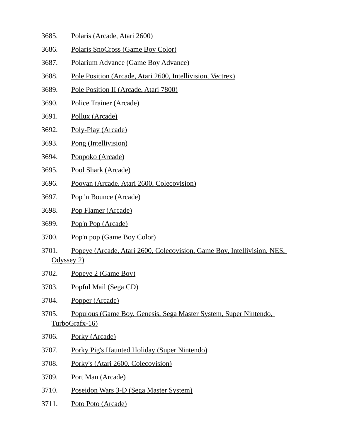- 3685. Polaris (Arcade, Atari 2600)
- 3686. Polaris SnoCross (Game Boy Color)
- 3687. Polarium Advance (Game Boy Advance)
- 3688. Pole Position (Arcade, Atari 2600, Intellivision, Vectrex)
- 3689. Pole Position II (Arcade, Atari 7800)
- 3690. Police Trainer (Arcade)
- 3691. Pollux (Arcade)
- 3692. Poly-Play (Arcade)
- 3693. Pong (Intellivision)
- 3694. Ponpoko (Arcade)
- 3695. Pool Shark (Arcade)
- 3696. Pooyan (Arcade, Atari 2600, Colecovision)
- 3697. Pop 'n Bounce (Arcade)
- 3698. Pop Flamer (Arcade)
- 3699. Pop'n Pop (Arcade)
- 3700. Pop'n pop (Game Boy Color)
- 3701. Popeye (Arcade, Atari 2600, Colecovision, Game Boy, Intellivision, NES, Odyssey 2)
- 3702. Popeye 2 (Game Boy)
- 3703. Popful Mail (Sega CD)
- 3704. Popper (Arcade)
- 3705. Populous (Game Boy, Genesis, Sega Master System, Super Nintendo, TurboGrafx-16)
- 3706. Porky (Arcade)
- 3707. Porky Pig's Haunted Holiday (Super Nintendo)
- 3708. Porky's (Atari 2600, Colecovision)
- 3709. Port Man (Arcade)
- 3710. Poseidon Wars 3-D (Sega Master System)
- 3711. Poto Poto (Arcade)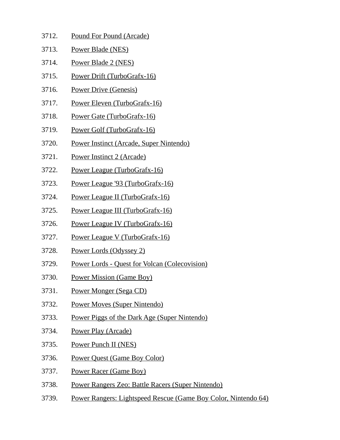| 3712. | Pound For Pound (Arcade)                             |
|-------|------------------------------------------------------|
| 3713. | Power Blade (NES)                                    |
| 3714. | Power Blade 2 (NES)                                  |
| 3715. | Power Drift (TurboGrafx-16)                          |
| 3716. | <b>Power Drive (Genesis)</b>                         |
| 3717. | Power Eleven (TurboGrafx-16)                         |
| 3718. | Power Gate (TurboGrafx-16)                           |
| 3719. | Power Golf (TurboGrafx-16)                           |
| 3720. | Power Instinct (Arcade, Super Nintendo)              |
| 3721. | Power Instinct 2 (Arcade)                            |
| 3722. | Power League (TurboGrafx-16)                         |
| 3723. | Power League '93 (TurboGrafx-16)                     |
| 3724. | Power League II (TurboGrafx-16)                      |
| 3725. | Power League III (TurboGrafx-16)                     |
| 3726. | Power League IV (TurboGrafx-16)                      |
| 3727. | Power League V (TurboGrafx-16)                       |
| 3728. | Power Lords (Odyssey 2)                              |
| 3729. | <b>Power Lords - Quest for Volcan (Colecovision)</b> |
| 3730. | <b>Power Mission (Game Boy)</b>                      |

- 3731. Power Monger (Sega CD)
- 3732. Power Moves (Super Nintendo)
- 3733. Power Piggs of the Dark Age (Super Nintendo)
- 3734. Power Play (Arcade)
- 3735. Power Punch II (NES)
- 3736. Power Quest (Game Boy Color)
- 3737. Power Racer (Game Boy)
- 3738. Power Rangers Zeo: Battle Racers (Super Nintendo)
- 3739. Power Rangers: Lightspeed Rescue (Game Boy Color, Nintendo 64)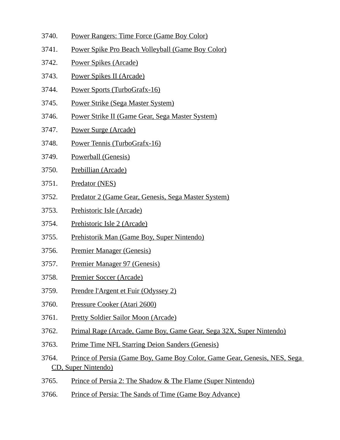- 3740. Power Rangers: Time Force (Game Boy Color)
- 3741. Power Spike Pro Beach Volleyball (Game Boy Color)
- 3742. Power Spikes (Arcade)
- 3743. Power Spikes II (Arcade)
- 3744. Power Sports (TurboGrafx-16)
- 3745. Power Strike (Sega Master System)
- 3746. Power Strike II (Game Gear, Sega Master System)
- 3747. Power Surge (Arcade)
- 3748. Power Tennis (TurboGrafx-16)
- 3749. Powerball (Genesis)
- 3750. Prebillian (Arcade)
- 3751. Predator (NES)
- 3752. Predator 2 (Game Gear, Genesis, Sega Master System)
- 3753. Prehistoric Isle (Arcade)
- 3754. Prehistoric Isle 2 (Arcade)
- 3755. Prehistorik Man (Game Boy, Super Nintendo)
- 3756. Premier Manager (Genesis)
- 3757. Premier Manager 97 (Genesis)
- 3758. Premier Soccer (Arcade)
- 3759. Prendre l'Argent et Fuir (Odyssey 2)
- 3760. Pressure Cooker (Atari 2600)
- 3761. Pretty Soldier Sailor Moon (Arcade)
- 3762. Primal Rage (Arcade, Game Boy, Game Gear, Sega 32X, Super Nintendo)
- 3763. Prime Time NFL Starring Deion Sanders (Genesis)
- 3764. Prince of Persia (Game Boy, Game Boy Color, Game Gear, Genesis, NES, Sega CD, Super Nintendo)
- 3765. Prince of Persia 2: The Shadow & The Flame (Super Nintendo)
- 3766. Prince of Persia: The Sands of Time (Game Boy Advance)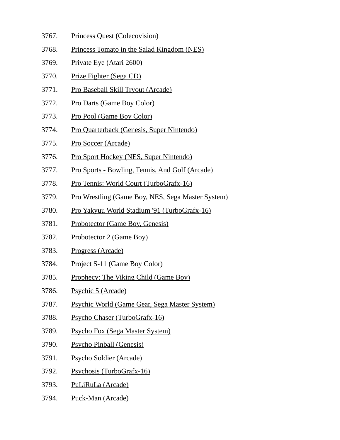- 3767. Princess Quest (Colecovision)
- 3768. Princess Tomato in the Salad Kingdom (NES)
- 3769. Private Eye (Atari 2600)
- 3770. Prize Fighter (Sega CD)
- 3771. Pro Baseball Skill Tryout (Arcade)
- 3772. Pro Darts (Game Boy Color)
- 3773. Pro Pool (Game Boy Color)
- 3774. Pro Quarterback (Genesis, Super Nintendo)
- 3775. Pro Soccer (Arcade)
- 3776. Pro Sport Hockey (NES, Super Nintendo)
- 3777. Pro Sports Bowling, Tennis, And Golf (Arcade)
- 3778. Pro Tennis: World Court (TurboGrafx-16)
- 3779. Pro Wrestling (Game Boy, NES, Sega Master System)
- 3780. Pro Yakyuu World Stadium '91 (TurboGrafx-16)
- 3781. Probotector (Game Boy, Genesis)
- 3782. Probotector 2 (Game Boy)
- 3783. Progress (Arcade)
- 3784. Project S-11 (Game Boy Color)
- 3785. Prophecy: The Viking Child (Game Boy)
- 3786. Psychic 5 (Arcade)
- 3787. Psychic World (Game Gear, Sega Master System)
- 3788. Psycho Chaser (TurboGrafx-16)
- 3789. Psycho Fox (Sega Master System)
- 3790. Psycho Pinball (Genesis)
- 3791. Psycho Soldier (Arcade)
- 3792. Psychosis (TurboGrafx-16)
- 3793. PuLiRuLa (Arcade)
- 3794. Puck-Man (Arcade)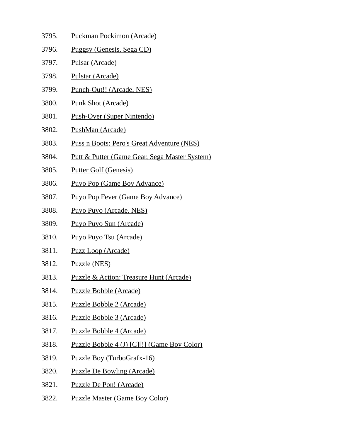- 3795. Puckman Pockimon (Arcade) 3796. Puggsy (Genesis, Sega CD) 3797. Pulsar (Arcade) 3798. Pulstar (Arcade) 3799. Punch-Out!! (Arcade, NES) 3800. Punk Shot (Arcade) 3801. Push-Over (Super Nintendo) 3802. PushMan (Arcade) 3803. Puss n Boots: Pero's Great Adventure (NES) 3804. Putt & Putter (Game Gear, Sega Master System) 3805. Putter Golf (Genesis) 3806. Puyo Pop (Game Boy Advance) 3807. Puyo Pop Fever (Game Boy Advance) 3808. Puyo Puyo (Arcade, NES) 3809. Puyo Puyo Sun (Arcade) 3810. Puyo Puyo Tsu (Arcade) 3811. Puzz Loop (Arcade) 3812. Puzzle (NES) 3813. Puzzle & Action: Treasure Hunt (Arcade) 3814. Puzzle Bobble (Arcade) 3815. Puzzle Bobble 2 (Arcade) 3816. Puzzle Bobble 3 (Arcade) 3817. Puzzle Bobble 4 (Arcade)
- 3818. Puzzle Bobble 4 (J) [C][!] (Game Boy Color)
- 3819. Puzzle Boy (TurboGrafx-16)
- 3820. Puzzle De Bowling (Arcade)
- 3821. Puzzle De Pon! (Arcade)
- 3822. Puzzle Master (Game Boy Color)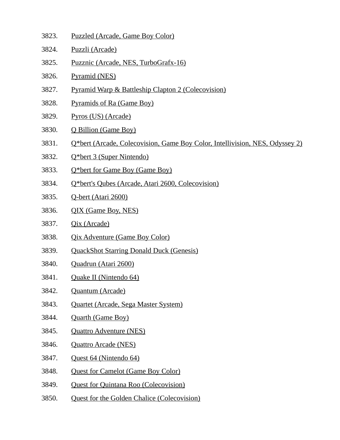- 3823. Puzzled (Arcade, Game Boy Color)
- 3824. Puzzli (Arcade)
- 3825. Puzznic (Arcade, NES, TurboGrafx-16)
- 3826. Pyramid (NES)
- 3827. Pyramid Warp & Battleship Clapton 2 (Colecovision)
- 3828. Pyramids of Ra (Game Boy)
- 3829. Pyros (US) (Arcade)
- 3830. Q Billion (Game Boy)
- 3831. Q\*bert (Arcade, Colecovision, Game Boy Color, Intellivision, NES, Odyssey 2)
- 3832. Q\*bert 3 (Super Nintendo)
- 3833. Q\*bert for Game Boy (Game Boy)
- 3834. Q\*bert's Qubes (Arcade, Atari 2600, Colecovision)
- 3835. Q-bert (Atari 2600)
- 3836. QIX (Game Boy, NES)
- 3837. Qix (Arcade)
- 3838. Qix Adventure (Game Boy Color)
- 3839. QuackShot Starring Donald Duck (Genesis)
- 3840. Quadrun (Atari 2600)
- 3841. Quake II (Nintendo 64)
- 3842. Quantum (Arcade)
- 3843. Quartet (Arcade, Sega Master System)
- 3844. Quarth (Game Boy)
- 3845. Quattro Adventure (NES)
- 3846. Quattro Arcade (NES)
- 3847. Quest 64 (Nintendo 64)
- 3848. Quest for Camelot (Game Boy Color)
- 3849. Quest for Quintana Roo (Colecovision)
- 3850. Quest for the Golden Chalice (Colecovision)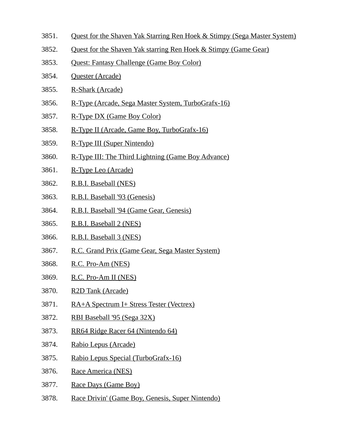- 3851. Quest for the Shaven Yak Starring Ren Hoek & Stimpy (Sega Master System)
- 3852. Quest for the Shaven Yak starring Ren Hoek & Stimpy (Game Gear)
- 3853. Quest: Fantasy Challenge (Game Boy Color)
- 3854. Quester (Arcade)
- 3855. R-Shark (Arcade)
- 3856. R-Type (Arcade, Sega Master System, TurboGrafx-16)
- 3857. R-Type DX (Game Boy Color)
- 3858. R-Type II (Arcade, Game Boy, TurboGrafx-16)
- 3859. R-Type III (Super Nintendo)
- 3860. R-Type III: The Third Lightning (Game Boy Advance)
- 3861. R-Type Leo (Arcade)
- 3862. R.B.I. Baseball (NES)
- 3863. R.B.I. Baseball '93 (Genesis)
- 3864. R.B.I. Baseball '94 (Game Gear, Genesis)
- 3865. R.B.I. Baseball 2 (NES)
- 3866. R.B.I. Baseball 3 (NES)
- 3867. R.C. Grand Prix (Game Gear, Sega Master System)
- 3868. R.C. Pro-Am (NES)
- 3869. R.C. Pro-Am II (NES)
- 3870. R2D Tank (Arcade)
- 3871. RA+A Spectrum I+ Stress Tester (Vectrex)
- 3872. RBI Baseball '95 (Sega 32X)
- 3873. RR64 Ridge Racer 64 (Nintendo 64)
- 3874. Rabio Lepus (Arcade)
- 3875. Rabio Lepus Special (TurboGrafx-16)
- 3876. Race America (NES)
- 3877. Race Days (Game Boy)
- 3878. Race Drivin' (Game Boy, Genesis, Super Nintendo)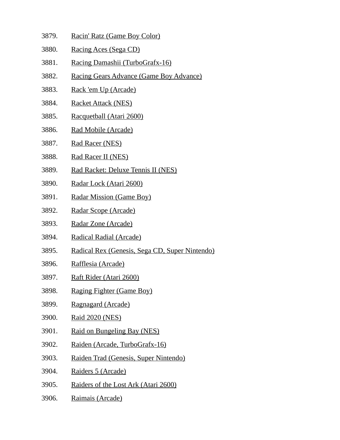- 3879. Racin' Ratz (Game Boy Color)
- 3880. Racing Aces (Sega CD)
- 3881. Racing Damashii (TurboGrafx-16)
- 3882. Racing Gears Advance (Game Boy Advance)
- 3883. Rack 'em Up (Arcade)
- 3884. Racket Attack (NES)
- 3885. Racquetball (Atari 2600)
- 3886. Rad Mobile (Arcade)
- 3887. Rad Racer (NES)
- 3888. Rad Racer II (NES)
- 3889. Rad Racket: Deluxe Tennis II (NES)
- 3890. Radar Lock (Atari 2600)
- 3891. Radar Mission (Game Boy)
- 3892. Radar Scope (Arcade)
- 3893. Radar Zone (Arcade)
- 3894. Radical Radial (Arcade)
- 3895. Radical Rex (Genesis, Sega CD, Super Nintendo)
- 3896. Rafflesia (Arcade)
- 3897. Raft Rider (Atari 2600)
- 3898. Raging Fighter (Game Boy)
- 3899. Ragnagard (Arcade)
- 3900. Raid 2020 (NES)
- 3901. Raid on Bungeling Bay (NES)
- 3902. Raiden (Arcade, TurboGrafx-16)
- 3903. Raiden Trad (Genesis, Super Nintendo)
- 3904. Raiders 5 (Arcade)
- 3905. Raiders of the Lost Ark (Atari 2600)
- 3906. Raimais (Arcade)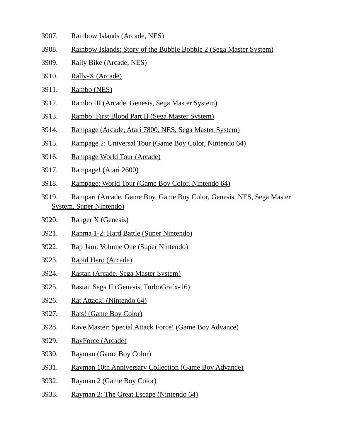- 3907. Rainbow Islands (Arcade, NES)
- 3908. Rainbow Islands: Story of the Bubble Bobble 2 (Sega Master System)
- 3909. Rally Bike (Arcade, NES)
- 3910. Rally-X (Arcade)
- 3911. Rambo (NES)
- 3912. Rambo III (Arcade, Genesis, Sega Master System)
- 3913. Rambo: First Blood Part II (Sega Master System)
- 3914. Rampage (Arcade, Atari 7800, NES, Sega Master System)
- 3915. Rampage 2: Universal Tour (Game Boy Color, Nintendo 64)
- 3916. Rampage World Tour (Arcade)
- 3917. Rampage! (Atari 2600)
- 3918. Rampage: World Tour (Game Boy Color, Nintendo 64)
- 3919. Rampart (Arcade, Game Boy, Game Boy Color, Genesis, NES, Sega Master System, Super Nintendo)
- 3920. Ranger X (Genesis)
- 3921. Ranma 1-2: Hard Battle (Super Nintendo)
- 3922. Rap Jam: Volume One (Super Nintendo)
- 3923. Rapid Hero (Arcade)
- 3924. Rastan (Arcade, Sega Master System)
- 3925. Rastan Saga II (Genesis, TurboGrafx-16)
- 3926. Rat Attack! (Nintendo 64)
- 3927. Rats! (Game Boy Color)
- 3928. Rave Master: Special Attack Force! (Game Boy Advance)
- 3929. RayForce (Arcade)
- 3930. Rayman (Game Boy Color)
- 3931. Rayman 10th Anniversary Collection (Game Boy Advance)
- 3932. Rayman 2 (Game Boy Color)
- 3933. Rayman 2: The Great Escape (Nintendo 64)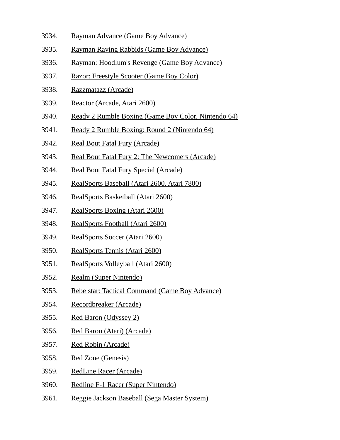- 3934. Rayman Advance (Game Boy Advance)
- 3935. Rayman Raving Rabbids (Game Boy Advance)
- 3936. Rayman: Hoodlum's Revenge (Game Boy Advance)
- 3937. Razor: Freestyle Scooter (Game Boy Color)
- 3938. Razzmatazz (Arcade)
- 3939. Reactor (Arcade, Atari 2600)
- 3940. Ready 2 Rumble Boxing (Game Boy Color, Nintendo 64)
- 3941. Ready 2 Rumble Boxing: Round 2 (Nintendo 64)
- 3942. Real Bout Fatal Fury (Arcade)
- 3943. Real Bout Fatal Fury 2: The Newcomers (Arcade)
- 3944. Real Bout Fatal Fury Special (Arcade)
- 3945. RealSports Baseball (Atari 2600, Atari 7800)
- 3946. RealSports Basketball (Atari 2600)
- 3947. RealSports Boxing (Atari 2600)
- 3948. RealSports Football (Atari 2600)
- 3949. RealSports Soccer (Atari 2600)
- 3950. RealSports Tennis (Atari 2600)
- 3951. RealSports Volleyball (Atari 2600)
- 3952. Realm (Super Nintendo)
- 3953. Rebelstar: Tactical Command (Game Boy Advance)
- 3954. Recordbreaker (Arcade)
- 3955. Red Baron (Odyssey 2)
- 3956. Red Baron (Atari) (Arcade)
- 3957. Red Robin (Arcade)
- 3958. Red Zone (Genesis)
- 3959. RedLine Racer (Arcade)
- 3960. Redline F-1 Racer (Super Nintendo)
- 3961. Reggie Jackson Baseball (Sega Master System)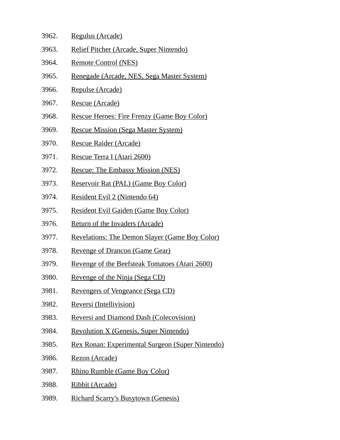- 3962. Regulus (Arcade)
- 3963. Relief Pitcher (Arcade, Super Nintendo)
- 3964. Remote Control (NES)
- 3965. Renegade (Arcade, NES, Sega Master System)
- 3966. Repulse (Arcade)
- 3967. Rescue (Arcade)
- 3968. Rescue Heroes: Fire Frenzy (Game Boy Color)
- 3969. Rescue Mission (Sega Master System)
- 3970. Rescue Raider (Arcade)
- 3971. Rescue Terra I (Atari 2600)
- 3972. Rescue: The Embassy Mission (NES)
- 3973. Reservoir Rat (PAL) (Game Boy Color)
- 3974. Resident Evil 2 (Nintendo 64)
- 3975. Resident Evil Gaiden (Game Boy Color)
- 3976. Return of the Invaders (Arcade)
- 3977. Revelations: The Demon Slayer (Game Boy Color)
- 3978. Revenge of Drancon (Game Gear)
- 3979. Revenge of the Beefsteak Tomatoes (Atari 2600)
- 3980. Revenge of the Ninja (Sega CD)
- 3981. Revengers of Vengeance (Sega CD)
- 3982. Reversi (Intellivision)
- 3983. Reversi and Diamond Dash (Colecovision)
- 3984. Revolution X (Genesis, Super Nintendo)
- 3985. Rex Ronan: Experimental Surgeon (Super Nintendo)
- 3986. Rezon (Arcade)
- 3987. Rhino Rumble (Game Boy Color)
- 3988. Ribbit (Arcade)
- 3989. Richard Scarry's Busytown (Genesis)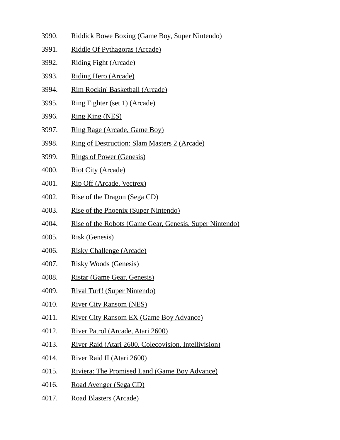- 3990. Riddick Bowe Boxing (Game Boy, Super Nintendo)
- 3991. Riddle Of Pythagoras (Arcade)
- 3992. Riding Fight (Arcade)
- 3993. Riding Hero (Arcade)
- 3994. Rim Rockin' Basketball (Arcade)
- 3995. Ring Fighter (set 1) (Arcade)
- 3996. Ring King (NES)
- 3997. Ring Rage (Arcade, Game Boy)
- 3998. Ring of Destruction: Slam Masters 2 (Arcade)
- 3999. Rings of Power (Genesis)
- 4000. Riot City (Arcade)
- 4001. Rip Off (Arcade, Vectrex)
- 4002. Rise of the Dragon (Sega CD)
- 4003. Rise of the Phoenix (Super Nintendo)
- 4004. Rise of the Robots (Game Gear, Genesis, Super Nintendo)
- 4005. Risk (Genesis)
- 4006. Risky Challenge (Arcade)
- 4007. Risky Woods (Genesis)
- 4008. Ristar (Game Gear, Genesis)
- 4009. Rival Turf! (Super Nintendo)
- 4010. River City Ransom (NES)
- 4011. River City Ransom EX (Game Boy Advance)
- 4012. River Patrol (Arcade, Atari 2600)
- 4013. River Raid (Atari 2600, Colecovision, Intellivision)
- 4014. River Raid II (Atari 2600)
- 4015. Riviera: The Promised Land (Game Boy Advance)
- 4016. Road Avenger (Sega CD)
- 4017. Road Blasters (Arcade)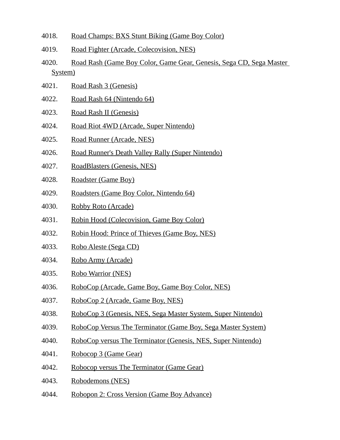- 4018. Road Champs: BXS Stunt Biking (Game Boy Color)
- 4019. Road Fighter (Arcade, Colecovision, NES)
- 4020. Road Rash (Game Boy Color, Game Gear, Genesis, Sega CD, Sega Master System)
- 4021. Road Rash 3 (Genesis)
- 4022. Road Rash 64 (Nintendo 64)
- 4023. Road Rash II (Genesis)
- 4024. Road Riot 4WD (Arcade, Super Nintendo)
- 4025. Road Runner (Arcade, NES)
- 4026. Road Runner's Death Valley Rally (Super Nintendo)
- 4027. RoadBlasters (Genesis, NES)
- 4028. Roadster (Game Boy)
- 4029. Roadsters (Game Boy Color, Nintendo 64)
- 4030. Robby Roto (Arcade)
- 4031. Robin Hood (Colecovision, Game Boy Color)
- 4032. Robin Hood: Prince of Thieves (Game Boy, NES)
- 4033. Robo Aleste (Sega CD)
- 4034. Robo Army (Arcade)
- 4035. Robo Warrior (NES)
- 4036. RoboCop (Arcade, Game Boy, Game Boy Color, NES)
- 4037. RoboCop 2 (Arcade, Game Boy, NES)
- 4038. RoboCop 3 (Genesis, NES, Sega Master System, Super Nintendo)
- 4039. RoboCop Versus The Terminator (Game Boy, Sega Master System)
- 4040. RoboCop versus The Terminator (Genesis, NES, Super Nintendo)
- 4041. Robocop 3 (Game Gear)
- 4042. Robocop versus The Terminator (Game Gear)
- 4043. Robodemons (NES)
- 4044. Robopon 2: Cross Version (Game Boy Advance)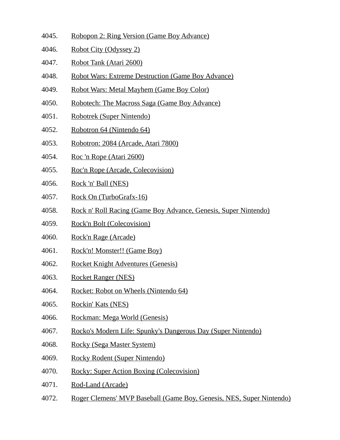- 4045. Robopon 2: Ring Version (Game Boy Advance)
- 4046. Robot City (Odyssey 2)
- 4047. Robot Tank (Atari 2600)
- 4048. Robot Wars: Extreme Destruction (Game Boy Advance)
- 4049. Robot Wars: Metal Mayhem (Game Boy Color)
- 4050. Robotech: The Macross Saga (Game Boy Advance)
- 4051. Robotrek (Super Nintendo)
- 4052. Robotron 64 (Nintendo 64)
- 4053. Robotron: 2084 (Arcade, Atari 7800)
- 4054. Roc 'n Rope (Atari 2600)
- 4055. Roc'n Rope (Arcade, Colecovision)
- 4056. Rock 'n' Ball (NES)
- 4057. Rock On (TurboGrafx-16)
- 4058. Rock n' Roll Racing (Game Boy Advance, Genesis, Super Nintendo)
- 4059. Rock'n Bolt (Colecovision)
- 4060. Rock'n Rage (Arcade)
- 4061. Rock'n! Monster!! (Game Boy)
- 4062. Rocket Knight Adventures (Genesis)
- 4063. Rocket Ranger (NES)
- 4064. Rocket: Robot on Wheels (Nintendo 64)
- 4065. Rockin' Kats (NES)
- 4066. Rockman: Mega World (Genesis)
- 4067. Rocko's Modern Life: Spunky's Dangerous Day (Super Nintendo)
- 4068. Rocky (Sega Master System)
- 4069. Rocky Rodent (Super Nintendo)
- 4070. Rocky: Super Action Boxing (Colecovision)
- 4071. Rod-Land (Arcade)
- 4072. Roger Clemens' MVP Baseball (Game Boy, Genesis, NES, Super Nintendo)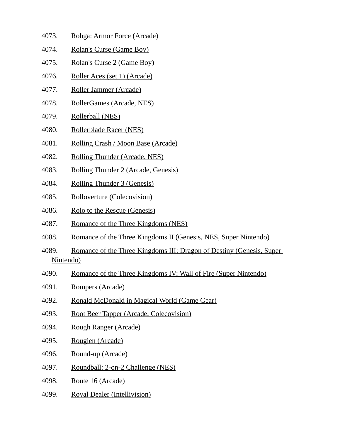- 4073. Rohga: Armor Force (Arcade)
- 4074. Rolan's Curse (Game Boy)
- 4075. Rolan's Curse 2 (Game Boy)
- 4076. Roller Aces (set 1) (Arcade)
- 4077. Roller Jammer (Arcade)
- 4078. RollerGames (Arcade, NES)
- 4079. Rollerball (NES)
- 4080. Rollerblade Racer (NES)
- 4081. Rolling Crash / Moon Base (Arcade)
- 4082. Rolling Thunder (Arcade, NES)
- 4083. Rolling Thunder 2 (Arcade, Genesis)
- 4084. Rolling Thunder 3 (Genesis)
- 4085. Rolloverture (Colecovision)
- 4086. Rolo to the Rescue (Genesis)
- 4087. Romance of the Three Kingdoms (NES)
- 4088. Romance of the Three Kingdoms II (Genesis, NES, Super Nintendo)
- 4089. Romance of the Three Kingdoms III: Dragon of Destiny (Genesis, Super Nintendo)
- 4090. Romance of the Three Kingdoms IV: Wall of Fire (Super Nintendo)
- 4091. Rompers (Arcade)
- 4092. Ronald McDonald in Magical World (Game Gear)
- 4093. Root Beer Tapper (Arcade, Colecovision)
- 4094. Rough Ranger (Arcade)
- 4095. Rougien (Arcade)
- 4096. Round-up (Arcade)
- 4097. Roundball: 2-on-2 Challenge (NES)
- 4098. Route 16 (Arcade)
- 4099. Royal Dealer (Intellivision)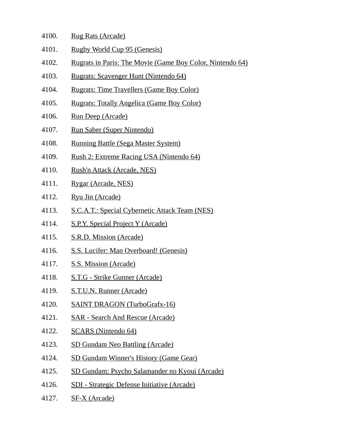- 4100. Rug Rats (Arcade)
- 4101. Rugby World Cup 95 (Genesis)
- 4102. Rugrats in Paris: The Movie (Game Boy Color, Nintendo 64)
- 4103. Rugrats: Scavenger Hunt (Nintendo 64)
- 4104. Rugrats: Time Travellers (Game Boy Color)
- 4105. Rugrats: Totally Angelica (Game Boy Color)
- 4106. Run Deep (Arcade)
- 4107. Run Saber (Super Nintendo)
- 4108. Running Battle (Sega Master System)
- 4109. Rush 2: Extreme Racing USA (Nintendo 64)
- 4110. Rush'n Attack (Arcade, NES)
- 4111. Rygar (Arcade, NES)
- 4112. Ryu Jin (Arcade)
- 4113. S.C.A.T.: Special Cybernetic Attack Team (NES)
- 4114. S.P.Y. Special Project Y (Arcade)
- 4115. S.R.D. Mission (Arcade)
- 4116. S.S. Lucifer: Man Overboard! (Genesis)
- 4117. S.S. Mission (Arcade)
- 4118. S.T.G Strike Gunner (Arcade)
- 4119. S.T.U.N. Runner (Arcade)
- 4120. SAINT DRAGON (TurboGrafx-16)
- 4121. SAR Search And Rescue (Arcade)
- 4122. SCARS (Nintendo 64)
- 4123. SD Gundam Neo Battling (Arcade)
- 4124. SD Gundam Winner's History (Game Gear)
- 4125. SD Gundam: Psycho Salamander no Kyoui (Arcade)
- 4126. SDI Strategic Defense Initiative (Arcade)
- 4127. SF-X (Arcade)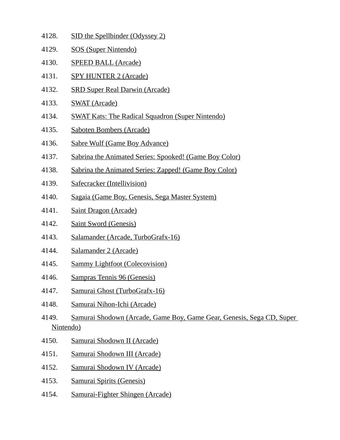- 4128. SID the Spellbinder (Odyssey 2) 4129. SOS (Super Nintendo) 4130. SPEED BALL (Arcade) 4131. SPY HUNTER 2 (Arcade) 4132. SRD Super Real Darwin (Arcade)
- 
- 4133. SWAT (Arcade)
- 4134. SWAT Kats: The Radical Squadron (Super Nintendo)
- 4135. Saboten Bombers (Arcade)
- 4136. Sabre Wulf (Game Boy Advance)
- 4137. Sabrina the Animated Series: Spooked! (Game Boy Color)
- 4138. Sabrina the Animated Series: Zapped! (Game Boy Color)
- 4139. Safecracker (Intellivision)
- 4140. Sagaia (Game Boy, Genesis, Sega Master System)
- 4141. Saint Dragon (Arcade)
- 4142. Saint Sword (Genesis)
- 4143. Salamander (Arcade, TurboGrafx-16)
- 4144. Salamander 2 (Arcade)
- 4145. Sammy Lightfoot (Colecovision)
- 4146. Sampras Tennis 96 (Genesis)
- 4147. Samurai Ghost (TurboGrafx-16)
- 4148. Samurai Nihon-Ichi (Arcade)
- 4149. Samurai Shodown (Arcade, Game Boy, Game Gear, Genesis, Sega CD, Super Nintendo)
- 4150. Samurai Shodown II (Arcade)
- 4151. Samurai Shodown III (Arcade)
- 4152. Samurai Shodown IV (Arcade)
- 4153. Samurai Spirits (Genesis)
- 4154. Samurai-Fighter Shingen (Arcade)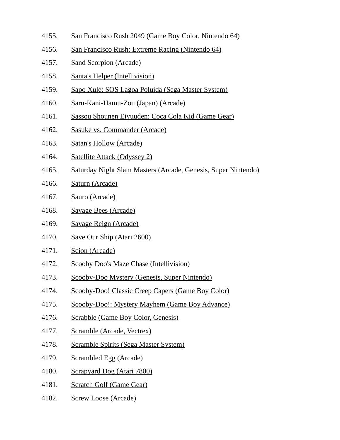- 4155. San Francisco Rush 2049 (Game Boy Color, Nintendo 64)
- 4156. San Francisco Rush: Extreme Racing (Nintendo 64)
- 4157. Sand Scorpion (Arcade)
- 4158. Santa's Helper (Intellivision)
- 4159. Sapo Xulé: SOS Lagoa Poluída (Sega Master System)
- 4160. Saru-Kani-Hamu-Zou (Japan) (Arcade)
- 4161. Sassou Shounen Eiyuuden: Coca Cola Kid (Game Gear)
- 4162. Sasuke vs. Commander (Arcade)
- 4163. Satan's Hollow (Arcade)
- 4164. Satellite Attack (Odyssey 2)
- 4165. Saturday Night Slam Masters (Arcade, Genesis, Super Nintendo)
- 4166. Saturn (Arcade)
- 4167. Sauro (Arcade)
- 4168. Savage Bees (Arcade)
- 4169. Savage Reign (Arcade)
- 4170. Save Our Ship (Atari 2600)
- 4171. Scion (Arcade)
- 4172. Scooby Doo's Maze Chase (Intellivision)
- 4173. Scooby-Doo Mystery (Genesis, Super Nintendo)
- 4174. Scooby-Doo! Classic Creep Capers (Game Boy Color)
- 4175. Scooby-Doo!: Mystery Mayhem (Game Boy Advance)
- 4176. Scrabble (Game Boy Color, Genesis)
- 4177. Scramble (Arcade, Vectrex)
- 4178. Scramble Spirits (Sega Master System)
- 4179. Scrambled Egg (Arcade)
- 4180. Scrapyard Dog (Atari 7800)
- 4181. Scratch Golf (Game Gear)
- 4182. Screw Loose (Arcade)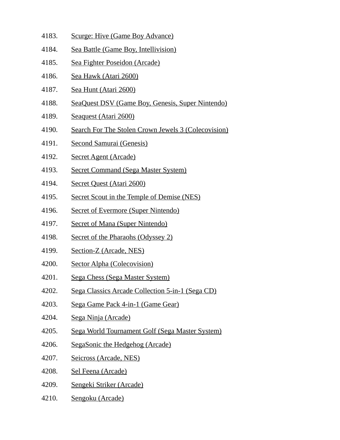- 4183. Scurge: Hive (Game Boy Advance)
- 4184. Sea Battle (Game Boy, Intellivision)
- 4185. Sea Fighter Poseidon (Arcade)
- 4186. Sea Hawk (Atari 2600)
- 4187. Sea Hunt (Atari 2600)
- 4188. SeaQuest DSV (Game Boy, Genesis, Super Nintendo)
- 4189. Seaquest (Atari 2600)
- 4190. Search For The Stolen Crown Jewels 3 (Colecovision)
- 4191. Second Samurai (Genesis)
- 4192. Secret Agent (Arcade)
- 4193. Secret Command (Sega Master System)
- 4194. Secret Quest (Atari 2600)
- 4195. Secret Scout in the Temple of Demise (NES)
- 4196. Secret of Evermore (Super Nintendo)
- 4197. Secret of Mana (Super Nintendo)
- 4198. Secret of the Pharaohs (Odyssey 2)
- 4199. Section-Z (Arcade, NES)
- 4200. Sector Alpha (Colecovision)
- 4201. Sega Chess (Sega Master System)
- 4202. Sega Classics Arcade Collection 5-in-1 (Sega CD)
- 4203. Sega Game Pack 4-in-1 (Game Gear)
- 4204. Sega Ninja (Arcade)
- 4205. Sega World Tournament Golf (Sega Master System)
- 4206. SegaSonic the Hedgehog (Arcade)
- 4207. Seicross (Arcade, NES)
- 4208. Sel Feena (Arcade)
- 4209. Sengeki Striker (Arcade)
- 4210. Sengoku (Arcade)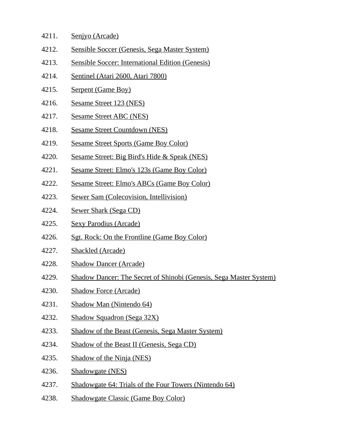- 4211. Senjyo (Arcade)
- 4212. Sensible Soccer (Genesis, Sega Master System)
- 4213. Sensible Soccer: International Edition (Genesis)
- 4214. Sentinel (Atari 2600, Atari 7800)
- 4215. Serpent (Game Boy)
- 4216. Sesame Street 123 (NES)
- 4217. Sesame Street ABC (NES)
- 4218. Sesame Street Countdown (NES)
- 4219. Sesame Street Sports (Game Boy Color)
- 4220. Sesame Street: Big Bird's Hide & Speak (NES)
- 4221. Sesame Street: Elmo's 123s (Game Boy Color)
- 4222. Sesame Street: Elmo's ABCs (Game Boy Color)
- 4223. Sewer Sam (Colecovision, Intellivision)
- 4224. Sewer Shark (Sega CD)
- 4225. Sexy Parodius (Arcade)
- 4226. Sgt. Rock: On the Frontline (Game Boy Color)
- 4227. Shackled (Arcade)
- 4228. Shadow Dancer (Arcade)
- 4229. Shadow Dancer: The Secret of Shinobi (Genesis, Sega Master System)
- 4230. Shadow Force (Arcade)
- 4231. Shadow Man (Nintendo 64)
- 4232. Shadow Squadron (Sega 32X)
- 4233. Shadow of the Beast (Genesis, Sega Master System)
- 4234. Shadow of the Beast II (Genesis, Sega CD)
- 4235. Shadow of the Ninja (NES)
- 4236. Shadowgate (NES)
- 4237. Shadowgate 64: Trials of the Four Towers (Nintendo 64)
- 4238. Shadowgate Classic (Game Boy Color)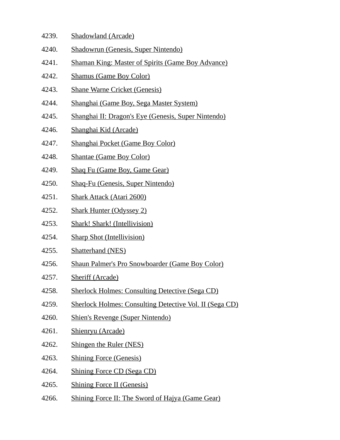- 4239. Shadowland (Arcade)
- 4240. Shadowrun (Genesis, Super Nintendo)
- 4241. Shaman King: Master of Spirits (Game Boy Advance)
- 4242. Shamus (Game Boy Color)
- 4243. Shane Warne Cricket (Genesis)
- 4244. Shanghai (Game Boy, Sega Master System)
- 4245. Shanghai II: Dragon's Eye (Genesis, Super Nintendo)
- 4246. Shanghai Kid (Arcade)
- 4247. Shanghai Pocket (Game Boy Color)
- 4248. Shantae (Game Boy Color)
- 4249. Shaq Fu (Game Boy, Game Gear)
- 4250. Shaq-Fu (Genesis, Super Nintendo)
- 4251. Shark Attack (Atari 2600)
- 4252. Shark Hunter (Odyssey 2)
- 4253. Shark! Shark! (Intellivision)
- 4254. Sharp Shot (Intellivision)
- 4255. Shatterhand (NES)
- 4256. Shaun Palmer's Pro Snowboarder (Game Boy Color)
- 4257. Sheriff (Arcade)
- 4258. Sherlock Holmes: Consulting Detective (Sega CD)
- 4259. Sherlock Holmes: Consulting Detective Vol. II (Sega CD)
- 4260. Shien's Revenge (Super Nintendo)
- 4261. Shienryu (Arcade)
- 4262. Shingen the Ruler (NES)
- 4263. Shining Force (Genesis)
- 4264. Shining Force CD (Sega CD)
- 4265. Shining Force II (Genesis)
- 4266. Shining Force II: The Sword of Hajya (Game Gear)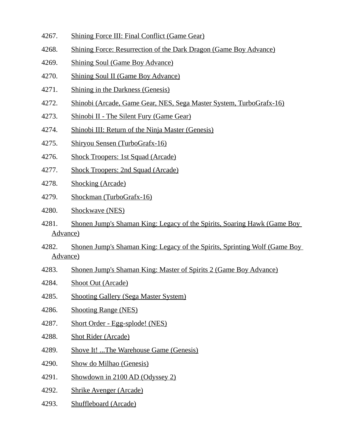- 4267. Shining Force III: Final Conflict (Game Gear)
- 4268. Shining Force: Resurrection of the Dark Dragon (Game Boy Advance)
- 4269. Shining Soul (Game Boy Advance)
- 4270. Shining Soul II (Game Boy Advance)
- 4271. Shining in the Darkness (Genesis)
- 4272. Shinobi (Arcade, Game Gear, NES, Sega Master System, TurboGrafx-16)
- 4273. Shinobi II The Silent Fury (Game Gear)
- 4274. Shinobi III: Return of the Ninja Master (Genesis)
- 4275. Shiryou Sensen (TurboGrafx-16)
- 4276. Shock Troopers: 1st Squad (Arcade)
- 4277. Shock Troopers: 2nd Squad (Arcade)
- 4278. Shocking (Arcade)
- 4279. Shockman (TurboGrafx-16)
- 4280. Shockwave (NES)
- 4281. Shonen Jump's Shaman King: Legacy of the Spirits, Soaring Hawk (Game Boy Advance)
- 4282. Shonen Jump's Shaman King: Legacy of the Spirits, Sprinting Wolf (Game Boy Advance)
- 4283. Shonen Jump's Shaman King: Master of Spirits 2 (Game Boy Advance)
- 4284. Shoot Out (Arcade)
- 4285. Shooting Gallery (Sega Master System)
- 4286. Shooting Range (NES)
- 4287. Short Order Egg-splode! (NES)
- 4288. Shot Rider (Arcade)
- 4289. Shove It! ...The Warehouse Game (Genesis)
- 4290. Show do Milhao (Genesis)
- 4291. Showdown in 2100 AD (Odyssey 2)
- 4292. Shrike Avenger (Arcade)
- 4293. Shuffleboard (Arcade)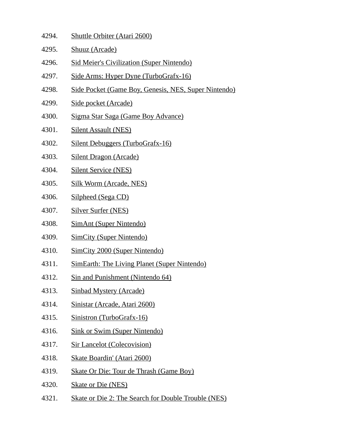- 4294. Shuttle Orbiter (Atari 2600)
- 4295. Shuuz (Arcade)
- 4296. Sid Meier's Civilization (Super Nintendo)
- 4297. Side Arms: Hyper Dyne (TurboGrafx-16)
- 4298. Side Pocket (Game Boy, Genesis, NES, Super Nintendo)
- 4299. Side pocket (Arcade)
- 4300. Sigma Star Saga (Game Boy Advance)
- 4301. Silent Assault (NES)
- 4302. Silent Debuggers (TurboGrafx-16)
- 4303. Silent Dragon (Arcade)
- 4304. Silent Service (NES)
- 4305. Silk Worm (Arcade, NES)
- 4306. Silpheed (Sega CD)
- 4307. Silver Surfer (NES)
- 4308. SimAnt (Super Nintendo)
- 4309. SimCity (Super Nintendo)
- 4310. SimCity 2000 (Super Nintendo)
- 4311. SimEarth: The Living Planet (Super Nintendo)
- 4312. Sin and Punishment (Nintendo 64)
- 4313. Sinbad Mystery (Arcade)
- 4314. Sinistar (Arcade, Atari 2600)
- 4315. Sinistron (TurboGrafx-16)
- 4316. Sink or Swim (Super Nintendo)
- 4317. Sir Lancelot (Colecovision)
- 4318. Skate Boardin' (Atari 2600)
- 4319. Skate Or Die: Tour de Thrash (Game Boy)
- 4320. Skate or Die (NES)
- 4321. Skate or Die 2: The Search for Double Trouble (NES)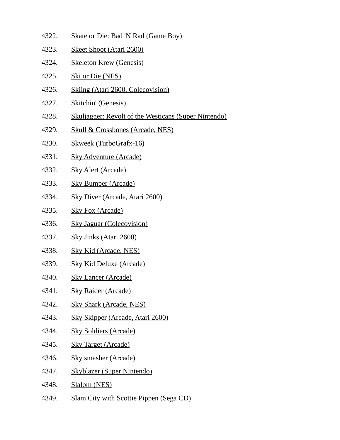| 4322. | <b>Skate or Die: Bad 'N Rad (Game Boy)</b>                  |
|-------|-------------------------------------------------------------|
| 4323. | <b>Skeet Shoot (Atari 2600)</b>                             |
| 4324. | <b>Skeleton Krew (Genesis)</b>                              |
| 4325. | <u>Ski or Die (NES)</u>                                     |
| 4326. | <b>Skiing (Atari 2600, Colecovision)</b>                    |
| 4327. | <b>Skitchin' (Genesis)</b>                                  |
| 4328. | <b>Skuljagger: Revolt of the Westicans (Super Nintendo)</b> |
| 4329. | <b>Skull &amp; Crossbones (Arcade, NES)</b>                 |
| 4330. | <b>Skweek (TurboGrafx-16)</b>                               |
| 4331. | <b>Sky Adventure (Arcade)</b>                               |
| 4332. | <b>Sky Alert (Arcade)</b>                                   |
| 4333. | <b>Sky Bumper (Arcade)</b>                                  |
| 4334. | <b>Sky Diver (Arcade, Atari 2600)</b>                       |
| 4335. | <b>Sky Fox (Arcade)</b>                                     |
| 4336. | <b>Sky Jaguar (Colecovision)</b>                            |
| 4337. | <b>Sky Jinks (Atari 2600)</b>                               |
| 4338. | <b>Sky Kid (Arcade, NES)</b>                                |
| 4339. | <b>Sky Kid Deluxe (Arcade)</b>                              |
| 4340. | <b>Sky Lancer (Arcade)</b>                                  |
| 4341. | <b>Sky Raider (Arcade)</b>                                  |
| 4342. | <b>Sky Shark (Arcade, NES)</b>                              |
| 4343. | <b>Sky Skipper (Arcade, Atari 2600)</b>                     |
| 4344. | <b>Sky Soldiers (Arcade)</b>                                |
| 4345. | <b>Sky Target (Arcade)</b>                                  |
| 4346. | <b>Sky smasher (Arcade)</b>                                 |
| 4347. | <b>Skyblazer (Super Nintendo)</b>                           |
| 4348. | Slalom (NES)                                                |
|       |                                                             |

4349. Slam City with Scottie Pippen (Sega CD)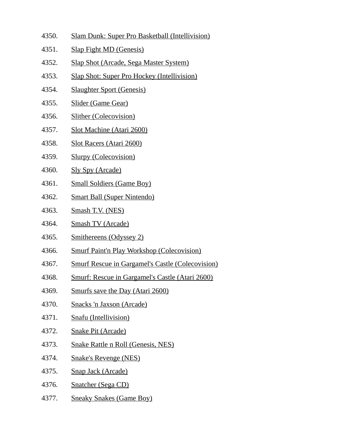- 4350. Slam Dunk: Super Pro Basketball (Intellivision)
- 4351. Slap Fight MD (Genesis)
- 4352. Slap Shot (Arcade, Sega Master System)
- 4353. Slap Shot: Super Pro Hockey (Intellivision)
- 4354. Slaughter Sport (Genesis)
- 4355. Slider (Game Gear)
- 4356. Slither (Colecovision)
- 4357. Slot Machine (Atari 2600)
- 4358. Slot Racers (Atari 2600)
- 4359. Slurpy (Colecovision)
- 4360. Sly Spy (Arcade)
- 4361. Small Soldiers (Game Boy)
- 4362. Smart Ball (Super Nintendo)
- 4363. Smash T.V. (NES)
- 4364. Smash TV (Arcade)
- 4365. Smithereens (Odyssey 2)
- 4366. Smurf Paint'n Play Workshop (Colecovision)
- 4367. Smurf Rescue in Gargamel's Castle (Colecovision)
- 4368. Smurf: Rescue in Gargamel's Castle (Atari 2600)
- 4369. Smurfs save the Day (Atari 2600)
- 4370. Snacks 'n Jaxson (Arcade)
- 4371. Snafu (Intellivision)
- 4372. Snake Pit (Arcade)
- 4373. Snake Rattle n Roll (Genesis, NES)
- 4374. Snake's Revenge (NES)
- 4375. Snap Jack (Arcade)
- 4376. Snatcher (Sega CD)
- 4377. Sneaky Snakes (Game Boy)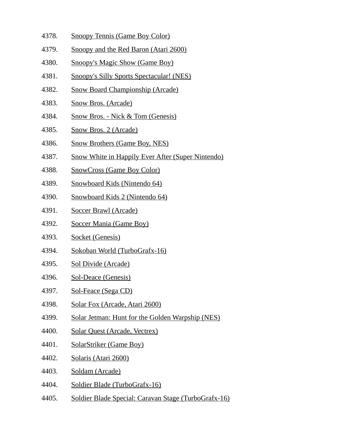- 4378. Snoopy Tennis (Game Boy Color)
- 4379. Snoopy and the Red Baron (Atari 2600)
- 4380. Snoopy's Magic Show (Game Boy)
- 4381. Snoopy's Silly Sports Spectacular! (NES)
- 4382. Snow Board Championship (Arcade)
- 4383. Snow Bros. (Arcade)
- 4384. Snow Bros. Nick & Tom (Genesis)
- 4385. Snow Bros. 2 (Arcade)
- 4386. Snow Brothers (Game Boy, NES)
- 4387. Snow White in Happily Ever After (Super Nintendo)
- 4388. SnowCross (Game Boy Color)
- 4389. Snowboard Kids (Nintendo 64)
- 4390. Snowboard Kids 2 (Nintendo 64)
- 4391. Soccer Brawl (Arcade)
- 4392. Soccer Mania (Game Boy)
- 4393. Socket (Genesis)
- 4394. Sokoban World (TurboGrafx-16)
- 4395. Sol Divide (Arcade)
- 4396. Sol-Deace (Genesis)
- 4397. Sol-Feace (Sega CD)
- 4398. Solar Fox (Arcade, Atari 2600)
- 4399. Solar Jetman: Hunt for the Golden Warpship (NES)
- 4400. Solar Quest (Arcade, Vectrex)
- 4401. SolarStriker (Game Boy)
- 4402. Solaris (Atari 2600)
- 4403. Soldam (Arcade)
- 4404. Soldier Blade (TurboGrafx-16)
- 4405. Soldier Blade Special: Caravan Stage (TurboGrafx-16)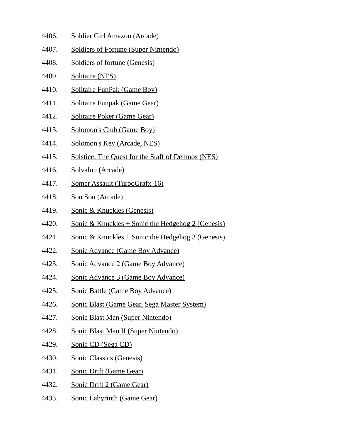- 4406. Soldier Girl Amazon (Arcade)
- 4407. Soldiers of Fortune (Super Nintendo)
- 4408. Soldiers of fortune (Genesis)
- 4409. Solitaire (NES)
- 4410. Solitaire FunPak (Game Boy)
- 4411. Solitaire Funpak (Game Gear)
- 4412. Solitaire Poker (Game Gear)
- 4413. Solomon's Club (Game Boy)
- 4414. Solomon's Key (Arcade, NES)
- 4415. Solstice: The Quest for the Staff of Demnos (NES)
- 4416. Solvalou (Arcade)
- 4417. Somer Assault (TurboGrafx-16)
- 4418. Son Son (Arcade)
- 4419. Sonic & Knuckles (Genesis)
- 4420. Sonic & Knuckles + Sonic the Hedgehog 2 (Genesis)
- 4421. Sonic & Knuckles + Sonic the Hedgehog 3 (Genesis)
- 4422. Sonic Advance (Game Boy Advance)
- 4423. Sonic Advance 2 (Game Boy Advance)
- 4424. Sonic Advance 3 (Game Boy Advance)
- 4425. Sonic Battle (Game Boy Advance)
- 4426. Sonic Blast (Game Gear, Sega Master System)
- 4427. Sonic Blast Man (Super Nintendo)
- 4428. Sonic Blast Man II (Super Nintendo)
- 4429. Sonic CD (Sega CD)
- 4430. Sonic Classics (Genesis)
- 4431. Sonic Drift (Game Gear)
- 4432. Sonic Drift 2 (Game Gear)
- 4433. Sonic Labyrinth (Game Gear)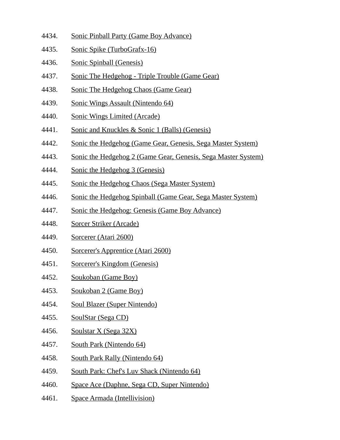- 4434. Sonic Pinball Party (Game Boy Advance)
- 4435. Sonic Spike (TurboGrafx-16)
- 4436. Sonic Spinball (Genesis)
- 4437. Sonic The Hedgehog Triple Trouble (Game Gear)
- 4438. Sonic The Hedgehog Chaos (Game Gear)
- 4439. Sonic Wings Assault (Nintendo 64)
- 4440. Sonic Wings Limited (Arcade)
- 4441. Sonic and Knuckles & Sonic 1 (Balls) (Genesis)
- 4442. Sonic the Hedgehog (Game Gear, Genesis, Sega Master System)
- 4443. Sonic the Hedgehog 2 (Game Gear, Genesis, Sega Master System)
- 4444. Sonic the Hedgehog 3 (Genesis)
- 4445. Sonic the Hedgehog Chaos (Sega Master System)
- 4446. Sonic the Hedgehog Spinball (Game Gear, Sega Master System)
- 4447. Sonic the Hedgehog: Genesis (Game Boy Advance)
- 4448. Sorcer Striker (Arcade)
- 4449. Sorcerer (Atari 2600)
- 4450. Sorcerer's Apprentice (Atari 2600)
- 4451. Sorcerer's Kingdom (Genesis)
- 4452. Soukoban (Game Boy)
- 4453. Soukoban 2 (Game Boy)
- 4454. Soul Blazer (Super Nintendo)
- 4455. SoulStar (Sega CD)
- 4456. Soulstar X (Sega 32X)
- 4457. South Park (Nintendo 64)
- 4458. South Park Rally (Nintendo 64)
- 4459. South Park: Chef's Luv Shack (Nintendo 64)
- 4460. Space Ace (Daphne, Sega CD, Super Nintendo)
- 4461. Space Armada (Intellivision)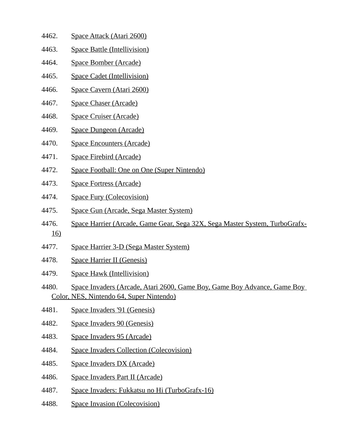- 4462. Space Attack (Atari 2600)
- 4463. Space Battle (Intellivision)
- 4464. Space Bomber (Arcade)
- 4465. Space Cadet (Intellivision)
- 4466. Space Cavern (Atari 2600)
- 4467. Space Chaser (Arcade)
- 4468. Space Cruiser (Arcade)
- 4469. Space Dungeon (Arcade)
- 4470. Space Encounters (Arcade)
- 4471. Space Firebird (Arcade)
- 4472. Space Football: One on One (Super Nintendo)
- 4473. Space Fortress (Arcade)
- 4474. Space Fury (Colecovision)
- 4475. Space Gun (Arcade, Sega Master System)
- 4476. Space Harrier (Arcade, Game Gear, Sega 32X, Sega Master System, TurboGrafx-16)
- 4477. Space Harrier 3-D (Sega Master System)
- 4478. Space Harrier II (Genesis)
- 4479. Space Hawk (Intellivision)
- 4480. Space Invaders (Arcade, Atari 2600, Game Boy, Game Boy Advance, Game Boy Color, NES, Nintendo 64, Super Nintendo)
- 4481. Space Invaders '91 (Genesis)
- 4482. Space Invaders 90 (Genesis)
- 4483. Space Invaders 95 (Arcade)
- 4484. Space Invaders Collection (Colecovision)
- 4485. Space Invaders DX (Arcade)
- 4486. Space Invaders Part II (Arcade)
- 4487. Space Invaders: Fukkatsu no Hi (TurboGrafx-16)
- 4488. Space Invasion (Colecovision)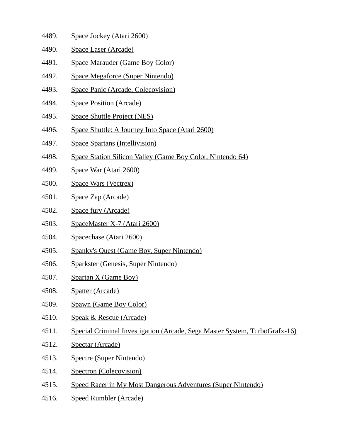| 4489. | Space Jockey (Atari 2600)                                  |
|-------|------------------------------------------------------------|
| 4490. | Space Laser (Arcade)                                       |
| 4491. | <b>Space Marauder (Game Boy Color)</b>                     |
| 4492. | Space Megaforce (Super Nintendo)                           |
| 4493. | <b>Space Panic (Arcade, Colecovision)</b>                  |
| 4494. | <b>Space Position (Arcade)</b>                             |
| 4495. | <b>Space Shuttle Project (NES)</b>                         |
| 4496. | Space Shuttle: A Journey Into Space (Atari 2600)           |
| 4497. | <b>Space Spartans (Intellivision)</b>                      |
| 4498. | Space Station Silicon Valley (Game Boy Color, Nintendo 64) |
| 4499. | Space War (Atari 2600)                                     |
| 4500. | <b>Space Wars (Vectrex)</b>                                |
| 4501. | Space Zap (Arcade)                                         |
| 4502. | Space fury (Arcade)                                        |
| 4503. | SpaceMaster X-7 (Atari 2600)                               |
| 4504. | Spacechase (Atari 2600)                                    |
| 4505. | <b>Spanky's Quest (Game Boy, Super Nintendo)</b>           |
| 4506. | <b>Sparkster (Genesis, Super Nintendo)</b>                 |

- 4507. Spartan X (Game Boy)
- 4508. Spatter (Arcade)
- 4509. Spawn (Game Boy Color)
- 4510. Speak & Rescue (Arcade)
- 4511. Special Criminal Investigation (Arcade, Sega Master System, TurboGrafx-16)
- 4512. Spectar (Arcade)
- 4513. Spectre (Super Nintendo)
- 4514. Spectron (Colecovision)
- 4515. Speed Racer in My Most Dangerous Adventures (Super Nintendo)
- 4516. Speed Rumbler (Arcade)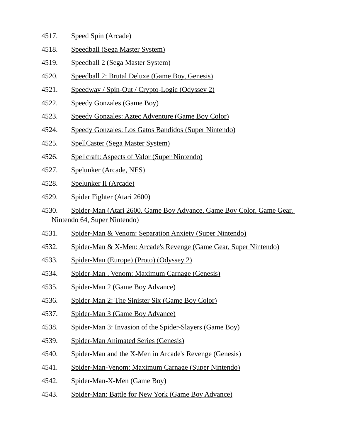- 4517. Speed Spin (Arcade)
- 4518. Speedball (Sega Master System)
- 4519. Speedball 2 (Sega Master System)
- 4520. Speedball 2: Brutal Deluxe (Game Boy, Genesis)
- 4521. Speedway / Spin-Out / Crypto-Logic (Odyssey 2)
- 4522. Speedy Gonzales (Game Boy)
- 4523. Speedy Gonzales: Aztec Adventure (Game Boy Color)
- 4524. Speedy Gonzales: Los Gatos Bandidos (Super Nintendo)
- 4525. SpellCaster (Sega Master System)
- 4526. Spellcraft: Aspects of Valor (Super Nintendo)
- 4527. Spelunker (Arcade, NES)
- 4528. Spelunker II (Arcade)
- 4529. Spider Fighter (Atari 2600)
- 4530. Spider-Man (Atari 2600, Game Boy Advance, Game Boy Color, Game Gear, Nintendo 64, Super Nintendo)
- 4531. Spider-Man & Venom: Separation Anxiety (Super Nintendo)
- 4532. Spider-Man & X-Men: Arcade's Revenge (Game Gear, Super Nintendo)
- 4533. Spider-Man (Europe) (Proto) (Odyssey 2)
- 4534. Spider-Man . Venom: Maximum Carnage (Genesis)
- 4535. Spider-Man 2 (Game Boy Advance)
- 4536. Spider-Man 2: The Sinister Six (Game Boy Color)
- 4537. Spider-Man 3 (Game Boy Advance)
- 4538. Spider-Man 3: Invasion of the Spider-Slayers (Game Boy)
- 4539. Spider-Man Animated Series (Genesis)
- 4540. Spider-Man and the X-Men in Arcade's Revenge (Genesis)
- 4541. Spider-Man-Venom: Maximum Carnage (Super Nintendo)
- 4542. Spider-Man-X-Men (Game Boy)
- 4543. Spider-Man: Battle for New York (Game Boy Advance)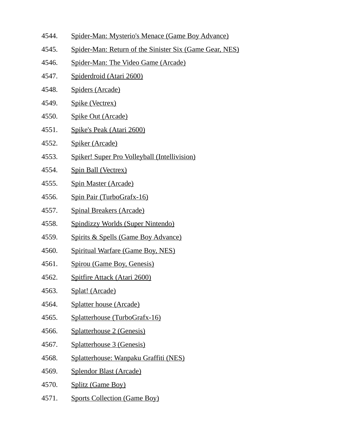- 4544. Spider-Man: Mysterio's Menace (Game Boy Advance)
- 4545. Spider-Man: Return of the Sinister Six (Game Gear, NES)
- 4546. Spider-Man: The Video Game (Arcade)
- 4547. Spiderdroid (Atari 2600)
- 4548. Spiders (Arcade)
- 4549. Spike (Vectrex)
- 4550. Spike Out (Arcade)
- 4551. Spike's Peak (Atari 2600)
- 4552. Spiker (Arcade)
- 4553. Spiker! Super Pro Volleyball (Intellivision)
- 4554. Spin Ball (Vectrex)
- 4555. Spin Master (Arcade)
- 4556. Spin Pair (TurboGrafx-16)
- 4557. Spinal Breakers (Arcade)
- 4558. Spindizzy Worlds (Super Nintendo)
- 4559. Spirits & Spells (Game Boy Advance)
- 4560. Spiritual Warfare (Game Boy, NES)
- 4561. Spirou (Game Boy, Genesis)
- 4562. Spitfire Attack (Atari 2600)
- 4563. Splat! (Arcade)
- 4564. Splatter house (Arcade)
- 4565. Splatterhouse (TurboGrafx-16)
- 4566. Splatterhouse 2 (Genesis)
- 4567. Splatterhouse 3 (Genesis)
- 4568. Splatterhouse: Wanpaku Graffiti (NES)
- 4569. Splendor Blast (Arcade)
- 4570. Splitz (Game Boy)
- 4571. Sports Collection (Game Boy)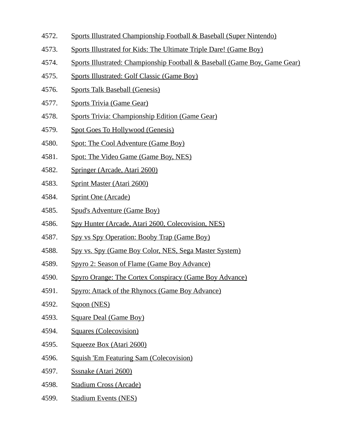- 4572. Sports Illustrated Championship Football & Baseball (Super Nintendo)
- 4573. Sports Illustrated for Kids: The Ultimate Triple Dare! (Game Boy)
- 4574. Sports Illustrated: Championship Football & Baseball (Game Boy, Game Gear)
- 4575. Sports Illustrated: Golf Classic (Game Boy)
- 4576. Sports Talk Baseball (Genesis)
- 4577. Sports Trivia (Game Gear)
- 4578. Sports Trivia: Championship Edition (Game Gear)
- 4579. Spot Goes To Hollywood (Genesis)
- 4580. Spot: The Cool Adventure (Game Boy)
- 4581. Spot: The Video Game (Game Boy, NES)
- 4582. Springer (Arcade, Atari 2600)
- 4583. Sprint Master (Atari 2600)
- 4584. Sprint One (Arcade)
- 4585. Spud's Adventure (Game Boy)
- 4586. Spy Hunter (Arcade, Atari 2600, Colecovision, NES)
- 4587. Spy vs Spy Operation: Booby Trap (Game Boy)
- 4588. Spy vs. Spy (Game Boy Color, NES, Sega Master System)
- 4589. Spyro 2: Season of Flame (Game Boy Advance)
- 4590. Spyro Orange: The Cortex Conspiracy (Game Boy Advance)
- 4591. Spyro: Attack of the Rhynocs (Game Boy Advance)
- 4592. Sqoon (NES)
- 4593. Square Deal (Game Boy)
- 4594. Squares (Colecovision)
- 4595. Squeeze Box (Atari 2600)
- 4596. Squish 'Em Featuring Sam (Colecovision)
- 4597. Sssnake (Atari 2600)
- 4598. Stadium Cross (Arcade)
- 4599. Stadium Events (NES)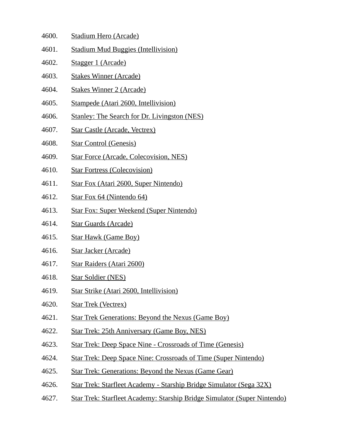- 4600. Stadium Hero (Arcade)
- 4601. Stadium Mud Buggies (Intellivision)
- 4602. Stagger 1 (Arcade)
- 4603. Stakes Winner (Arcade)
- 4604. Stakes Winner 2 (Arcade)
- 4605. Stampede (Atari 2600, Intellivision)
- 4606. Stanley: The Search for Dr. Livingston (NES)
- 4607. Star Castle (Arcade, Vectrex)
- 4608. Star Control (Genesis)
- 4609. Star Force (Arcade, Colecovision, NES)
- 4610. Star Fortress (Colecovision)
- 4611. Star Fox (Atari 2600, Super Nintendo)
- 4612. Star Fox 64 (Nintendo 64)
- 4613. Star Fox: Super Weekend (Super Nintendo)
- 4614. Star Guards (Arcade)
- 4615. Star Hawk (Game Boy)
- 4616. Star Jacker (Arcade)
- 4617. Star Raiders (Atari 2600)
- 4618. Star Soldier (NES)
- 4619. Star Strike (Atari 2600, Intellivision)
- 4620. Star Trek (Vectrex)
- 4621. Star Trek Generations: Beyond the Nexus (Game Boy)
- 4622. Star Trek: 25th Anniversary (Game Boy, NES)
- 4623. Star Trek: Deep Space Nine Crossroads of Time (Genesis)
- 4624. Star Trek: Deep Space Nine: Crossroads of Time (Super Nintendo)
- 4625. Star Trek: Generations: Beyond the Nexus (Game Gear)
- 4626. Star Trek: Starfleet Academy Starship Bridge Simulator (Sega 32X)
- 4627. Star Trek: Starfleet Academy: Starship Bridge Simulator (Super Nintendo)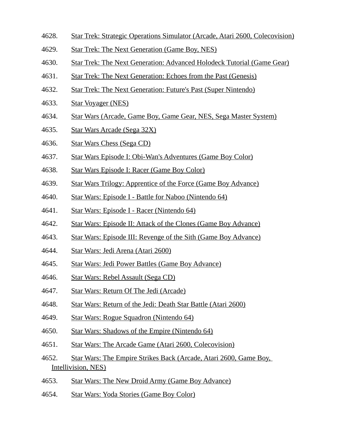- 4628. Star Trek: Strategic Operations Simulator (Arcade, Atari 2600, Colecovision)
- 4629. Star Trek: The Next Generation (Game Boy, NES)
- 4630. Star Trek: The Next Generation: Advanced Holodeck Tutorial (Game Gear)
- 4631. Star Trek: The Next Generation: Echoes from the Past (Genesis)
- 4632. Star Trek: The Next Generation: Future's Past (Super Nintendo)
- 4633. Star Voyager (NES)
- 4634. Star Wars (Arcade, Game Boy, Game Gear, NES, Sega Master System)
- 4635. Star Wars Arcade (Sega 32X)
- 4636. Star Wars Chess (Sega CD)
- 4637. Star Wars Episode I: Obi-Wan's Adventures (Game Boy Color)
- 4638. Star Wars Episode I: Racer (Game Boy Color)
- 4639. Star Wars Trilogy: Apprentice of the Force (Game Boy Advance)
- 4640. Star Wars: Episode I Battle for Naboo (Nintendo 64)
- 4641. Star Wars: Episode I Racer (Nintendo 64)
- 4642. Star Wars: Episode II: Attack of the Clones (Game Boy Advance)
- 4643. Star Wars: Episode III: Revenge of the Sith (Game Boy Advance)
- 4644. Star Wars: Jedi Arena (Atari 2600)
- 4645. Star Wars: Jedi Power Battles (Game Boy Advance)
- 4646. Star Wars: Rebel Assault (Sega CD)
- 4647. Star Wars: Return Of The Jedi (Arcade)
- 4648. Star Wars: Return of the Jedi: Death Star Battle (Atari 2600)
- 4649. Star Wars: Rogue Squadron (Nintendo 64)
- 4650. Star Wars: Shadows of the Empire (Nintendo 64)
- 4651. Star Wars: The Arcade Game (Atari 2600, Colecovision)
- 4652. Star Wars: The Empire Strikes Back (Arcade, Atari 2600, Game Boy, Intellivision, NES)
- 4653. Star Wars: The New Droid Army (Game Boy Advance)
- 4654. Star Wars: Yoda Stories (Game Boy Color)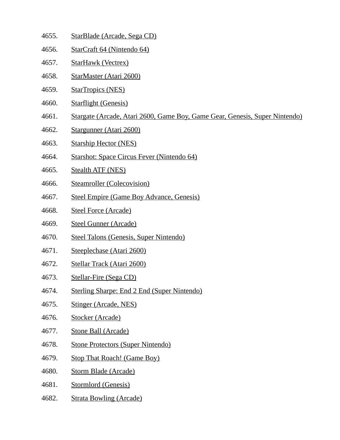- 4655. StarBlade (Arcade, Sega CD)
- 4656. StarCraft 64 (Nintendo 64)
- 4657. StarHawk (Vectrex)
- 4658. StarMaster (Atari 2600)
- 4659. StarTropics (NES)
- 4660. Starflight (Genesis)
- 4661. Stargate (Arcade, Atari 2600, Game Boy, Game Gear, Genesis, Super Nintendo)
- 4662. Stargunner (Atari 2600)
- 4663. Starship Hector (NES)
- 4664. Starshot: Space Circus Fever (Nintendo 64)
- 4665. Stealth ATF (NES)
- 4666. Steamroller (Colecovision)
- 4667. Steel Empire (Game Boy Advance, Genesis)
- 4668. Steel Force (Arcade)
- 4669. Steel Gunner (Arcade)
- 4670. Steel Talons (Genesis, Super Nintendo)
- 4671. Steeplechase (Atari 2600)
- 4672. Stellar Track (Atari 2600)
- 4673. Stellar-Fire (Sega CD)
- 4674. Sterling Sharpe: End 2 End (Super Nintendo)
- 4675. Stinger (Arcade, NES)
- 4676. Stocker (Arcade)
- 4677. Stone Ball (Arcade)
- 4678. Stone Protectors (Super Nintendo)
- 4679. Stop That Roach! (Game Boy)
- 4680. Storm Blade (Arcade)
- 4681. Stormlord (Genesis)
- 4682. Strata Bowling (Arcade)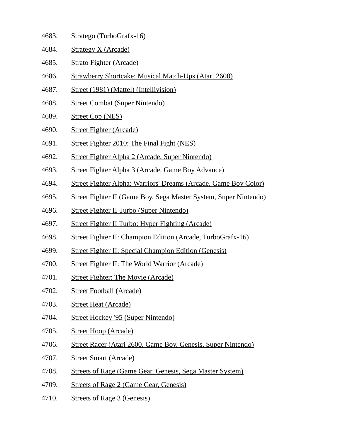| 4683. | Stratego (TurboGrafx-16) |  |
|-------|--------------------------|--|
|       |                          |  |

- 4684. Strategy X (Arcade)
- 4685. Strato Fighter (Arcade)
- 4686. Strawberry Shortcake: Musical Match-Ups (Atari 2600)
- 4687. Street (1981) (Mattel) (Intellivision)
- 4688. Street Combat (Super Nintendo)
- 4689. Street Cop (NES)
- 4690. Street Fighter (Arcade)
- 4691. Street Fighter 2010: The Final Fight (NES)
- 4692. Street Fighter Alpha 2 (Arcade, Super Nintendo)
- 4693. Street Fighter Alpha 3 (Arcade, Game Boy Advance)
- 4694. Street Fighter Alpha: Warriors' Dreams (Arcade, Game Boy Color)
- 4695. Street Fighter II (Game Boy, Sega Master System, Super Nintendo)
- 4696. Street Fighter II Turbo (Super Nintendo)
- 4697. Street Fighter II Turbo: Hyper Fighting (Arcade)
- 4698. Street Fighter II: Champion Edition (Arcade, TurboGrafx-16)
- 4699. Street Fighter II: Special Champion Edition (Genesis)
- 4700. Street Fighter II: The World Warrior (Arcade)
- 4701. Street Fighter: The Movie (Arcade)
- 4702. Street Football (Arcade)
- 4703. Street Heat (Arcade)
- 4704. Street Hockey '95 (Super Nintendo)
- 4705. Street Hoop (Arcade)
- 4706. Street Racer (Atari 2600, Game Boy, Genesis, Super Nintendo)
- 4707. Street Smart (Arcade)
- 4708. Streets of Rage (Game Gear, Genesis, Sega Master System)
- 4709. Streets of Rage 2 (Game Gear, Genesis)
- 4710. Streets of Rage 3 (Genesis)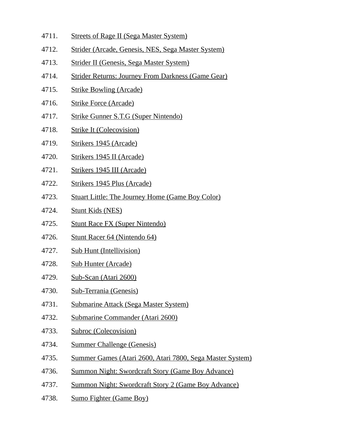- 4711. Streets of Rage II (Sega Master System)
- 4712. Strider (Arcade, Genesis, NES, Sega Master System)
- 4713. Strider II (Genesis, Sega Master System)
- 4714. Strider Returns: Journey From Darkness (Game Gear)
- 4715. Strike Bowling (Arcade)
- 4716. Strike Force (Arcade)
- 4717. Strike Gunner S.T.G (Super Nintendo)
- 4718. Strike It (Colecovision)
- 4719. Strikers 1945 (Arcade)
- 4720. Strikers 1945 II (Arcade)
- 4721. Strikers 1945 III (Arcade)
- 4722. Strikers 1945 Plus (Arcade)
- 4723. Stuart Little: The Journey Home (Game Boy Color)
- 4724. Stunt Kids (NES)
- 4725. Stunt Race FX (Super Nintendo)
- 4726. Stunt Racer 64 (Nintendo 64)
- 4727. Sub Hunt (Intellivision)
- 4728. Sub Hunter (Arcade)
- 4729. Sub-Scan (Atari 2600)
- 4730. Sub-Terrania (Genesis)
- 4731. Submarine Attack (Sega Master System)
- 4732. Submarine Commander (Atari 2600)
- 4733. Subroc (Colecovision)
- 4734. Summer Challenge (Genesis)
- 4735. Summer Games (Atari 2600, Atari 7800, Sega Master System)
- 4736. Summon Night: Swordcraft Story (Game Boy Advance)
- 4737. Summon Night: Swordcraft Story 2 (Game Boy Advance)
- 4738. Sumo Fighter (Game Boy)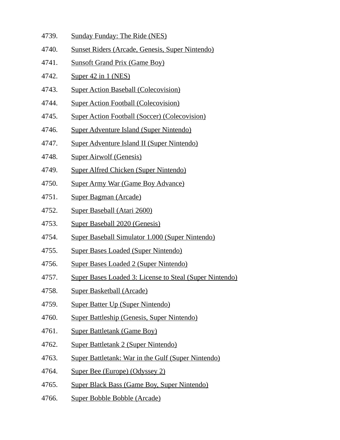- 4739. Sunday Funday: The Ride (NES)
- 4740. Sunset Riders (Arcade, Genesis, Super Nintendo)
- 4741. Sunsoft Grand Prix (Game Boy)
- 4742. Super 42 in 1 (NES)
- 4743. Super Action Baseball (Colecovision)
- 4744. Super Action Football (Colecovision)
- 4745. Super Action Football (Soccer) (Colecovision)
- 4746. Super Adventure Island (Super Nintendo)
- 4747. Super Adventure Island II (Super Nintendo)
- 4748. Super Airwolf (Genesis)
- 4749. Super Alfred Chicken (Super Nintendo)
- 4750. Super Army War (Game Boy Advance)
- 4751. Super Bagman (Arcade)
- 4752. Super Baseball (Atari 2600)
- 4753. Super Baseball 2020 (Genesis)
- 4754. Super Baseball Simulator 1.000 (Super Nintendo)
- 4755. Super Bases Loaded (Super Nintendo)
- 4756. Super Bases Loaded 2 (Super Nintendo)
- 4757. Super Bases Loaded 3: License to Steal (Super Nintendo)
- 4758. Super Basketball (Arcade)
- 4759. Super Batter Up (Super Nintendo)
- 4760. Super Battleship (Genesis, Super Nintendo)
- 4761. Super Battletank (Game Boy)
- 4762. Super Battletank 2 (Super Nintendo)
- 4763. Super Battletank: War in the Gulf (Super Nintendo)
- 4764. Super Bee (Europe) (Odyssey 2)
- 4765. Super Black Bass (Game Boy, Super Nintendo)
- 4766. Super Bobble Bobble (Arcade)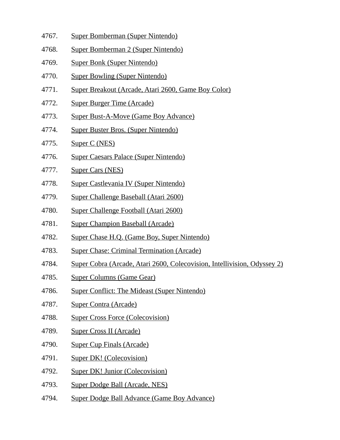- 4767. Super Bomberman (Super Nintendo)
- 4768. Super Bomberman 2 (Super Nintendo)
- 4769. Super Bonk (Super Nintendo)
- 4770. Super Bowling (Super Nintendo)
- 4771. Super Breakout (Arcade, Atari 2600, Game Boy Color)
- 4772. Super Burger Time (Arcade)
- 4773. Super Bust-A-Move (Game Boy Advance)
- 4774. Super Buster Bros. (Super Nintendo)
- 4775. Super C (NES)
- 4776. Super Caesars Palace (Super Nintendo)
- 4777. Super Cars (NES)
- 4778. Super Castlevania IV (Super Nintendo)
- 4779. Super Challenge Baseball (Atari 2600)
- 4780. Super Challenge Football (Atari 2600)
- 4781. Super Champion Baseball (Arcade)
- 4782. Super Chase H.Q. (Game Boy, Super Nintendo)
- 4783. Super Chase: Criminal Termination (Arcade)
- 4784. Super Cobra (Arcade, Atari 2600, Colecovision, Intellivision, Odyssey 2)
- 4785. Super Columns (Game Gear)
- 4786. Super Conflict: The Mideast (Super Nintendo)
- 4787. Super Contra (Arcade)
- 4788. Super Cross Force (Colecovision)
- 4789. Super Cross II (Arcade)
- 4790. Super Cup Finals (Arcade)
- 4791. Super DK! (Colecovision)
- 4792. Super DK! Junior (Colecovision)
- 4793. Super Dodge Ball (Arcade, NES)
- 4794. Super Dodge Ball Advance (Game Boy Advance)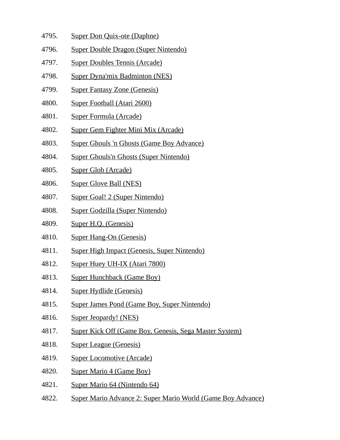- 4795. Super Don Quix-ote (Daphne)
- 4796. Super Double Dragon (Super Nintendo)
- 4797. Super Doubles Tennis (Arcade)
- 4798. Super Dyna'mix Badminton (NES)
- 4799. Super Fantasy Zone (Genesis)
- 4800. Super Football (Atari 2600)
- 4801. Super Formula (Arcade)
- 4802. Super Gem Fighter Mini Mix (Arcade)
- 4803. Super Ghouls 'n Ghosts (Game Boy Advance)
- 4804. Super Ghouls'n Ghosts (Super Nintendo)
- 4805. Super Glob (Arcade)
- 4806. Super Glove Ball (NES)
- 4807. Super Goal! 2 (Super Nintendo)
- 4808. Super Godzilla (Super Nintendo)
- 4809. Super H.Q. (Genesis)
- 4810. Super Hang-On (Genesis)
- 4811. Super High Impact (Genesis, Super Nintendo)
- 4812. Super Huey UH-IX (Atari 7800)
- 4813. Super Hunchback (Game Boy)
- 4814. Super Hydlide (Genesis)
- 4815. Super James Pond (Game Boy, Super Nintendo)
- 4816. Super Jeopardy! (NES)
- 4817. Super Kick Off (Game Boy, Genesis, Sega Master System)
- 4818. Super League (Genesis)
- 4819. Super Locomotive (Arcade)
- 4820. Super Mario 4 (Game Boy)
- 4821. Super Mario 64 (Nintendo 64)
- 4822. Super Mario Advance 2: Super Mario World (Game Boy Advance)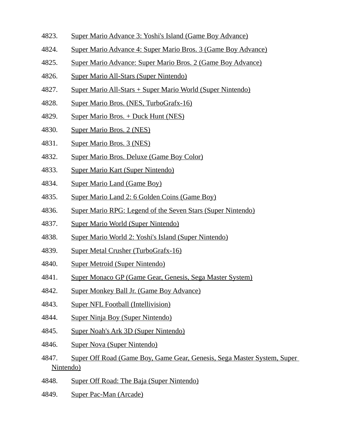- 4823. Super Mario Advance 3: Yoshi's Island (Game Boy Advance)
- 4824. Super Mario Advance 4: Super Mario Bros. 3 (Game Boy Advance)
- 4825. Super Mario Advance: Super Mario Bros. 2 (Game Boy Advance)
- 4826. Super Mario All-Stars (Super Nintendo)
- 4827. Super Mario All-Stars + Super Mario World (Super Nintendo)
- 4828. Super Mario Bros. (NES, TurboGrafx-16)
- 4829. Super Mario Bros. + Duck Hunt (NES)
- 4830. Super Mario Bros. 2 (NES)
- 4831. Super Mario Bros. 3 (NES)
- 4832. Super Mario Bros. Deluxe (Game Boy Color)
- 4833. Super Mario Kart (Super Nintendo)
- 4834. Super Mario Land (Game Boy)
- 4835. Super Mario Land 2: 6 Golden Coins (Game Boy)
- 4836. Super Mario RPG: Legend of the Seven Stars (Super Nintendo)
- 4837. Super Mario World (Super Nintendo)
- 4838. Super Mario World 2: Yoshi's Island (Super Nintendo)
- 4839. Super Metal Crusher (TurboGrafx-16)
- 4840. Super Metroid (Super Nintendo)
- 4841. Super Monaco GP (Game Gear, Genesis, Sega Master System)
- 4842. Super Monkey Ball Jr. (Game Boy Advance)
- 4843. Super NFL Football (Intellivision)
- 4844. Super Ninja Boy (Super Nintendo)
- 4845. Super Noah's Ark 3D (Super Nintendo)
- 4846. Super Nova (Super Nintendo)
- 4847. Super Off Road (Game Boy, Game Gear, Genesis, Sega Master System, Super Nintendo)
- 4848. Super Off Road: The Baja (Super Nintendo)
- 4849. Super Pac-Man (Arcade)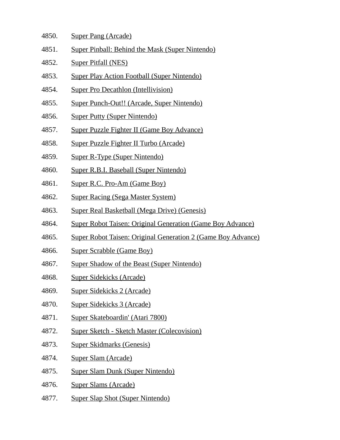- 4850. Super Pang (Arcade)
- 4851. Super Pinball: Behind the Mask (Super Nintendo)
- 4852. Super Pitfall (NES)
- 4853. Super Play Action Football (Super Nintendo)
- 4854. Super Pro Decathlon (Intellivision)
- 4855. Super Punch-Out!! (Arcade, Super Nintendo)
- 4856. Super Putty (Super Nintendo)
- 4857. Super Puzzle Fighter II (Game Boy Advance)
- 4858. Super Puzzle Fighter II Turbo (Arcade)
- 4859. Super R-Type (Super Nintendo)
- 4860. Super R.B.I. Baseball (Super Nintendo)
- 4861. Super R.C. Pro-Am (Game Boy)
- 4862. Super Racing (Sega Master System)
- 4863. Super Real Basketball (Mega Drive) (Genesis)
- 4864. Super Robot Taisen: Original Generation (Game Boy Advance)
- 4865. Super Robot Taisen: Original Generation 2 (Game Boy Advance)
- 4866. Super Scrabble (Game Boy)
- 4867. Super Shadow of the Beast (Super Nintendo)
- 4868. Super Sidekicks (Arcade)
- 4869. Super Sidekicks 2 (Arcade)
- 4870. Super Sidekicks 3 (Arcade)
- 4871. Super Skateboardin' (Atari 7800)
- 4872. Super Sketch Sketch Master (Colecovision)
- 4873. Super Skidmarks (Genesis)
- 4874. Super Slam (Arcade)
- 4875. Super Slam Dunk (Super Nintendo)
- 4876. Super Slams (Arcade)
- 4877. Super Slap Shot (Super Nintendo)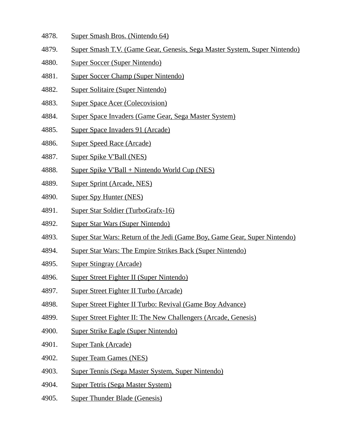- 4878. Super Smash Bros. (Nintendo 64)
- 4879. Super Smash T.V. (Game Gear, Genesis, Sega Master System, Super Nintendo)
- 4880. Super Soccer (Super Nintendo)
- 4881. Super Soccer Champ (Super Nintendo)
- 4882. Super Solitaire (Super Nintendo)
- 4883. Super Space Acer (Colecovision)
- 4884. Super Space Invaders (Game Gear, Sega Master System)
- 4885. Super Space Invaders 91 (Arcade)
- 4886. Super Speed Race (Arcade)
- 4887. Super Spike V'Ball (NES)
- 4888. Super Spike V'Ball + Nintendo World Cup (NES)
- 4889. Super Sprint (Arcade, NES)
- 4890. Super Spy Hunter (NES)
- 4891. Super Star Soldier (TurboGrafx-16)
- 4892. Super Star Wars (Super Nintendo)
- 4893. Super Star Wars: Return of the Jedi (Game Boy, Game Gear, Super Nintendo)
- 4894. Super Star Wars: The Empire Strikes Back (Super Nintendo)
- 4895. Super Stingray (Arcade)
- 4896. Super Street Fighter II (Super Nintendo)
- 4897. Super Street Fighter II Turbo (Arcade)
- 4898. Super Street Fighter II Turbo: Revival (Game Boy Advance)
- 4899. Super Street Fighter II: The New Challengers (Arcade, Genesis)
- 4900. Super Strike Eagle (Super Nintendo)
- 4901. Super Tank (Arcade)
- 4902. Super Team Games (NES)
- 4903. Super Tennis (Sega Master System, Super Nintendo)
- 4904. Super Tetris (Sega Master System)
- 4905. Super Thunder Blade (Genesis)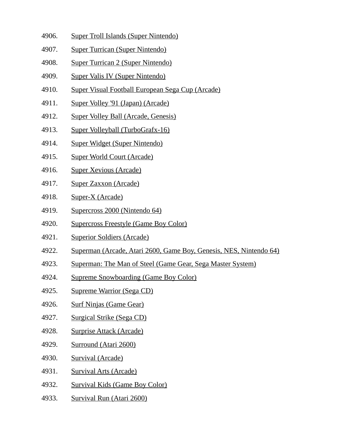- 4906. Super Troll Islands (Super Nintendo)
- 4907. Super Turrican (Super Nintendo)
- 4908. Super Turrican 2 (Super Nintendo)
- 4909. Super Valis IV (Super Nintendo)
- 4910. Super Visual Football European Sega Cup (Arcade)
- 4911. Super Volley '91 (Japan) (Arcade)
- 4912. Super Volley Ball (Arcade, Genesis)
- 4913. Super Volleyball (TurboGrafx-16)
- 4914. Super Widget (Super Nintendo)
- 4915. Super World Court (Arcade)
- 4916. Super Xevious (Arcade)
- 4917. Super Zaxxon (Arcade)
- 4918. Super-X (Arcade)
- 4919. Supercross 2000 (Nintendo 64)
- 4920. Supercross Freestyle (Game Boy Color)
- 4921. Superior Soldiers (Arcade)
- 4922. Superman (Arcade, Atari 2600, Game Boy, Genesis, NES, Nintendo 64)
- 4923. Superman: The Man of Steel (Game Gear, Sega Master System)
- 4924. Supreme Snowboarding (Game Boy Color)
- 4925. Supreme Warrior (Sega CD)
- 4926. Surf Ninjas (Game Gear)
- 4927. Surgical Strike (Sega CD)
- 4928. Surprise Attack (Arcade)
- 4929. Surround (Atari 2600)
- 4930. Survival (Arcade)
- 4931. Survival Arts (Arcade)
- 4932. Survival Kids (Game Boy Color)
- 4933. Survival Run (Atari 2600)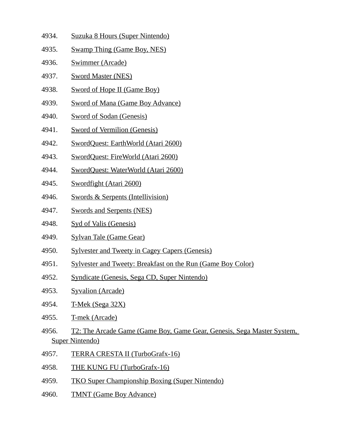- 4934. Suzuka 8 Hours (Super Nintendo)
- 4935. Swamp Thing (Game Boy, NES)
- 4936. Swimmer (Arcade)
- 4937. Sword Master (NES)
- 4938. Sword of Hope II (Game Boy)
- 4939. Sword of Mana (Game Boy Advance)
- 4940. Sword of Sodan (Genesis)
- 4941. Sword of Vermilion (Genesis)
- 4942. SwordQuest: EarthWorld (Atari 2600)
- 4943. SwordQuest: FireWorld (Atari 2600)
- 4944. SwordQuest: WaterWorld (Atari 2600)
- 4945. Swordfight (Atari 2600)
- 4946. Swords & Serpents (Intellivision)
- 4947. Swords and Serpents (NES)
- 4948. Syd of Valis (Genesis)
- 4949. Sylvan Tale (Game Gear)
- 4950. Sylvester and Tweety in Cagey Capers (Genesis)
- 4951. Sylvester and Tweety: Breakfast on the Run (Game Boy Color)
- 4952. Syndicate (Genesis, Sega CD, Super Nintendo)
- 4953. Syvalion (Arcade)
- 4954. T-Mek (Sega 32X)
- 4955. T-mek (Arcade)
- 4956. T2: The Arcade Game (Game Boy, Game Gear, Genesis, Sega Master System, Super Nintendo)
- 4957. TERRA CRESTA II (TurboGrafx-16)
- 4958. THE KUNG FU (TurboGrafx-16)
- 4959. TKO Super Championship Boxing (Super Nintendo)
- 4960. TMNT (Game Boy Advance)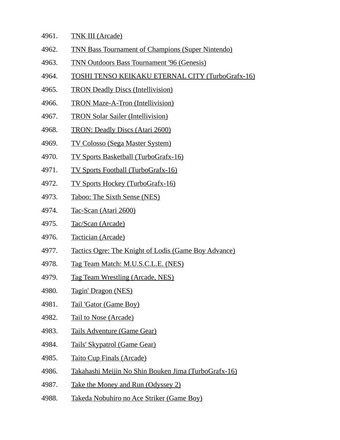- 4961. TNK III (Arcade)
- 4962. TNN Bass Tournament of Champions (Super Nintendo)
- 4963. TNN Outdoors Bass Tournament '96 (Genesis)
- 4964. TOSHI TENSO KEIKAKU ETERNAL CITY (TurboGrafx-16)
- 4965. TRON Deadly Discs (Intellivision)
- 4966. TRON Maze-A-Tron (Intellivision)
- 4967. TRON Solar Sailer (Intellivision)
- 4968. TRON: Deadly Discs (Atari 2600)
- 4969. TV Colosso (Sega Master System)
- 4970. TV Sports Basketball (TurboGrafx-16)
- 4971. TV Sports Football (TurboGrafx-16)
- 4972. TV Sports Hockey (TurboGrafx-16)
- 4973. Taboo: The Sixth Sense (NES)
- 4974. Tac-Scan (Atari 2600)
- 4975. Tac/Scan (Arcade)
- 4976. Tactician (Arcade)
- 4977. Tactics Ogre: The Knight of Lodis (Game Boy Advance)
- 4978. Tag Team Match: M.U.S.C.L.E. (NES)
- 4979. Tag Team Wrestling (Arcade, NES)
- 4980. Tagin' Dragon (NES)
- 4981. Tail 'Gator (Game Boy)
- 4982. Tail to Nose (Arcade)
- 4983. Tails Adventure (Game Gear)
- 4984. Tails' Skypatrol (Game Gear)
- 4985. Taito Cup Finals (Arcade)
- 4986. Takahashi Meijin No Shin Bouken Jima (TurboGrafx-16)
- 4987. Take the Money and Run (Odyssey 2)
- 4988. Takeda Nobuhiro no Ace Striker (Game Boy)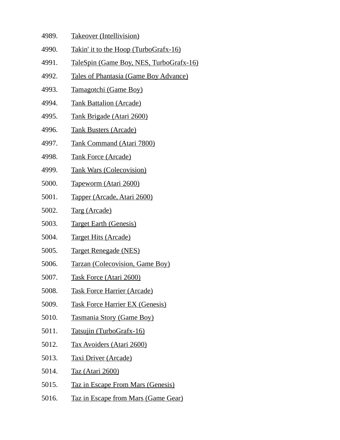| 4989. | <b>Takeover (Intellivision)</b> |
|-------|---------------------------------|
|       |                                 |

- 4990. Takin' it to the Hoop (TurboGrafx-16)
- 4991. TaleSpin (Game Boy, NES, TurboGrafx-16)
- 4992. Tales of Phantasia (Game Boy Advance)
- 4993. Tamagotchi (Game Boy)
- 4994. Tank Battalion (Arcade)
- 4995. Tank Brigade (Atari 2600)
- 4996. Tank Busters (Arcade)
- 4997. Tank Command (Atari 7800)
- 4998. Tank Force (Arcade)
- 4999. Tank Wars (Colecovision)
- 5000. Tapeworm (Atari 2600)
- 5001. Tapper (Arcade, Atari 2600)
- 5002. Targ (Arcade)
- 5003. Target Earth (Genesis)
- 5004. Target Hits (Arcade)
- 5005. Target Renegade (NES)
- 5006. Tarzan (Colecovision, Game Boy)
- 5007. Task Force (Atari 2600)
- 5008. Task Force Harrier (Arcade)
- 5009. Task Force Harrier EX (Genesis)
- 5010. Tasmania Story (Game Boy)
- 5011. Tatsujin (TurboGrafx-16)
- 5012. Tax Avoiders (Atari 2600)
- 5013. Taxi Driver (Arcade)
- 5014. Taz (Atari 2600)
- 5015. Taz in Escape From Mars (Genesis)
- 5016. Taz in Escape from Mars (Game Gear)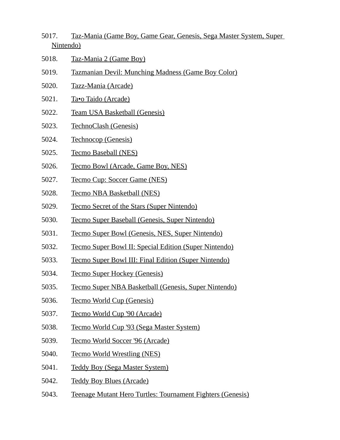- 5017. Taz-Mania (Game Boy, Game Gear, Genesis, Sega Master System, Super Nintendo)
- 5018. Taz-Mania 2 (Game Boy)
- 5019. Tazmanian Devil: Munching Madness (Game Boy Color)
- 5020. Tazz-Mania (Arcade)
- 5021. Ta•o Taido (Arcade)
- 5022. Team USA Basketball (Genesis)
- 5023. TechnoClash (Genesis)
- 5024. Technocop (Genesis)
- 5025. Tecmo Baseball (NES)
- 5026. Tecmo Bowl (Arcade, Game Boy, NES)
- 5027. Tecmo Cup: Soccer Game (NES)
- 5028. Tecmo NBA Basketball (NES)
- 5029. Tecmo Secret of the Stars (Super Nintendo)
- 5030. Tecmo Super Baseball (Genesis, Super Nintendo)
- 5031. Tecmo Super Bowl (Genesis, NES, Super Nintendo)
- 5032. Tecmo Super Bowl II: Special Edition (Super Nintendo)
- 5033. Tecmo Super Bowl III: Final Edition (Super Nintendo)
- 5034. Tecmo Super Hockey (Genesis)
- 5035. Tecmo Super NBA Basketball (Genesis, Super Nintendo)
- 5036. Tecmo World Cup (Genesis)
- 5037. Tecmo World Cup '90 (Arcade)
- 5038. Tecmo World Cup '93 (Sega Master System)
- 5039. Tecmo World Soccer '96 (Arcade)
- 5040. Tecmo World Wrestling (NES)
- 5041. Teddy Boy (Sega Master System)
- 5042. Teddy Boy Blues (Arcade)
- 5043. Teenage Mutant Hero Turtles: Tournament Fighters (Genesis)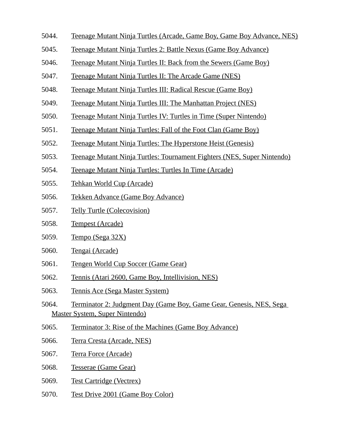- 5044. Teenage Mutant Ninja Turtles (Arcade, Game Boy, Game Boy Advance, NES)
- 5045. Teenage Mutant Ninja Turtles 2: Battle Nexus (Game Boy Advance)
- 5046. Teenage Mutant Ninja Turtles II: Back from the Sewers (Game Boy)
- 5047. Teenage Mutant Ninja Turtles II: The Arcade Game (NES)
- 5048. Teenage Mutant Ninja Turtles III: Radical Rescue (Game Boy)
- 5049. Teenage Mutant Ninja Turtles III: The Manhattan Project (NES)
- 5050. Teenage Mutant Ninja Turtles IV: Turtles in Time (Super Nintendo)
- 5051. Teenage Mutant Ninja Turtles: Fall of the Foot Clan (Game Boy)
- 5052. Teenage Mutant Ninja Turtles: The Hyperstone Heist (Genesis)
- 5053. Teenage Mutant Ninja Turtles: Tournament Fighters (NES, Super Nintendo)
- 5054. Teenage Mutant Ninja Turtles: Turtles In Time (Arcade)
- 5055. Tehkan World Cup (Arcade)
- 5056. Tekken Advance (Game Boy Advance)
- 5057. Telly Turtle (Colecovision)
- 5058. Tempest (Arcade)
- 5059. Tempo (Sega 32X)
- 5060. Tengai (Arcade)
- 5061. Tengen World Cup Soccer (Game Gear)
- 5062. Tennis (Atari 2600, Game Boy, Intellivision, NES)
- 5063. Tennis Ace (Sega Master System)
- 5064. Terminator 2: Judgment Day (Game Boy, Game Gear, Genesis, NES, Sega Master System, Super Nintendo)
- 5065. Terminator 3: Rise of the Machines (Game Boy Advance)
- 5066. Terra Cresta (Arcade, NES)
- 5067. Terra Force (Arcade)
- 5068. Tesserae (Game Gear)
- 5069. Test Cartridge (Vectrex)
- 5070. Test Drive 2001 (Game Boy Color)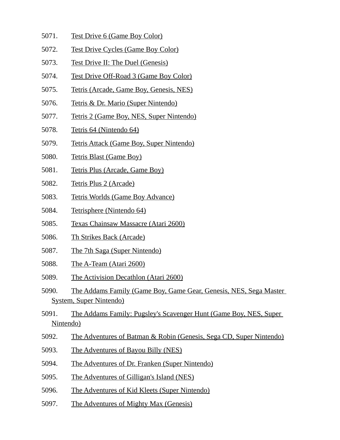- 5071. Test Drive 6 (Game Boy Color)
- 5072. Test Drive Cycles (Game Boy Color)
- 5073. Test Drive II: The Duel (Genesis)
- 5074. Test Drive Off-Road 3 (Game Boy Color)
- 5075. Tetris (Arcade, Game Boy, Genesis, NES)
- 5076. Tetris & Dr. Mario (Super Nintendo)
- 5077. Tetris 2 (Game Boy, NES, Super Nintendo)
- 5078. Tetris 64 (Nintendo 64)
- 5079. Tetris Attack (Game Boy, Super Nintendo)
- 5080. Tetris Blast (Game Boy)
- 5081. Tetris Plus (Arcade, Game Boy)
- 5082. Tetris Plus 2 (Arcade)
- 5083. Tetris Worlds (Game Boy Advance)
- 5084. Tetrisphere (Nintendo 64)
- 5085. Texas Chainsaw Massacre (Atari 2600)
- 5086. Th Strikes Back (Arcade)
- 5087. The 7th Saga (Super Nintendo)
- 5088. The A-Team (Atari 2600)
- 5089. The Activision Decathlon (Atari 2600)
- 5090. The Addams Family (Game Boy, Game Gear, Genesis, NES, Sega Master System, Super Nintendo)
- 5091. The Addams Family: Pugsley's Scavenger Hunt (Game Boy, NES, Super Nintendo)
- 5092. The Adventures of Batman & Robin (Genesis, Sega CD, Super Nintendo)
- 5093. The Adventures of Bayou Billy (NES)
- 5094. The Adventures of Dr. Franken (Super Nintendo)
- 5095. The Adventures of Gilligan's Island (NES)
- 5096. The Adventures of Kid Kleets (Super Nintendo)
- 5097. The Adventures of Mighty Max (Genesis)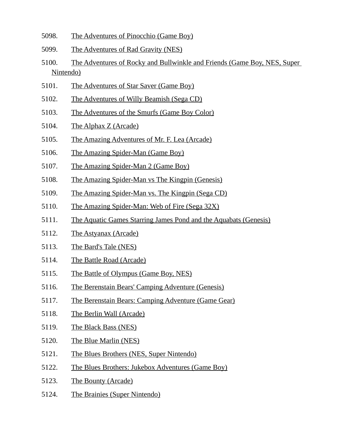- 5098. The Adventures of Pinocchio (Game Boy)
- 5099. The Adventures of Rad Gravity (NES)
- 5100. The Adventures of Rocky and Bullwinkle and Friends (Game Boy, NES, Super Nintendo)
- 5101. The Adventures of Star Saver (Game Boy)
- 5102. The Adventures of Willy Beamish (Sega CD)
- 5103. The Adventures of the Smurfs (Game Boy Color)
- 5104. The Alphax Z (Arcade)
- 5105. The Amazing Adventures of Mr. F. Lea (Arcade)
- 5106. The Amazing Spider-Man (Game Boy)
- 5107. The Amazing Spider-Man 2 (Game Boy)
- 5108. The Amazing Spider-Man vs The Kingpin (Genesis)
- 5109. The Amazing Spider-Man vs. The Kingpin (Sega CD)
- 5110. The Amazing Spider-Man: Web of Fire (Sega 32X)
- 5111. The Aquatic Games Starring James Pond and the Aquabats (Genesis)
- 5112. The Astyanax (Arcade)
- 5113. The Bard's Tale (NES)
- 5114. The Battle Road (Arcade)
- 5115. The Battle of Olympus (Game Boy, NES)
- 5116. The Berenstain Bears' Camping Adventure (Genesis)
- 5117. The Berenstain Bears: Camping Adventure (Game Gear)
- 5118. The Berlin Wall (Arcade)
- 5119. The Black Bass (NES)
- 5120. The Blue Marlin (NES)
- 5121. The Blues Brothers (NES, Super Nintendo)
- 5122. The Blues Brothers: Jukebox Adventures (Game Boy)
- 5123. The Bounty (Arcade)
- 5124. The Brainies (Super Nintendo)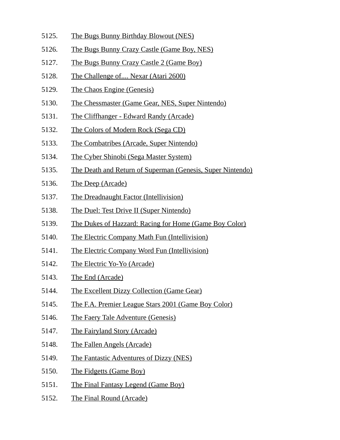- 5125. The Bugs Bunny Birthday Blowout (NES)
- 5126. The Bugs Bunny Crazy Castle (Game Boy, NES)
- 5127. The Bugs Bunny Crazy Castle 2 (Game Boy)
- 5128. The Challenge of.... Nexar (Atari 2600)
- 5129. The Chaos Engine (Genesis)
- 5130. The Chessmaster (Game Gear, NES, Super Nintendo)
- 5131. The Cliffhanger Edward Randy (Arcade)
- 5132. The Colors of Modern Rock (Sega CD)
- 5133. The Combatribes (Arcade, Super Nintendo)
- 5134. The Cyber Shinobi (Sega Master System)
- 5135. The Death and Return of Superman (Genesis, Super Nintendo)
- 5136. The Deep (Arcade)
- 5137. The Dreadnaught Factor (Intellivision)
- 5138. The Duel: Test Drive II (Super Nintendo)
- 5139. The Dukes of Hazzard: Racing for Home (Game Boy Color)
- 5140. The Electric Company Math Fun (Intellivision)
- 5141. The Electric Company Word Fun (Intellivision)
- 5142. The Electric Yo-Yo (Arcade)
- 5143. The End (Arcade)
- 5144. The Excellent Dizzy Collection (Game Gear)
- 5145. The F.A. Premier League Stars 2001 (Game Boy Color)
- 5146. The Faery Tale Adventure (Genesis)
- 5147. The Fairyland Story (Arcade)
- 5148. The Fallen Angels (Arcade)
- 5149. The Fantastic Adventures of Dizzy (NES)
- 5150. The Fidgetts (Game Boy)
- 5151. The Final Fantasy Legend (Game Boy)
- 5152. The Final Round (Arcade)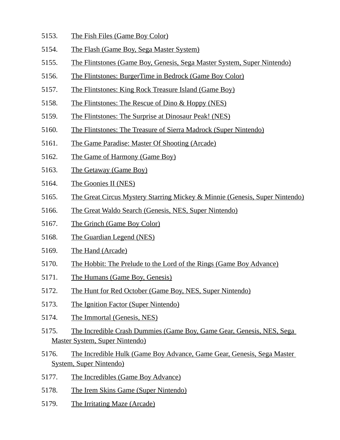- 5153. The Fish Files (Game Boy Color)
- 5154. The Flash (Game Boy, Sega Master System)
- 5155. The Flintstones (Game Boy, Genesis, Sega Master System, Super Nintendo)
- 5156. The Flintstones: BurgerTime in Bedrock (Game Boy Color)
- 5157. The Flintstones: King Rock Treasure Island (Game Boy)
- 5158. The Flintstones: The Rescue of Dino & Hoppy (NES)
- 5159. The Flintstones: The Surprise at Dinosaur Peak! (NES)
- 5160. The Flintstones: The Treasure of Sierra Madrock (Super Nintendo)
- 5161. The Game Paradise: Master Of Shooting (Arcade)
- 5162. The Game of Harmony (Game Boy)
- 5163. The Getaway (Game Boy)
- 5164. The Goonies II (NES)
- 5165. The Great Circus Mystery Starring Mickey & Minnie (Genesis, Super Nintendo)
- 5166. The Great Waldo Search (Genesis, NES, Super Nintendo)
- 5167. The Grinch (Game Boy Color)
- 5168. The Guardian Legend (NES)
- 5169. The Hand (Arcade)
- 5170. The Hobbit: The Prelude to the Lord of the Rings (Game Boy Advance)
- 5171. The Humans (Game Boy, Genesis)
- 5172. The Hunt for Red October (Game Boy, NES, Super Nintendo)
- 5173. The Ignition Factor (Super Nintendo)
- 5174. The Immortal (Genesis, NES)
- 5175. The Incredible Crash Dummies (Game Boy, Game Gear, Genesis, NES, Sega Master System, Super Nintendo)
- 5176. The Incredible Hulk (Game Boy Advance, Game Gear, Genesis, Sega Master System, Super Nintendo)
- 5177. The Incredibles (Game Boy Advance)
- 5178. The Irem Skins Game (Super Nintendo)
- 5179. The Irritating Maze (Arcade)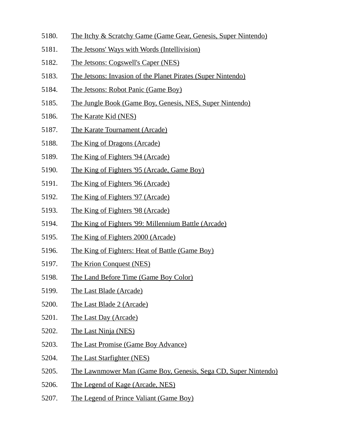- 5180. The Itchy & Scratchy Game (Game Gear, Genesis, Super Nintendo)
- 5181. The Jetsons' Ways with Words (Intellivision)
- 5182. The Jetsons: Cogswell's Caper (NES)
- 5183. The Jetsons: Invasion of the Planet Pirates (Super Nintendo)
- 5184. The Jetsons: Robot Panic (Game Boy)
- 5185. The Jungle Book (Game Boy, Genesis, NES, Super Nintendo)
- 5186. The Karate Kid (NES)
- 5187. The Karate Tournament (Arcade)
- 5188. The King of Dragons (Arcade)
- 5189. The King of Fighters '94 (Arcade)
- 5190. The King of Fighters '95 (Arcade, Game Boy)
- 5191. The King of Fighters '96 (Arcade)
- 5192. The King of Fighters '97 (Arcade)
- 5193. The King of Fighters '98 (Arcade)
- 5194. The King of Fighters '99: Millennium Battle (Arcade)
- 5195. The King of Fighters 2000 (Arcade)
- 5196. The King of Fighters: Heat of Battle (Game Boy)
- 5197. The Krion Conquest (NES)
- 5198. The Land Before Time (Game Boy Color)
- 5199. The Last Blade (Arcade)
- 5200. The Last Blade 2 (Arcade)
- 5201. The Last Day (Arcade)
- 5202. The Last Ninja (NES)
- 5203. The Last Promise (Game Boy Advance)
- 5204. The Last Starfighter (NES)
- 5205. The Lawnmower Man (Game Boy, Genesis, Sega CD, Super Nintendo)
- 5206. The Legend of Kage (Arcade, NES)
- 5207. The Legend of Prince Valiant (Game Boy)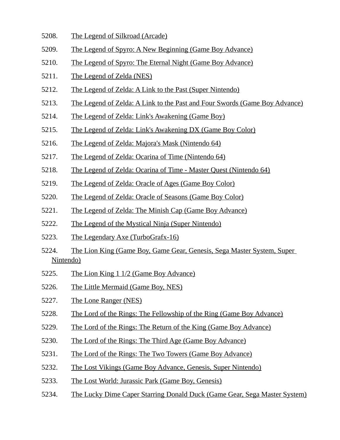- 5208. The Legend of Silkroad (Arcade)
- 5209. The Legend of Spyro: A New Beginning (Game Boy Advance)
- 5210. The Legend of Spyro: The Eternal Night (Game Boy Advance)
- 5211. The Legend of Zelda (NES)
- 5212. The Legend of Zelda: A Link to the Past (Super Nintendo)
- 5213. The Legend of Zelda: A Link to the Past and Four Swords (Game Boy Advance)
- 5214. The Legend of Zelda: Link's Awakening (Game Boy)
- 5215. The Legend of Zelda: Link's Awakening DX (Game Boy Color)
- 5216. The Legend of Zelda: Majora's Mask (Nintendo 64)
- 5217. The Legend of Zelda: Ocarina of Time (Nintendo 64)
- 5218. The Legend of Zelda: Ocarina of Time Master Quest (Nintendo 64)
- 5219. The Legend of Zelda: Oracle of Ages (Game Boy Color)
- 5220. The Legend of Zelda: Oracle of Seasons (Game Boy Color)
- 5221. The Legend of Zelda: The Minish Cap (Game Boy Advance)
- 5222. The Legend of the Mystical Ninja (Super Nintendo)
- 5223. The Legendary Axe (TurboGrafx-16)
- 5224. The Lion King (Game Boy, Game Gear, Genesis, Sega Master System, Super Nintendo)
- 5225. The Lion King 1 1/2 (Game Boy Advance)
- 5226. The Little Mermaid (Game Boy, NES)
- 5227. The Lone Ranger (NES)
- 5228. The Lord of the Rings: The Fellowship of the Ring (Game Boy Advance)
- 5229. The Lord of the Rings: The Return of the King (Game Boy Advance)
- 5230. The Lord of the Rings: The Third Age (Game Boy Advance)
- 5231. The Lord of the Rings: The Two Towers (Game Boy Advance)
- 5232. The Lost Vikings (Game Boy Advance, Genesis, Super Nintendo)
- 5233. The Lost World: Jurassic Park (Game Boy, Genesis)
- 5234. The Lucky Dime Caper Starring Donald Duck (Game Gear, Sega Master System)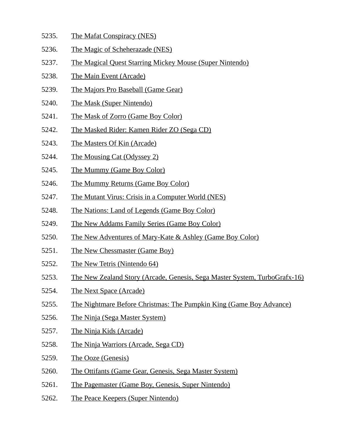- 5235. The Mafat Conspiracy (NES)
- 5236. The Magic of Scheherazade (NES)
- 5237. The Magical Quest Starring Mickey Mouse (Super Nintendo)
- 5238. The Main Event (Arcade)
- 5239. The Majors Pro Baseball (Game Gear)
- 5240. The Mask (Super Nintendo)
- 5241. The Mask of Zorro (Game Boy Color)
- 5242. The Masked Rider: Kamen Rider ZO (Sega CD)
- 5243. The Masters Of Kin (Arcade)
- 5244. The Mousing Cat (Odyssey 2)
- 5245. The Mummy (Game Boy Color)
- 5246. The Mummy Returns (Game Boy Color)
- 5247. The Mutant Virus: Crisis in a Computer World (NES)
- 5248. The Nations: Land of Legends (Game Boy Color)
- 5249. The New Addams Family Series (Game Boy Color)
- 5250. The New Adventures of Mary-Kate & Ashley (Game Boy Color)
- 5251. The New Chessmaster (Game Boy)
- 5252. The New Tetris (Nintendo 64)
- 5253. The New Zealand Story (Arcade, Genesis, Sega Master System, TurboGrafx-16)
- 5254. The Next Space (Arcade)
- 5255. The Nightmare Before Christmas: The Pumpkin King (Game Boy Advance)
- 5256. The Ninja (Sega Master System)
- 5257. The Ninja Kids (Arcade)
- 5258. The Ninja Warriors (Arcade, Sega CD)
- 5259. The Ooze (Genesis)
- 5260. The Ottifants (Game Gear, Genesis, Sega Master System)
- 5261. The Pagemaster (Game Boy, Genesis, Super Nintendo)
- 5262. The Peace Keepers (Super Nintendo)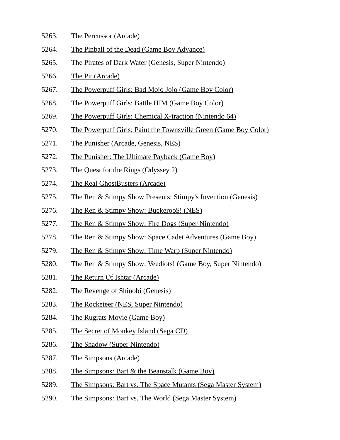- 5263. The Percussor (Arcade)
- 5264. The Pinball of the Dead (Game Boy Advance)
- 5265. The Pirates of Dark Water (Genesis, Super Nintendo)
- 5266. The Pit (Arcade)
- 5267. The Powerpuff Girls: Bad Mojo Jojo (Game Boy Color)
- 5268. The Powerpuff Girls: Battle HIM (Game Boy Color)
- 5269. The Powerpuff Girls: Chemical X-traction (Nintendo 64)
- 5270. The Powerpuff Girls: Paint the Townsville Green (Game Boy Color)
- 5271. The Punisher (Arcade, Genesis, NES)
- 5272. The Punisher: The Ultimate Payback (Game Boy)
- 5273. The Quest for the Rings (Odyssey 2)
- 5274. The Real GhostBusters (Arcade)
- 5275. The Ren & Stimpy Show Presents: Stimpy's Invention (Genesis)
- 5276. The Ren & Stimpy Show: Buckeroo\$! (NES)
- 5277. The Ren & Stimpy Show: Fire Dogs (Super Nintendo)
- 5278. The Ren & Stimpy Show: Space Cadet Adventures (Game Boy)
- 5279. The Ren & Stimpy Show: Time Warp (Super Nintendo)
- 5280. The Ren & Stimpy Show: Veediots! (Game Boy, Super Nintendo)
- 5281. The Return Of Ishtar (Arcade)
- 5282. The Revenge of Shinobi (Genesis)
- 5283. The Rocketeer (NES, Super Nintendo)
- 5284. The Rugrats Movie (Game Boy)
- 5285. The Secret of Monkey Island (Sega CD)
- 5286. The Shadow (Super Nintendo)
- 5287. The Simpsons (Arcade)
- 5288. The Simpsons: Bart & the Beanstalk (Game Boy)
- 5289. The Simpsons: Bart vs. The Space Mutants (Sega Master System)
- 5290. The Simpsons: Bart vs. The World (Sega Master System)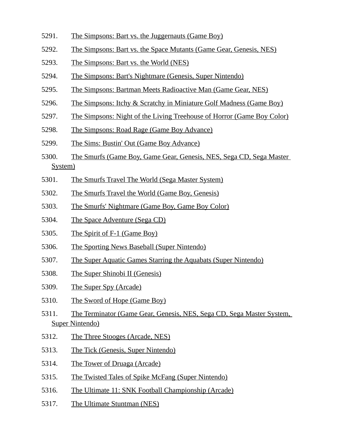- 5291. The Simpsons: Bart vs. the Juggernauts (Game Boy)
- 5292. The Simpsons: Bart vs. the Space Mutants (Game Gear, Genesis, NES)
- 5293. The Simpsons: Bart vs. the World (NES)
- 5294. The Simpsons: Bart's Nightmare (Genesis, Super Nintendo)
- 5295. The Simpsons: Bartman Meets Radioactive Man (Game Gear, NES)
- 5296. The Simpsons: Itchy & Scratchy in Miniature Golf Madness (Game Boy)
- 5297. The Simpsons: Night of the Living Treehouse of Horror (Game Boy Color)
- 5298. The Simpsons: Road Rage (Game Boy Advance)
- 5299. The Sims: Bustin' Out (Game Boy Advance)
- 5300. The Smurfs (Game Boy, Game Gear, Genesis, NES, Sega CD, Sega Master System)
- 5301. The Smurfs Travel The World (Sega Master System)
- 5302. The Smurfs Travel the World (Game Boy, Genesis)
- 5303. The Smurfs' Nightmare (Game Boy, Game Boy Color)
- 5304. The Space Adventure (Sega CD)
- 5305. The Spirit of F-1 (Game Boy)
- 5306. The Sporting News Baseball (Super Nintendo)
- 5307. The Super Aquatic Games Starring the Aquabats (Super Nintendo)
- 5308. The Super Shinobi II (Genesis)
- 5309. The Super Spy (Arcade)
- 5310. The Sword of Hope (Game Boy)
- 5311. The Terminator (Game Gear, Genesis, NES, Sega CD, Sega Master System, Super Nintendo)
- 5312. The Three Stooges (Arcade, NES)
- 5313. The Tick (Genesis, Super Nintendo)
- 5314. The Tower of Druaga (Arcade)
- 5315. The Twisted Tales of Spike McFang (Super Nintendo)
- 5316. The Ultimate 11: SNK Football Championship (Arcade)
- 5317. The Ultimate Stuntman (NES)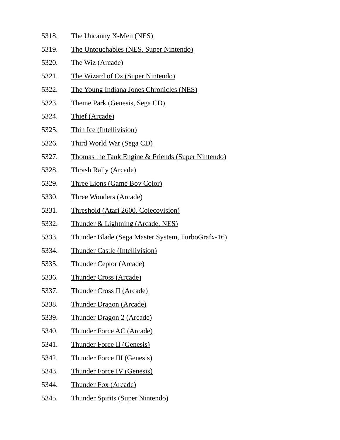- 5318. The Uncanny X-Men (NES)
- 5319. The Untouchables (NES, Super Nintendo)
- 5320. The Wiz (Arcade)
- 5321. The Wizard of Oz (Super Nintendo)
- 5322. The Young Indiana Jones Chronicles (NES)
- 5323. Theme Park (Genesis, Sega CD)
- 5324. Thief (Arcade)
- 5325. Thin Ice (Intellivision)
- 5326. Third World War (Sega CD)
- 5327. Thomas the Tank Engine & Friends (Super Nintendo)
- 5328. Thrash Rally (Arcade)
- 5329. Three Lions (Game Boy Color)
- 5330. Three Wonders (Arcade)
- 5331. Threshold (Atari 2600, Colecovision)
- 5332. Thunder & Lightning (Arcade, NES)
- 5333. Thunder Blade (Sega Master System, TurboGrafx-16)
- 5334. Thunder Castle (Intellivision)
- 5335. Thunder Ceptor (Arcade)
- 5336. Thunder Cross (Arcade)
- 5337. Thunder Cross II (Arcade)
- 5338. Thunder Dragon (Arcade)
- 5339. Thunder Dragon 2 (Arcade)
- 5340. Thunder Force AC (Arcade)
- 5341. Thunder Force II (Genesis)
- 5342. Thunder Force III (Genesis)
- 5343. Thunder Force IV (Genesis)
- 5344. Thunder Fox (Arcade)
- 5345. Thunder Spirits (Super Nintendo)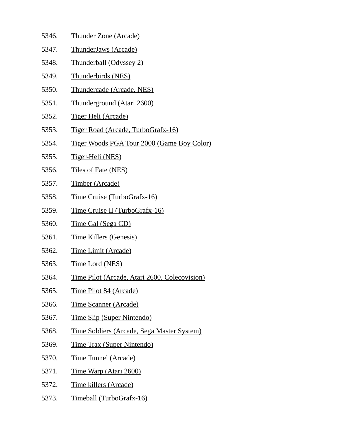5346. Thunder Zone (Arcade) 5347. ThunderJaws (Arcade) 5348. Thunderball (Odyssey 2) 5349. Thunderbirds (NES) 5350. Thundercade (Arcade, NES) 5351. Thunderground (Atari 2600) 5352. Tiger Heli (Arcade) 5353. Tiger Road (Arcade, TurboGrafx-16) 5354. Tiger Woods PGA Tour 2000 (Game Boy Color) 5355. Tiger-Heli (NES) 5356. Tiles of Fate (NES) 5357. Timber (Arcade) 5358. Time Cruise (TurboGrafx-16) 5359. Time Cruise II (TurboGrafx-16) 5360. Time Gal (Sega CD) 5361. Time Killers (Genesis) 5362. Time Limit (Arcade) 5363. Time Lord (NES) 5364. Time Pilot (Arcade, Atari 2600, Colecovision) 5365. Time Pilot 84 (Arcade) 5366. Time Scanner (Arcade) 5367. Time Slip (Super Nintendo) 5368. Time Soldiers (Arcade, Sega Master System) 5369. Time Trax (Super Nintendo) 5370. Time Tunnel (Arcade) 5371. Time Warp (Atari 2600) 5372. Time killers (Arcade) 5373. Timeball (TurboGrafx-16)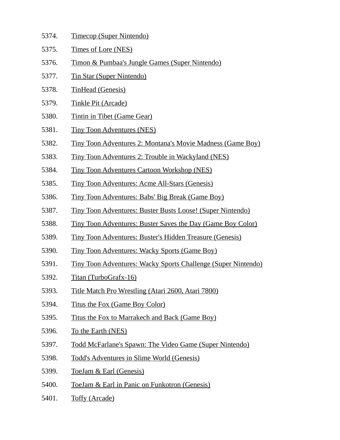| 5374. | <b>Timecop (Super Nintendo)</b>                                    |
|-------|--------------------------------------------------------------------|
| 5375. | <b>Times of Lore (NES)</b>                                         |
| 5376. | <u>Timon &amp; Pumbaa's Jungle Games (Super Nintendo)</u>          |
| 5377. | <u>Tin Star (Super Nintendo)</u>                                   |
| 5378. | <b>TinHead (Genesis)</b>                                           |
| 5379. | <b>Tinkle Pit (Arcade)</b>                                         |
| 5380. | <b>Tintin in Tibet (Game Gear)</b>                                 |
| 5381. | <b>Tiny Toon Adventures (NES)</b>                                  |
| 5382. | <u>Tiny Toon Adventures 2: Montana's Movie Madness (Game Boy)</u>  |
| 5383. | <u>Tiny Toon Adventures 2: Trouble in Wackyland (NES)</u>          |
| 5384. | <b>Tiny Toon Adventures Cartoon Workshop (NES)</b>                 |
| 5385. | <b>Tiny Toon Adventures: Acme All-Stars (Genesis)</b>              |
| 5386. | <u>Tiny Toon Adventures: Babs' Big Break (Game Boy)</u>            |
| 5387. | <u>Tiny Toon Adventures: Buster Busts Loose! (Super Nintendo)</u>  |
| 5388. | <u>Tiny Toon Adventures: Buster Saves the Day (Game Boy Color)</u> |
| 5389. | <u>Tiny Toon Adventures: Buster's Hidden Treasure (Genesis)</u>    |
| 5390. | <u>Tiny Toon Adventures: Wacky Sports (Game Boy)</u>               |
| 5391. | Tiny Toon Adventures: Wacky Sports Challenge (Super Nintendo)      |
| 5392. | Titan (TurboGrafx-16)                                              |
| 5393. | Title Match Pro Wrestling (Atari 2600, Atari 7800)                 |
| 5394. | Titus the Fox (Game Boy Color)                                     |
| 5395. | Titus the Fox to Marrakech and Back (Game Boy)                     |

- 5396. To the Earth (NES)
- 5397. Todd McFarlane's Spawn: The Video Game (Super Nintendo)
- 5398. Todd's Adventures in Slime World (Genesis)
- 5399. ToeJam & Earl (Genesis)
- 5400. ToeJam & Earl in Panic on Funkotron (Genesis)
- 5401. Toffy (Arcade)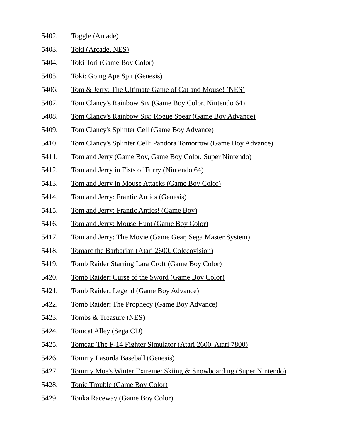| 5402. | Toggle (Arcade)    |  |
|-------|--------------------|--|
| 5403. | Toki (Arcade, NES) |  |

- 5404. Toki Tori (Game Boy Color)
- 5405. Toki: Going Ape Spit (Genesis)
- 5406. Tom & Jerry: The Ultimate Game of Cat and Mouse! (NES)
- 5407. Tom Clancy's Rainbow Six (Game Boy Color, Nintendo 64)
- 5408. Tom Clancy's Rainbow Six: Rogue Spear (Game Boy Advance)
- 5409. Tom Clancy's Splinter Cell (Game Boy Advance)
- 5410. Tom Clancy's Splinter Cell: Pandora Tomorrow (Game Boy Advance)
- 5411. Tom and Jerry (Game Boy, Game Boy Color, Super Nintendo)
- 5412. Tom and Jerry in Fists of Furry (Nintendo 64)
- 5413. Tom and Jerry in Mouse Attacks (Game Boy Color)
- 5414. Tom and Jerry: Frantic Antics (Genesis)
- 5415. Tom and Jerry: Frantic Antics! (Game Boy)
- 5416. Tom and Jerry: Mouse Hunt (Game Boy Color)
- 5417. Tom and Jerry: The Movie (Game Gear, Sega Master System)
- 5418. Tomarc the Barbarian (Atari 2600, Colecovision)
- 5419. Tomb Raider Starring Lara Croft (Game Boy Color)
- 5420. Tomb Raider: Curse of the Sword (Game Boy Color)
- 5421. Tomb Raider: Legend (Game Boy Advance)
- 5422. Tomb Raider: The Prophecy (Game Boy Advance)
- 5423. Tombs & Treasure (NES)
- 5424. Tomcat Alley (Sega CD)
- 5425. Tomcat: The F-14 Fighter Simulator (Atari 2600, Atari 7800)
- 5426. Tommy Lasorda Baseball (Genesis)
- 5427. Tommy Moe's Winter Extreme: Skiing & Snowboarding (Super Nintendo)
- 5428. Tonic Trouble (Game Boy Color)
- 5429. Tonka Raceway (Game Boy Color)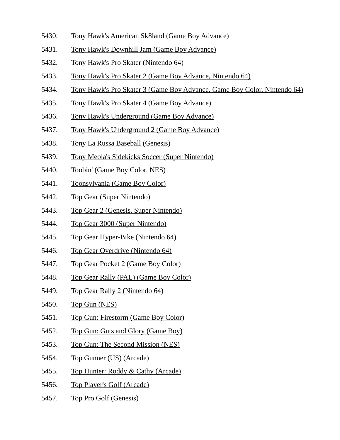- 5430. Tony Hawk's American Sk8land (Game Boy Advance)
- 5431. Tony Hawk's Downhill Jam (Game Boy Advance)
- 5432. Tony Hawk's Pro Skater (Nintendo 64)
- 5433. Tony Hawk's Pro Skater 2 (Game Boy Advance, Nintendo 64)
- 5434. Tony Hawk's Pro Skater 3 (Game Boy Advance, Game Boy Color, Nintendo 64)
- 5435. Tony Hawk's Pro Skater 4 (Game Boy Advance)
- 5436. Tony Hawk's Underground (Game Boy Advance)
- 5437. Tony Hawk's Underground 2 (Game Boy Advance)
- 5438. Tony La Russa Baseball (Genesis)
- 5439. Tony Meola's Sidekicks Soccer (Super Nintendo)
- 5440. Toobin' (Game Boy Color, NES)
- 5441. Toonsylvania (Game Boy Color)
- 5442. Top Gear (Super Nintendo)
- 5443. Top Gear 2 (Genesis, Super Nintendo)
- 5444. Top Gear 3000 (Super Nintendo)
- 5445. Top Gear Hyper-Bike (Nintendo 64)
- 5446. Top Gear Overdrive (Nintendo 64)
- 5447. Top Gear Pocket 2 (Game Boy Color)
- 5448. Top Gear Rally (PAL) (Game Boy Color)
- 5449. Top Gear Rally 2 (Nintendo 64)
- 5450. Top Gun (NES)
- 5451. Top Gun: Firestorm (Game Boy Color)
- 5452. Top Gun: Guts and Glory (Game Boy)
- 5453. Top Gun: The Second Mission (NES)
- 5454. Top Gunner (US) (Arcade)
- 5455. Top Hunter: Roddy & Cathy (Arcade)
- 5456. Top Player's Golf (Arcade)
- 5457. Top Pro Golf (Genesis)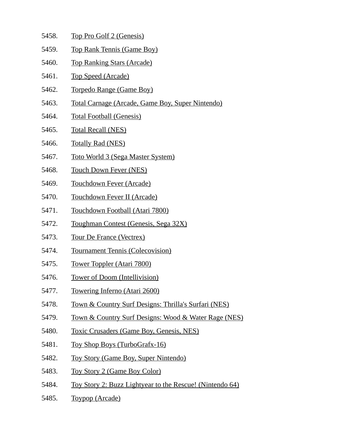- 5458. Top Pro Golf 2 (Genesis)
- 5459. Top Rank Tennis (Game Boy)
- 5460. Top Ranking Stars (Arcade)
- 5461. Top Speed (Arcade)
- 5462. Torpedo Range (Game Boy)
- 5463. Total Carnage (Arcade, Game Boy, Super Nintendo)
- 5464. Total Football (Genesis)
- 5465. Total Recall (NES)
- 5466. Totally Rad (NES)
- 5467. Toto World 3 (Sega Master System)
- 5468. Touch Down Fever (NES)
- 5469. Touchdown Fever (Arcade)
- 5470. Touchdown Fever II (Arcade)
- 5471. Touchdown Football (Atari 7800)
- 5472. Toughman Contest (Genesis, Sega 32X)
- 5473. Tour De France (Vectrex)
- 5474. Tournament Tennis (Colecovision)
- 5475. Tower Toppler (Atari 7800)
- 5476. Tower of Doom (Intellivision)
- 5477. Towering Inferno (Atari 2600)
- 5478. Town & Country Surf Designs: Thrilla's Surfari (NES)
- 5479. Town & Country Surf Designs: Wood & Water Rage (NES)
- 5480. Toxic Crusaders (Game Boy, Genesis, NES)
- 5481. Toy Shop Boys (TurboGrafx-16)
- 5482. Toy Story (Game Boy, Super Nintendo)
- 5483. Toy Story 2 (Game Boy Color)
- 5484. Toy Story 2: Buzz Lightyear to the Rescue! (Nintendo 64)
- 5485. Toypop (Arcade)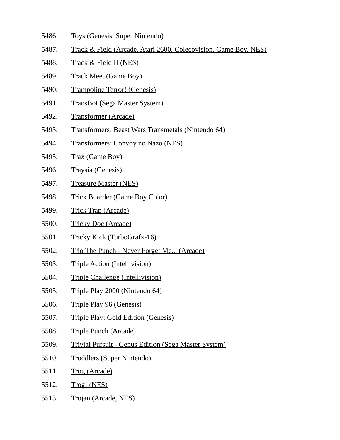- 5486. Toys (Genesis, Super Nintendo)
- 5487. Track & Field (Arcade, Atari 2600, Colecovision, Game Boy, NES)
- 5488. Track & Field II (NES)
- 5489. Track Meet (Game Boy)
- 5490. Trampoline Terror! (Genesis)
- 5491. TransBot (Sega Master System)
- 5492. Transformer (Arcade)
- 5493. Transformers: Beast Wars Transmetals (Nintendo 64)
- 5494. Transformers: Convoy no Nazo (NES)
- 5495. Trax (Game Boy)
- 5496. Traysia (Genesis)
- 5497. Treasure Master (NES)
- 5498. Trick Boarder (Game Boy Color)
- 5499. Trick Trap (Arcade)
- 5500. Tricky Doc (Arcade)
- 5501. Tricky Kick (TurboGrafx-16)
- 5502. Trio The Punch Never Forget Me... (Arcade)
- 5503. Triple Action (Intellivision)
- 5504. Triple Challenge (Intellivision)
- 5505. Triple Play 2000 (Nintendo 64)
- 5506. Triple Play 96 (Genesis)
- 5507. Triple Play: Gold Edition (Genesis)
- 5508. Triple Punch (Arcade)
- 5509. Trivial Pursuit Genus Edition (Sega Master System)
- 5510. Troddlers (Super Nintendo)
- 5511. Trog (Arcade)
- 5512. Trog! (NES)
- 5513. Trojan (Arcade, NES)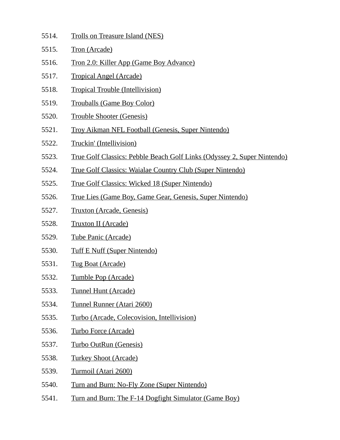| 5514. | <b>Trolls on Treasure Island (NES)</b>                                  |
|-------|-------------------------------------------------------------------------|
| 5515. | <b>Tron (Arcade)</b>                                                    |
| 5516. | <u>Tron 2.0: Killer App (Game Boy Advance)</u>                          |
| 5517. | <u>Tropical Angel (Arcade)</u>                                          |
| 5518. | <b>Tropical Trouble (Intellivision)</b>                                 |
| 5519. | <b>Trouballs (Game Boy Color)</b>                                       |
| 5520. | <b>Trouble Shooter (Genesis)</b>                                        |
| 5521. | <b>Troy Aikman NFL Football (Genesis, Super Nintendo)</b>               |
| 5522. | Truckin' (Intellivision)                                                |
| 5523. | True Golf Classics: Pebble Beach Golf Links (Odyssey 2, Super Nintendo) |
| 5524. | <b>True Golf Classics: Waialae Country Club (Super Nintendo)</b>        |
| 5525. | <b>True Golf Classics: Wicked 18 (Super Nintendo)</b>                   |
| 5526. | <u>True Lies (Game Boy, Game Gear, Genesis, Super Nintendo)</u>         |
| 5527. | <b>Truxton (Arcade, Genesis)</b>                                        |
| 5528. | <b>Truxton II (Arcade)</b>                                              |
| 5529. | Tube Panic (Arcade)                                                     |
| 5530. | <b>Tuff E Nuff (Super Nintendo)</b>                                     |
| 5531. | <b>Tug Boat (Arcade)</b>                                                |
| 5532. | <b>Tumble Pop (Arcade)</b>                                              |
| 5533. | Tunnel Hunt (Arcade)                                                    |
| 5534. | Tunnel Runner (Atari 2600)                                              |
| 5535. | Turbo (Arcade, Colecovision, Intellivision)                             |
| 5536. | <b>Turbo Force (Arcade)</b>                                             |
| 5537. | Turbo OutRun (Genesis)                                                  |
| 5538. | <b>Turkey Shoot (Arcade)</b>                                            |
| 5539. | Turmoil (Atari 2600)                                                    |
| 5540. | Turn and Burn: No-Fly Zone (Super Nintendo)                             |
| 5541. | Turn and Burn: The F-14 Dogfight Simulator (Game Boy)                   |
|       |                                                                         |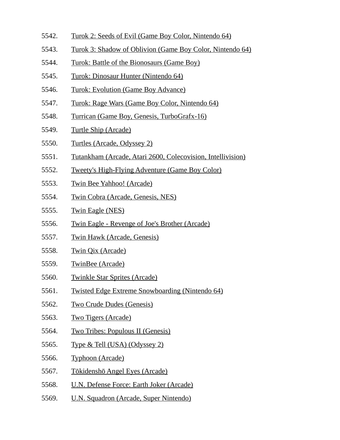- 5542. Turok 2: Seeds of Evil (Game Boy Color, Nintendo 64)
- 5543. Turok 3: Shadow of Oblivion (Game Boy Color, Nintendo 64)
- 5544. Turok: Battle of the Bionosaurs (Game Boy)
- 5545. Turok: Dinosaur Hunter (Nintendo 64)
- 5546. Turok: Evolution (Game Boy Advance)
- 5547. Turok: Rage Wars (Game Boy Color, Nintendo 64)
- 5548. Turrican (Game Boy, Genesis, TurboGrafx-16)
- 5549. Turtle Ship (Arcade)
- 5550. Turtles (Arcade, Odyssey 2)
- 5551. Tutankham (Arcade, Atari 2600, Colecovision, Intellivision)
- 5552. Tweety's High-Flying Adventure (Game Boy Color)
- 5553. Twin Bee Yahhoo! (Arcade)
- 5554. Twin Cobra (Arcade, Genesis, NES)
- 5555. Twin Eagle (NES)
- 5556. Twin Eagle Revenge of Joe's Brother (Arcade)
- 5557. Twin Hawk (Arcade, Genesis)
- 5558. Twin Qix (Arcade)
- 5559. TwinBee (Arcade)
- 5560. Twinkle Star Sprites (Arcade)
- 5561. Twisted Edge Extreme Snowboarding (Nintendo 64)
- 5562. Two Crude Dudes (Genesis)
- 5563. Two Tigers (Arcade)
- 5564. Two Tribes: Populous II (Genesis)
- 5565. Type & Tell (USA) (Odyssey 2)
- 5566. Typhoon (Arcade)
- 5567. Tōkidenshō Angel Eyes (Arcade)
- 5568. U.N. Defense Force: Earth Joker (Arcade)
- 5569. U.N. Squadron (Arcade, Super Nintendo)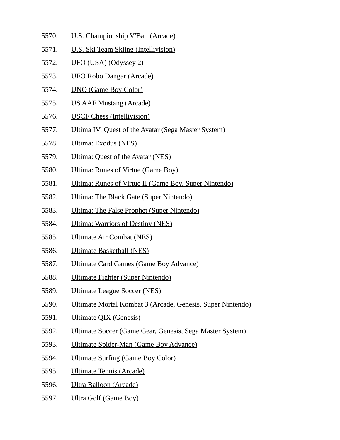- 5570. U.S. Championship V'Ball (Arcade)
- 5571. U.S. Ski Team Skiing (Intellivision)
- 5572. UFO (USA) (Odyssey 2)
- 5573. UFO Robo Dangar (Arcade)
- 5574. UNO (Game Boy Color)
- 5575. US AAF Mustang (Arcade)
- 5576. USCF Chess (Intellivision)
- 5577. Ultima IV: Quest of the Avatar (Sega Master System)
- 5578. Ultima: Exodus (NES)
- 5579. Ultima: Quest of the Avatar (NES)
- 5580. Ultima: Runes of Virtue (Game Boy)
- 5581. Ultima: Runes of Virtue II (Game Boy, Super Nintendo)
- 5582. Ultima: The Black Gate (Super Nintendo)
- 5583. Ultima: The False Prophet (Super Nintendo)
- 5584. Ultima: Warriors of Destiny (NES)
- 5585. Ultimate Air Combat (NES)
- 5586. Ultimate Basketball (NES)
- 5587. Ultimate Card Games (Game Boy Advance)
- 5588. Ultimate Fighter (Super Nintendo)
- 5589. Ultimate League Soccer (NES)
- 5590. Ultimate Mortal Kombat 3 (Arcade, Genesis, Super Nintendo)
- 5591. Ultimate QIX (Genesis)
- 5592. Ultimate Soccer (Game Gear, Genesis, Sega Master System)
- 5593. Ultimate Spider-Man (Game Boy Advance)
- 5594. Ultimate Surfing (Game Boy Color)
- 5595. Ultimate Tennis (Arcade)
- 5596. Ultra Balloon (Arcade)
- 5597. Ultra Golf (Game Boy)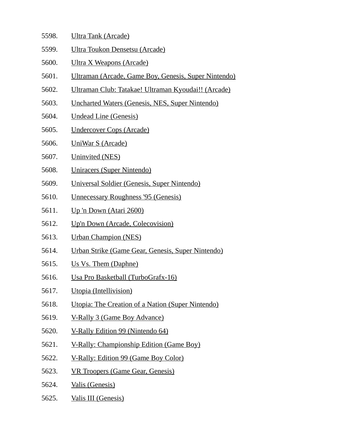- 5598. Ultra Tank (Arcade)
- 5599. Ultra Toukon Densetsu (Arcade)
- 5600. Ultra X Weapons (Arcade)
- 5601. Ultraman (Arcade, Game Boy, Genesis, Super Nintendo)
- 5602. Ultraman Club: Tatakae! Ultraman Kyoudai!! (Arcade)
- 5603. Uncharted Waters (Genesis, NES, Super Nintendo)
- 5604. Undead Line (Genesis)
- 5605. Undercover Cops (Arcade)
- 5606. UniWar S (Arcade)
- 5607. Uninvited (NES)
- 5608. Uniracers (Super Nintendo)
- 5609. Universal Soldier (Genesis, Super Nintendo)
- 5610. Unnecessary Roughness '95 (Genesis)
- 5611. Up 'n Down (Atari 2600)
- 5612. Up'n Down (Arcade, Colecovision)
- 5613. Urban Champion (NES)
- 5614. Urban Strike (Game Gear, Genesis, Super Nintendo)
- 5615. Us Vs. Them (Daphne)
- 5616. Usa Pro Basketball (TurboGrafx-16)
- 5617. Utopia (Intellivision)
- 5618. Utopia: The Creation of a Nation (Super Nintendo)
- 5619. V-Rally 3 (Game Boy Advance)
- 5620. V-Rally Edition 99 (Nintendo 64)
- 5621. V-Rally: Championship Edition (Game Boy)
- 5622. V-Rally: Edition 99 (Game Boy Color)
- 5623. VR Troopers (Game Gear, Genesis)
- 5624. Valis (Genesis)
- 5625. Valis III (Genesis)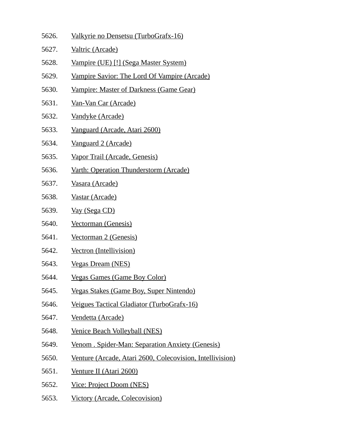- 5626. Valkyrie no Densetsu (TurboGrafx-16)
- 5627. Valtric (Arcade)
- 5628. Vampire (UE) [!] (Sega Master System)
- 5629. Vampire Savior: The Lord Of Vampire (Arcade)
- 5630. Vampire: Master of Darkness (Game Gear)
- 5631. Van-Van Car (Arcade)
- 5632. Vandyke (Arcade)
- 5633. Vanguard (Arcade, Atari 2600)
- 5634. Vanguard 2 (Arcade)
- 5635. Vapor Trail (Arcade, Genesis)
- 5636. Varth: Operation Thunderstorm (Arcade)
- 5637. Vasara (Arcade)
- 5638. Vastar (Arcade)
- 5639. Vay (Sega CD)
- 5640. Vectorman (Genesis)
- 5641. Vectorman 2 (Genesis)
- 5642. Vectron (Intellivision)
- 5643. Vegas Dream (NES)
- 5644. Vegas Games (Game Boy Color)
- 5645. Vegas Stakes (Game Boy, Super Nintendo)
- 5646. Veigues Tactical Gladiator (TurboGrafx-16)
- 5647. Vendetta (Arcade)
- 5648. Venice Beach Volleyball (NES)
- 5649. Venom . Spider-Man: Separation Anxiety (Genesis)
- 5650. Venture (Arcade, Atari 2600, Colecovision, Intellivision)
- 5651. Venture II (Atari 2600)
- 5652. Vice: Project Doom (NES)
- 5653. Victory (Arcade, Colecovision)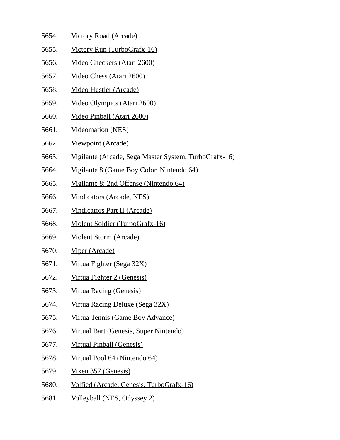- 5654. Victory Road (Arcade)
- 5655. Victory Run (TurboGrafx-16)
- 5656. Video Checkers (Atari 2600)
- 5657. Video Chess (Atari 2600)
- 5658. Video Hustler (Arcade)
- 5659. Video Olympics (Atari 2600)
- 5660. Video Pinball (Atari 2600)
- 5661. Videomation (NES)
- 5662. Viewpoint (Arcade)
- 5663. Vigilante (Arcade, Sega Master System, TurboGrafx-16)
- 5664. Vigilante 8 (Game Boy Color, Nintendo 64)
- 5665. Vigilante 8: 2nd Offense (Nintendo 64)
- 5666. Vindicators (Arcade, NES)
- 5667. Vindicators Part II (Arcade)
- 5668. Violent Soldier (TurboGrafx-16)
- 5669. Violent Storm (Arcade)
- 5670. Viper (Arcade)
- 5671. Virtua Fighter (Sega 32X)
- 5672. Virtua Fighter 2 (Genesis)
- 5673. Virtua Racing (Genesis)
- 5674. Virtua Racing Deluxe (Sega 32X)
- 5675. Virtua Tennis (Game Boy Advance)
- 5676. Virtual Bart (Genesis, Super Nintendo)
- 5677. Virtual Pinball (Genesis)
- 5678. Virtual Pool 64 (Nintendo 64)
- 5679. Vixen 357 (Genesis)
- 5680. Volfied (Arcade, Genesis, TurboGrafx-16)
- 5681. Volleyball (NES, Odyssey 2)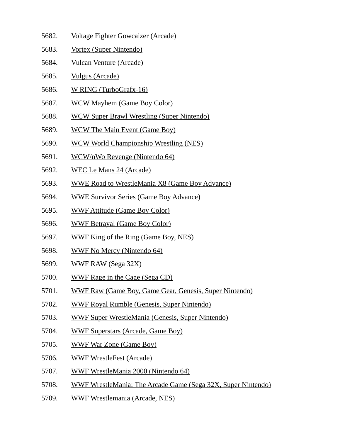- 5682. Voltage Fighter Gowcaizer (Arcade)
- 5683. Vortex (Super Nintendo)
- 5684. Vulcan Venture (Arcade)
- 5685. Vulgus (Arcade)
- 5686. W RING (TurboGrafx-16)
- 5687. WCW Mayhem (Game Boy Color)
- 5688. WCW Super Brawl Wrestling (Super Nintendo)
- 5689. WCW The Main Event (Game Boy)
- 5690. WCW World Championship Wrestling (NES)
- 5691. WCW/nWo Revenge (Nintendo 64)
- 5692. WEC Le Mans 24 (Arcade)
- 5693. WWE Road to WrestleMania X8 (Game Boy Advance)
- 5694. WWE Survivor Series (Game Boy Advance)
- 5695. WWF Attitude (Game Boy Color)
- 5696. WWF Betrayal (Game Boy Color)
- 5697. WWF King of the Ring (Game Boy, NES)
- 5698. WWF No Mercy (Nintendo 64)
- 5699. WWF RAW (Sega 32X)
- 5700. WWF Rage in the Cage (Sega CD)
- 5701. WWF Raw (Game Boy, Game Gear, Genesis, Super Nintendo)
- 5702. WWF Royal Rumble (Genesis, Super Nintendo)
- 5703. WWF Super WrestleMania (Genesis, Super Nintendo)
- 5704. WWF Superstars (Arcade, Game Boy)
- 5705. WWF War Zone (Game Boy)
- 5706. WWF WrestleFest (Arcade)
- 5707. WWF WrestleMania 2000 (Nintendo 64)
- 5708. WWF WrestleMania: The Arcade Game (Sega 32X, Super Nintendo)
- 5709. WWF Wrestlemania (Arcade, NES)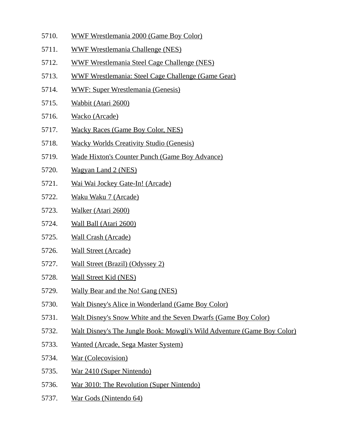- 5710. WWF Wrestlemania 2000 (Game Boy Color)
- 5711. WWF Wrestlemania Challenge (NES)
- 5712. WWF Wrestlemania Steel Cage Challenge (NES)
- 5713. WWF Wrestlemania: Steel Cage Challenge (Game Gear)
- 5714. WWF: Super Wrestlemania (Genesis)
- 5715. Wabbit (Atari 2600)
- 5716. Wacko (Arcade)
- 5717. Wacky Races (Game Boy Color, NES)
- 5718. Wacky Worlds Creativity Studio (Genesis)
- 5719. Wade Hixton's Counter Punch (Game Boy Advance)
- 5720. Wagyan Land 2 (NES)
- 5721. Wai Wai Jockey Gate-In! (Arcade)
- 5722. Waku Waku 7 (Arcade)
- 5723. Walker (Atari 2600)
- 5724. Wall Ball (Atari 2600)
- 5725. Wall Crash (Arcade)
- 5726. Wall Street (Arcade)
- 5727. Wall Street (Brazil) (Odyssey 2)
- 5728. Wall Street Kid (NES)
- 5729. Wally Bear and the No! Gang (NES)
- 5730. Walt Disney's Alice in Wonderland (Game Boy Color)
- 5731. Walt Disney's Snow White and the Seven Dwarfs (Game Boy Color)
- 5732. Walt Disney's The Jungle Book: Mowgli's Wild Adventure (Game Boy Color)
- 5733. Wanted (Arcade, Sega Master System)
- 5734. War (Colecovision)
- 5735. War 2410 (Super Nintendo)
- 5736. War 3010: The Revolution (Super Nintendo)
- 5737. War Gods (Nintendo 64)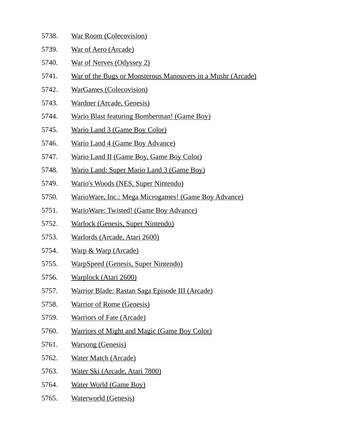| 5738. | <b>War Room (Colecovision)</b> |
|-------|--------------------------------|
|       |                                |

- 5739. War of Aero (Arcade)
- 5740. War of Nerves (Odyssey 2)
- 5741. War of the Bugs or Monsterous Manouvers in a Mushr (Arcade)
- 5742. WarGames (Colecovision)
- 5743. Wardner (Arcade, Genesis)
- 5744. Wario Blast featuring Bomberman! (Game Boy)
- 5745. Wario Land 3 (Game Boy Color)
- 5746. Wario Land 4 (Game Boy Advance)
- 5747. Wario Land II (Game Boy, Game Boy Color)
- 5748. Wario Land: Super Mario Land 3 (Game Boy)
- 5749. Wario's Woods (NES, Super Nintendo)
- 5750. WarioWare, Inc.: Mega Microgames! (Game Boy Advance)
- 5751. WarioWare: Twisted! (Game Boy Advance)
- 5752. Warlock (Genesis, Super Nintendo)
- 5753. Warlords (Arcade, Atari 2600)
- 5754. Warp & Warp (Arcade)
- 5755. WarpSpeed (Genesis, Super Nintendo)
- 5756. Warplock (Atari 2600)
- 5757. Warrior Blade: Rastan Saga Episode III (Arcade)
- 5758. Warrior of Rome (Genesis)
- 5759. Warriors of Fate (Arcade)
- 5760. Warriors of Might and Magic (Game Boy Color)
- 5761. Warsong (Genesis)
- 5762. Water Match (Arcade)
- 5763. Water Ski (Arcade, Atari 7800)
- 5764. Water World (Game Boy)
- 5765. Waterworld (Genesis)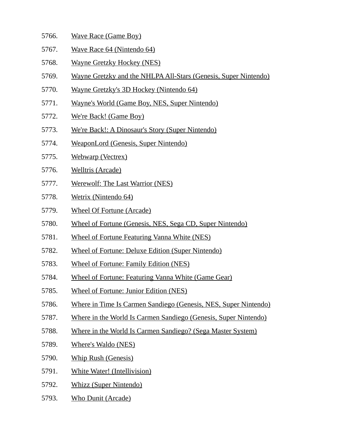- 5766. Wave Race (Game Boy)
- 5767. Wave Race 64 (Nintendo 64)
- 5768. Wayne Gretzky Hockey (NES)
- 5769. Wayne Gretzky and the NHLPA All-Stars (Genesis, Super Nintendo)
- 5770. Wayne Gretzky's 3D Hockey (Nintendo 64)
- 5771. Wayne's World (Game Boy, NES, Super Nintendo)
- 5772. We're Back! (Game Boy)
- 5773. We're Back!: A Dinosaur's Story (Super Nintendo)
- 5774. WeaponLord (Genesis, Super Nintendo)
- 5775. Webwarp (Vectrex)
- 5776. Welltris (Arcade)
- 5777. Werewolf: The Last Warrior (NES)
- 5778. Wetrix (Nintendo 64)
- 5779. Wheel Of Fortune (Arcade)
- 5780. Wheel of Fortune (Genesis, NES, Sega CD, Super Nintendo)
- 5781. Wheel of Fortune Featuring Vanna White (NES)
- 5782. Wheel of Fortune: Deluxe Edition (Super Nintendo)
- 5783. Wheel of Fortune: Family Edition (NES)
- 5784. Wheel of Fortune: Featuring Vanna White (Game Gear)
- 5785. Wheel of Fortune: Junior Edition (NES)
- 5786. Where in Time Is Carmen Sandiego (Genesis, NES, Super Nintendo)
- 5787. Where in the World Is Carmen Sandiego (Genesis, Super Nintendo)
- 5788. Where in the World Is Carmen Sandiego? (Sega Master System)
- 5789. Where's Waldo (NES)
- 5790. Whip Rush (Genesis)
- 5791. White Water! (Intellivision)
- 5792. Whizz (Super Nintendo)
- 5793. Who Dunit (Arcade)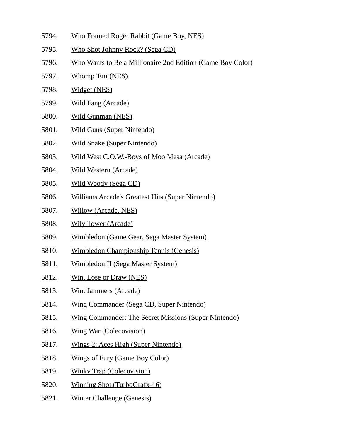- 5794. Who Framed Roger Rabbit (Game Boy, NES)
- 5795. Who Shot Johnny Rock? (Sega CD)
- 5796. Who Wants to Be a Millionaire 2nd Edition (Game Boy Color)
- 5797. Whomp 'Em (NES)
- 5798. Widget (NES)
- 5799. Wild Fang (Arcade)
- 5800. Wild Gunman (NES)
- 5801. Wild Guns (Super Nintendo)
- 5802. Wild Snake (Super Nintendo)
- 5803. Wild West C.O.W.-Boys of Moo Mesa (Arcade)
- 5804. Wild Western (Arcade)
- 5805. Wild Woody (Sega CD)
- 5806. Williams Arcade's Greatest Hits (Super Nintendo)
- 5807. Willow (Arcade, NES)
- 5808. Wily Tower (Arcade)
- 5809. Wimbledon (Game Gear, Sega Master System)
- 5810. Wimbledon Championship Tennis (Genesis)
- 5811. Wimbledon II (Sega Master System)
- 5812. Win, Lose or Draw (NES)
- 5813. WindJammers (Arcade)
- 5814. Wing Commander (Sega CD, Super Nintendo)
- 5815. Wing Commander: The Secret Missions (Super Nintendo)
- 5816. Wing War (Colecovision)
- 5817. Wings 2: Aces High (Super Nintendo)
- 5818. Wings of Fury (Game Boy Color)
- 5819. Winky Trap (Colecovision)
- 5820. Winning Shot (TurboGrafx-16)
- 5821. Winter Challenge (Genesis)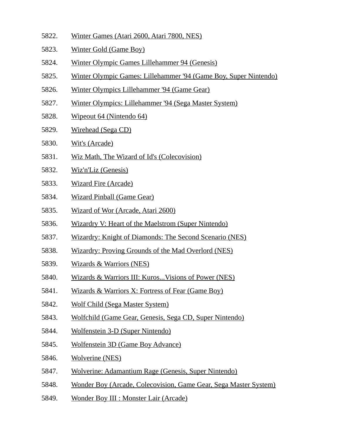- 5822. Winter Games (Atari 2600, Atari 7800, NES)
- 5823. Winter Gold (Game Boy)
- 5824. Winter Olympic Games Lillehammer 94 (Genesis)
- 5825. Winter Olympic Games: Lillehammer '94 (Game Boy, Super Nintendo)
- 5826. Winter Olympics Lillehammer '94 (Game Gear)
- 5827. Winter Olympics: Lillehammer '94 (Sega Master System)
- 5828. Wipeout 64 (Nintendo 64)
- 5829. Wirehead (Sega CD)
- 5830. Wit's (Arcade)
- 5831. Wiz Math, The Wizard of Id's (Colecovision)
- 5832. Wiz'n'Liz (Genesis)
- 5833. Wizard Fire (Arcade)
- 5834. Wizard Pinball (Game Gear)
- 5835. Wizard of Wor (Arcade, Atari 2600)
- 5836. Wizardry V: Heart of the Maelstrom (Super Nintendo)
- 5837. Wizardry: Knight of Diamonds: The Second Scenario (NES)
- 5838. Wizardry: Proving Grounds of the Mad Overlord (NES)
- 5839. Wizards & Warriors (NES)
- 5840. Wizards & Warriors III: Kuros...Visions of Power (NES)
- 5841. Wizards & Warriors X: Fortress of Fear (Game Boy)
- 5842. Wolf Child (Sega Master System)
- 5843. Wolfchild (Game Gear, Genesis, Sega CD, Super Nintendo)
- 5844. Wolfenstein 3-D (Super Nintendo)
- 5845. Wolfenstein 3D (Game Boy Advance)
- 5846. Wolverine (NES)
- 5847. Wolverine: Adamantium Rage (Genesis, Super Nintendo)
- 5848. Wonder Boy (Arcade, Colecovision, Game Gear, Sega Master System)
- 5849. Wonder Boy III : Monster Lair (Arcade)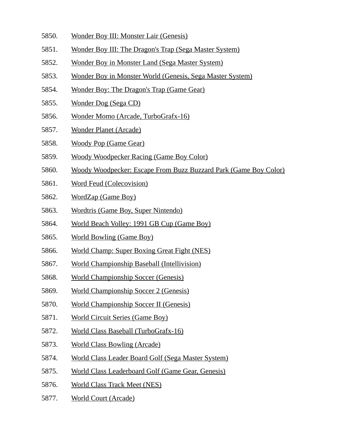- 5850. Wonder Boy III: Monster Lair (Genesis)
- 5851. Wonder Boy III: The Dragon's Trap (Sega Master System)
- 5852. Wonder Boy in Monster Land (Sega Master System)
- 5853. Wonder Boy in Monster World (Genesis, Sega Master System)
- 5854. Wonder Boy: The Dragon's Trap (Game Gear)
- 5855. Wonder Dog (Sega CD)
- 5856. Wonder Momo (Arcade, TurboGrafx-16)
- 5857. Wonder Planet (Arcade)
- 5858. Woody Pop (Game Gear)
- 5859. Woody Woodpecker Racing (Game Boy Color)
- 5860. Woody Woodpecker: Escape From Buzz Buzzard Park (Game Boy Color)
- 5861. Word Feud (Colecovision)
- 5862. WordZap (Game Boy)
- 5863. Wordtris (Game Boy, Super Nintendo)
- 5864. World Beach Volley: 1991 GB Cup (Game Boy)
- 5865. World Bowling (Game Boy)
- 5866. World Champ: Super Boxing Great Fight (NES)
- 5867. World Championship Baseball (Intellivision)
- 5868. World Championship Soccer (Genesis)
- 5869. World Championship Soccer 2 (Genesis)
- 5870. World Championship Soccer II (Genesis)
- 5871. World Circuit Series (Game Boy)
- 5872. World Class Baseball (TurboGrafx-16)
- 5873. World Class Bowling (Arcade)
- 5874. World Class Leader Board Golf (Sega Master System)
- 5875. World Class Leaderboard Golf (Game Gear, Genesis)
- 5876. World Class Track Meet (NES)
- 5877. World Court (Arcade)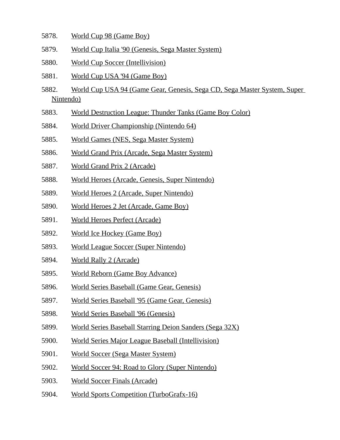- 5878. World Cup 98 (Game Boy)
- 5879. World Cup Italia '90 (Genesis, Sega Master System)
- 5880. World Cup Soccer (Intellivision)
- 5881. World Cup USA '94 (Game Boy)
- 5882. World Cup USA 94 (Game Gear, Genesis, Sega CD, Sega Master System, Super Nintendo)
- 5883. World Destruction League: Thunder Tanks (Game Boy Color)
- 5884. World Driver Championship (Nintendo 64)
- 5885. World Games (NES, Sega Master System)
- 5886. World Grand Prix (Arcade, Sega Master System)
- 5887. World Grand Prix 2 (Arcade)
- 5888. World Heroes (Arcade, Genesis, Super Nintendo)
- 5889. World Heroes 2 (Arcade, Super Nintendo)
- 5890. World Heroes 2 Jet (Arcade, Game Boy)
- 5891. World Heroes Perfect (Arcade)
- 5892. World Ice Hockey (Game Boy)
- 5893. World League Soccer (Super Nintendo)
- 5894. World Rally 2 (Arcade)
- 5895. World Reborn (Game Boy Advance)
- 5896. World Series Baseball (Game Gear, Genesis)
- 5897. World Series Baseball '95 (Game Gear, Genesis)
- 5898. World Series Baseball '96 (Genesis)
- 5899. World Series Baseball Starring Deion Sanders (Sega 32X)
- 5900. World Series Major League Baseball (Intellivision)
- 5901. World Soccer (Sega Master System)
- 5902. World Soccer 94: Road to Glory (Super Nintendo)
- 5903. World Soccer Finals (Arcade)
- 5904. World Sports Competition (TurboGrafx-16)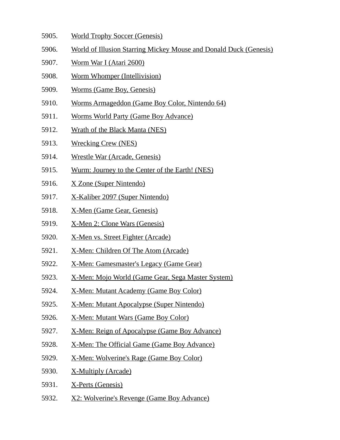- 5905. World Trophy Soccer (Genesis)
- 5906. World of Illusion Starring Mickey Mouse and Donald Duck (Genesis)
- 5907. Worm War I (Atari 2600)
- 5908. Worm Whomper (Intellivision)
- 5909. Worms (Game Boy, Genesis)
- 5910. Worms Armageddon (Game Boy Color, Nintendo 64)
- 5911. Worms World Party (Game Boy Advance)
- 5912. Wrath of the Black Manta (NES)
- 5913. Wrecking Crew (NES)
- 5914. Wrestle War (Arcade, Genesis)
- 5915. Wurm: Journey to the Center of the Earth! (NES)
- 5916. X Zone (Super Nintendo)
- 5917. X-Kaliber 2097 (Super Nintendo)
- 5918. X-Men (Game Gear, Genesis)
- 5919. X-Men 2: Clone Wars (Genesis)
- 5920. X-Men vs. Street Fighter (Arcade)
- 5921. X-Men: Children Of The Atom (Arcade)
- 5922. X-Men: Gamesmaster's Legacy (Game Gear)
- 5923. X-Men: Mojo World (Game Gear, Sega Master System)
- 5924. X-Men: Mutant Academy (Game Boy Color)
- 5925. X-Men: Mutant Apocalypse (Super Nintendo)
- 5926. X-Men: Mutant Wars (Game Boy Color)
- 5927. X-Men: Reign of Apocalypse (Game Boy Advance)
- 5928. X-Men: The Official Game (Game Boy Advance)
- 5929. X-Men: Wolverine's Rage (Game Boy Color)
- 5930. X-Multiply (Arcade)
- 5931. X-Perts (Genesis)
- 5932. X2: Wolverine's Revenge (Game Boy Advance)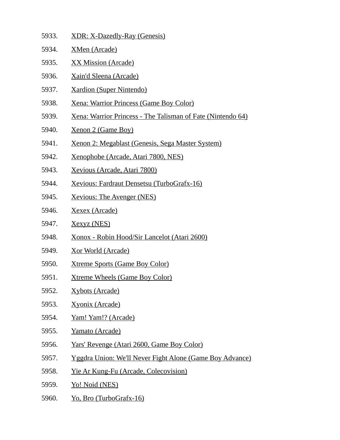- 5933. XDR: X-Dazedly-Ray (Genesis)
- 5934. XMen (Arcade)
- 5935. XX Mission (Arcade)
- 5936. Xain'd Sleena (Arcade)
- 5937. Xardion (Super Nintendo)
- 5938. Xena: Warrior Princess (Game Boy Color)
- 5939. Xena: Warrior Princess The Talisman of Fate (Nintendo 64)
- 5940. Xenon 2 (Game Boy)
- 5941. Xenon 2: Megablast (Genesis, Sega Master System)
- 5942. Xenophobe (Arcade, Atari 7800, NES)
- 5943. Xevious (Arcade, Atari 7800)
- 5944. Xevious: Fardraut Densetsu (TurboGrafx-16)
- 5945. Xevious: The Avenger (NES)
- 5946. Xexex (Arcade)
- 5947. Xexyz (NES)
- 5948. Xonox Robin Hood/Sir Lancelot (Atari 2600)
- 5949. Xor World (Arcade)
- 5950. Xtreme Sports (Game Boy Color)
- 5951. Xtreme Wheels (Game Boy Color)
- 5952. Xybots (Arcade)
- 5953. Xyonix (Arcade)
- 5954. Yam! Yam!? (Arcade)
- 5955. Yamato (Arcade)
- 5956. Yars' Revenge (Atari 2600, Game Boy Color)
- 5957. Yggdra Union: We'll Never Fight Alone (Game Boy Advance)
- 5958. Yie Ar Kung-Fu (Arcade, Colecovision)
- 5959. Yo! Noid (NES)
- 5960. Yo, Bro (TurboGrafx-16)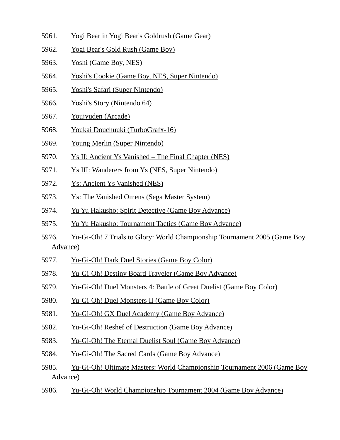- 5961. Yogi Bear in Yogi Bear's Goldrush (Game Gear)
- 5962. Yogi Bear's Gold Rush (Game Boy)
- 5963. Yoshi (Game Boy, NES)
- 5964. Yoshi's Cookie (Game Boy, NES, Super Nintendo)
- 5965. Yoshi's Safari (Super Nintendo)
- 5966. Yoshi's Story (Nintendo 64)
- 5967. Youjyuden (Arcade)
- 5968. Youkai Douchuuki (TurboGrafx-16)
- 5969. Young Merlin (Super Nintendo)
- 5970. Ys II: Ancient Ys Vanished The Final Chapter (NES)
- 5971. Ys III: Wanderers from Ys (NES, Super Nintendo)
- 5972. Ys: Ancient Ys Vanished (NES)
- 5973. Ys: The Vanished Omens (Sega Master System)
- 5974. Yu Yu Hakusho: Spirit Detective (Game Boy Advance)
- 5975. Yu Yu Hakusho: Tournament Tactics (Game Boy Advance)
- 5976. Yu-Gi-Oh! 7 Trials to Glory: World Championship Tournament 2005 (Game Boy Advance)
- 5977. Yu-Gi-Oh! Dark Duel Stories (Game Boy Color)
- 5978. Yu-Gi-Oh! Destiny Board Traveler (Game Boy Advance)
- 5979. Yu-Gi-Oh! Duel Monsters 4: Battle of Great Duelist (Game Boy Color)
- 5980. Yu-Gi-Oh! Duel Monsters II (Game Boy Color)
- 5981. Yu-Gi-Oh! GX Duel Academy (Game Boy Advance)
- 5982. Yu-Gi-Oh! Reshef of Destruction (Game Boy Advance)
- 5983. Yu-Gi-Oh! The Eternal Duelist Soul (Game Boy Advance)
- 5984. Yu-Gi-Oh! The Sacred Cards (Game Boy Advance)
- 5985. Yu-Gi-Oh! Ultimate Masters: World Championship Tournament 2006 (Game Boy Advance)
- 5986. Yu-Gi-Oh! World Championship Tournament 2004 (Game Boy Advance)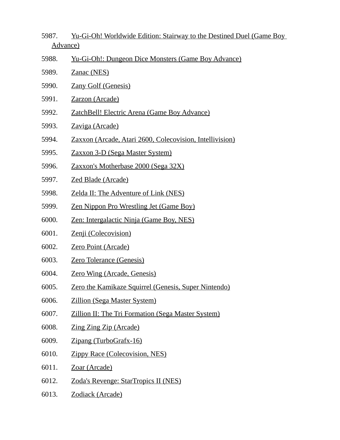- 5987. Yu-Gi-Oh! Worldwide Edition: Stairway to the Destined Duel (Game Boy Advance)
- 5988. Yu-Gi-Oh!: Dungeon Dice Monsters (Game Boy Advance)
- 5989. Zanac (NES)
- 5990. Zany Golf (Genesis)
- 5991. Zarzon (Arcade)
- 5992. ZatchBell! Electric Arena (Game Boy Advance)
- 5993. Zaviga (Arcade)
- 5994. Zaxxon (Arcade, Atari 2600, Colecovision, Intellivision)
- 5995. Zaxxon 3-D (Sega Master System)
- 5996. Zaxxon's Motherbase 2000 (Sega 32X)
- 5997. Zed Blade (Arcade)
- 5998. Zelda II: The Adventure of Link (NES)
- 5999. Zen Nippon Pro Wrestling Jet (Game Boy)
- 6000. Zen: Intergalactic Ninja (Game Boy, NES)
- 6001. Zenji (Colecovision)
- 6002. Zero Point (Arcade)
- 6003. Zero Tolerance (Genesis)
- 6004. Zero Wing (Arcade, Genesis)
- 6005. Zero the Kamikaze Squirrel (Genesis, Super Nintendo)
- 6006. Zillion (Sega Master System)
- 6007. Zillion II: The Tri Formation (Sega Master System)
- 6008. Zing Zing Zip (Arcade)
- 6009. Zipang (TurboGrafx-16)
- 6010. Zippy Race (Colecovision, NES)
- 6011. Zoar (Arcade)
- 6012. Zoda's Revenge: StarTropics II (NES)
- 6013. Zodiack (Arcade)